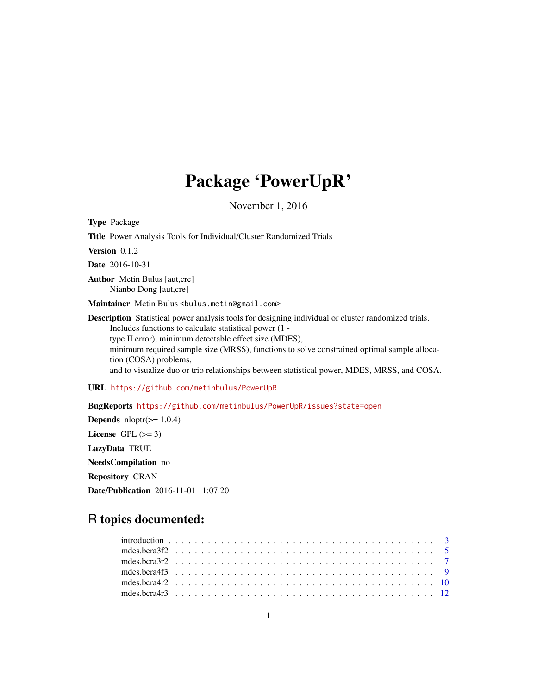# Package 'PowerUpR'

November 1, 2016

Type Package Title Power Analysis Tools for Individual/Cluster Randomized Trials Version 0.1.2 Date 2016-10-31 Author Metin Bulus [aut,cre] Nianbo Dong [aut,cre] Maintainer Metin Bulus <bulus.metin@gmail.com> Description Statistical power analysis tools for designing individual or cluster randomized trials. Includes functions to calculate statistical power (1 type II error), minimum detectable effect size (MDES), minimum required sample size (MRSS), functions to solve constrained optimal sample allocation (COSA) problems, and to visualize duo or trio relationships between statistical power, MDES, MRSS, and COSA. URL <https://github.com/metinbulus/PowerUpR> BugReports <https://github.com/metinbulus/PowerUpR/issues?state=open> **Depends**  $nloptr(>= 1.0.4)$ 

License GPL  $(>= 3)$ LazyData TRUE NeedsCompilation no Repository CRAN Date/Publication 2016-11-01 11:07:20

# R topics documented: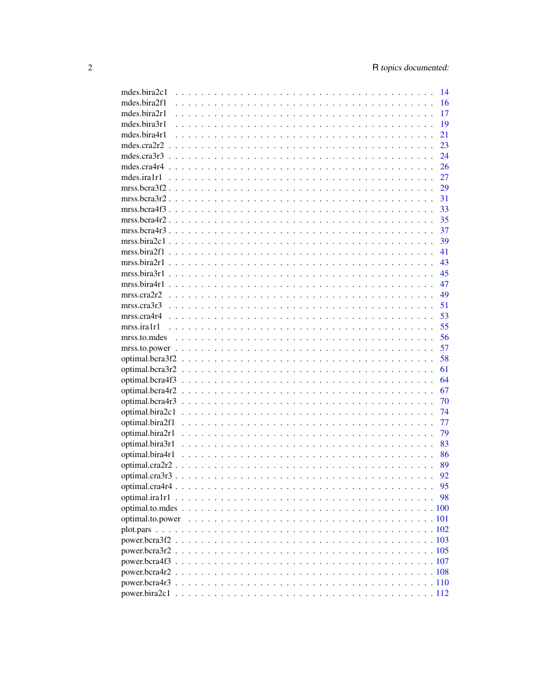| mdes.bira2c1      |                | 14 |
|-------------------|----------------|----|
| mdes.bira2f1      |                | 16 |
| mdes.bira2r1      |                | 17 |
| mdes.bira3r1      |                | 19 |
| mdes.bira4r1      |                | 21 |
| mdes.cra $2r2$    |                | 23 |
| mdes.cra $3r3$    |                | 24 |
|                   |                | 26 |
|                   |                | 27 |
|                   |                | 29 |
|                   |                | 31 |
|                   |                | 33 |
|                   |                | 35 |
|                   |                | 37 |
|                   |                | 39 |
| mrss.bira2f1      |                | 41 |
|                   | $mrss.bira2r1$ | 43 |
| mrss.bira3r1      |                | 45 |
| mrss.bira4r1      |                | 47 |
| mrss.cra2r2       |                | 49 |
|                   |                | 51 |
|                   |                | 53 |
| $mrss.$ ira $1r1$ |                | 55 |
| mrss.to.mdes      |                | 56 |
|                   |                | 57 |
|                   |                | 58 |
|                   |                | 61 |
|                   |                | 64 |
| optimal.bcra4r2   |                | 67 |
| optimal.bcra4r3   |                | 70 |
| optimal.bira2c1   |                | 74 |
| optimal.bira2f1   |                | 77 |
| optimal.bira2r1   |                | 79 |
| optimal.bira3r1   |                | 83 |
| optimal.bira4r1   |                | 86 |
| optimal.cra2r2.   |                | 89 |
|                   |                | 92 |
|                   |                | 95 |
|                   |                | 98 |
|                   |                |    |
|                   |                |    |
|                   |                |    |
|                   |                |    |
|                   |                |    |
|                   |                |    |
|                   |                |    |
|                   |                |    |
|                   |                |    |
|                   |                |    |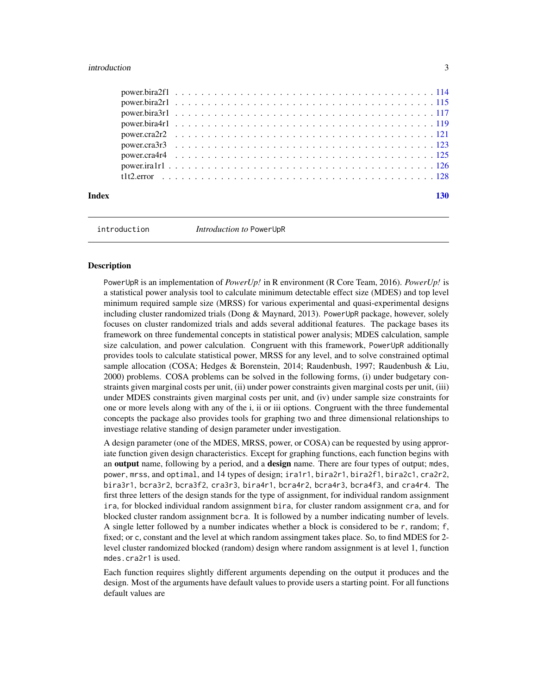#### <span id="page-2-0"></span>introduction 3

|  |  |  |  |  |  |  |  |  |  |  |  |  |  |  |  |  |  |  |  |  | 130 |
|--|--|--|--|--|--|--|--|--|--|--|--|--|--|--|--|--|--|--|--|--|-----|

introduction *Introduction to* PowerUpR

#### **Description**

PowerUpR is an implementation of *PowerUp!* in R environment (R Core Team, 2016). *PowerUp!* is a statistical power analysis tool to calculate minimum detectable effect size (MDES) and top level minimum required sample size (MRSS) for various experimental and quasi-experimental designs including cluster randomized trials (Dong & Maynard, 2013). PowerUpR package, however, solely focuses on cluster randomized trials and adds several additional features. The package bases its framework on three fundemental concepts in statistical power analysis; MDES calculation, sample size calculation, and power calculation. Congruent with this framework, PowerUpR additionally provides tools to calculate statistical power, MRSS for any level, and to solve constrained optimal sample allocation (COSA; Hedges & Borenstein, 2014; Raudenbush, 1997; Raudenbush & Liu, 2000) problems. COSA problems can be solved in the following forms, (i) under budgetary constraints given marginal costs per unit, (ii) under power constraints given marginal costs per unit, (iii) under MDES constraints given marginal costs per unit, and (iv) under sample size constraints for one or more levels along with any of the i, ii or iii options. Congruent with the three fundemental concepts the package also provides tools for graphing two and three dimensional relationships to investiage relative standing of design parameter under investigation.

A design parameter (one of the MDES, MRSS, power, or COSA) can be requested by using approriate function given design characteristics. Except for graphing functions, each function begins with an **output** name, following by a period, and a **design** name. There are four types of output; mdes, power, mrss, and optimal, and 14 types of design; ira1r1, bira2r1, bira2f1, bira2c1, cra2r2, bira3r1, bcra3r2, bcra3f2, cra3r3, bira4r1, bcra4r2, bcra4r3, bcra4f3, and cra4r4. The first three letters of the design stands for the type of assignment, for individual random assignment ira, for blocked individual random assignment bira, for cluster random assignment cra, and for blocked cluster random assignment bcra. It is followed by a number indicating number of levels. A single letter followed by a number indicates whether a block is considered to be r, random; f, fixed; or c, constant and the level at which random assingment takes place. So, to find MDES for 2 level cluster randomized blocked (random) design where random assignment is at level 1, function mdes.cra2r1 is used.

Each function requires slightly different arguments depending on the output it produces and the design. Most of the arguments have default values to provide users a starting point. For all functions default values are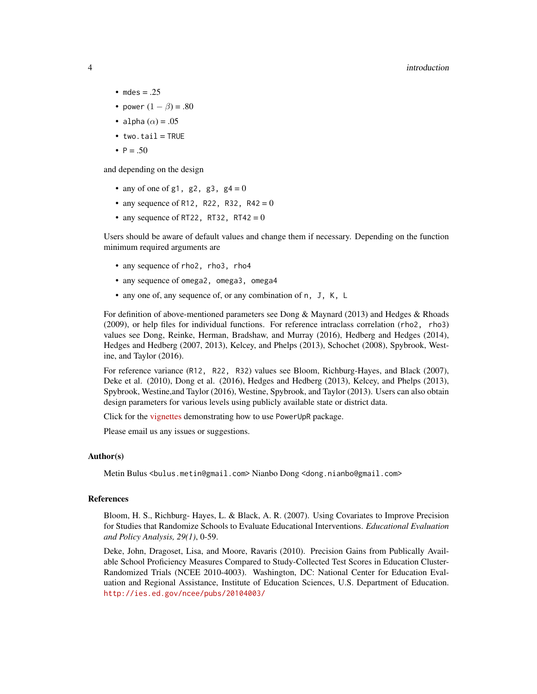#### 4 introduction and the contract of the contract of the contract of the contract of the contract of the contract of the contract of the contract of the contract of the contract of the contract of the contract of the contrac

- mdes  $= .25$
- power  $(1 \beta) = .80$
- alpha  $(\alpha) = .05$
- $•$  two.tail = TRUE
- $P = .50$

and depending on the design

- any of one of  $g1$ ,  $g2$ ,  $g3$ ,  $g4 = 0$
- any sequence of R12, R22, R32, R42 = 0
- any sequence of RT22, RT32, RT42 = 0

Users should be aware of default values and change them if necessary. Depending on the function minimum required arguments are

- any sequence of rho2, rho3, rho4
- any sequence of omega2, omega3, omega4
- any one of, any sequence of, or any combination of n, J, K, L

For definition of above-mentioned parameters see Dong  $\&$  Maynard (2013) and Hedges  $\&$  Rhoads (2009), or help files for individual functions. For reference intraclass correlation (rho2, rho3) values see Dong, Reinke, Herman, Bradshaw, and Murray (2016), Hedberg and Hedges (2014), Hedges and Hedberg (2007, 2013), Kelcey, and Phelps (2013), Schochet (2008), Spybrook, Westine, and Taylor (2016).

For reference variance (R12, R22, R32) values see Bloom, Richburg-Hayes, and Black (2007), Deke et al. (2010), Dong et al. (2016), Hedges and Hedberg (2013), Kelcey, and Phelps (2013), Spybrook, Westine,and Taylor (2016), Westine, Spybrook, and Taylor (2013). Users can also obtain design parameters for various levels using publicly available state or district data.

Click for the [vignettes](http://rpubs.com/metinbulus/powerupr_vignettes) demonstrating how to use PowerUpR package.

Please email us any issues or suggestions.

#### Author(s)

Metin Bulus <bulus.metin@gmail.com> Nianbo Dong <dong.nianbo@gmail.com>

#### References

Bloom, H. S., Richburg- Hayes, L. & Black, A. R. (2007). Using Covariates to Improve Precision for Studies that Randomize Schools to Evaluate Educational Interventions. *Educational Evaluation and Policy Analysis, 29(1)*, 0-59.

Deke, John, Dragoset, Lisa, and Moore, Ravaris (2010). Precision Gains from Publically Available School Proficiency Measures Compared to Study-Collected Test Scores in Education Cluster-Randomized Trials (NCEE 2010-4003). Washington, DC: National Center for Education Evaluation and Regional Assistance, Institute of Education Sciences, U.S. Department of Education. <http://ies.ed.gov/ncee/pubs/20104003/>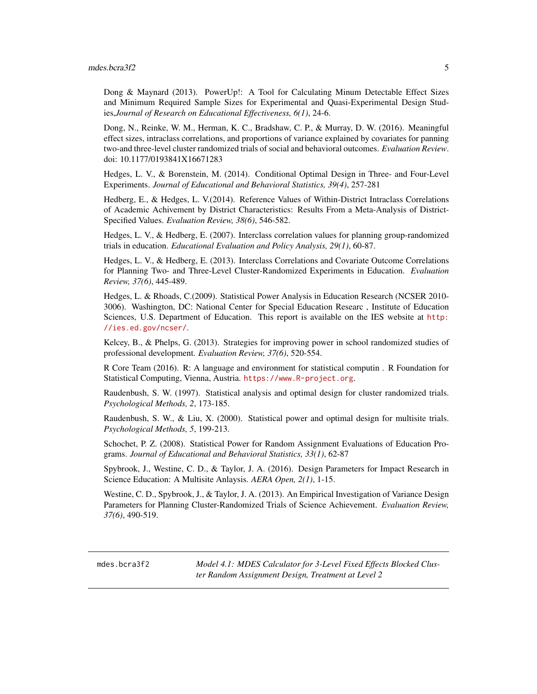<span id="page-4-0"></span>Dong & Maynard (2013). PowerUp!: A Tool for Calculating Minum Detectable Effect Sizes and Minimum Required Sample Sizes for Experimental and Quasi-Experimental Design Studies,*Journal of Research on Educational Effectiveness, 6(1)*, 24-6.

Dong, N., Reinke, W. M., Herman, K. C., Bradshaw, C. P., & Murray, D. W. (2016). Meaningful effect sizes, intraclass correlations, and proportions of variance explained by covariates for panning two-and three-level cluster randomized trials of social and behavioral outcomes. *Evaluation Review*. doi: 10.1177/0193841X16671283

Hedges, L. V., & Borenstein, M. (2014). Conditional Optimal Design in Three- and Four-Level Experiments. *Journal of Educational and Behavioral Statistics, 39(4)*, 257-281

Hedberg, E., & Hedges, L. V.(2014). Reference Values of Within-District Intraclass Correlations of Academic Achivement by District Characteristics: Results From a Meta-Analysis of District-Specified Values. *Evaluation Review, 38(6)*, 546-582.

Hedges, L. V., & Hedberg, E. (2007). Interclass correlation values for planning group-randomized trials in education. *Educational Evaluation and Policy Analysis, 29(1)*, 60-87.

Hedges, L. V., & Hedberg, E. (2013). Interclass Correlations and Covariate Outcome Correlations for Planning Two- and Three-Level Cluster-Randomized Experiments in Education. *Evaluation Review, 37(6)*, 445-489.

Hedges, L. & Rhoads, C.(2009). Statistical Power Analysis in Education Research (NCSER 2010- 3006). Washington, DC: National Center for Special Education Researc , Institute of Education Sciences, U.S. Department of Education. This report is available on the IES website at [http:](http://ies.ed.gov/ncser/) [//ies.ed.gov/ncser/](http://ies.ed.gov/ncser/).

Kelcey, B., & Phelps, G. (2013). Strategies for improving power in school randomized studies of professional development. *Evaluation Review, 37(6)*, 520-554.

R Core Team (2016). R: A language and environment for statistical computin . R Foundation for Statistical Computing, Vienna, Austria. <https://www.R-project.org>.

Raudenbush, S. W. (1997). Statistical analysis and optimal design for cluster randomized trials. *Psychological Methods, 2*, 173-185.

Raudenbush, S. W., & Liu, X. (2000). Statistical power and optimal design for multisite trials. *Psychological Methods, 5*, 199-213.

Schochet, P. Z. (2008). Statistical Power for Random Assignment Evaluations of Education Programs. *Journal of Educational and Behavioral Statistics, 33(1)*, 62-87

Spybrook, J., Westine, C. D., & Taylor, J. A. (2016). Design Parameters for Impact Research in Science Education: A Multisite Anlaysis. *AERA Open, 2(1)*, 1-15.

Westine, C. D., Spybrook, J., & Taylor, J. A. (2013). An Empirical Investigation of Variance Design Parameters for Planning Cluster-Randomized Trials of Science Achievement. *Evaluation Review, 37(6)*, 490-519.

<span id="page-4-1"></span>mdes.bcra3f2 *Model 4.1: MDES Calculator for 3-Level Fixed Effects Blocked Cluster Random Assignment Design, Treatment at Level 2*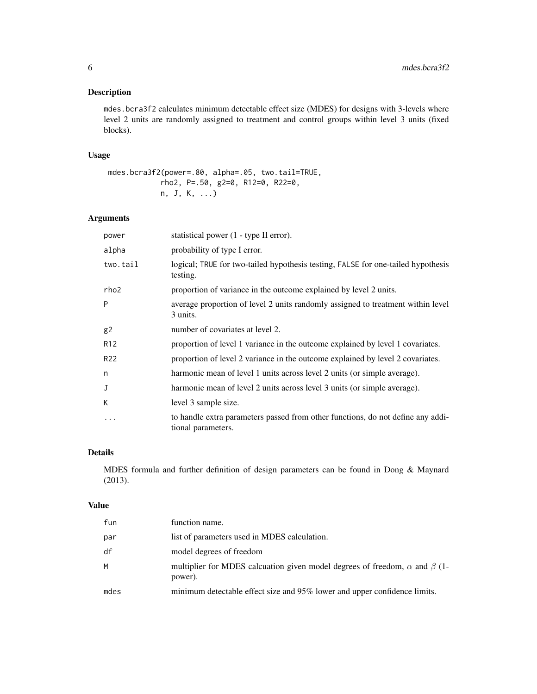# Description

mdes.bcra3f2 calculates minimum detectable effect size (MDES) for designs with 3-levels where level 2 units are randomly assigned to treatment and control groups within level 3 units (fixed blocks).

# Usage

```
mdes.bcra3f2(power=.80, alpha=.05, two.tail=TRUE,
           rho2, P=.50, g2=0, R12=0, R22=0,
           n, J, K, ...)
```
# Arguments

| power           | statistical power (1 - type II error).                                                                |
|-----------------|-------------------------------------------------------------------------------------------------------|
| alpha           | probability of type I error.                                                                          |
| two.tail        | logical; TRUE for two-tailed hypothesis testing, FALSE for one-tailed hypothesis<br>testing.          |
| rho2            | proportion of variance in the outcome explained by level 2 units.                                     |
| P               | average proportion of level 2 units randomly assigned to treatment within level<br>3 units.           |
| g2              | number of covariates at level 2.                                                                      |
| R <sub>12</sub> | proportion of level 1 variance in the outcome explained by level 1 covariates.                        |
| R <sub>22</sub> | proportion of level 2 variance in the outcome explained by level 2 covariates.                        |
| n               | harmonic mean of level 1 units across level 2 units (or simple average).                              |
| J               | harmonic mean of level 2 units across level 3 units (or simple average).                              |
| К               | level 3 sample size.                                                                                  |
| $\cdots$        | to handle extra parameters passed from other functions, do not define any addi-<br>tional parameters. |

# Details

MDES formula and further definition of design parameters can be found in Dong & Maynard (2013).

#### Value

| fun  | function name.                                                                                     |
|------|----------------------------------------------------------------------------------------------------|
| par  | list of parameters used in MDES calculation.                                                       |
| df   | model degrees of freedom                                                                           |
| м    | multiplier for MDES calcuation given model degrees of freedom, $\alpha$ and $\beta$ (1-<br>power). |
| mdes | minimum detectable effect size and 95% lower and upper confidence limits.                          |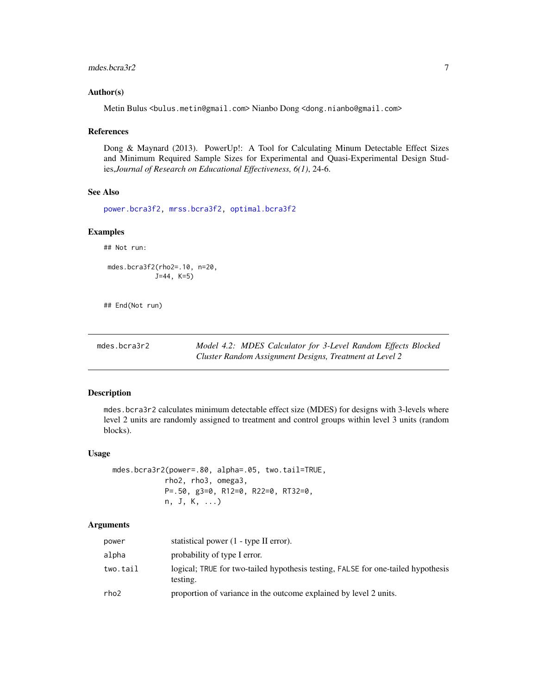#### <span id="page-6-0"></span>mdes.bcra $3r2$  7

#### Author(s)

Metin Bulus <bulus.metin@gmail.com> Nianbo Dong <dong.nianbo@gmail.com>

#### References

Dong & Maynard (2013). PowerUp!: A Tool for Calculating Minum Detectable Effect Sizes and Minimum Required Sample Sizes for Experimental and Quasi-Experimental Design Studies,*Journal of Research on Educational Effectiveness, 6(1)*, 24-6.

#### See Also

[power.bcra3f2,](#page-102-1) [mrss.bcra3f2,](#page-28-1) [optimal.bcra3f2](#page-57-1)

#### Examples

## Not run:

mdes.bcra3f2(rho2=.10, n=20, J=44, K=5)

## End(Not run)

<span id="page-6-1"></span>mdes.bcra3r2 *Model 4.2: MDES Calculator for 3-Level Random Effects Blocked Cluster Random Assignment Designs, Treatment at Level 2*

#### Description

mdes.bcra3r2 calculates minimum detectable effect size (MDES) for designs with 3-levels where level 2 units are randomly assigned to treatment and control groups within level 3 units (random blocks).

#### Usage

mdes.bcra3r2(power=.80, alpha=.05, two.tail=TRUE, rho2, rho3, omega3, P=.50, g3=0, R12=0, R22=0, RT32=0, n, J, K, ...)

| power    | statistical power (1 - type II error).                                                       |
|----------|----------------------------------------------------------------------------------------------|
| alpha    | probability of type I error.                                                                 |
| two.tail | logical; TRUE for two-tailed hypothesis testing, FALSE for one-tailed hypothesis<br>testing. |
| rho2     | proportion of variance in the outcome explained by level 2 units.                            |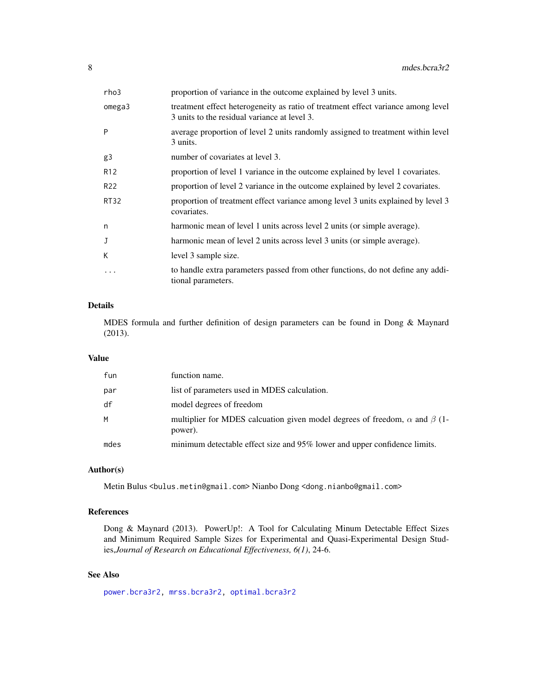| rho3            | proportion of variance in the outcome explained by level 3 units.                                                                |
|-----------------|----------------------------------------------------------------------------------------------------------------------------------|
| omega3          | treatment effect heterogeneity as ratio of treatment effect variance among level<br>3 units to the residual variance at level 3. |
| P               | average proportion of level 2 units randomly assigned to treatment within level<br>3 units.                                      |
| g3              | number of covariates at level 3.                                                                                                 |
| R <sub>12</sub> | proportion of level 1 variance in the outcome explained by level 1 covariates.                                                   |
| R <sub>22</sub> | proportion of level 2 variance in the outcome explained by level 2 covariates.                                                   |
| <b>RT32</b>     | proportion of treatment effect variance among level 3 units explained by level 3<br>covariates.                                  |
| n               | harmonic mean of level 1 units across level 2 units (or simple average).                                                         |
| J               | harmonic mean of level 2 units across level 3 units (or simple average).                                                         |
| K               | level 3 sample size.                                                                                                             |
| $\ddots$        | to handle extra parameters passed from other functions, do not define any addi-<br>tional parameters.                            |

MDES formula and further definition of design parameters can be found in Dong & Maynard (2013).

#### Value

| fun  | function name.                                                                                     |
|------|----------------------------------------------------------------------------------------------------|
| par  | list of parameters used in MDES calculation.                                                       |
| df   | model degrees of freedom                                                                           |
| M    | multiplier for MDES calcuation given model degrees of freedom, $\alpha$ and $\beta$ (1-<br>power). |
| mdes | minimum detectable effect size and 95% lower and upper confidence limits.                          |

# Author(s)

Metin Bulus <bulus.metin@gmail.com> Nianbo Dong <dong.nianbo@gmail.com>

#### References

Dong & Maynard (2013). PowerUp!: A Tool for Calculating Minum Detectable Effect Sizes and Minimum Required Sample Sizes for Experimental and Quasi-Experimental Design Studies,*Journal of Research on Educational Effectiveness, 6(1)*, 24-6.

# See Also

[power.bcra3r2,](#page-104-1) [mrss.bcra3r2,](#page-30-1) [optimal.bcra3r2](#page-60-1)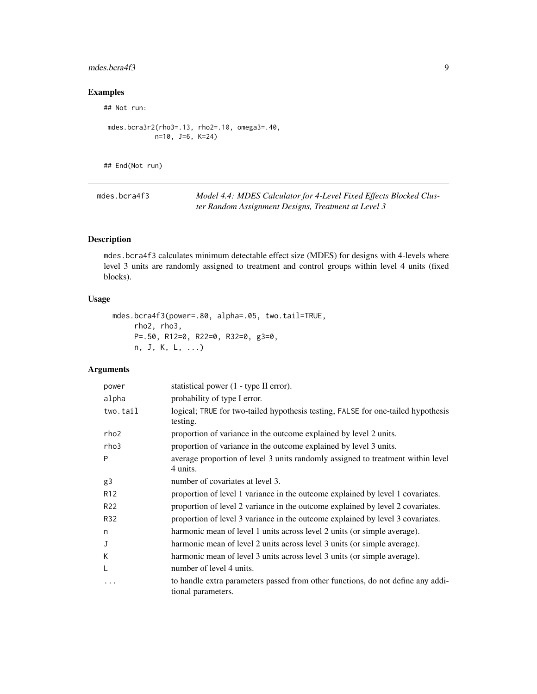# <span id="page-8-0"></span>mdes.bcra4f3 9

# Examples

## Not run:

```
mdes.bcra3r2(rho3=.13, rho2=.10, omega3=.40,
          n=10, J=6, K=24)
```
## End(Not run)

<span id="page-8-1"></span>

| mdes.bcra4f3 | Model 4.4: MDES Calculator for 4-Level Fixed Effects Blocked Clus- |
|--------------|--------------------------------------------------------------------|
|              | ter Random Assignment Designs, Treatment at Level 3                |

# Description

mdes.bcra4f3 calculates minimum detectable effect size (MDES) for designs with 4-levels where level 3 units are randomly assigned to treatment and control groups within level 4 units (fixed blocks).

# Usage

```
mdes.bcra4f3(power=.80, alpha=.05, two.tail=TRUE,
    rho2, rho3,
    P=.50, R12=0, R22=0, R32=0, g3=0,
    n, J, K, L, ...)
```

| power            | statistical power (1 - type II error).                                                                |
|------------------|-------------------------------------------------------------------------------------------------------|
| alpha            | probability of type I error.                                                                          |
| two.tail         | logical; TRUE for two-tailed hypothesis testing, FALSE for one-tailed hypothesis<br>testing.          |
| rho <sub>2</sub> | proportion of variance in the outcome explained by level 2 units.                                     |
| rho3             | proportion of variance in the outcome explained by level 3 units.                                     |
| P                | average proportion of level 3 units randomly assigned to treatment within level<br>4 units.           |
| g3               | number of covariates at level 3.                                                                      |
| R <sub>12</sub>  | proportion of level 1 variance in the outcome explained by level 1 covariates.                        |
| R <sub>22</sub>  | proportion of level 2 variance in the outcome explained by level 2 covariates.                        |
| R32              | proportion of level 3 variance in the outcome explained by level 3 covariates.                        |
| n                | harmonic mean of level 1 units across level 2 units (or simple average).                              |
| J                | harmonic mean of level 2 units across level 3 units (or simple average).                              |
| К                | harmonic mean of level 3 units across level 3 units (or simple average).                              |
| L                | number of level 4 units.                                                                              |
| $\ddotsc$        | to handle extra parameters passed from other functions, do not define any addi-<br>tional parameters. |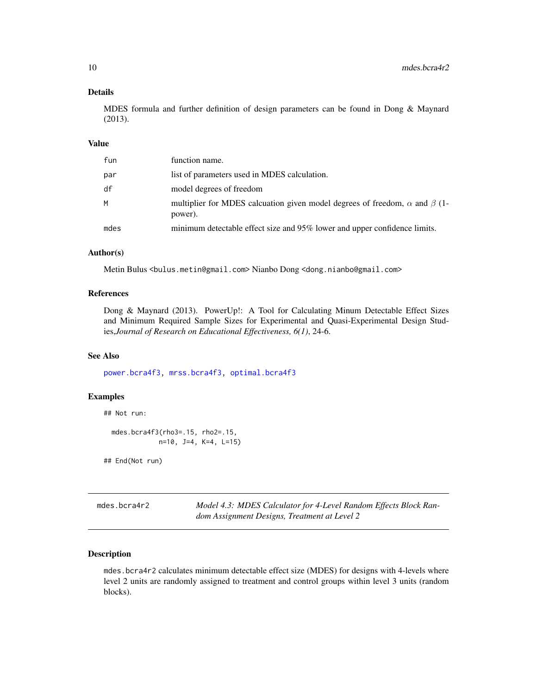<span id="page-9-0"></span>MDES formula and further definition of design parameters can be found in Dong & Maynard (2013).

#### Value

| fun  | function name.                                                                                     |
|------|----------------------------------------------------------------------------------------------------|
| par  | list of parameters used in MDES calculation.                                                       |
| df   | model degrees of freedom                                                                           |
| м    | multiplier for MDES calcuation given model degrees of freedom, $\alpha$ and $\beta$ (1-<br>power). |
| mdes | minimum detectable effect size and 95% lower and upper confidence limits.                          |

#### Author(s)

Metin Bulus <bulus.metin@gmail.com> Nianbo Dong <dong.nianbo@gmail.com>

#### References

Dong & Maynard (2013). PowerUp!: A Tool for Calculating Minum Detectable Effect Sizes and Minimum Required Sample Sizes for Experimental and Quasi-Experimental Design Studies,*Journal of Research on Educational Effectiveness, 6(1)*, 24-6.

# See Also

[power.bcra4f3,](#page-106-1) [mrss.bcra4f3,](#page-32-1) [optimal.bcra4f3](#page-63-1)

#### Examples

```
## Not run:
mdes.bcra4f3(rho3=.15, rho2=.15,
             n=10, J=4, K=4, L=15)
```
## End(Not run)

<span id="page-9-1"></span>mdes.bcra4r2 *Model 4.3: MDES Calculator for 4-Level Random Effects Block Random Assignment Designs, Treatment at Level 2*

# Description

mdes.bcra4r2 calculates minimum detectable effect size (MDES) for designs with 4-levels where level 2 units are randomly assigned to treatment and control groups within level 3 units (random blocks).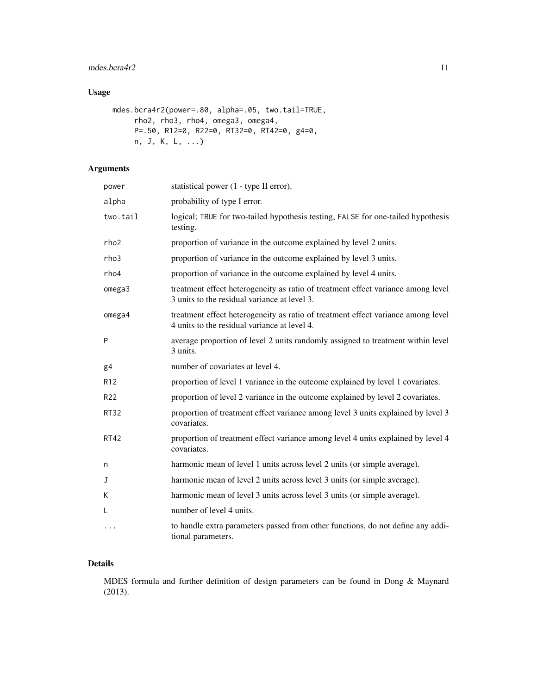# mdes.bcra4r2 11

# Usage

```
mdes.bcra4r2(power=.80, alpha=.05, two.tail=TRUE,
    rho2, rho3, rho4, omega3, omega4,
    P=.50, R12=0, R22=0, RT32=0, RT42=0, g4=0,
    n, J, K, L, ...)
```
# Arguments

| power           | statistical power (1 - type II error).                                                                                           |
|-----------------|----------------------------------------------------------------------------------------------------------------------------------|
| alpha           | probability of type I error.                                                                                                     |
| two.tail        | logical; TRUE for two-tailed hypothesis testing, FALSE for one-tailed hypothesis<br>testing.                                     |
| rho2            | proportion of variance in the outcome explained by level 2 units.                                                                |
| rho3            | proportion of variance in the outcome explained by level 3 units.                                                                |
| rho4            | proportion of variance in the outcome explained by level 4 units.                                                                |
| omega3          | treatment effect heterogeneity as ratio of treatment effect variance among level<br>3 units to the residual variance at level 3. |
| omega4          | treatment effect heterogeneity as ratio of treatment effect variance among level<br>4 units to the residual variance at level 4. |
| P               | average proportion of level 2 units randomly assigned to treatment within level<br>3 units.                                      |
| g <sub>4</sub>  | number of covariates at level 4.                                                                                                 |
| R <sub>12</sub> | proportion of level 1 variance in the outcome explained by level 1 covariates.                                                   |
| R <sub>22</sub> | proportion of level 2 variance in the outcome explained by level 2 covariates.                                                   |
| <b>RT32</b>     | proportion of treatment effect variance among level 3 units explained by level 3<br>covariates.                                  |
| <b>RT42</b>     | proportion of treatment effect variance among level 4 units explained by level 4<br>covariates.                                  |
| n               | harmonic mean of level 1 units across level 2 units (or simple average).                                                         |
| J               | harmonic mean of level 2 units across level 3 units (or simple average).                                                         |
| К               | harmonic mean of level 3 units across level 3 units (or simple average).                                                         |
| L               | number of level 4 units.                                                                                                         |
| $\cdots$        | to handle extra parameters passed from other functions, do not define any addi-<br>tional parameters.                            |

# Details

MDES formula and further definition of design parameters can be found in Dong & Maynard (2013).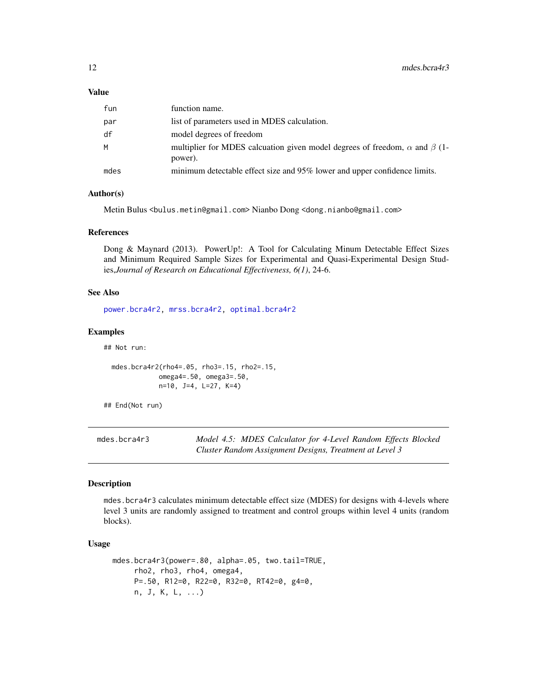#### <span id="page-11-0"></span>Value

| fun  | function name.                                                                                     |
|------|----------------------------------------------------------------------------------------------------|
| par  | list of parameters used in MDES calculation.                                                       |
| df   | model degrees of freedom                                                                           |
| м    | multiplier for MDES calcuation given model degrees of freedom, $\alpha$ and $\beta$ (1-<br>power). |
| mdes | minimum detectable effect size and 95% lower and upper confidence limits.                          |

#### Author(s)

Metin Bulus <bulus.metin@gmail.com> Nianbo Dong <dong.nianbo@gmail.com>

#### References

Dong & Maynard (2013). PowerUp!: A Tool for Calculating Minum Detectable Effect Sizes and Minimum Required Sample Sizes for Experimental and Quasi-Experimental Design Studies,*Journal of Research on Educational Effectiveness, 6(1)*, 24-6.

#### See Also

[power.bcra4r2,](#page-107-1) [mrss.bcra4r2,](#page-34-1) [optimal.bcra4r2](#page-66-1)

# Examples

## Not run:

```
mdes.bcra4r2(rho4=.05, rho3=.15, rho2=.15,
           omega4=.50, omega3=.50,
           n=10, J=4, L=27, K=4)
```
## End(Not run)

mdes.bcra4r3 *Model 4.5: MDES Calculator for 4-Level Random Effects Blocked Cluster Random Assignment Designs, Treatment at Level 3*

#### Description

mdes.bcra4r3 calculates minimum detectable effect size (MDES) for designs with 4-levels where level 3 units are randomly assigned to treatment and control groups within level 4 units (random blocks).

#### Usage

```
mdes.bcra4r3(power=.80, alpha=.05, two.tail=TRUE,
    rho2, rho3, rho4, omega4,
    P=.50, R12=0, R22=0, R32=0, RT42=0, g4=0,
    n, J, K, L, ...)
```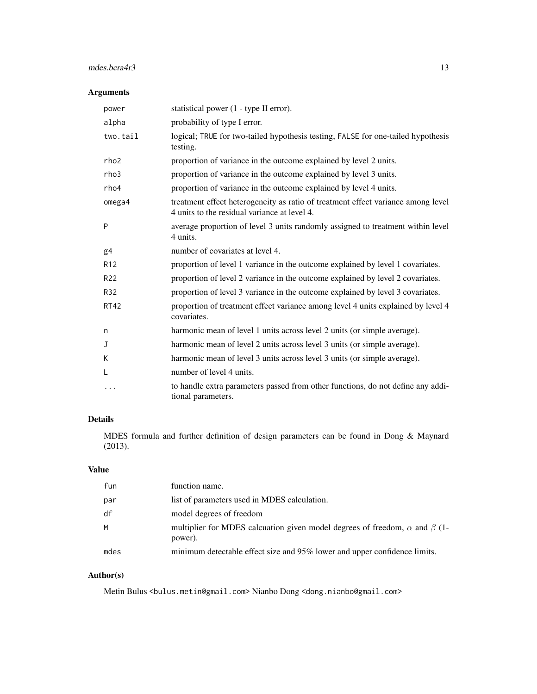# mdes.bcra4r3 13

# Arguments

| power           | statistical power (1 - type II error).                                                                                           |
|-----------------|----------------------------------------------------------------------------------------------------------------------------------|
| alpha           | probability of type I error.                                                                                                     |
| two.tail        | logical; TRUE for two-tailed hypothesis testing, FALSE for one-tailed hypothesis<br>testing.                                     |
| rho2            | proportion of variance in the outcome explained by level 2 units.                                                                |
| rho3            | proportion of variance in the outcome explained by level 3 units.                                                                |
| rho4            | proportion of variance in the outcome explained by level 4 units.                                                                |
| omega4          | treatment effect heterogeneity as ratio of treatment effect variance among level<br>4 units to the residual variance at level 4. |
| P               | average proportion of level 3 units randomly assigned to treatment within level<br>4 units.                                      |
| g4              | number of covariates at level 4.                                                                                                 |
| R <sub>12</sub> | proportion of level 1 variance in the outcome explained by level 1 covariates.                                                   |
| R22             | proportion of level 2 variance in the outcome explained by level 2 covariates.                                                   |
| R32             | proportion of level 3 variance in the outcome explained by level 3 covariates.                                                   |
| <b>RT42</b>     | proportion of treatment effect variance among level 4 units explained by level 4<br>covariates.                                  |
| n               | harmonic mean of level 1 units across level 2 units (or simple average).                                                         |
| J               | harmonic mean of level 2 units across level 3 units (or simple average).                                                         |
| К               | harmonic mean of level 3 units across level 3 units (or simple average).                                                         |
| L               | number of level 4 units.                                                                                                         |
| .               | to handle extra parameters passed from other functions, do not define any addi-<br>tional parameters.                            |

# Details

MDES formula and further definition of design parameters can be found in Dong & Maynard (2013).

# Value

| fun  | function name.                                                                                     |
|------|----------------------------------------------------------------------------------------------------|
| par  | list of parameters used in MDES calculation.                                                       |
| df   | model degrees of freedom                                                                           |
| M    | multiplier for MDES calcuation given model degrees of freedom, $\alpha$ and $\beta$ (1-<br>power). |
| mdes | minimum detectable effect size and 95% lower and upper confidence limits.                          |

# Author(s)

Metin Bulus <br/> <br/> <br/>metin@gmail.com> Nianbo Dong <dong.nianbo@gmail.com>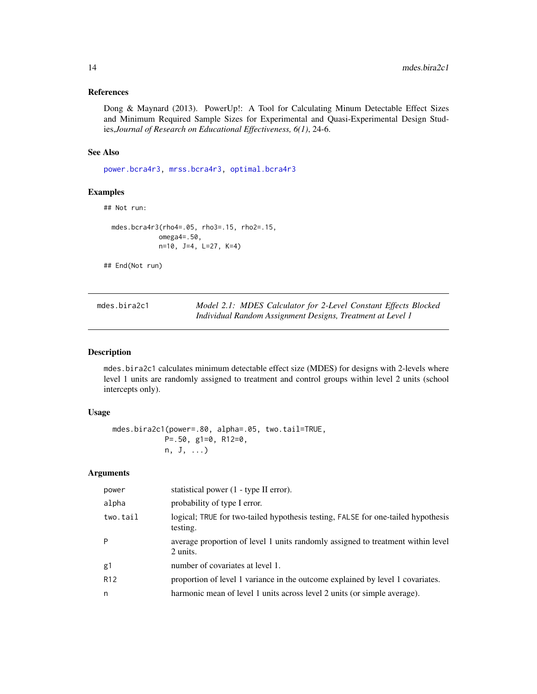# <span id="page-13-0"></span>References

Dong & Maynard (2013). PowerUp!: A Tool for Calculating Minum Detectable Effect Sizes and Minimum Required Sample Sizes for Experimental and Quasi-Experimental Design Studies,*Journal of Research on Educational Effectiveness, 6(1)*, 24-6.

#### See Also

[power.bcra4r3,](#page-109-1) [mrss.bcra4r3,](#page-36-1) [optimal.bcra4r3](#page-69-1)

# Examples

```
## Not run:
```

```
mdes.bcra4r3(rho4=.05, rho3=.15, rho2=.15,
           omega4=.50,
           n=10, J=4, L=27, K=4)
```
## End(Not run)

| mdes.bira2c1 | Model 2.1: MDES Calculator for 2-Level Constant Effects Blocked |
|--------------|-----------------------------------------------------------------|
|              | Individual Random Assignment Designs, Treatment at Level 1      |

# Description

mdes.bira2c1 calculates minimum detectable effect size (MDES) for designs with 2-levels where level 1 units are randomly assigned to treatment and control groups within level 2 units (school intercepts only).

#### Usage

```
mdes.bira2c1(power=.80, alpha=.05, two.tail=TRUE,
           P=.50, g1=0, R12=0,
           n, J, ...)
```

| power           | statistical power (1 - type II error).                                                       |
|-----------------|----------------------------------------------------------------------------------------------|
| alpha           | probability of type I error.                                                                 |
| two.tail        | logical; TRUE for two-tailed hypothesis testing, FALSE for one-tailed hypothesis<br>testing. |
| P               | average proportion of level 1 units randomly assigned to treatment within level<br>2 units.  |
| g1              | number of covariates at level 1.                                                             |
| R <sub>12</sub> | proportion of level 1 variance in the outcome explained by level 1 covariates.               |
| n               | harmonic mean of level 1 units across level 2 units (or simple average).                     |
|                 |                                                                                              |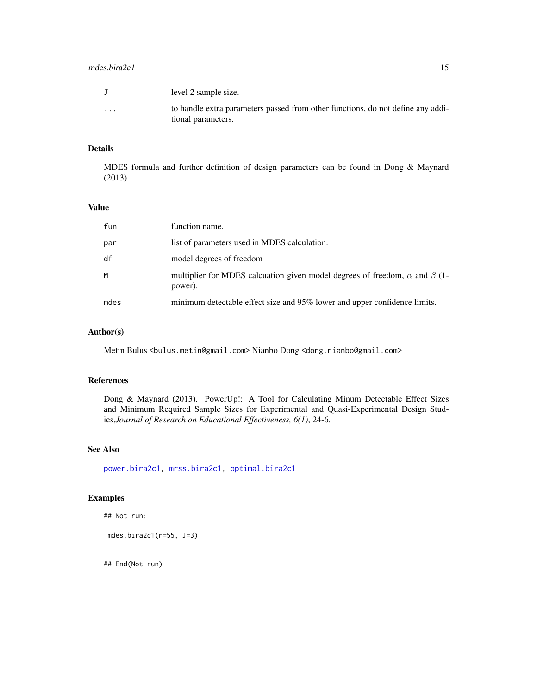#### mdes.bira2c1 15

|          | level 2 sample size.                                                            |
|----------|---------------------------------------------------------------------------------|
| $\cdots$ | to handle extra parameters passed from other functions, do not define any addi- |
|          | tional parameters.                                                              |

# Details

MDES formula and further definition of design parameters can be found in Dong & Maynard (2013).

# Value

| fun  | function name.                                                                                     |
|------|----------------------------------------------------------------------------------------------------|
| par  | list of parameters used in MDES calculation.                                                       |
| df   | model degrees of freedom                                                                           |
| M    | multiplier for MDES calcuation given model degrees of freedom, $\alpha$ and $\beta$ (1-<br>power). |
| mdes | minimum detectable effect size and 95% lower and upper confidence limits.                          |

# Author(s)

Metin Bulus <bulus.metin@gmail.com> Nianbo Dong <dong.nianbo@gmail.com>

#### References

Dong & Maynard (2013). PowerUp!: A Tool for Calculating Minum Detectable Effect Sizes and Minimum Required Sample Sizes for Experimental and Quasi-Experimental Design Studies,*Journal of Research on Educational Effectiveness, 6(1)*, 24-6.

#### See Also

[power.bira2c1,](#page-111-1) [mrss.bira2c1,](#page-38-1) [optimal.bira2c1](#page-73-1)

# Examples

```
## Not run:
```
mdes.bira2c1(n=55, J=3)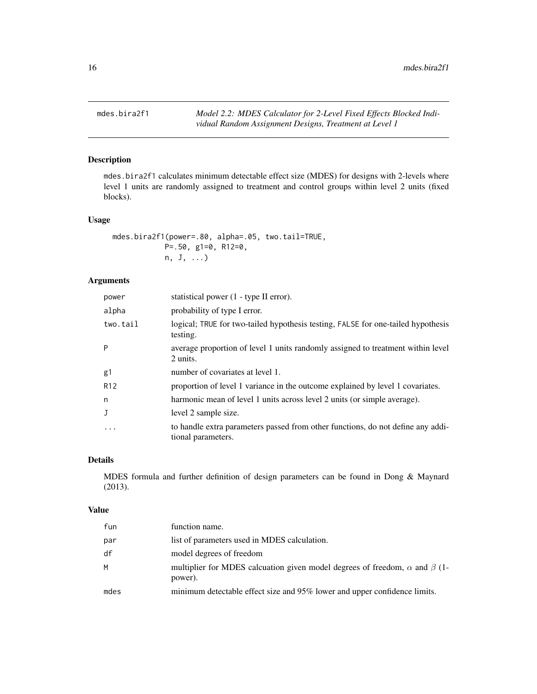<span id="page-15-0"></span>mdes.bira2f1 *Model 2.2: MDES Calculator for 2-Level Fixed Effects Blocked Individual Random Assignment Designs, Treatment at Level 1*

# Description

mdes.bira2f1 calculates minimum detectable effect size (MDES) for designs with 2-levels where level 1 units are randomly assigned to treatment and control groups within level 2 units (fixed blocks).

#### Usage

```
mdes.bira2f1(power=.80, alpha=.05, two.tail=TRUE,
           P=.50, g1=0, R12=0,
           n, J, ...)
```
# Arguments

| power           | statistical power (1 - type II error).                                                                |
|-----------------|-------------------------------------------------------------------------------------------------------|
| alpha           | probability of type I error.                                                                          |
| two.tail        | logical; TRUE for two-tailed hypothesis testing, FALSE for one-tailed hypothesis<br>testing.          |
| P               | average proportion of level 1 units randomly assigned to treatment within level<br>2 units.           |
| g1              | number of covariates at level 1.                                                                      |
| R <sub>12</sub> | proportion of level 1 variance in the outcome explained by level 1 covariates.                        |
| n               | harmonic mean of level 1 units across level 2 units (or simple average).                              |
| J               | level 2 sample size.                                                                                  |
| $\ddotsc$       | to handle extra parameters passed from other functions, do not define any addi-<br>tional parameters. |

#### Details

MDES formula and further definition of design parameters can be found in Dong & Maynard (2013).

#### Value

| fun  | function name.                                                                                     |
|------|----------------------------------------------------------------------------------------------------|
| par  | list of parameters used in MDES calculation.                                                       |
| df   | model degrees of freedom                                                                           |
| M    | multiplier for MDES calcuation given model degrees of freedom, $\alpha$ and $\beta$ (1-<br>power). |
| mdes | minimum detectable effect size and 95% lower and upper confidence limits.                          |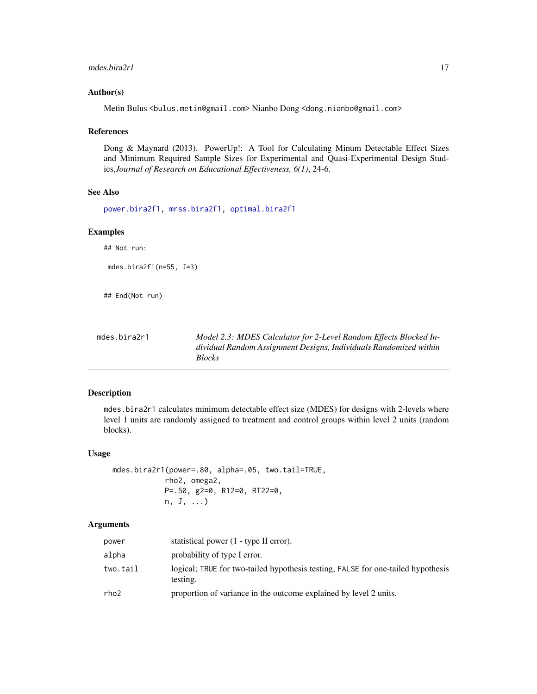#### <span id="page-16-0"></span>mdes.bira2r1 17

#### Author(s)

Metin Bulus <bulus.metin@gmail.com> Nianbo Dong <dong.nianbo@gmail.com>

#### References

Dong & Maynard (2013). PowerUp!: A Tool for Calculating Minum Detectable Effect Sizes and Minimum Required Sample Sizes for Experimental and Quasi-Experimental Design Studies,*Journal of Research on Educational Effectiveness, 6(1)*, 24-6.

# See Also

[power.bira2f1,](#page-113-1) [mrss.bira2f1,](#page-40-1) [optimal.bira2f1](#page-76-1)

#### Examples

## Not run:

```
mdes.bira2f1(n=55, J=3)
```
## End(Not run)

| mdes.bira2r1 | Model 2.3: MDES Calculator for 2-Level Random Effects Blocked In- |
|--------------|-------------------------------------------------------------------|
|              | dividual Random Assignment Designs, Individuals Randomized within |
|              | <b>Blocks</b>                                                     |

#### Description

mdes.bira2r1 calculates minimum detectable effect size (MDES) for designs with 2-levels where level 1 units are randomly assigned to treatment and control groups within level 2 units (random blocks).

#### Usage

mdes.bira2r1(power=.80, alpha=.05, two.tail=TRUE, rho2, omega2, P=.50, g2=0, R12=0, RT22=0, n, J, ...)

| power    | statistical power (1 - type II error).                                                       |
|----------|----------------------------------------------------------------------------------------------|
| alpha    | probability of type I error.                                                                 |
| two.tail | logical; TRUE for two-tailed hypothesis testing, FALSE for one-tailed hypothesis<br>testing. |
| rho2     | proportion of variance in the outcome explained by level 2 units.                            |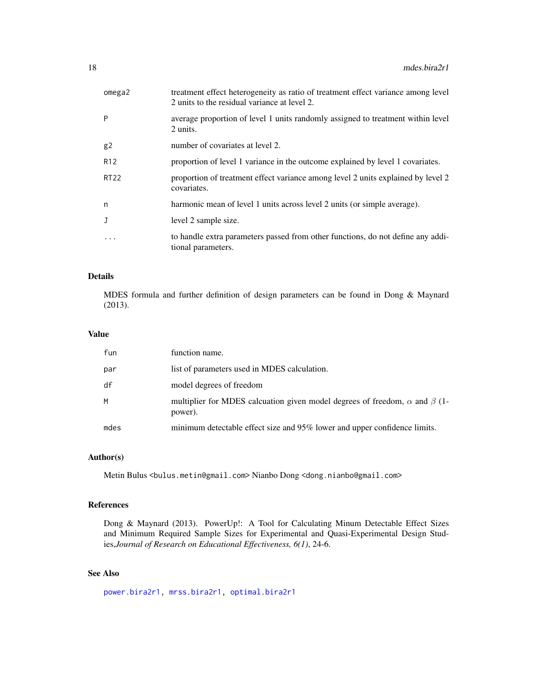| omega2          | treatment effect heterogeneity as ratio of treatment effect variance among level<br>2 units to the residual variance at level 2. |
|-----------------|----------------------------------------------------------------------------------------------------------------------------------|
| P               | average proportion of level 1 units randomly assigned to treatment within level<br>2 units.                                      |
| g2              | number of covariates at level 2.                                                                                                 |
| R <sub>12</sub> | proportion of level 1 variance in the outcome explained by level 1 covariates.                                                   |
| <b>RT22</b>     | proportion of treatment effect variance among level 2 units explained by level 2<br>covariates.                                  |
| n               | harmonic mean of level 1 units across level 2 units (or simple average).                                                         |
| J               | level 2 sample size.                                                                                                             |
| $\ddotsc$       | to handle extra parameters passed from other functions, do not define any addi-<br>tional parameters.                            |

MDES formula and further definition of design parameters can be found in Dong & Maynard (2013).

# Value

| fun  | function name.                                                                                     |
|------|----------------------------------------------------------------------------------------------------|
| par  | list of parameters used in MDES calculation.                                                       |
| df   | model degrees of freedom                                                                           |
| M    | multiplier for MDES calcuation given model degrees of freedom, $\alpha$ and $\beta$ (1-<br>power). |
| mdes | minimum detectable effect size and 95% lower and upper confidence limits.                          |

# Author(s)

Metin Bulus <bulus.metin@gmail.com> Nianbo Dong <dong.nianbo@gmail.com>

#### References

Dong & Maynard (2013). PowerUp!: A Tool for Calculating Minum Detectable Effect Sizes and Minimum Required Sample Sizes for Experimental and Quasi-Experimental Design Studies,*Journal of Research on Educational Effectiveness, 6(1)*, 24-6.

# See Also

```
power.bira2r1, mrss.bira2r1, optimal.bira2r1
```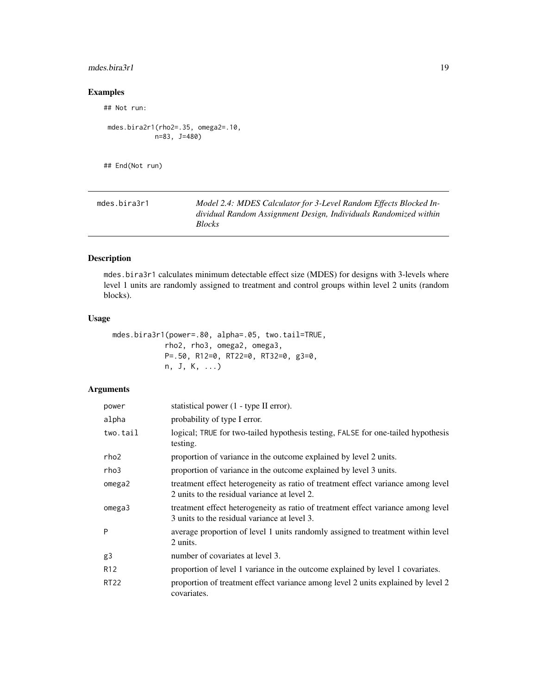# <span id="page-18-0"></span> $m$ des.bira $3r1$  19

# Examples

## Not run:

```
mdes.bira2r1(rho2=.35, omega2=.10,
          n=83, J=480)
```
## End(Not run)

| mdes.bira3r1 | Model 2.4: MDES Calculator for 3-Level Random Effects Blocked In- |
|--------------|-------------------------------------------------------------------|
|              | dividual Random Assignment Design, Individuals Randomized within  |
|              | <b>Blocks</b>                                                     |

# Description

mdes.bira3r1 calculates minimum detectable effect size (MDES) for designs with 3-levels where level 1 units are randomly assigned to treatment and control groups within level 2 units (random blocks).

# Usage

```
mdes.bira3r1(power=.80, alpha=.05, two.tail=TRUE,
           rho2, rho3, omega2, omega3,
           P=.50, R12=0, RT22=0, RT32=0, g3=0,
           n, J, K, ...)
```

| power           | statistical power (1 - type II error).                                                                                           |
|-----------------|----------------------------------------------------------------------------------------------------------------------------------|
| alpha           | probability of type I error.                                                                                                     |
| two.tail        | logical; TRUE for two-tailed hypothesis testing, FALSE for one-tailed hypothesis<br>testing.                                     |
| rho2            | proportion of variance in the outcome explained by level 2 units.                                                                |
| rho3            | proportion of variance in the outcome explained by level 3 units.                                                                |
| omega2          | treatment effect heterogeneity as ratio of treatment effect variance among level<br>2 units to the residual variance at level 2. |
| omega3          | treatment effect heterogeneity as ratio of treatment effect variance among level<br>3 units to the residual variance at level 3. |
| P               | average proportion of level 1 units randomly assigned to treatment within level<br>2 units.                                      |
| g3              | number of covariates at level 3.                                                                                                 |
| R <sub>12</sub> | proportion of level 1 variance in the outcome explained by level 1 covariates.                                                   |
| <b>RT22</b>     | proportion of treatment effect variance among level 2 units explained by level 2<br>covariates.                                  |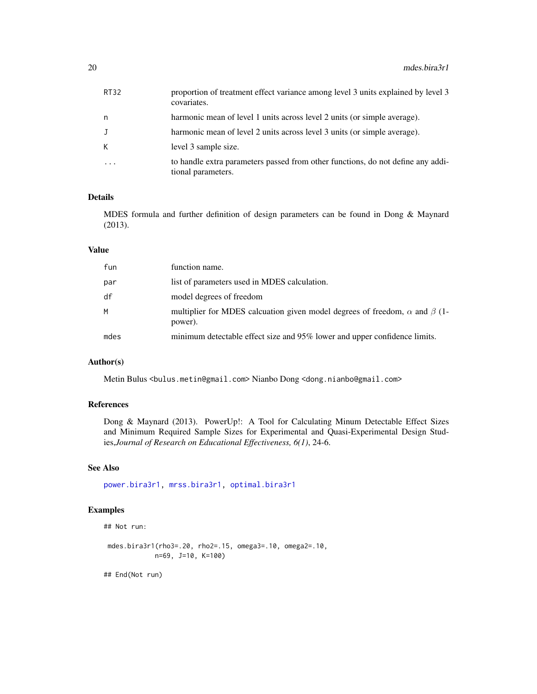| RT32       | proportion of treatment effect variance among level 3 units explained by level 3<br>covariates.       |
|------------|-------------------------------------------------------------------------------------------------------|
| n          | harmonic mean of level 1 units across level 2 units (or simple average).                              |
| J          | harmonic mean of level 2 units across level 3 units (or simple average).                              |
| K.         | level 3 sample size.                                                                                  |
| $\ddots$ . | to handle extra parameters passed from other functions, do not define any addi-<br>tional parameters. |

MDES formula and further definition of design parameters can be found in Dong & Maynard (2013).

#### Value

| fun  | function name.                                                                                     |
|------|----------------------------------------------------------------------------------------------------|
| par  | list of parameters used in MDES calculation.                                                       |
| df   | model degrees of freedom                                                                           |
| M    | multiplier for MDES calcuation given model degrees of freedom, $\alpha$ and $\beta$ (1-<br>power). |
| mdes | minimum detectable effect size and 95% lower and upper confidence limits.                          |

# Author(s)

Metin Bulus <bulus.metin@gmail.com> Nianbo Dong <dong.nianbo@gmail.com>

# References

Dong & Maynard (2013). PowerUp!: A Tool for Calculating Minum Detectable Effect Sizes and Minimum Required Sample Sizes for Experimental and Quasi-Experimental Design Studies,*Journal of Research on Educational Effectiveness, 6(1)*, 24-6.

# See Also

[power.bira3r1,](#page-116-1) [mrss.bira3r1,](#page-44-1) [optimal.bira3r1](#page-82-1)

# Examples

```
## Not run:
```

```
mdes.bira3r1(rho3=.20, rho2=.15, omega3=.10, omega2=.10,
           n=69, J=10, K=100)
```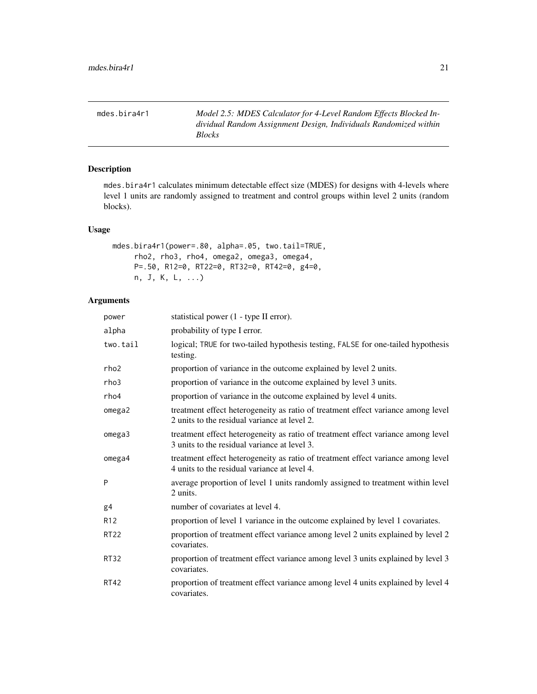<span id="page-20-0"></span>mdes.bira4r1 *Model 2.5: MDES Calculator for 4-Level Random Effects Blocked Individual Random Assignment Design, Individuals Randomized within Blocks*

# Description

mdes.bira4r1 calculates minimum detectable effect size (MDES) for designs with 4-levels where level 1 units are randomly assigned to treatment and control groups within level 2 units (random blocks).

# Usage

```
mdes.bira4r1(power=.80, alpha=.05, two.tail=TRUE,
    rho2, rho3, rho4, omega2, omega3, omega4,
    P=.50, R12=0, RT22=0, RT32=0, RT42=0, g4=0,
    n, J, K, L, ...)
```

| power            | statistical power (1 - type II error).                                                                                           |
|------------------|----------------------------------------------------------------------------------------------------------------------------------|
| alpha            | probability of type I error.                                                                                                     |
| two.tail         | logical; TRUE for two-tailed hypothesis testing, FALSE for one-tailed hypothesis<br>testing.                                     |
| rho <sub>2</sub> | proportion of variance in the outcome explained by level 2 units.                                                                |
| rho3             | proportion of variance in the outcome explained by level 3 units.                                                                |
| rho4             | proportion of variance in the outcome explained by level 4 units.                                                                |
| omega2           | treatment effect heterogeneity as ratio of treatment effect variance among level<br>2 units to the residual variance at level 2. |
| omega3           | treatment effect heterogeneity as ratio of treatment effect variance among level<br>3 units to the residual variance at level 3. |
| omega4           | treatment effect heterogeneity as ratio of treatment effect variance among level<br>4 units to the residual variance at level 4. |
| P                | average proportion of level 1 units randomly assigned to treatment within level<br>2 units.                                      |
| g <sub>4</sub>   | number of covariates at level 4.                                                                                                 |
| R <sub>12</sub>  | proportion of level 1 variance in the outcome explained by level 1 covariates.                                                   |
| <b>RT22</b>      | proportion of treatment effect variance among level 2 units explained by level 2<br>covariates.                                  |
| <b>RT32</b>      | proportion of treatment effect variance among level 3 units explained by level 3<br>covariates.                                  |
| <b>RT42</b>      | proportion of treatment effect variance among level 4 units explained by level 4<br>covariates.                                  |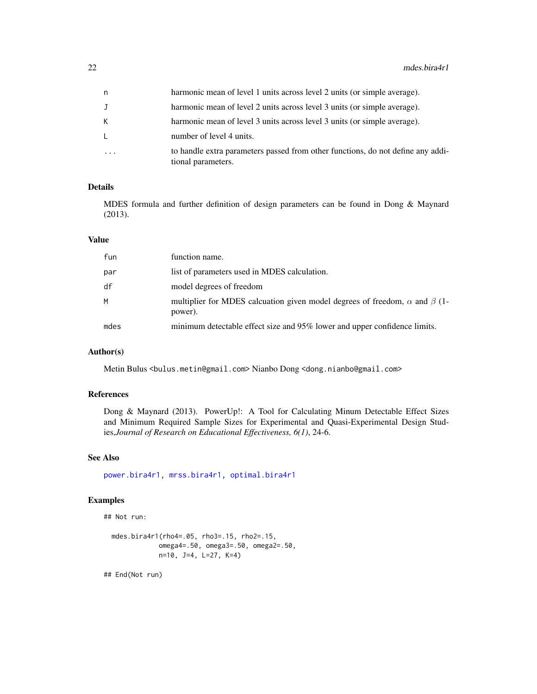| n  | harmonic mean of level 1 units across level 2 units (or simple average).                              |
|----|-------------------------------------------------------------------------------------------------------|
| J  | harmonic mean of level 2 units across level 3 units (or simple average).                              |
| K. | harmonic mean of level 3 units across level 3 units (or simple average).                              |
| L. | number of level 4 units.                                                                              |
| .  | to handle extra parameters passed from other functions, do not define any addi-<br>tional parameters. |

MDES formula and further definition of design parameters can be found in Dong & Maynard (2013).

#### Value

| fun  | function name.                                                                                     |
|------|----------------------------------------------------------------------------------------------------|
| par  | list of parameters used in MDES calculation.                                                       |
| df   | model degrees of freedom                                                                           |
| M    | multiplier for MDES calcuation given model degrees of freedom, $\alpha$ and $\beta$ (1-<br>power). |
| mdes | minimum detectable effect size and 95% lower and upper confidence limits.                          |

# Author(s)

Metin Bulus <bulus.metin@gmail.com> Nianbo Dong <dong.nianbo@gmail.com>

#### References

Dong & Maynard (2013). PowerUp!: A Tool for Calculating Minum Detectable Effect Sizes and Minimum Required Sample Sizes for Experimental and Quasi-Experimental Design Studies,*Journal of Research on Educational Effectiveness, 6(1)*, 24-6.

# See Also

[power.bira4r1,](#page-118-1) [mrss.bira4r1,](#page-46-1) [optimal.bira4r1](#page-85-1)

# Examples

## Not run:

```
mdes.bira4r1(rho4=.05, rho3=.15, rho2=.15,
           omega4=.50, omega3=.50, omega2=.50,
           n=10, J=4, L=27, K=4)
```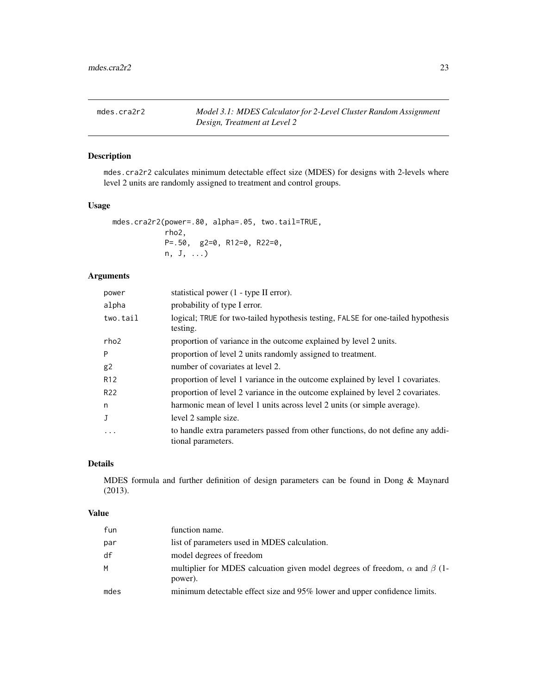<span id="page-22-0"></span>mdes.cra2r2 *Model 3.1: MDES Calculator for 2-Level Cluster Random Assignment Design, Treatment at Level 2*

#### Description

mdes.cra2r2 calculates minimum detectable effect size (MDES) for designs with 2-levels where level 2 units are randomly assigned to treatment and control groups.

#### Usage

```
mdes.cra2r2(power=.80, alpha=.05, two.tail=TRUE,
           rho2,
           P=.50, g2=0, R12=0, R22=0,
           n, J, ...)
```
# Arguments

| power           | statistical power (1 - type II error).                                                                |
|-----------------|-------------------------------------------------------------------------------------------------------|
| alpha           | probability of type I error.                                                                          |
| two.tail        | logical; TRUE for two-tailed hypothesis testing, FALSE for one-tailed hypothesis<br>testing.          |
| rho2            | proportion of variance in the outcome explained by level 2 units.                                     |
| P               | proportion of level 2 units randomly assigned to treatment.                                           |
| g <sub>2</sub>  | number of covariates at level 2.                                                                      |
| R <sub>12</sub> | proportion of level 1 variance in the outcome explained by level 1 covariates.                        |
| R22             | proportion of level 2 variance in the outcome explained by level 2 covariates.                        |
| n               | harmonic mean of level 1 units across level 2 units (or simple average).                              |
| J               | level 2 sample size.                                                                                  |
| $\cdots$        | to handle extra parameters passed from other functions, do not define any addi-<br>tional parameters. |

# Details

MDES formula and further definition of design parameters can be found in Dong & Maynard (2013).

#### Value

| fun  | function name.                                                                                     |
|------|----------------------------------------------------------------------------------------------------|
| par  | list of parameters used in MDES calculation.                                                       |
| df   | model degrees of freedom                                                                           |
| M    | multiplier for MDES calcuation given model degrees of freedom, $\alpha$ and $\beta$ (1-<br>power). |
| mdes | minimum detectable effect size and 95% lower and upper confidence limits.                          |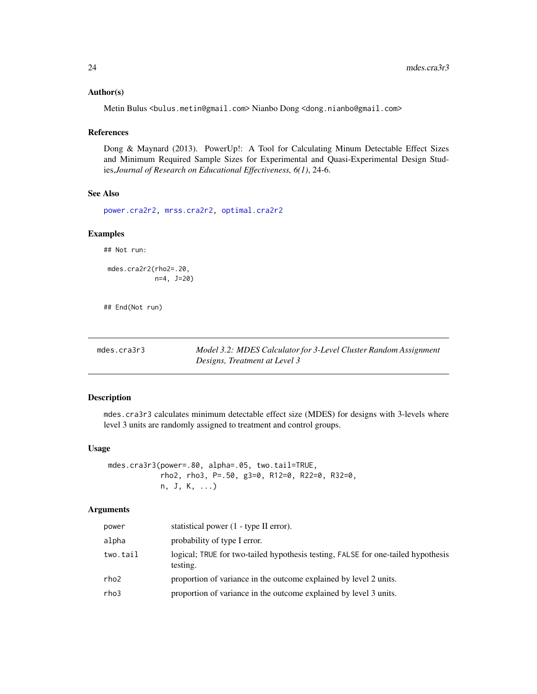#### <span id="page-23-0"></span>Author(s)

Metin Bulus <bulus.metin@gmail.com> Nianbo Dong <dong.nianbo@gmail.com>

#### References

Dong & Maynard (2013). PowerUp!: A Tool for Calculating Minum Detectable Effect Sizes and Minimum Required Sample Sizes for Experimental and Quasi-Experimental Design Studies,*Journal of Research on Educational Effectiveness, 6(1)*, 24-6.

# See Also

[power.cra2r2,](#page-120-1) [mrss.cra2r2,](#page-48-1) [optimal.cra2r2](#page-88-1)

#### Examples

## Not run:

mdes.cra2r2(rho2=.20, n=4, J=20)

## End(Not run)

| mdes.cra3r3 | Model 3.2: MDES Calculator for 3-Level Cluster Random Assignment |
|-------------|------------------------------------------------------------------|
|             | Designs, Treatment at Level 3                                    |

#### Description

mdes.cra3r3 calculates minimum detectable effect size (MDES) for designs with 3-levels where level 3 units are randomly assigned to treatment and control groups.

#### Usage

mdes.cra3r3(power=.80, alpha=.05, two.tail=TRUE, rho2, rho3, P=.50, g3=0, R12=0, R22=0, R32=0, n, J, K, ...)

| power    | statistical power (1 - type II error).                                                       |
|----------|----------------------------------------------------------------------------------------------|
| alpha    | probability of type I error.                                                                 |
| two.tail | logical; TRUE for two-tailed hypothesis testing, FALSE for one-tailed hypothesis<br>testing. |
| rho2     | proportion of variance in the outcome explained by level 2 units.                            |
| rho3     | proportion of variance in the outcome explained by level 3 units.                            |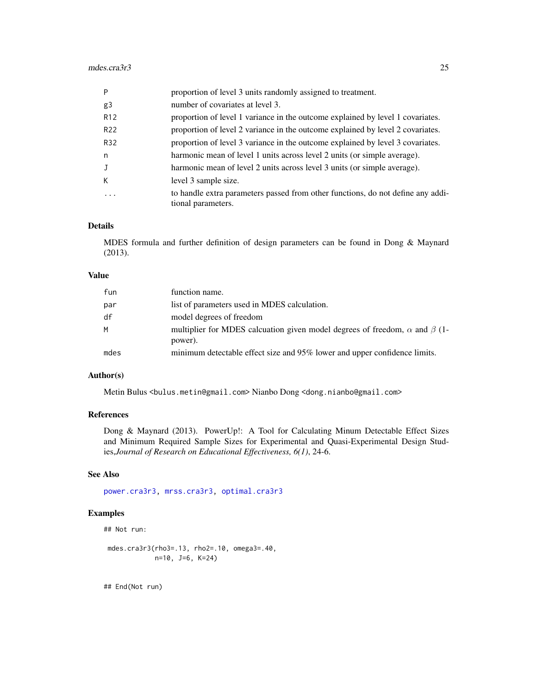| P               | proportion of level 3 units randomly assigned to treatment.                                           |
|-----------------|-------------------------------------------------------------------------------------------------------|
| g3              | number of covariates at level 3.                                                                      |
| R <sub>12</sub> | proportion of level 1 variance in the outcome explained by level 1 covariates.                        |
| R <sub>22</sub> | proportion of level 2 variance in the outcome explained by level 2 covariates.                        |
| R32             | proportion of level 3 variance in the outcome explained by level 3 covariates.                        |
| n               | harmonic mean of level 1 units across level 2 units (or simple average).                              |
| J               | harmonic mean of level 2 units across level 3 units (or simple average).                              |
| K               | level 3 sample size.                                                                                  |
|                 | to handle extra parameters passed from other functions, do not define any addi-<br>tional parameters. |

MDES formula and further definition of design parameters can be found in Dong & Maynard (2013).

#### Value

| fun  | function name.                                                                                     |
|------|----------------------------------------------------------------------------------------------------|
| par  | list of parameters used in MDES calculation.                                                       |
| df   | model degrees of freedom                                                                           |
| M    | multiplier for MDES calcuation given model degrees of freedom, $\alpha$ and $\beta$ (1-<br>power). |
| mdes | minimum detectable effect size and 95% lower and upper confidence limits.                          |

# Author(s)

Metin Bulus <bulus.metin@gmail.com> Nianbo Dong <dong.nianbo@gmail.com>

# References

Dong & Maynard (2013). PowerUp!: A Tool for Calculating Minum Detectable Effect Sizes and Minimum Required Sample Sizes for Experimental and Quasi-Experimental Design Studies,*Journal of Research on Educational Effectiveness, 6(1)*, 24-6.

#### See Also

[power.cra3r3,](#page-122-1) [mrss.cra3r3,](#page-50-1) [optimal.cra3r3](#page-91-1)

#### Examples

```
## Not run:
```

```
mdes.cra3r3(rho3=.13, rho2=.10, omega3=.40,
           n=10, J=6, K=24)
```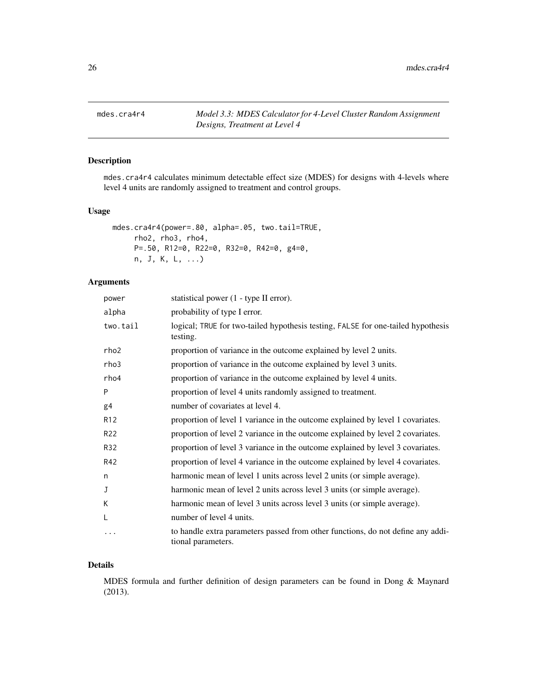<span id="page-25-0"></span>mdes.cra4r4 *Model 3.3: MDES Calculator for 4-Level Cluster Random Assignment Designs, Treatment at Level 4*

# Description

mdes.cra4r4 calculates minimum detectable effect size (MDES) for designs with 4-levels where level 4 units are randomly assigned to treatment and control groups.

# Usage

```
mdes.cra4r4(power=.80, alpha=.05, two.tail=TRUE,
    rho2, rho3, rho4,
    P=.50, R12=0, R22=0, R32=0, R42=0, g4=0,
    n, J, K, L, ...)
```
# Arguments

| power            | statistical power (1 - type II error).                                                                |
|------------------|-------------------------------------------------------------------------------------------------------|
| alpha            | probability of type I error.                                                                          |
| two.tail         | logical; TRUE for two-tailed hypothesis testing, FALSE for one-tailed hypothesis<br>testing.          |
| rho <sub>2</sub> | proportion of variance in the outcome explained by level 2 units.                                     |
| rho3             | proportion of variance in the outcome explained by level 3 units.                                     |
| rho4             | proportion of variance in the outcome explained by level 4 units.                                     |
| P                | proportion of level 4 units randomly assigned to treatment.                                           |
| g4               | number of covariates at level 4.                                                                      |
| R <sub>12</sub>  | proportion of level 1 variance in the outcome explained by level 1 covariates.                        |
| R <sub>22</sub>  | proportion of level 2 variance in the outcome explained by level 2 covariates.                        |
| R32              | proportion of level 3 variance in the outcome explained by level 3 covariates.                        |
| R42              | proportion of level 4 variance in the outcome explained by level 4 covariates.                        |
| n                | harmonic mean of level 1 units across level 2 units (or simple average).                              |
| J                | harmonic mean of level 2 units across level 3 units (or simple average).                              |
| K                | harmonic mean of level 3 units across level 3 units (or simple average).                              |
| L                | number of level 4 units.                                                                              |
| $\ddotsc$        | to handle extra parameters passed from other functions, do not define any addi-<br>tional parameters. |

# Details

MDES formula and further definition of design parameters can be found in Dong & Maynard (2013).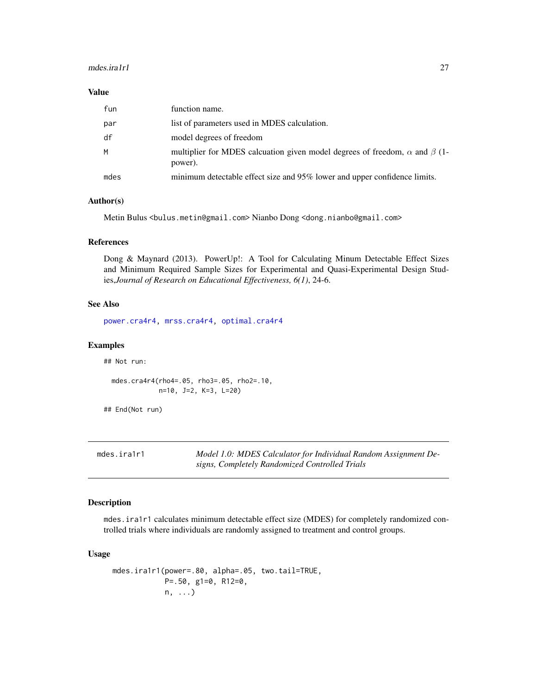#### <span id="page-26-0"></span>mdes.ira1r1 27

#### Value

| fun  | function name.                                                                                     |
|------|----------------------------------------------------------------------------------------------------|
| par  | list of parameters used in MDES calculation.                                                       |
| df   | model degrees of freedom                                                                           |
| M    | multiplier for MDES calcuation given model degrees of freedom, $\alpha$ and $\beta$ (1-<br>power). |
| mdes | minimum detectable effect size and 95% lower and upper confidence limits.                          |

#### Author(s)

Metin Bulus <bulus.metin@gmail.com> Nianbo Dong <dong.nianbo@gmail.com>

#### References

Dong & Maynard (2013). PowerUp!: A Tool for Calculating Minum Detectable Effect Sizes and Minimum Required Sample Sizes for Experimental and Quasi-Experimental Design Studies,*Journal of Research on Educational Effectiveness, 6(1)*, 24-6.

# See Also

[power.cra4r4,](#page-124-1) [mrss.cra4r4,](#page-52-1) [optimal.cra4r4](#page-94-1)

#### Examples

## Not run:

mdes.cra4r4(rho4=.05, rho3=.05, rho2=.10, n=10, J=2, K=3, L=20)

## End(Not run)

| mdes.ira1r1 | Model 1.0: MDES Calculator for Individual Random Assignment De- |
|-------------|-----------------------------------------------------------------|
|             | signs, Completely Randomized Controlled Trials                  |

#### Description

mdes.ira1r1 calculates minimum detectable effect size (MDES) for completely randomized controlled trials where individuals are randomly assigned to treatment and control groups.

# Usage

```
mdes.ira1r1(power=.80, alpha=.05, two.tail=TRUE,
           P=.50, g1=0, R12=0,
           n, ...)
```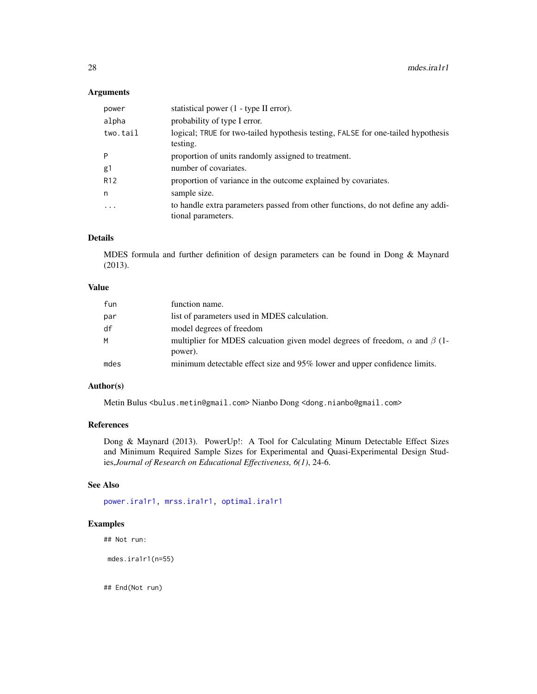# Arguments

| power             | statistical power (1 - type II error).                                                                |
|-------------------|-------------------------------------------------------------------------------------------------------|
| alpha             | probability of type I error.                                                                          |
| two.tail          | logical; TRUE for two-tailed hypothesis testing, FALSE for one-tailed hypothesis<br>testing.          |
| P                 | proportion of units randomly assigned to treatment.                                                   |
| g1                | number of covariates.                                                                                 |
| R <sub>12</sub>   | proportion of variance in the outcome explained by covariates.                                        |
| n                 | sample size.                                                                                          |
| $\cdot\cdot\cdot$ | to handle extra parameters passed from other functions, do not define any addi-<br>tional parameters. |

# Details

MDES formula and further definition of design parameters can be found in Dong & Maynard (2013).

# Value

| fun  | function name.                                                                                     |
|------|----------------------------------------------------------------------------------------------------|
| par  | list of parameters used in MDES calculation.                                                       |
| df   | model degrees of freedom                                                                           |
| M    | multiplier for MDES calcuation given model degrees of freedom, $\alpha$ and $\beta$ (1-<br>power). |
| mdes | minimum detectable effect size and 95% lower and upper confidence limits.                          |

#### Author(s)

Metin Bulus <bulus.metin@gmail.com> Nianbo Dong <dong.nianbo@gmail.com>

# References

Dong & Maynard (2013). PowerUp!: A Tool for Calculating Minum Detectable Effect Sizes and Minimum Required Sample Sizes for Experimental and Quasi-Experimental Design Studies,*Journal of Research on Educational Effectiveness, 6(1)*, 24-6.

# See Also

[power.ira1r1,](#page-125-1) [mrss.ira1r1,](#page-54-1) [optimal.ira1r1](#page-97-1)

# Examples

## Not run:

mdes.ira1r1(n=55)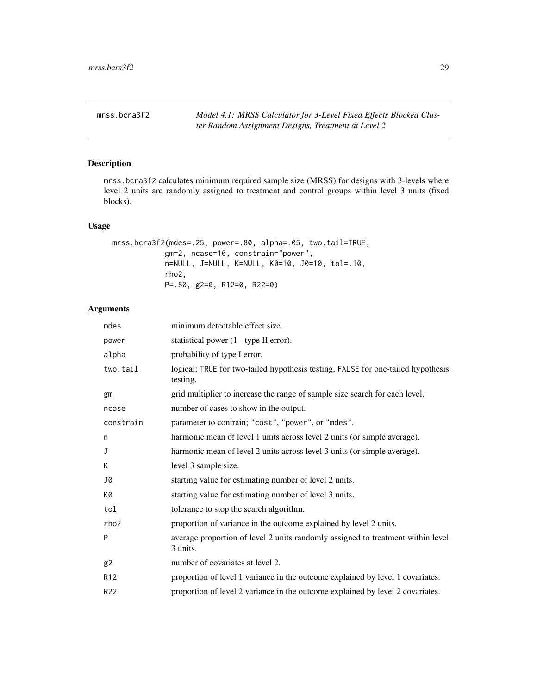<span id="page-28-1"></span><span id="page-28-0"></span>mrss.bcra3f2 *Model 4.1: MRSS Calculator for 3-Level Fixed Effects Blocked Cluster Random Assignment Designs, Treatment at Level 2*

# Description

mrss.bcra3f2 calculates minimum required sample size (MRSS) for designs with 3-levels where level 2 units are randomly assigned to treatment and control groups within level 3 units (fixed blocks).

# Usage

```
mrss.bcra3f2(mdes=.25, power=.80, alpha=.05, two.tail=TRUE,
           gm=2, ncase=10, constrain="power",
           n=NULL, J=NULL, K=NULL, K0=10, J0=10, tol=.10,
           rho2,
           P=.50, g2=0, R12=0, R22=0)
```

| mdes             | minimum detectable effect size.                                                              |
|------------------|----------------------------------------------------------------------------------------------|
| power            | statistical power (1 - type II error).                                                       |
| alpha            | probability of type I error.                                                                 |
| two.tail         | logical; TRUE for two-tailed hypothesis testing, FALSE for one-tailed hypothesis<br>testing. |
| gm               | grid multiplier to increase the range of sample size search for each level.                  |
| ncase            | number of cases to show in the output.                                                       |
| constrain        | parameter to contrain; "cost", "power", or "mdes".                                           |
| n                | harmonic mean of level 1 units across level 2 units (or simple average).                     |
| J                | harmonic mean of level 2 units across level 3 units (or simple average).                     |
| K                | level 3 sample size.                                                                         |
| J0               | starting value for estimating number of level 2 units.                                       |
| K0               | starting value for estimating number of level 3 units.                                       |
| tol              | tolerance to stop the search algorithm.                                                      |
| rho <sub>2</sub> | proportion of variance in the outcome explained by level 2 units.                            |
| P                | average proportion of level 2 units randomly assigned to treatment within level<br>3 units.  |
| g2               | number of covariates at level 2.                                                             |
| R <sub>12</sub>  | proportion of level 1 variance in the outcome explained by level 1 covariates.               |
| R <sub>22</sub>  | proportion of level 2 variance in the outcome explained by level 2 covariates.               |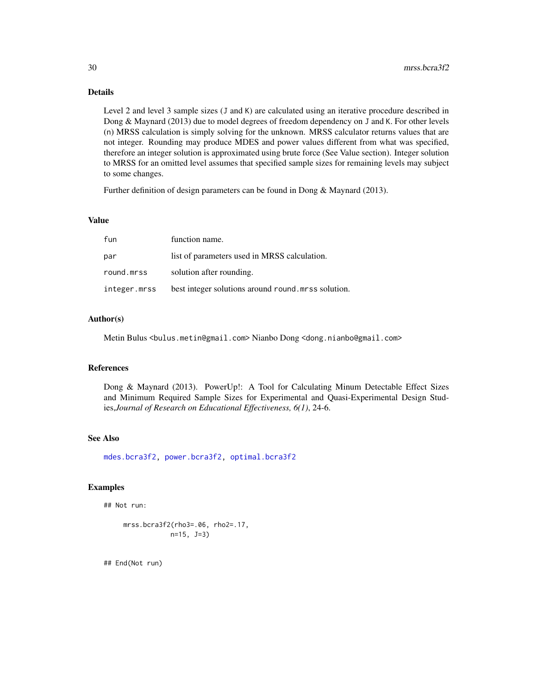Level 2 and level 3 sample sizes (J and K) are calculated using an iterative procedure described in Dong & Maynard (2013) due to model degrees of freedom dependency on J and K. For other levels (n) MRSS calculation is simply solving for the unknown. MRSS calculator returns values that are not integer. Rounding may produce MDES and power values different from what was specified, therefore an integer solution is approximated using brute force (See Value section). Integer solution to MRSS for an omitted level assumes that specified sample sizes for remaining levels may subject to some changes.

Further definition of design parameters can be found in Dong & Maynard (2013).

# Value

| fun          | function name.                                     |
|--------------|----------------------------------------------------|
| par          | list of parameters used in MRSS calculation.       |
| round.mrss   | solution after rounding.                           |
| integer.mrss | best integer solutions around round mrss solution. |

#### Author(s)

Metin Bulus <bulus.metin@gmail.com> Nianbo Dong <dong.nianbo@gmail.com>

#### References

Dong & Maynard (2013). PowerUp!: A Tool for Calculating Minum Detectable Effect Sizes and Minimum Required Sample Sizes for Experimental and Quasi-Experimental Design Studies,*Journal of Research on Educational Effectiveness, 6(1)*, 24-6.

#### See Also

[mdes.bcra3f2,](#page-4-1) [power.bcra3f2,](#page-102-1) [optimal.bcra3f2](#page-57-1)

# Examples

```
## Not run:
```

```
mrss.bcra3f2(rho3=.06, rho2=.17,
           n=15, J=3)
```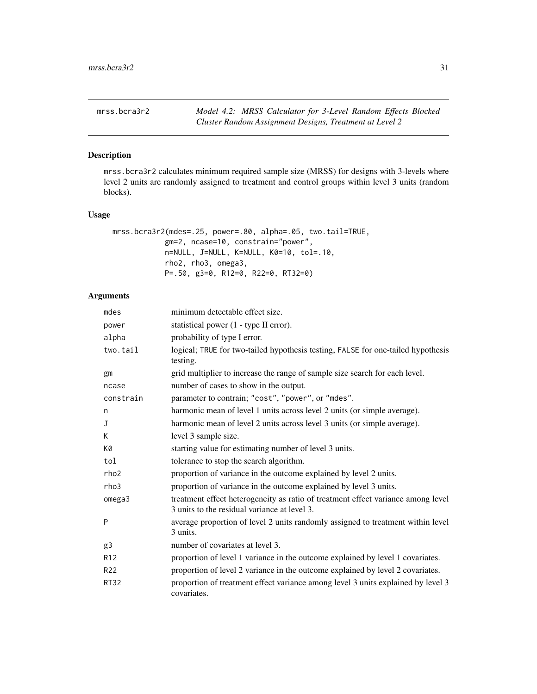<span id="page-30-1"></span><span id="page-30-0"></span>

# Description

mrss.bcra3r2 calculates minimum required sample size (MRSS) for designs with 3-levels where level 2 units are randomly assigned to treatment and control groups within level 3 units (random blocks).

#### Usage

```
mrss.bcra3r2(mdes=.25, power=.80, alpha=.05, two.tail=TRUE,
           gm=2, ncase=10, constrain="power",
           n=NULL, J=NULL, K=NULL, K0=10, tol=.10,
           rho2, rho3, omega3,
           P=.50, g3=0, R12=0, R22=0, RT32=0)
```

| mdes            | minimum detectable effect size.                                                                                                  |
|-----------------|----------------------------------------------------------------------------------------------------------------------------------|
| power           | statistical power (1 - type II error).                                                                                           |
| alpha           | probability of type I error.                                                                                                     |
| two.tail        | logical; TRUE for two-tailed hypothesis testing, FALSE for one-tailed hypothesis<br>testing.                                     |
| gm              | grid multiplier to increase the range of sample size search for each level.                                                      |
| ncase           | number of cases to show in the output.                                                                                           |
| constrain       | parameter to contrain; "cost", "power", or "mdes".                                                                               |
| n               | harmonic mean of level 1 units across level 2 units (or simple average).                                                         |
| J               | harmonic mean of level 2 units across level 3 units (or simple average).                                                         |
| K               | level 3 sample size.                                                                                                             |
| K0              | starting value for estimating number of level 3 units.                                                                           |
| tol             | tolerance to stop the search algorithm.                                                                                          |
| rho2            | proportion of variance in the outcome explained by level 2 units.                                                                |
| rho3            | proportion of variance in the outcome explained by level 3 units.                                                                |
| omega3          | treatment effect heterogeneity as ratio of treatment effect variance among level<br>3 units to the residual variance at level 3. |
| P               | average proportion of level 2 units randomly assigned to treatment within level<br>3 units.                                      |
| g3              | number of covariates at level 3.                                                                                                 |
| R <sub>12</sub> | proportion of level 1 variance in the outcome explained by level 1 covariates.                                                   |
| R <sub>22</sub> | proportion of level 2 variance in the outcome explained by level 2 covariates.                                                   |
| <b>RT32</b>     | proportion of treatment effect variance among level 3 units explained by level 3<br>covariates.                                  |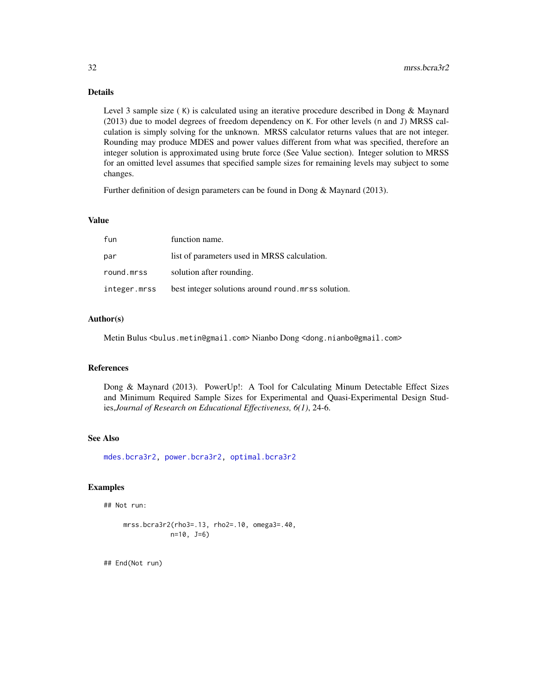Level 3 sample size ( K) is calculated using an iterative procedure described in Dong & Maynard (2013) due to model degrees of freedom dependency on K. For other levels (n and J) MRSS calculation is simply solving for the unknown. MRSS calculator returns values that are not integer. Rounding may produce MDES and power values different from what was specified, therefore an integer solution is approximated using brute force (See Value section). Integer solution to MRSS for an omitted level assumes that specified sample sizes for remaining levels may subject to some changes.

Further definition of design parameters can be found in Dong & Maynard (2013).

#### Value

| fun          | function name.                                         |
|--------------|--------------------------------------------------------|
| par          | list of parameters used in MRSS calculation.           |
| round.mrss   | solution after rounding.                               |
| integer.mrss | best integer solutions around round measures solution. |

#### Author(s)

Metin Bulus <bulus.metin@gmail.com> Nianbo Dong <dong.nianbo@gmail.com>

#### References

Dong & Maynard (2013). PowerUp!: A Tool for Calculating Minum Detectable Effect Sizes and Minimum Required Sample Sizes for Experimental and Quasi-Experimental Design Studies,*Journal of Research on Educational Effectiveness, 6(1)*, 24-6.

# See Also

[mdes.bcra3r2,](#page-6-1) [power.bcra3r2,](#page-104-1) [optimal.bcra3r2](#page-60-1)

# Examples

```
## Not run:
```

```
mrss.bcra3r2(rho3=.13, rho2=.10, omega3=.40,
           n=10, J=6)
```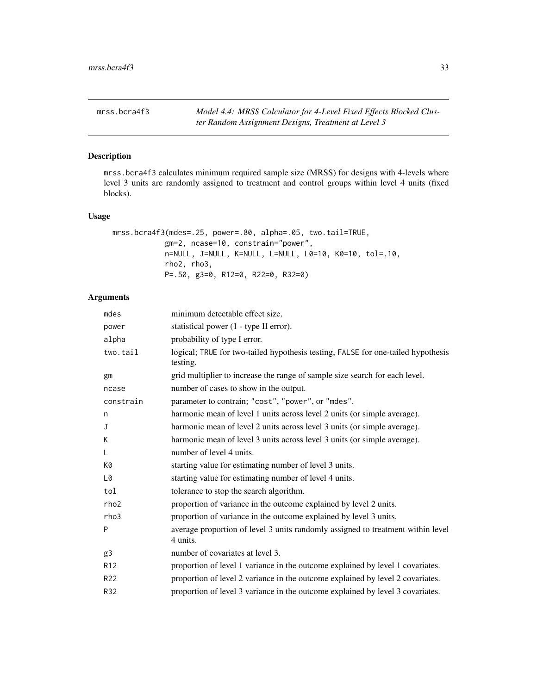<span id="page-32-1"></span><span id="page-32-0"></span>

#### Description

mrss.bcra4f3 calculates minimum required sample size (MRSS) for designs with 4-levels where level 3 units are randomly assigned to treatment and control groups within level 4 units (fixed blocks).

# Usage

```
mrss.bcra4f3(mdes=.25, power=.80, alpha=.05, two.tail=TRUE,
           gm=2, ncase=10, constrain="power",
           n=NULL, J=NULL, K=NULL, L=NULL, L0=10, K0=10, tol=.10,
           rho2, rho3,
           P=.50, g3=0, R12=0, R22=0, R32=0)
```

| mdes      | minimum detectable effect size.                                                              |
|-----------|----------------------------------------------------------------------------------------------|
| power     | statistical power (1 - type II error).                                                       |
| alpha     | probability of type I error.                                                                 |
| two.tail  | logical; TRUE for two-tailed hypothesis testing, FALSE for one-tailed hypothesis<br>testing. |
| gm        | grid multiplier to increase the range of sample size search for each level.                  |
| ncase     | number of cases to show in the output.                                                       |
| constrain | parameter to contrain; "cost", "power", or "mdes".                                           |
| n         | harmonic mean of level 1 units across level 2 units (or simple average).                     |
| J         | harmonic mean of level 2 units across level 3 units (or simple average).                     |
| K         | harmonic mean of level 3 units across level 3 units (or simple average).                     |
| L         | number of level 4 units.                                                                     |
| K0        | starting value for estimating number of level 3 units.                                       |
| L0        | starting value for estimating number of level 4 units.                                       |
| tol       | tolerance to stop the search algorithm.                                                      |
| rho2      | proportion of variance in the outcome explained by level 2 units.                            |
| rho3      | proportion of variance in the outcome explained by level 3 units.                            |
| P         | average proportion of level 3 units randomly assigned to treatment within level<br>4 units.  |
| g3        | number of covariates at level 3.                                                             |
| R12       | proportion of level 1 variance in the outcome explained by level 1 covariates.               |
| R22       | proportion of level 2 variance in the outcome explained by level 2 covariates.               |
| R32       | proportion of level 3 variance in the outcome explained by level 3 covariates.               |
|           |                                                                                              |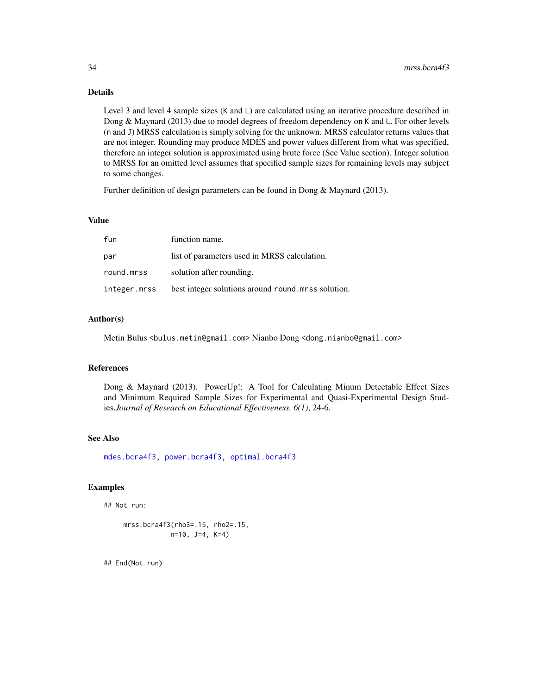Level 3 and level 4 sample sizes (K and L) are calculated using an iterative procedure described in Dong & Maynard (2013) due to model degrees of freedom dependency on K and L. For other levels (n and J) MRSS calculation is simply solving for the unknown. MRSS calculator returns values that are not integer. Rounding may produce MDES and power values different from what was specified, therefore an integer solution is approximated using brute force (See Value section). Integer solution to MRSS for an omitted level assumes that specified sample sizes for remaining levels may subject to some changes.

Further definition of design parameters can be found in Dong & Maynard (2013).

# Value

| fun          | function name.                                     |
|--------------|----------------------------------------------------|
| par          | list of parameters used in MRSS calculation.       |
| round.mrss   | solution after rounding.                           |
| integer.mrss | best integer solutions around round mrss solution. |

#### Author(s)

Metin Bulus <bulus.metin@gmail.com> Nianbo Dong <dong.nianbo@gmail.com>

#### References

Dong & Maynard (2013). PowerUp!: A Tool for Calculating Minum Detectable Effect Sizes and Minimum Required Sample Sizes for Experimental and Quasi-Experimental Design Studies,*Journal of Research on Educational Effectiveness, 6(1)*, 24-6.

#### See Also

[mdes.bcra4f3,](#page-8-1) [power.bcra4f3,](#page-106-1) [optimal.bcra4f3](#page-63-1)

# Examples

```
## Not run:
```

```
mrss.bcra4f3(rho3=.15, rho2=.15,
           n=10, J=4, K=4)
```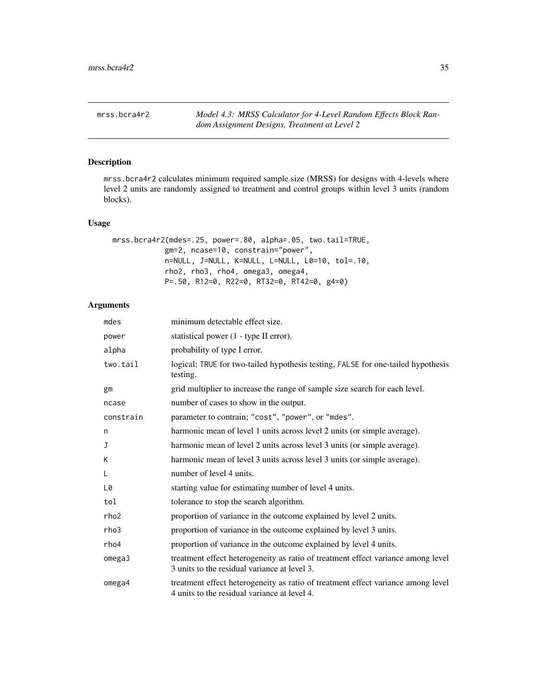<span id="page-34-1"></span><span id="page-34-0"></span>mrss.bcra4r2 *Model 4.3: MRSS Calculator for 4-Level Random Effects Block Random Assignment Designs, Treatment at Level 2*

# Description

mrss.bcra4r2 calculates minimum required sample size (MRSS) for designs with 4-levels where level 2 units are randomly assigned to treatment and control groups within level 3 units (random blocks).

#### Usage

```
mrss.bcra4r2(mdes=.25, power=.80, alpha=.05, two.tail=TRUE,
           gm=2, ncase=10, constrain="power",
           n=NULL, J=NULL, K=NULL, L=NULL, L0=10, tol=.10,
           rho2, rho3, rho4, omega3, omega4,
           P=.50, R12=0, R22=0, RT32=0, RT42=0, g4=0)
```

| mdes             | minimum detectable effect size.                                                                                                  |
|------------------|----------------------------------------------------------------------------------------------------------------------------------|
| power            | statistical power (1 - type II error).                                                                                           |
| alpha            | probability of type I error.                                                                                                     |
| two.tail         | logical; TRUE for two-tailed hypothesis testing, FALSE for one-tailed hypothesis<br>testing.                                     |
| gm               | grid multiplier to increase the range of sample size search for each level.                                                      |
| ncase            | number of cases to show in the output.                                                                                           |
| constrain        | parameter to contrain; "cost", "power", or "mdes".                                                                               |
| n                | harmonic mean of level 1 units across level 2 units (or simple average).                                                         |
| J                | harmonic mean of level 2 units across level 3 units (or simple average).                                                         |
| К                | harmonic mean of level 3 units across level 3 units (or simple average).                                                         |
| L                | number of level 4 units.                                                                                                         |
| L0               | starting value for estimating number of level 4 units.                                                                           |
| tol              | tolerance to stop the search algorithm.                                                                                          |
| rho <sub>2</sub> | proportion of variance in the outcome explained by level 2 units.                                                                |
| rho3             | proportion of variance in the outcome explained by level 3 units.                                                                |
| rho4             | proportion of variance in the outcome explained by level 4 units.                                                                |
| omega3           | treatment effect heterogeneity as ratio of treatment effect variance among level<br>3 units to the residual variance at level 3. |
| omega4           | treatment effect heterogeneity as ratio of treatment effect variance among level<br>4 units to the residual variance at level 4. |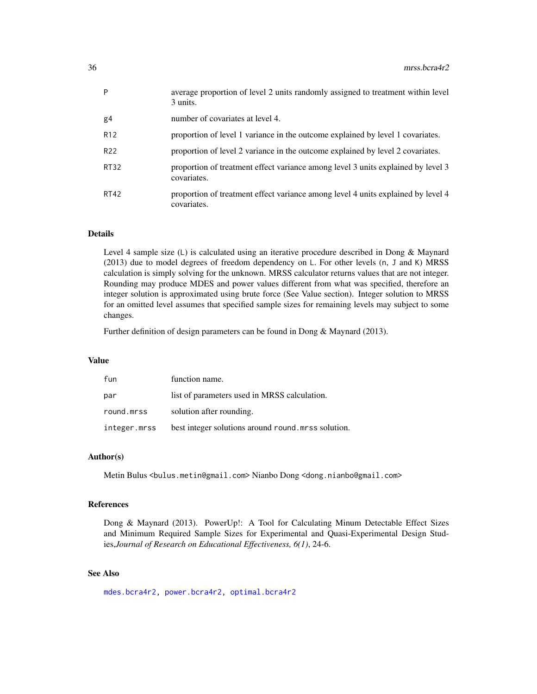| P               | average proportion of level 2 units randomly assigned to treatment within level<br>3 units.     |
|-----------------|-------------------------------------------------------------------------------------------------|
| g4              | number of covariates at level 4.                                                                |
| R <sub>12</sub> | proportion of level 1 variance in the outcome explained by level 1 covariates.                  |
| R22             | proportion of level 2 variance in the outcome explained by level 2 covariates.                  |
| <b>RT32</b>     | proportion of treatment effect variance among level 3 units explained by level 3<br>covariates. |
| <b>RT42</b>     | proportion of treatment effect variance among level 4 units explained by level 4<br>covariates. |

Level 4 sample size (L) is calculated using an iterative procedure described in Dong & Maynard (2013) due to model degrees of freedom dependency on L. For other levels (n, J and K) MRSS calculation is simply solving for the unknown. MRSS calculator returns values that are not integer. Rounding may produce MDES and power values different from what was specified, therefore an integer solution is approximated using brute force (See Value section). Integer solution to MRSS for an omitted level assumes that specified sample sizes for remaining levels may subject to some changes.

Further definition of design parameters can be found in Dong & Maynard (2013).

#### Value

| fun          | function name.                                     |
|--------------|----------------------------------------------------|
| par          | list of parameters used in MRSS calculation.       |
| round.mrss   | solution after rounding.                           |
| integer.mrss | best integer solutions around round mrss solution. |

#### Author(s)

Metin Bulus <bulus.metin@gmail.com> Nianbo Dong <dong.nianbo@gmail.com>

#### References

Dong & Maynard (2013). PowerUp!: A Tool for Calculating Minum Detectable Effect Sizes and Minimum Required Sample Sizes for Experimental and Quasi-Experimental Design Studies,*Journal of Research on Educational Effectiveness, 6(1)*, 24-6.

# See Also

[mdes.bcra4r2,](#page-9-1) [power.bcra4r2,](#page-107-1) [optimal.bcra4r2](#page-66-1)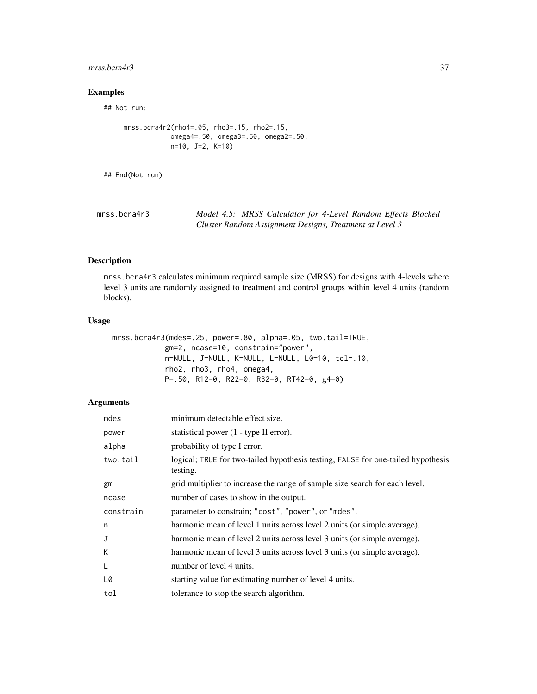### mrss.bcra4r3 37

# Examples

## Not run:

```
mrss.bcra4r2(rho4=.05, rho3=.15, rho2=.15,
            omega4=.50, omega3=.50, omega2=.50,
            n=10, J=2, K=10)
```
## End(Not run)

| mrss.bcra4r3 | Model 4.5: MRSS Calculator for 4-Level Random Effects Blocked |
|--------------|---------------------------------------------------------------|
|              | Cluster Random Assignment Designs, Treatment at Level 3       |

### Description

mrss.bcra4r3 calculates minimum required sample size (MRSS) for designs with 4-levels where level 3 units are randomly assigned to treatment and control groups within level 4 units (random blocks).

## Usage

```
mrss.bcra4r3(mdes=.25, power=.80, alpha=.05, two.tail=TRUE,
            gm=2, ncase=10, constrain="power",
            n=NULL, J=NULL, K=NULL, L=NULL, L0=10, tol=.10,
            rho2, rho3, rho4, omega4,
            P=.50, R12=0, R22=0, R32=0, RT42=0, g4=0)
```

| mdes      | minimum detectable effect size.                                                              |
|-----------|----------------------------------------------------------------------------------------------|
| power     | statistical power (1 - type II error).                                                       |
| alpha     | probability of type I error.                                                                 |
| two.tail  | logical; TRUE for two-tailed hypothesis testing, FALSE for one-tailed hypothesis<br>testing. |
| gm        | grid multiplier to increase the range of sample size search for each level.                  |
| ncase     | number of cases to show in the output.                                                       |
| constrain | parameter to constrain; "cost", "power", or "mdes".                                          |
| n         | harmonic mean of level 1 units across level 2 units (or simple average).                     |
| J         | harmonic mean of level 2 units across level 3 units (or simple average).                     |
| K         | harmonic mean of level 3 units across level 3 units (or simple average).                     |
| L         | number of level 4 units.                                                                     |
| L0        | starting value for estimating number of level 4 units.                                       |
| tol       | tolerance to stop the search algorithm.                                                      |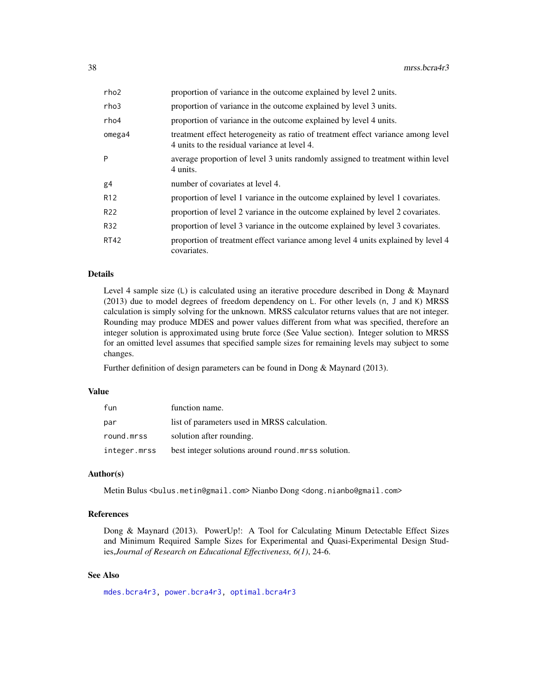| rho2            | proportion of variance in the outcome explained by level 2 units.                                                                |
|-----------------|----------------------------------------------------------------------------------------------------------------------------------|
| rho3            | proportion of variance in the outcome explained by level 3 units.                                                                |
| rho4            | proportion of variance in the outcome explained by level 4 units.                                                                |
| omega4          | treatment effect heterogeneity as ratio of treatment effect variance among level<br>4 units to the residual variance at level 4. |
| P               | average proportion of level 3 units randomly assigned to treatment within level<br>4 units.                                      |
| g4              | number of covariates at level 4.                                                                                                 |
| R <sub>12</sub> | proportion of level 1 variance in the outcome explained by level 1 covariates.                                                   |
| R <sub>22</sub> | proportion of level 2 variance in the outcome explained by level 2 covariates.                                                   |
| R32             | proportion of level 3 variance in the outcome explained by level 3 covariates.                                                   |
| <b>RT42</b>     | proportion of treatment effect variance among level 4 units explained by level 4<br>covariates.                                  |

Level 4 sample size (L) is calculated using an iterative procedure described in Dong & Maynard (2013) due to model degrees of freedom dependency on L. For other levels (n, J and K) MRSS calculation is simply solving for the unknown. MRSS calculator returns values that are not integer. Rounding may produce MDES and power values different from what was specified, therefore an integer solution is approximated using brute force (See Value section). Integer solution to MRSS for an omitted level assumes that specified sample sizes for remaining levels may subject to some changes.

Further definition of design parameters can be found in Dong & Maynard (2013).

### Value

| fun          | function name.                                    |
|--------------|---------------------------------------------------|
| par          | list of parameters used in MRSS calculation.      |
| round.mrss   | solution after rounding.                          |
| integer.mrss | best integer solutions around round measurements. |

#### Author(s)

Metin Bulus <bulus.metin@gmail.com> Nianbo Dong <dong.nianbo@gmail.com>

### References

Dong & Maynard (2013). PowerUp!: A Tool for Calculating Minum Detectable Effect Sizes and Minimum Required Sample Sizes for Experimental and Quasi-Experimental Design Studies,*Journal of Research on Educational Effectiveness, 6(1)*, 24-6.

### See Also

[mdes.bcra4r3,](#page-11-0) [power.bcra4r3,](#page-109-0) [optimal.bcra4r3](#page-69-0)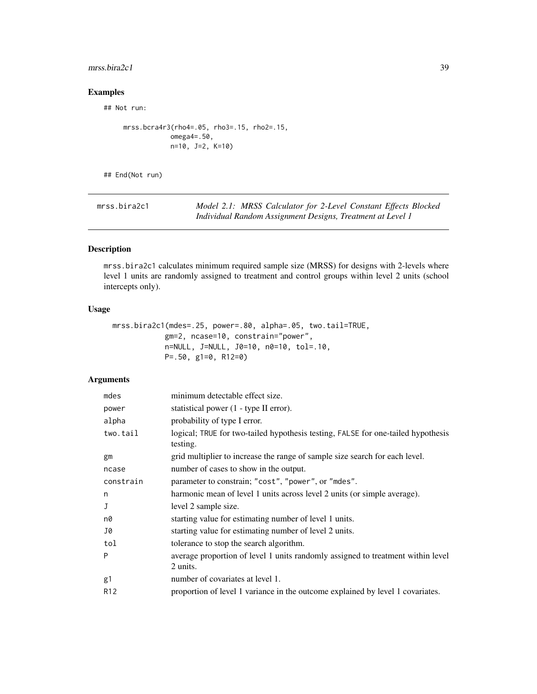### mrss.bira2c1 39

# Examples

## Not run:

```
mrss.bcra4r3(rho4=.05, rho3=.15, rho2=.15,
            omega4=.50,
            n=10, J=2, K=10)
```
## End(Not run)

| mrss.bira2c1 | Model 2.1: MRSS Calculator for 2-Level Constant Effects Blocked |
|--------------|-----------------------------------------------------------------|
|              | Individual Random Assignment Designs, Treatment at Level 1      |

## Description

mrss.bira2c1 calculates minimum required sample size (MRSS) for designs with 2-levels where level 1 units are randomly assigned to treatment and control groups within level 2 units (school intercepts only).

### Usage

```
mrss.bira2c1(mdes=.25, power=.80, alpha=.05, two.tail=TRUE,
            gm=2, ncase=10, constrain="power",
            n=NULL, J=NULL, J0=10, n0=10, tol=.10,
            P=.50, g1=0, R12=0)
```

| minimum detectable effect size.                                                              |
|----------------------------------------------------------------------------------------------|
| statistical power (1 - type II error).                                                       |
| probability of type I error.                                                                 |
| logical; TRUE for two-tailed hypothesis testing, FALSE for one-tailed hypothesis<br>testing. |
| grid multiplier to increase the range of sample size search for each level.                  |
| number of cases to show in the output.                                                       |
| parameter to constrain; "cost", "power", or "mdes".                                          |
| harmonic mean of level 1 units across level 2 units (or simple average).                     |
| level 2 sample size.                                                                         |
| starting value for estimating number of level 1 units.                                       |
| starting value for estimating number of level 2 units.                                       |
| tolerance to stop the search algorithm.                                                      |
| average proportion of level 1 units randomly assigned to treatment within level<br>2 units.  |
| number of covariates at level 1.                                                             |
| proportion of level 1 variance in the outcome explained by level 1 covariates.               |
|                                                                                              |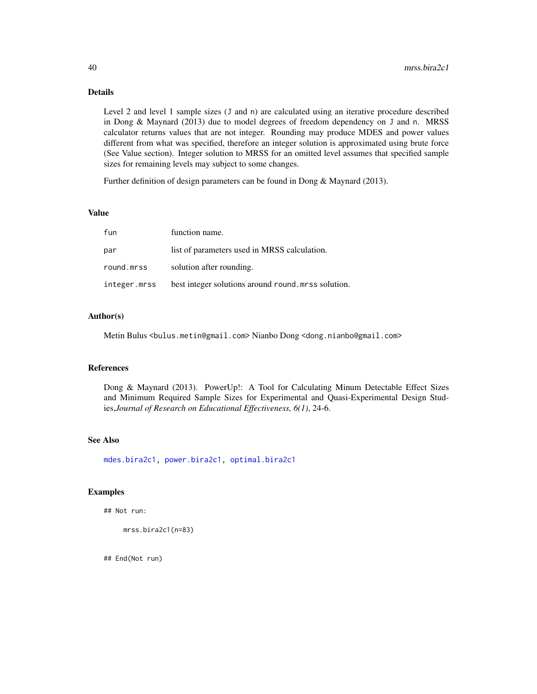Level 2 and level 1 sample sizes (J and n) are calculated using an iterative procedure described in Dong & Maynard (2013) due to model degrees of freedom dependency on J and n. MRSS calculator returns values that are not integer. Rounding may produce MDES and power values different from what was specified, therefore an integer solution is approximated using brute force (See Value section). Integer solution to MRSS for an omitted level assumes that specified sample sizes for remaining levels may subject to some changes.

Further definition of design parameters can be found in Dong & Maynard (2013).

## Value

| fun          | function name.                                      |
|--------------|-----------------------------------------------------|
| par          | list of parameters used in MRSS calculation.        |
| round.mrss   | solution after rounding.                            |
| integer.mrss | best integer solutions around round, mrss solution. |

### Author(s)

Metin Bulus <bulus.metin@gmail.com> Nianbo Dong <dong.nianbo@gmail.com>

### References

Dong & Maynard (2013). PowerUp!: A Tool for Calculating Minum Detectable Effect Sizes and Minimum Required Sample Sizes for Experimental and Quasi-Experimental Design Studies,*Journal of Research on Educational Effectiveness, 6(1)*, 24-6.

## See Also

[mdes.bira2c1,](#page-13-0) [power.bira2c1,](#page-111-0) [optimal.bira2c1](#page-73-0)

#### Examples

```
## Not run:
```

```
mrss.bira2c1(n=83)
```
## End(Not run)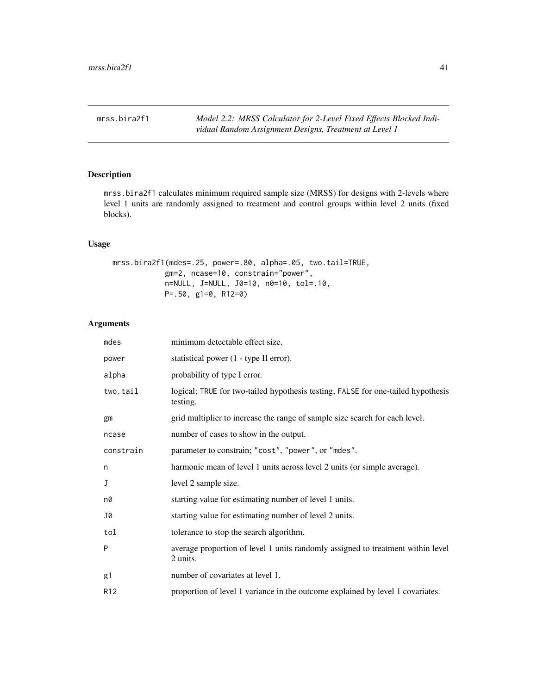# Description

mrss.bira2f1 calculates minimum required sample size (MRSS) for designs with 2-levels where level 1 units are randomly assigned to treatment and control groups within level 2 units (fixed blocks).

## Usage

mrss.bira2f1(mdes=.25, power=.80, alpha=.05, two.tail=TRUE, gm=2, ncase=10, constrain="power", n=NULL, J=NULL, J0=10, n0=10, tol=.10, P=.50, g1=0, R12=0)

| mdes      | minimum detectable effect size.                                                              |
|-----------|----------------------------------------------------------------------------------------------|
| power     | statistical power (1 - type II error).                                                       |
| alpha     | probability of type I error.                                                                 |
| two.tail  | logical; TRUE for two-tailed hypothesis testing, FALSE for one-tailed hypothesis<br>testing. |
| gm        | grid multiplier to increase the range of sample size search for each level.                  |
| ncase     | number of cases to show in the output.                                                       |
| constrain | parameter to constrain; "cost", "power", or "mdes".                                          |
| n         | harmonic mean of level 1 units across level 2 units (or simple average).                     |
| J         | level 2 sample size.                                                                         |
| n0        | starting value for estimating number of level 1 units.                                       |
| J0        | starting value for estimating number of level 2 units.                                       |
| tol       | tolerance to stop the search algorithm.                                                      |
| P         | average proportion of level 1 units randomly assigned to treatment within level<br>2 units.  |
| g1        | number of covariates at level 1.                                                             |
| R12       | proportion of level 1 variance in the outcome explained by level 1 covariates.               |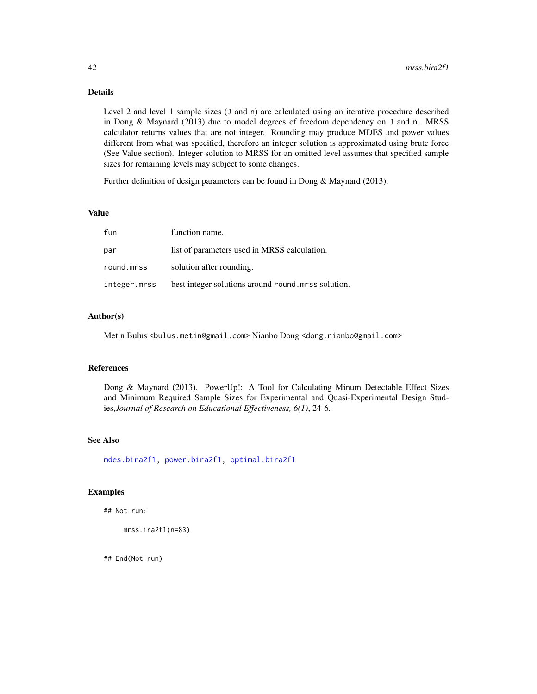Level 2 and level 1 sample sizes (J and n) are calculated using an iterative procedure described in Dong & Maynard (2013) due to model degrees of freedom dependency on J and n. MRSS calculator returns values that are not integer. Rounding may produce MDES and power values different from what was specified, therefore an integer solution is approximated using brute force (See Value section). Integer solution to MRSS for an omitted level assumes that specified sample sizes for remaining levels may subject to some changes.

Further definition of design parameters can be found in Dong & Maynard (2013).

## Value

| fun          | function name.                                      |
|--------------|-----------------------------------------------------|
| par          | list of parameters used in MRSS calculation.        |
| round.mrss   | solution after rounding.                            |
| integer.mrss | best integer solutions around round, mrss solution. |

### Author(s)

Metin Bulus <bulus.metin@gmail.com> Nianbo Dong <dong.nianbo@gmail.com>

### References

Dong & Maynard (2013). PowerUp!: A Tool for Calculating Minum Detectable Effect Sizes and Minimum Required Sample Sizes for Experimental and Quasi-Experimental Design Studies,*Journal of Research on Educational Effectiveness, 6(1)*, 24-6.

## See Also

[mdes.bira2f1,](#page-15-0) [power.bira2f1,](#page-113-0) [optimal.bira2f1](#page-76-0)

### Examples

## Not run:

mrss.ira2f1(n=83)

## End(Not run)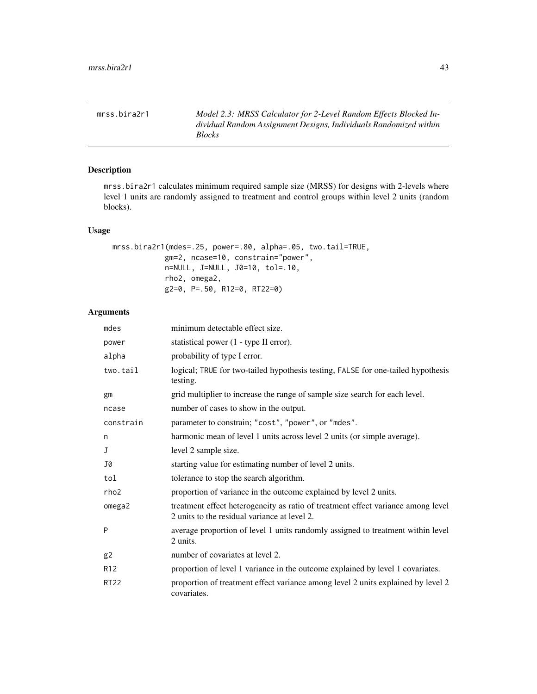mrss.bira2r1 *Model 2.3: MRSS Calculator for 2-Level Random Effects Blocked Individual Random Assignment Designs, Individuals Randomized within Blocks*

## Description

mrss.bira2r1 calculates minimum required sample size (MRSS) for designs with 2-levels where level 1 units are randomly assigned to treatment and control groups within level 2 units (random blocks).

### Usage

```
mrss.bira2r1(mdes=.25, power=.80, alpha=.05, two.tail=TRUE,
            gm=2, ncase=10, constrain="power",
            n=NULL, J=NULL, J0=10, tol=.10,
            rho2, omega2,
            g2=0, P=.50, R12=0, RT22=0)
```

| mdes            | minimum detectable effect size.                                                                                                  |
|-----------------|----------------------------------------------------------------------------------------------------------------------------------|
| power           | statistical power (1 - type II error).                                                                                           |
| alpha           | probability of type I error.                                                                                                     |
| two.tail        | logical; TRUE for two-tailed hypothesis testing, FALSE for one-tailed hypothesis<br>testing.                                     |
| gm              | grid multiplier to increase the range of sample size search for each level.                                                      |
| ncase           | number of cases to show in the output.                                                                                           |
| constrain       | parameter to constrain; "cost", "power", or "mdes".                                                                              |
| n               | harmonic mean of level 1 units across level 2 units (or simple average).                                                         |
| J               | level 2 sample size.                                                                                                             |
| J0              | starting value for estimating number of level 2 units.                                                                           |
| tol             | tolerance to stop the search algorithm.                                                                                          |
| rho2            | proportion of variance in the outcome explained by level 2 units.                                                                |
| omega2          | treatment effect heterogeneity as ratio of treatment effect variance among level<br>2 units to the residual variance at level 2. |
| P               | average proportion of level 1 units randomly assigned to treatment within level<br>2 units.                                      |
| g2              | number of covariates at level 2.                                                                                                 |
| R <sub>12</sub> | proportion of level 1 variance in the outcome explained by level 1 covariates.                                                   |
| <b>RT22</b>     | proportion of treatment effect variance among level 2 units explained by level 2<br>covariates.                                  |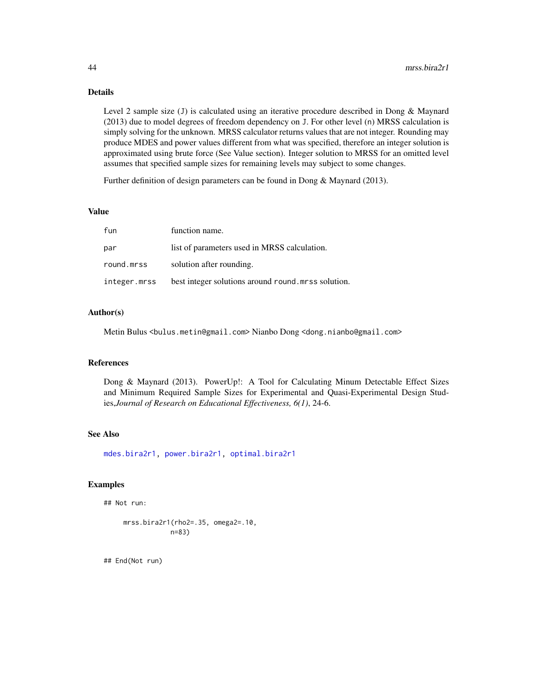Level 2 sample size (J) is calculated using an iterative procedure described in Dong & Maynard (2013) due to model degrees of freedom dependency on J. For other level (n) MRSS calculation is simply solving for the unknown. MRSS calculator returns values that are not integer. Rounding may produce MDES and power values different from what was specified, therefore an integer solution is approximated using brute force (See Value section). Integer solution to MRSS for an omitted level assumes that specified sample sizes for remaining levels may subject to some changes.

Further definition of design parameters can be found in Dong & Maynard (2013).

## Value

| fun          | function name.                                     |
|--------------|----------------------------------------------------|
| par          | list of parameters used in MRSS calculation.       |
| round.mrss   | solution after rounding.                           |
| integer.mrss | best integer solutions around round mrss solution. |

## Author(s)

Metin Bulus <bulus.metin@gmail.com> Nianbo Dong <dong.nianbo@gmail.com>

#### References

Dong & Maynard (2013). PowerUp!: A Tool for Calculating Minum Detectable Effect Sizes and Minimum Required Sample Sizes for Experimental and Quasi-Experimental Design Studies,*Journal of Research on Educational Effectiveness, 6(1)*, 24-6.

### See Also

[mdes.bira2r1,](#page-16-0) [power.bira2r1,](#page-114-0) [optimal.bira2r1](#page-78-0)

#### Examples

```
## Not run:
```

```
mrss.bira2r1(rho2=.35, omega2=.10,
            n=83)
```
## End(Not run)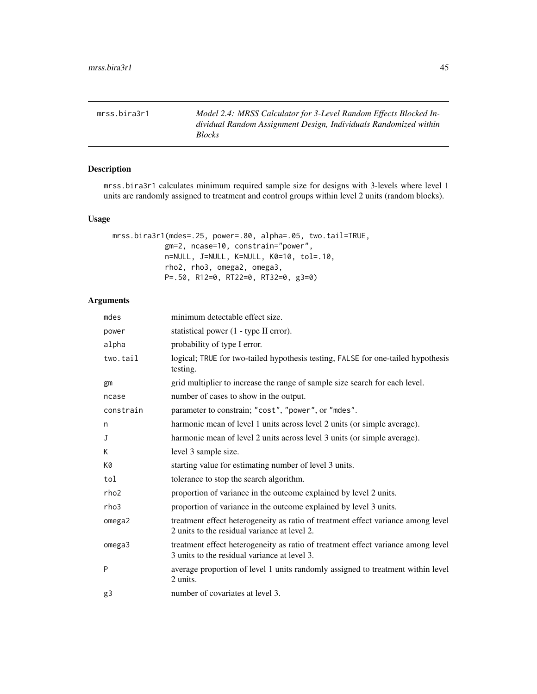mrss.bira3r1 *Model 2.4: MRSS Calculator for 3-Level Random Effects Blocked Individual Random Assignment Design, Individuals Randomized within Blocks*

## Description

mrss.bira3r1 calculates minimum required sample size for designs with 3-levels where level 1 units are randomly assigned to treatment and control groups within level 2 units (random blocks).

#### Usage

```
mrss.bira3r1(mdes=.25, power=.80, alpha=.05, two.tail=TRUE,
            gm=2, ncase=10, constrain="power",
            n=NULL, J=NULL, K=NULL, K0=10, tol=.10,
            rho2, rho3, omega2, omega3,
            P=.50, R12=0, RT22=0, RT32=0, g3=0)
```

| mdes      | minimum detectable effect size.                                                                                                  |
|-----------|----------------------------------------------------------------------------------------------------------------------------------|
| power     | statistical power (1 - type II error).                                                                                           |
| alpha     | probability of type I error.                                                                                                     |
| two.tail  | logical; TRUE for two-tailed hypothesis testing, FALSE for one-tailed hypothesis<br>testing.                                     |
| gm        | grid multiplier to increase the range of sample size search for each level.                                                      |
| ncase     | number of cases to show in the output.                                                                                           |
| constrain | parameter to constrain; "cost", "power", or "mdes".                                                                              |
| n         | harmonic mean of level 1 units across level 2 units (or simple average).                                                         |
| J         | harmonic mean of level 2 units across level 3 units (or simple average).                                                         |
| K         | level 3 sample size.                                                                                                             |
| K0        | starting value for estimating number of level 3 units.                                                                           |
| tol       | tolerance to stop the search algorithm.                                                                                          |
| rho2      | proportion of variance in the outcome explained by level 2 units.                                                                |
| rho3      | proportion of variance in the outcome explained by level 3 units.                                                                |
| omega2    | treatment effect heterogeneity as ratio of treatment effect variance among level<br>2 units to the residual variance at level 2. |
| omega3    | treatment effect heterogeneity as ratio of treatment effect variance among level<br>3 units to the residual variance at level 3. |
| P         | average proportion of level 1 units randomly assigned to treatment within level<br>2 units.                                      |
| g3        | number of covariates at level 3.                                                                                                 |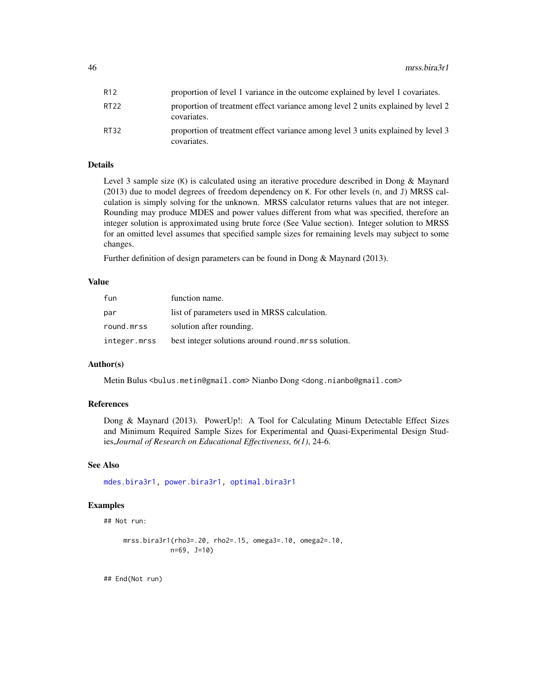| R12   | proportion of level 1 variance in the outcome explained by level 1 covariates.                  |
|-------|-------------------------------------------------------------------------------------------------|
| RT22  | proportion of treatment effect variance among level 2 units explained by level 2<br>covariates. |
| RT32. | proportion of treatment effect variance among level 3 units explained by level 3<br>covariates. |

Level 3 sample size (K) is calculated using an iterative procedure described in Dong & Maynard (2013) due to model degrees of freedom dependency on K. For other levels (n, and J) MRSS calculation is simply solving for the unknown. MRSS calculator returns values that are not integer. Rounding may produce MDES and power values different from what was specified, therefore an integer solution is approximated using brute force (See Value section). Integer solution to MRSS for an omitted level assumes that specified sample sizes for remaining levels may subject to some changes.

Further definition of design parameters can be found in Dong & Maynard (2013).

#### Value

| fun          | function name.                                      |
|--------------|-----------------------------------------------------|
| par          | list of parameters used in MRSS calculation.        |
| round.mrss   | solution after rounding.                            |
| integer.mrss | best integer solutions around round, mrss solution. |

### Author(s)

Metin Bulus <bulus.metin@gmail.com> Nianbo Dong <dong.nianbo@gmail.com>

### References

Dong & Maynard (2013). PowerUp!: A Tool for Calculating Minum Detectable Effect Sizes and Minimum Required Sample Sizes for Experimental and Quasi-Experimental Design Studies,*Journal of Research on Educational Effectiveness, 6(1)*, 24-6.

#### See Also

[mdes.bira3r1,](#page-18-0) [power.bira3r1,](#page-116-0) [optimal.bira3r1](#page-82-0)

## Examples

## Not run:

mrss.bira3r1(rho3=.20, rho2=.15, omega3=.10, omega2=.10, n=69, J=10)

## End(Not run)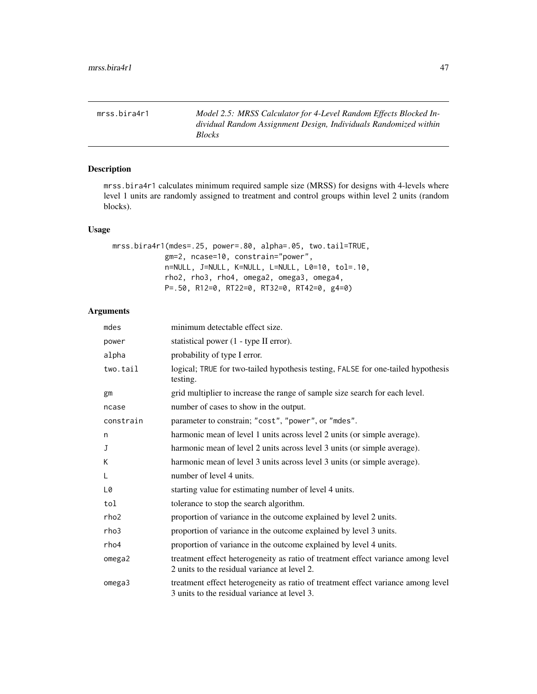mrss.bira4r1 *Model 2.5: MRSS Calculator for 4-Level Random Effects Blocked Individual Random Assignment Design, Individuals Randomized within Blocks*

## Description

mrss.bira4r1 calculates minimum required sample size (MRSS) for designs with 4-levels where level 1 units are randomly assigned to treatment and control groups within level 2 units (random blocks).

## Usage

```
mrss.bira4r1(mdes=.25, power=.80, alpha=.05, two.tail=TRUE,
            gm=2, ncase=10, constrain="power",
            n=NULL, J=NULL, K=NULL, L=NULL, L0=10, tol=.10,
            rho2, rho3, rho4, omega2, omega3, omega4,
            P=.50, R12=0, RT22=0, RT32=0, RT42=0, g4=0)
```

| mdes             | minimum detectable effect size.                                                                                                  |
|------------------|----------------------------------------------------------------------------------------------------------------------------------|
| power            | statistical power (1 - type II error).                                                                                           |
| alpha            | probability of type I error.                                                                                                     |
| two.tail         | logical; TRUE for two-tailed hypothesis testing, FALSE for one-tailed hypothesis<br>testing.                                     |
| gm               | grid multiplier to increase the range of sample size search for each level.                                                      |
| ncase            | number of cases to show in the output.                                                                                           |
| constrain        | parameter to constrain; "cost", "power", or "mdes".                                                                              |
| n                | harmonic mean of level 1 units across level 2 units (or simple average).                                                         |
| J                | harmonic mean of level 2 units across level 3 units (or simple average).                                                         |
| K                | harmonic mean of level 3 units across level 3 units (or simple average).                                                         |
| L                | number of level 4 units.                                                                                                         |
| L0               | starting value for estimating number of level 4 units.                                                                           |
| tol              | tolerance to stop the search algorithm.                                                                                          |
| rho <sub>2</sub> | proportion of variance in the outcome explained by level 2 units.                                                                |
| rho3             | proportion of variance in the outcome explained by level 3 units.                                                                |
| rho4             | proportion of variance in the outcome explained by level 4 units.                                                                |
| omega2           | treatment effect heterogeneity as ratio of treatment effect variance among level<br>2 units to the residual variance at level 2. |
| omega3           | treatment effect heterogeneity as ratio of treatment effect variance among level<br>3 units to the residual variance at level 3. |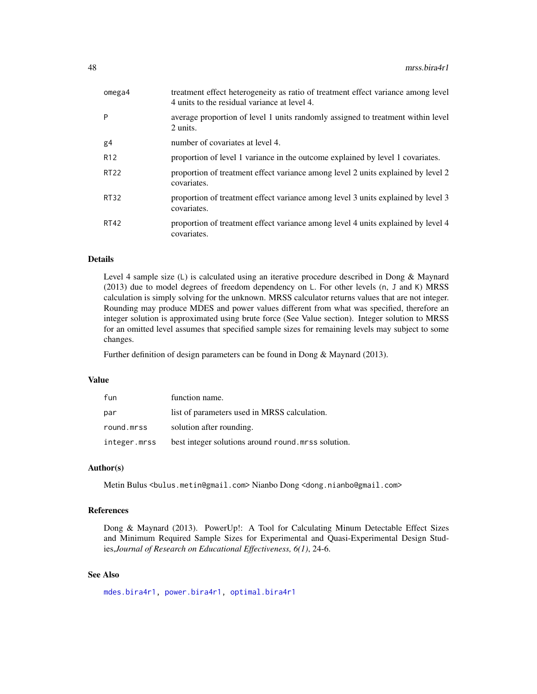| omega4          | treatment effect heterogeneity as ratio of treatment effect variance among level<br>4 units to the residual variance at level 4. |
|-----------------|----------------------------------------------------------------------------------------------------------------------------------|
| P               | average proportion of level 1 units randomly assigned to treatment within level<br>2 units.                                      |
| g <sub>4</sub>  | number of covariates at level 4.                                                                                                 |
| R <sub>12</sub> | proportion of level 1 variance in the outcome explained by level 1 covariates.                                                   |
| <b>RT22</b>     | proportion of treatment effect variance among level 2 units explained by level 2<br>covariates.                                  |
| <b>RT32</b>     | proportion of treatment effect variance among level 3 units explained by level 3<br>covariates.                                  |
| <b>RT42</b>     | proportion of treatment effect variance among level 4 units explained by level 4<br>covariates.                                  |

Level 4 sample size (L) is calculated using an iterative procedure described in Dong & Maynard (2013) due to model degrees of freedom dependency on L. For other levels (n, J and K) MRSS calculation is simply solving for the unknown. MRSS calculator returns values that are not integer. Rounding may produce MDES and power values different from what was specified, therefore an integer solution is approximated using brute force (See Value section). Integer solution to MRSS for an omitted level assumes that specified sample sizes for remaining levels may subject to some changes.

Further definition of design parameters can be found in Dong & Maynard (2013).

### Value

| fun          | function name.                                     |
|--------------|----------------------------------------------------|
| par          | list of parameters used in MRSS calculation.       |
| round.mrss   | solution after rounding.                           |
| integer.mrss | best integer solutions around round mrss solution. |

## Author(s)

Metin Bulus <bulus.metin@gmail.com> Nianbo Dong <dong.nianbo@gmail.com>

## References

Dong & Maynard (2013). PowerUp!: A Tool for Calculating Minum Detectable Effect Sizes and Minimum Required Sample Sizes for Experimental and Quasi-Experimental Design Studies,*Journal of Research on Educational Effectiveness, 6(1)*, 24-6.

## See Also

[mdes.bira4r1,](#page-20-0) [power.bira4r1,](#page-118-0) [optimal.bira4r1](#page-85-0)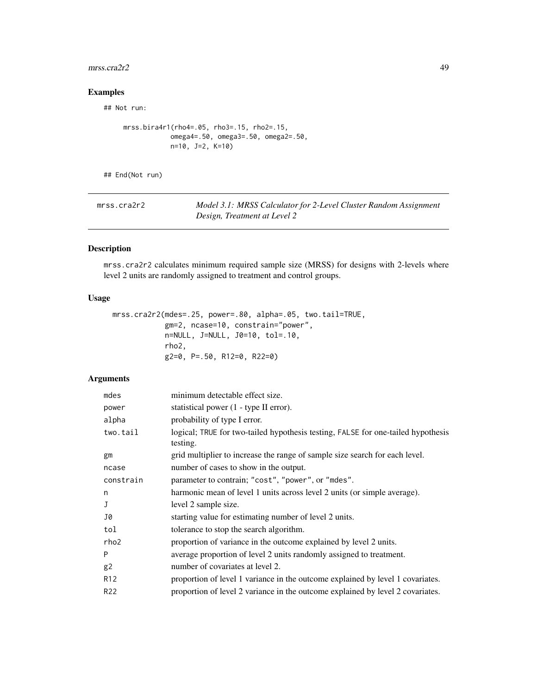#### $\text{mrss}.\text{cra2r2}$  49

# Examples

## Not run:

```
mrss.bira4r1(rho4=.05, rho3=.15, rho2=.15,
            omega4=.50, omega3=.50, omega2=.50,
            n=10, J=2, K=10)
```
## End(Not run)

| mrss.cra2r2 | Model 3.1: MRSS Calculator for 2-Level Cluster Random Assignment |
|-------------|------------------------------------------------------------------|
|             | Design, Treatment at Level 2                                     |

## Description

mrss.cra2r2 calculates minimum required sample size (MRSS) for designs with 2-levels where level 2 units are randomly assigned to treatment and control groups.

## Usage

```
mrss.cra2r2(mdes=.25, power=.80, alpha=.05, two.tail=TRUE,
            gm=2, ncase=10, constrain="power",
            n=NULL, J=NULL, J0=10, tol=.10,
            rho2,
            g2=0, P=.50, R12=0, R22=0)
```

| mdes             | minimum detectable effect size.                                                              |
|------------------|----------------------------------------------------------------------------------------------|
| power            | statistical power (1 - type II error).                                                       |
| alpha            | probability of type I error.                                                                 |
| two.tail         | logical; TRUE for two-tailed hypothesis testing, FALSE for one-tailed hypothesis<br>testing. |
| gm               | grid multiplier to increase the range of sample size search for each level.                  |
| ncase            | number of cases to show in the output.                                                       |
| constrain        | parameter to contrain; "cost", "power", or "mdes".                                           |
| n                | harmonic mean of level 1 units across level 2 units (or simple average).                     |
| J                | level 2 sample size.                                                                         |
| J0               | starting value for estimating number of level 2 units.                                       |
| tol              | tolerance to stop the search algorithm.                                                      |
| rho <sub>2</sub> | proportion of variance in the outcome explained by level 2 units.                            |
| P                | average proportion of level 2 units randomly assigned to treatment.                          |
| g2               | number of covariates at level 2.                                                             |
| R <sub>12</sub>  | proportion of level 1 variance in the outcome explained by level 1 covariates.               |
| R <sub>22</sub>  | proportion of level 2 variance in the outcome explained by level 2 covariates.               |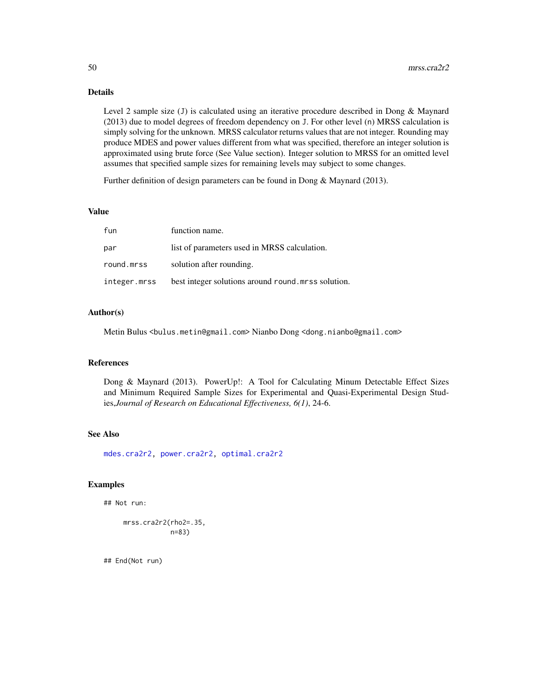Level 2 sample size (J) is calculated using an iterative procedure described in Dong & Maynard (2013) due to model degrees of freedom dependency on J. For other level (n) MRSS calculation is simply solving for the unknown. MRSS calculator returns values that are not integer. Rounding may produce MDES and power values different from what was specified, therefore an integer solution is approximated using brute force (See Value section). Integer solution to MRSS for an omitted level assumes that specified sample sizes for remaining levels may subject to some changes.

Further definition of design parameters can be found in Dong & Maynard (2013).

## Value

| fun        | function name.                                                 |
|------------|----------------------------------------------------------------|
| par        | list of parameters used in MRSS calculation.                   |
| round.mrss | solution after rounding.                                       |
|            | integer.mrss bestinteger solutions around round.mrss solution. |

# Author(s)

Metin Bulus <bulus.metin@gmail.com> Nianbo Dong <dong.nianbo@gmail.com>

#### References

Dong & Maynard (2013). PowerUp!: A Tool for Calculating Minum Detectable Effect Sizes and Minimum Required Sample Sizes for Experimental and Quasi-Experimental Design Studies,*Journal of Research on Educational Effectiveness, 6(1)*, 24-6.

### See Also

[mdes.cra2r2,](#page-22-0) [power.cra2r2,](#page-120-0) [optimal.cra2r2](#page-88-0)

#### Examples

## Not run:

mrss.cra2r2(rho2=.35, n=83)

## End(Not run)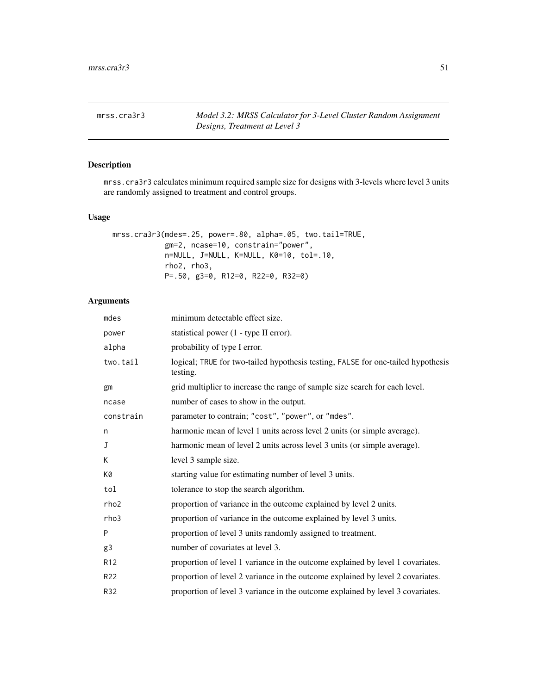mrss.cra3r3 *Model 3.2: MRSS Calculator for 3-Level Cluster Random Assignment Designs, Treatment at Level 3*

## Description

mrss.cra3r3 calculates minimum required sample size for designs with 3-levels where level 3 units are randomly assigned to treatment and control groups.

### Usage

```
mrss.cra3r3(mdes=.25, power=.80, alpha=.05, two.tail=TRUE,
            gm=2, ncase=10, constrain="power",
            n=NULL, J=NULL, K=NULL, K0=10, tol=.10,
            rho2, rho3,
            P=.50, g3=0, R12=0, R22=0, R32=0)
```

| mdes            | minimum detectable effect size.                                                              |
|-----------------|----------------------------------------------------------------------------------------------|
| power           | statistical power (1 - type II error).                                                       |
| alpha           | probability of type I error.                                                                 |
| two.tail        | logical; TRUE for two-tailed hypothesis testing, FALSE for one-tailed hypothesis<br>testing. |
| gm              | grid multiplier to increase the range of sample size search for each level.                  |
| ncase           | number of cases to show in the output.                                                       |
| constrain       | parameter to contrain; "cost", "power", or "mdes".                                           |
| n               | harmonic mean of level 1 units across level 2 units (or simple average).                     |
| J               | harmonic mean of level 2 units across level 3 units (or simple average).                     |
| K               | level 3 sample size.                                                                         |
| K0              | starting value for estimating number of level 3 units.                                       |
| tol             | tolerance to stop the search algorithm.                                                      |
| rho2            | proportion of variance in the outcome explained by level 2 units.                            |
| rho3            | proportion of variance in the outcome explained by level 3 units.                            |
| P               | proportion of level 3 units randomly assigned to treatment.                                  |
| g3              | number of covariates at level 3.                                                             |
| R <sub>12</sub> | proportion of level 1 variance in the outcome explained by level 1 covariates.               |
| R22             | proportion of level 2 variance in the outcome explained by level 2 covariates.               |
| R32             | proportion of level 3 variance in the outcome explained by level 3 covariates.               |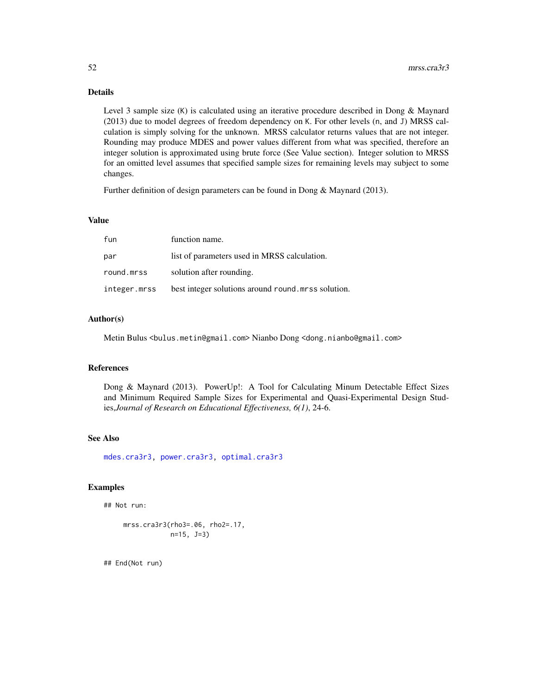Level 3 sample size (K) is calculated using an iterative procedure described in Dong & Maynard (2013) due to model degrees of freedom dependency on K. For other levels (n, and J) MRSS calculation is simply solving for the unknown. MRSS calculator returns values that are not integer. Rounding may produce MDES and power values different from what was specified, therefore an integer solution is approximated using brute force (See Value section). Integer solution to MRSS for an omitted level assumes that specified sample sizes for remaining levels may subject to some changes.

Further definition of design parameters can be found in Dong & Maynard (2013).

### Value

| fun          | function name.                                     |
|--------------|----------------------------------------------------|
| par          | list of parameters used in MRSS calculation.       |
| round.mrss   | solution after rounding.                           |
| integer.mrss | best integer solutions around round mrss solution. |

### Author(s)

Metin Bulus <bulus.metin@gmail.com> Nianbo Dong <dong.nianbo@gmail.com>

### References

Dong & Maynard (2013). PowerUp!: A Tool for Calculating Minum Detectable Effect Sizes and Minimum Required Sample Sizes for Experimental and Quasi-Experimental Design Studies,*Journal of Research on Educational Effectiveness, 6(1)*, 24-6.

### See Also

[mdes.cra3r3,](#page-23-0) [power.cra3r3,](#page-122-0) [optimal.cra3r3](#page-91-0)

## Examples

```
## Not run:
```

```
mrss.cra3r3(rho3=.06, rho2=.17,
            n=15, J=3)
```
## End(Not run)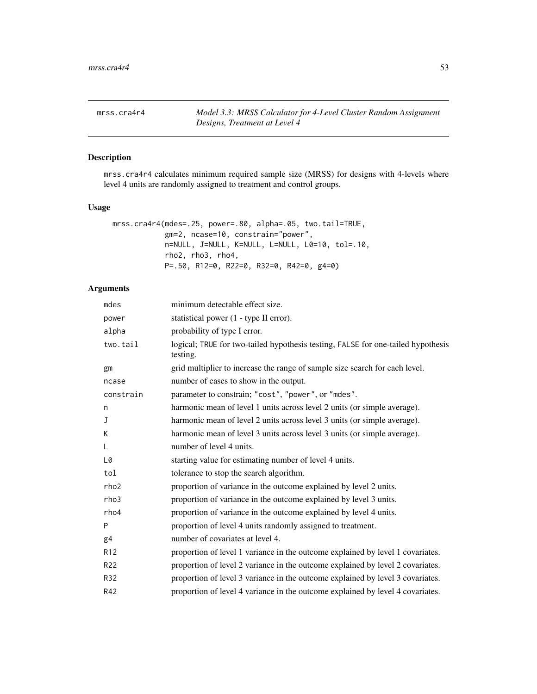mrss.cra4r4 *Model 3.3: MRSS Calculator for 4-Level Cluster Random Assignment Designs, Treatment at Level 4*

## Description

mrss.cra4r4 calculates minimum required sample size (MRSS) for designs with 4-levels where level 4 units are randomly assigned to treatment and control groups.

# Usage

```
mrss.cra4r4(mdes=.25, power=.80, alpha=.05, two.tail=TRUE,
            gm=2, ncase=10, constrain="power",
            n=NULL, J=NULL, K=NULL, L=NULL, L0=10, tol=.10,
            rho2, rho3, rho4,
            P=.50, R12=0, R22=0, R32=0, R42=0, g4=0)
```

| mdes            | minimum detectable effect size.                                                              |
|-----------------|----------------------------------------------------------------------------------------------|
| power           | statistical power (1 - type II error).                                                       |
| alpha           | probability of type I error.                                                                 |
| two.tail        | logical; TRUE for two-tailed hypothesis testing, FALSE for one-tailed hypothesis<br>testing. |
| gm              | grid multiplier to increase the range of sample size search for each level.                  |
| ncase           | number of cases to show in the output.                                                       |
| constrain       | parameter to constrain; "cost", "power", or "mdes".                                          |
| n               | harmonic mean of level 1 units across level 2 units (or simple average).                     |
| J               | harmonic mean of level 2 units across level 3 units (or simple average).                     |
| K               | harmonic mean of level 3 units across level 3 units (or simple average).                     |
| L               | number of level 4 units.                                                                     |
| L0              | starting value for estimating number of level 4 units.                                       |
| tol             | tolerance to stop the search algorithm.                                                      |
| rho2            | proportion of variance in the outcome explained by level 2 units.                            |
| rho3            | proportion of variance in the outcome explained by level 3 units.                            |
| rho4            | proportion of variance in the outcome explained by level 4 units.                            |
| P               | proportion of level 4 units randomly assigned to treatment.                                  |
| g4              | number of covariates at level 4.                                                             |
| R <sub>12</sub> | proportion of level 1 variance in the outcome explained by level 1 covariates.               |
| R <sub>22</sub> | proportion of level 2 variance in the outcome explained by level 2 covariates.               |
| R32             | proportion of level 3 variance in the outcome explained by level 3 covariates.               |
| R42             | proportion of level 4 variance in the outcome explained by level 4 covariates.               |
|                 |                                                                                              |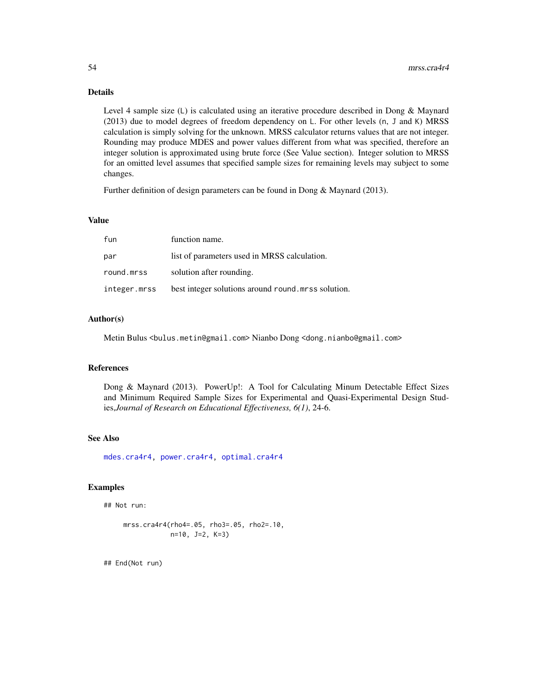Level 4 sample size (L) is calculated using an iterative procedure described in Dong & Maynard (2013) due to model degrees of freedom dependency on L. For other levels (n, J and K) MRSS calculation is simply solving for the unknown. MRSS calculator returns values that are not integer. Rounding may produce MDES and power values different from what was specified, therefore an integer solution is approximated using brute force (See Value section). Integer solution to MRSS for an omitted level assumes that specified sample sizes for remaining levels may subject to some changes.

Further definition of design parameters can be found in Dong & Maynard (2013).

### Value

| fun          | function name.                                     |
|--------------|----------------------------------------------------|
| par          | list of parameters used in MRSS calculation.       |
| round.mrss   | solution after rounding.                           |
| integer.mrss | best integer solutions around round mrss solution. |

#### Author(s)

Metin Bulus <bulus.metin@gmail.com> Nianbo Dong <dong.nianbo@gmail.com>

### References

Dong & Maynard (2013). PowerUp!: A Tool for Calculating Minum Detectable Effect Sizes and Minimum Required Sample Sizes for Experimental and Quasi-Experimental Design Studies,*Journal of Research on Educational Effectiveness, 6(1)*, 24-6.

### See Also

[mdes.cra4r4,](#page-25-0) [power.cra4r4,](#page-124-0) [optimal.cra4r4](#page-94-0)

## Examples

## Not run:

```
mrss.cra4r4(rho4=.05, rho3=.05, rho2=.10,
            n=10, J=2, K=3)
```
## End(Not run)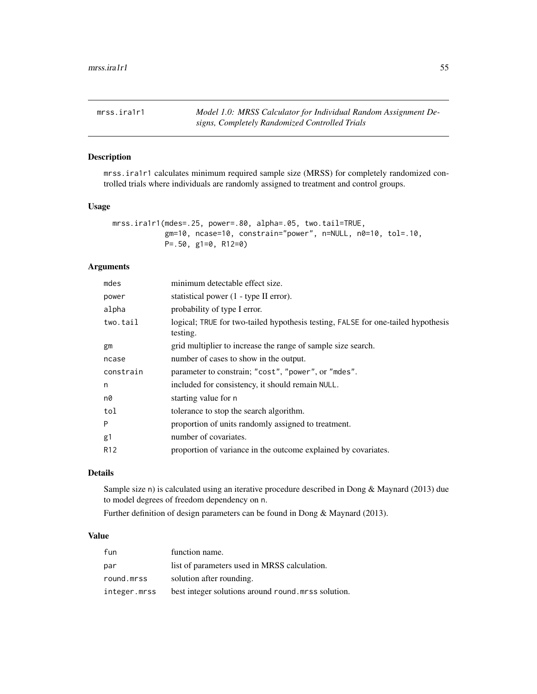mrss.ira1r1 *Model 1.0: MRSS Calculator for Individual Random Assignment Designs, Completely Randomized Controlled Trials*

## Description

mrss.ira1r1 calculates minimum required sample size (MRSS) for completely randomized controlled trials where individuals are randomly assigned to treatment and control groups.

## Usage

```
mrss.ira1r1(mdes=.25, power=.80, alpha=.05, two.tail=TRUE,
            gm=10, ncase=10, constrain="power", n=NULL, n0=10, tol=.10,
            P=.50, g1=0, R12=0)
```
## Arguments

| mdes            | minimum detectable effect size.                                                              |
|-----------------|----------------------------------------------------------------------------------------------|
| power           | statistical power (1 - type II error).                                                       |
| alpha           | probability of type I error.                                                                 |
| two.tail        | logical; TRUE for two-tailed hypothesis testing, FALSE for one-tailed hypothesis<br>testing. |
| gm              | grid multiplier to increase the range of sample size search.                                 |
| ncase           | number of cases to show in the output.                                                       |
| constrain       | parameter to constrain; "cost", "power", or "mdes".                                          |
| n               | included for consistency, it should remain NULL.                                             |
| n0              | starting value for n                                                                         |
| tol             | tolerance to stop the search algorithm.                                                      |
| P               | proportion of units randomly assigned to treatment.                                          |
| g1              | number of covariates.                                                                        |
| R <sub>12</sub> | proportion of variance in the outcome explained by covariates.                               |
|                 |                                                                                              |

# Details

Sample size n) is calculated using an iterative procedure described in Dong & Maynard (2013) due to model degrees of freedom dependency on n.

Further definition of design parameters can be found in Dong & Maynard (2013).

### Value

| fun          | function name.                                     |
|--------------|----------------------------------------------------|
| par          | list of parameters used in MRSS calculation.       |
| round.mrss   | solution after rounding.                           |
| integer.mrss | best integer solutions around round mrss solution. |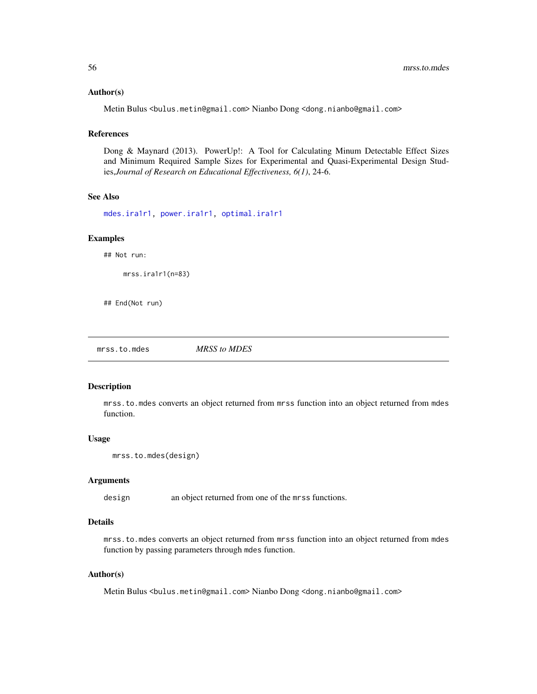### Author(s)

Metin Bulus <bulus.metin@gmail.com> Nianbo Dong <dong.nianbo@gmail.com>

#### References

Dong & Maynard (2013). PowerUp!: A Tool for Calculating Minum Detectable Effect Sizes and Minimum Required Sample Sizes for Experimental and Quasi-Experimental Design Studies,*Journal of Research on Educational Effectiveness, 6(1)*, 24-6.

### See Also

[mdes.ira1r1,](#page-26-0) [power.ira1r1,](#page-125-0) [optimal.ira1r1](#page-97-0)

#### Examples

## Not run:

mrss.ira1r1(n=83)

## End(Not run)

<span id="page-55-0"></span>mrss.to.mdes *MRSS to MDES*

#### Description

mrss.to.mdes converts an object returned from mrss function into an object returned from mdes function.

#### Usage

```
mrss.to.mdes(design)
```
#### Arguments

design an object returned from one of the mrss functions.

### Details

mrss.to.mdes converts an object returned from mrss function into an object returned from mdes function by passing parameters through mdes function.

## Author(s)

Metin Bulus <bulus.metin@gmail.com> Nianbo Dong <dong.nianbo@gmail.com>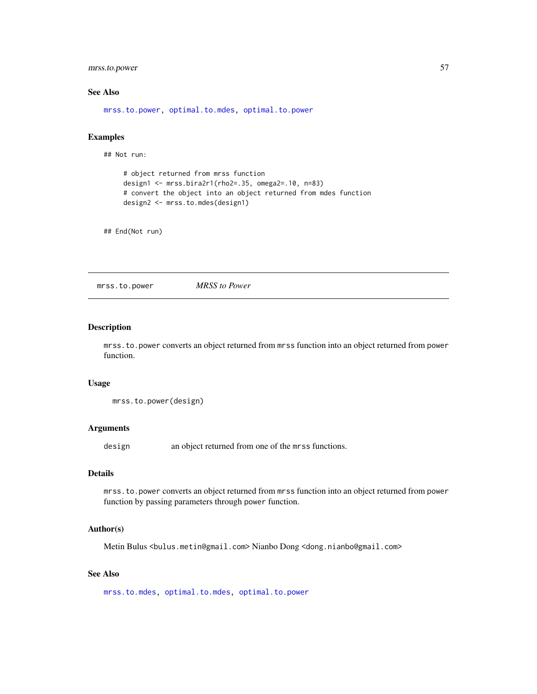## mrss.to.power 57

## See Also

[mrss.to.power,](#page-56-0) [optimal.to.mdes,](#page-99-0) [optimal.to.power](#page-100-0)

## Examples

## Not run:

```
# object returned from mrss function
design1 <- mrss.bira2r1(rho2=.35, omega2=.10, n=83)
# convert the object into an object returned from mdes function
design2 <- mrss.to.mdes(design1)
```
## End(Not run)

<span id="page-56-0"></span>mrss.to.power *MRSS to Power*

### Description

mrss.to.power converts an object returned from mrss function into an object returned from power function.

#### Usage

mrss.to.power(design)

## Arguments

design an object returned from one of the mrss functions.

### Details

mrss.to.power converts an object returned from mrss function into an object returned from power function by passing parameters through power function.

#### Author(s)

Metin Bulus <bulus.metin@gmail.com> Nianbo Dong <dong.nianbo@gmail.com>

## See Also

[mrss.to.mdes,](#page-55-0) [optimal.to.mdes,](#page-99-0) [optimal.to.power](#page-100-0)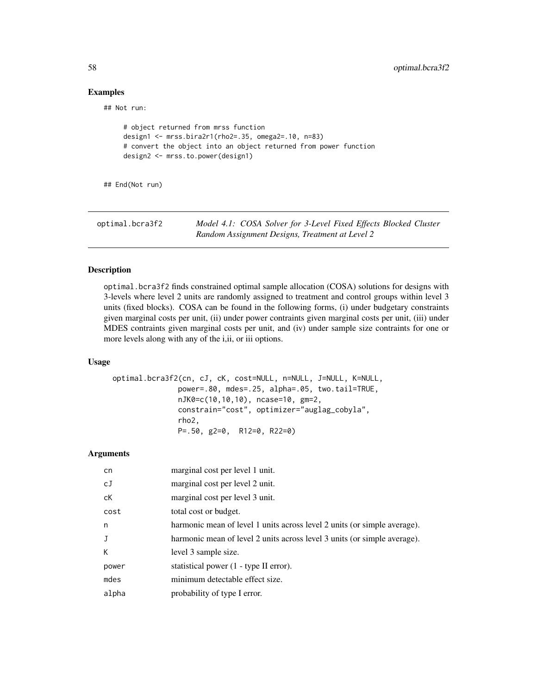# Examples

## Not run:

```
# object returned from mrss function
design1 <- mrss.bira2r1(rho2=.35, omega2=.10, n=83)
# convert the object into an object returned from power function
design2 <- mrss.to.power(design1)
```
## End(Not run)

| optimal.bcra3f2 | Model 4.1: COSA Solver for 3-Level Fixed Effects Blocked Cluster |
|-----------------|------------------------------------------------------------------|
|                 | Random Assignment Designs, Treatment at Level 2                  |

## Description

optimal.bcra3f2 finds constrained optimal sample allocation (COSA) solutions for designs with 3-levels where level 2 units are randomly assigned to treatment and control groups within level 3 units (fixed blocks). COSA can be found in the following forms, (i) under budgetary constraints given marginal costs per unit, (ii) under power contraints given marginal costs per unit, (iii) under MDES contraints given marginal costs per unit, and (iv) under sample size contraints for one or more levels along with any of the i,ii, or iii options.

## Usage

```
optimal.bcra3f2(cn, cJ, cK, cost=NULL, n=NULL, J=NULL, K=NULL,
               power=.80, mdes=.25, alpha=.05, two.tail=TRUE,
               nJK0=c(10,10,10), ncase=10, gm=2,
               constrain="cost", optimizer="auglag_cobyla",
               rho2,
               P=.50, g2=0, R12=0, R22=0)
```

| cn    | marginal cost per level 1 unit.                                          |
|-------|--------------------------------------------------------------------------|
| cJ    | marginal cost per level 2 unit.                                          |
| сK    | marginal cost per level 3 unit.                                          |
| cost  | total cost or budget.                                                    |
| n     | harmonic mean of level 1 units across level 2 units (or simple average). |
| J     | harmonic mean of level 2 units across level 3 units (or simple average). |
| К     | level 3 sample size.                                                     |
| power | statistical power (1 - type II error).                                   |
| mdes  | minimum detectable effect size.                                          |
| alpha | probability of type I error.                                             |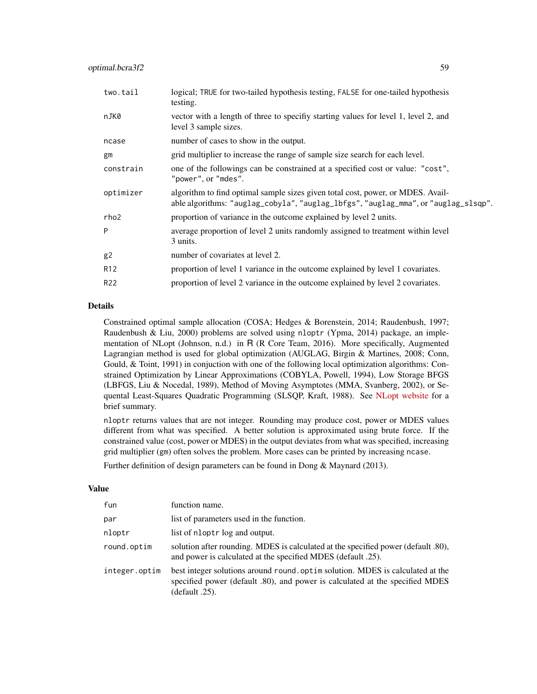| logical; TRUE for two-tailed hypothesis testing, FALSE for one-tailed hypothesis<br>testing.                                                                          |
|-----------------------------------------------------------------------------------------------------------------------------------------------------------------------|
| vector with a length of three to specifiy starting values for level 1, level 2, and<br>level 3 sample sizes.                                                          |
| number of cases to show in the output.                                                                                                                                |
| grid multiplier to increase the range of sample size search for each level.                                                                                           |
| one of the followings can be constrained at a specified cost or value: "cost",<br>"power", or "mdes".                                                                 |
| algorithm to find optimal sample sizes given total cost, power, or MDES. Avail-<br>able algorithms: "auglag_cobyla", "auglag_lbfgs", "auglag_mma", or "auglag_slsqp". |
| proportion of variance in the outcome explained by level 2 units.                                                                                                     |
| average proportion of level 2 units randomly assigned to treatment within level<br>3 units.                                                                           |
| number of covariates at level 2.                                                                                                                                      |
| proportion of level 1 variance in the outcome explained by level 1 covariates.                                                                                        |
| proportion of level 2 variance in the outcome explained by level 2 covariates.                                                                                        |
|                                                                                                                                                                       |

Constrained optimal sample allocation (COSA; Hedges & Borenstein, 2014; Raudenbush, 1997; Raudenbush & Liu, 2000) problems are solved using nloptr (Ypma, 2014) package, an implementation of NLopt (Johnson, n.d.) in R (R Core Team, 2016). More specifically, Augmented Lagrangian method is used for global optimization (AUGLAG, Birgin & Martines, 2008; Conn, Gould, & Toint, 1991) in conjuction with one of the following local optimization algorithms: Constrained Optimization by Linear Approximations (COBYLA, Powell, 1994), Low Storage BFGS (LBFGS, Liu & Nocedal, 1989), Method of Moving Asymptotes (MMA, Svanberg, 2002), or Sequental Least-Squares Quadratic Programming (SLSQP, Kraft, 1988). See [NLopt website](http://ab-initio.mit.edu/wiki/index.php/NLopt_Algorithms) for a brief summary.

nloptr returns values that are not integer. Rounding may produce cost, power or MDES values different from what was specified. A better solution is approximated using brute force. If the constrained value (cost, power or MDES) in the output deviates from what was specified, increasing grid multiplier (gm) often solves the problem. More cases can be printed by increasing ncase.

Further definition of design parameters can be found in Dong & Maynard (2013).

### Value

| fun           | function name.                                                                                                                                                                   |
|---------------|----------------------------------------------------------------------------------------------------------------------------------------------------------------------------------|
| par           | list of parameters used in the function.                                                                                                                                         |
| nloptr        | list of nloptr log and output.                                                                                                                                                   |
| round.optim   | solution after rounding. MDES is calculated at the specified power (default .80),<br>and power is calculated at the specified MDES (default .25).                                |
| integer.optim | best integer solutions around round. optim solution. MDES is calculated at the<br>specified power (default .80), and power is calculated at the specified MDES<br>(default .25). |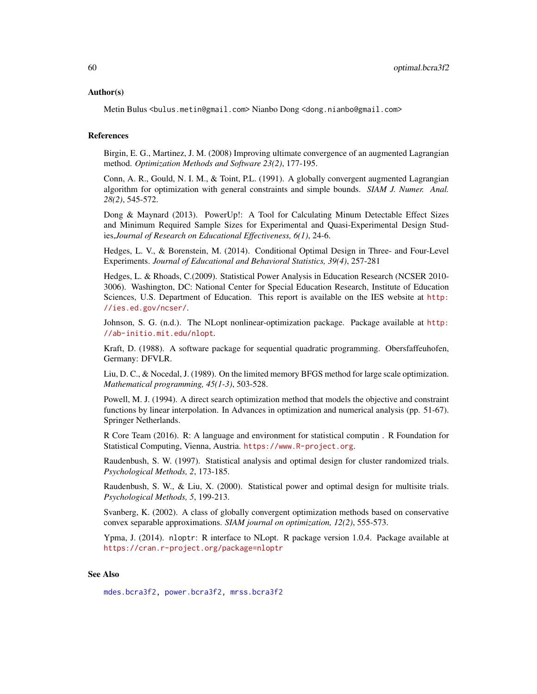#### Author(s)

Metin Bulus <bulus.metin@gmail.com> Nianbo Dong <dong.nianbo@gmail.com>

### References

Birgin, E. G., Martinez, J. M. (2008) Improving ultimate convergence of an augmented Lagrangian method. *Optimization Methods and Software 23(2)*, 177-195.

Conn, A. R., Gould, N. I. M., & Toint, P.L. (1991). A globally convergent augmented Lagrangian algorithm for optimization with general constraints and simple bounds. *SIAM J. Numer. Anal. 28(2)*, 545-572.

Dong & Maynard (2013). PowerUp!: A Tool for Calculating Minum Detectable Effect Sizes and Minimum Required Sample Sizes for Experimental and Quasi-Experimental Design Studies,*Journal of Research on Educational Effectiveness, 6(1)*, 24-6.

Hedges, L. V., & Borenstein, M. (2014). Conditional Optimal Design in Three- and Four-Level Experiments. *Journal of Educational and Behavioral Statistics, 39(4)*, 257-281

Hedges, L. & Rhoads, C.(2009). Statistical Power Analysis in Education Research (NCSER 2010- 3006). Washington, DC: National Center for Special Education Research, Institute of Education Sciences, U.S. Department of Education. This report is available on the IES website at [http:](http://ies.ed.gov/ncser/) [//ies.ed.gov/ncser/](http://ies.ed.gov/ncser/).

Johnson, S. G. (n.d.). The NLopt nonlinear-optimization package. Package available at [http:](http://ab-initio.mit.edu/nlopt) [//ab-initio.mit.edu/nlopt](http://ab-initio.mit.edu/nlopt).

Kraft, D. (1988). A software package for sequential quadratic programming. Obersfaffeuhofen, Germany: DFVLR.

Liu, D. C., & Nocedal, J. (1989). On the limited memory BFGS method for large scale optimization. *Mathematical programming, 45(1-3)*, 503-528.

Powell, M. J. (1994). A direct search optimization method that models the objective and constraint functions by linear interpolation. In Advances in optimization and numerical analysis (pp. 51-67). Springer Netherlands.

R Core Team (2016). R: A language and environment for statistical computin . R Foundation for Statistical Computing, Vienna, Austria. <https://www.R-project.org>.

Raudenbush, S. W. (1997). Statistical analysis and optimal design for cluster randomized trials. *Psychological Methods, 2*, 173-185.

Raudenbush, S. W., & Liu, X. (2000). Statistical power and optimal design for multisite trials. *Psychological Methods, 5*, 199-213.

Svanberg, K. (2002). A class of globally convergent optimization methods based on conservative convex separable approximations. *SIAM journal on optimization, 12(2)*, 555-573.

Ypma, J. (2014). nloptr: R interface to NLopt. R package version 1.0.4. Package available at <https://cran.r-project.org/package=nloptr>

### See Also

[mdes.bcra3f2,](#page-4-0) [power.bcra3f2,](#page-102-0) [mrss.bcra3f2](#page-28-0)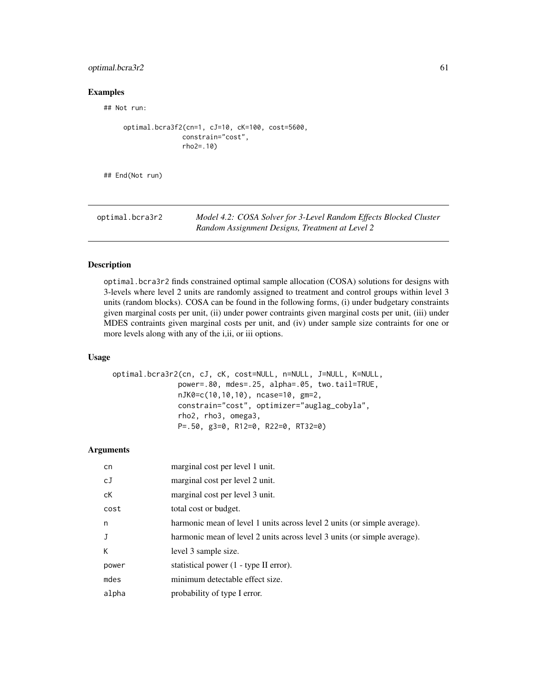## optimal.bcra3r2 61

### Examples

## Not run:

```
optimal.bcra3f2(cn=1, cJ=10, cK=100, cost=5600,
               constrain="cost",
               rho2=.10)
```
## End(Not run)

optimal.bcra3r2 *Model 4.2: COSA Solver for 3-Level Random Effects Blocked Cluster Random Assignment Designs, Treatment at Level 2*

## Description

optimal.bcra3r2 finds constrained optimal sample allocation (COSA) solutions for designs with 3-levels where level 2 units are randomly assigned to treatment and control groups within level 3 units (random blocks). COSA can be found in the following forms, (i) under budgetary constraints given marginal costs per unit, (ii) under power contraints given marginal costs per unit, (iii) under MDES contraints given marginal costs per unit, and (iv) under sample size contraints for one or more levels along with any of the i,ii, or iii options.

## Usage

```
optimal.bcra3r2(cn, cJ, cK, cost=NULL, n=NULL, J=NULL, K=NULL,
               power=.80, mdes=.25, alpha=.05, two.tail=TRUE,
               nJK0=c(10,10,10), ncase=10, gm=2,
               constrain="cost", optimizer="auglag_cobyla",
               rho2, rho3, omega3,
               P=.50, g3=0, R12=0, R22=0, RT32=0)
```

| cn    | marginal cost per level 1 unit.                                          |
|-------|--------------------------------------------------------------------------|
| cJ    | marginal cost per level 2 unit.                                          |
| сK    | marginal cost per level 3 unit.                                          |
| cost  | total cost or budget.                                                    |
| n     | harmonic mean of level 1 units across level 2 units (or simple average). |
| J     | harmonic mean of level 2 units across level 3 units (or simple average). |
| К     | level 3 sample size.                                                     |
| power | statistical power (1 - type II error).                                   |
| mdes  | minimum detectable effect size.                                          |
| alpha | probability of type I error.                                             |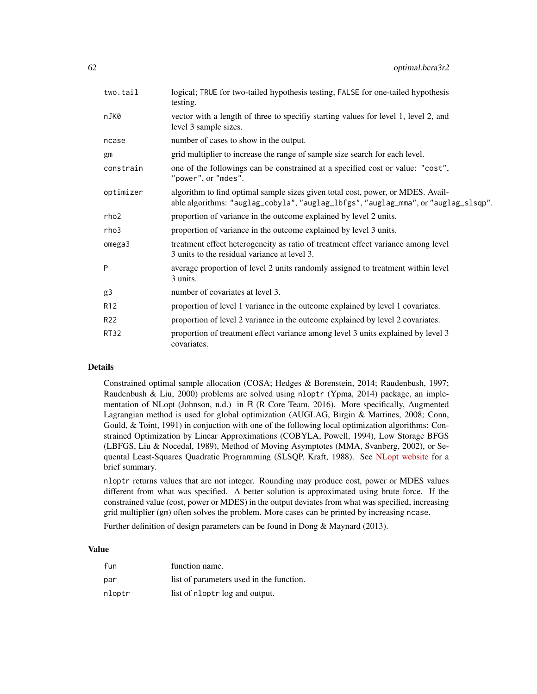| two.tail        | logical; TRUE for two-tailed hypothesis testing, FALSE for one-tailed hypothesis<br>testing.                                                                          |
|-----------------|-----------------------------------------------------------------------------------------------------------------------------------------------------------------------|
| nJK0            | vector with a length of three to specifiy starting values for level 1, level 2, and<br>level 3 sample sizes.                                                          |
| ncase           | number of cases to show in the output.                                                                                                                                |
| gm              | grid multiplier to increase the range of sample size search for each level.                                                                                           |
| constrain       | one of the followings can be constrained at a specified cost or value: "cost",<br>"power", or "mdes".                                                                 |
| optimizer       | algorithm to find optimal sample sizes given total cost, power, or MDES. Avail-<br>able algorithms: "auglag_cobyla", "auglag_lbfgs", "auglag_mma", or "auglag_slsqp". |
| rho2            | proportion of variance in the outcome explained by level 2 units.                                                                                                     |
| rho3            | proportion of variance in the outcome explained by level 3 units.                                                                                                     |
| omega3          | treatment effect heterogeneity as ratio of treatment effect variance among level<br>3 units to the residual variance at level 3.                                      |
| P               | average proportion of level 2 units randomly assigned to treatment within level<br>3 units.                                                                           |
| g3              | number of covariates at level 3.                                                                                                                                      |
| R <sub>12</sub> | proportion of level 1 variance in the outcome explained by level 1 covariates.                                                                                        |
| R <sub>22</sub> | proportion of level 2 variance in the outcome explained by level 2 covariates.                                                                                        |
| <b>RT32</b>     | proportion of treatment effect variance among level 3 units explained by level 3<br>covariates.                                                                       |

Constrained optimal sample allocation (COSA; Hedges & Borenstein, 2014; Raudenbush, 1997; Raudenbush & Liu, 2000) problems are solved using nloptr (Ypma, 2014) package, an implementation of NLopt (Johnson, n.d.) in R (R Core Team, 2016). More specifically, Augmented Lagrangian method is used for global optimization (AUGLAG, Birgin & Martines, 2008; Conn, Gould, & Toint, 1991) in conjuction with one of the following local optimization algorithms: Constrained Optimization by Linear Approximations (COBYLA, Powell, 1994), Low Storage BFGS (LBFGS, Liu & Nocedal, 1989), Method of Moving Asymptotes (MMA, Svanberg, 2002), or Sequental Least-Squares Quadratic Programming (SLSQP, Kraft, 1988). See [NLopt website](http://ab-initio.mit.edu/wiki/index.php/NLopt_Algorithms) for a brief summary.

nloptr returns values that are not integer. Rounding may produce cost, power or MDES values different from what was specified. A better solution is approximated using brute force. If the constrained value (cost, power or MDES) in the output deviates from what was specified, increasing grid multiplier (gm) often solves the problem. More cases can be printed by increasing ncase.

Further definition of design parameters can be found in Dong & Maynard (2013).

## Value

| fun    | function name.                           |
|--------|------------------------------------------|
| par    | list of parameters used in the function. |
| nloptr | list of nloptr log and output.           |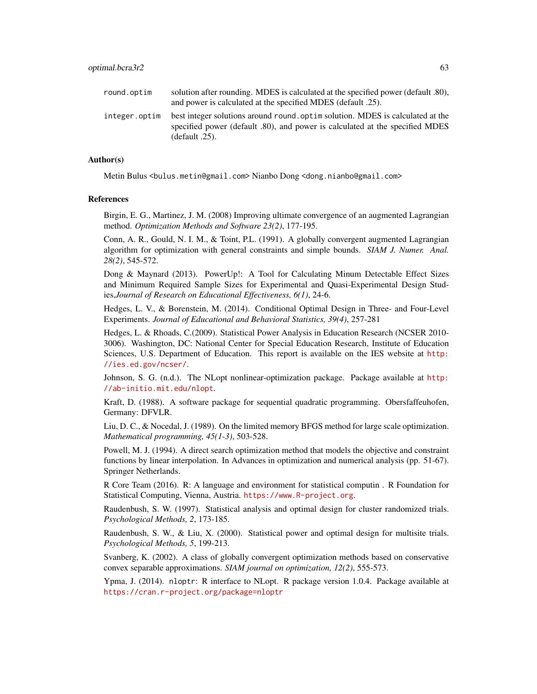| round.optim   | solution after rounding. MDES is calculated at the specified power (default .80),<br>and power is calculated at the specified MDES (default .25).                                   |
|---------------|-------------------------------------------------------------------------------------------------------------------------------------------------------------------------------------|
| integer.optim | best integer solutions around round, optim solution. MDES is calculated at the<br>specified power (default .80), and power is calculated at the specified MDES<br>(default $.25$ ). |

### Author(s)

Metin Bulus <bulus.metin@gmail.com> Nianbo Dong <dong.nianbo@gmail.com>

#### References

Birgin, E. G., Martinez, J. M. (2008) Improving ultimate convergence of an augmented Lagrangian method. *Optimization Methods and Software 23(2)*, 177-195.

Conn, A. R., Gould, N. I. M., & Toint, P.L. (1991). A globally convergent augmented Lagrangian algorithm for optimization with general constraints and simple bounds. *SIAM J. Numer. Anal. 28(2)*, 545-572.

Dong & Maynard (2013). PowerUp!: A Tool for Calculating Minum Detectable Effect Sizes and Minimum Required Sample Sizes for Experimental and Quasi-Experimental Design Studies,*Journal of Research on Educational Effectiveness, 6(1)*, 24-6.

Hedges, L. V., & Borenstein, M. (2014). Conditional Optimal Design in Three- and Four-Level Experiments. *Journal of Educational and Behavioral Statistics, 39(4)*, 257-281

Hedges, L. & Rhoads, C.(2009). Statistical Power Analysis in Education Research (NCSER 2010- 3006). Washington, DC: National Center for Special Education Research, Institute of Education Sciences, U.S. Department of Education. This report is available on the IES website at [http:](http://ies.ed.gov/ncser/) [//ies.ed.gov/ncser/](http://ies.ed.gov/ncser/).

Johnson, S. G. (n.d.). The NLopt nonlinear-optimization package. Package available at [http:](http://ab-initio.mit.edu/nlopt) [//ab-initio.mit.edu/nlopt](http://ab-initio.mit.edu/nlopt).

Kraft, D. (1988). A software package for sequential quadratic programming. Obersfaffeuhofen, Germany: DFVLR.

Liu, D. C., & Nocedal, J. (1989). On the limited memory BFGS method for large scale optimization. *Mathematical programming, 45(1-3)*, 503-528.

Powell, M. J. (1994). A direct search optimization method that models the objective and constraint functions by linear interpolation. In Advances in optimization and numerical analysis (pp. 51-67). Springer Netherlands.

R Core Team (2016). R: A language and environment for statistical computin . R Foundation for Statistical Computing, Vienna, Austria. <https://www.R-project.org>.

Raudenbush, S. W. (1997). Statistical analysis and optimal design for cluster randomized trials. *Psychological Methods, 2*, 173-185.

Raudenbush, S. W., & Liu, X. (2000). Statistical power and optimal design for multisite trials. *Psychological Methods, 5*, 199-213.

Svanberg, K. (2002). A class of globally convergent optimization methods based on conservative convex separable approximations. *SIAM journal on optimization, 12(2)*, 555-573.

Ypma, J. (2014). nloptr: R interface to NLopt. R package version 1.0.4. Package available at <https://cran.r-project.org/package=nloptr>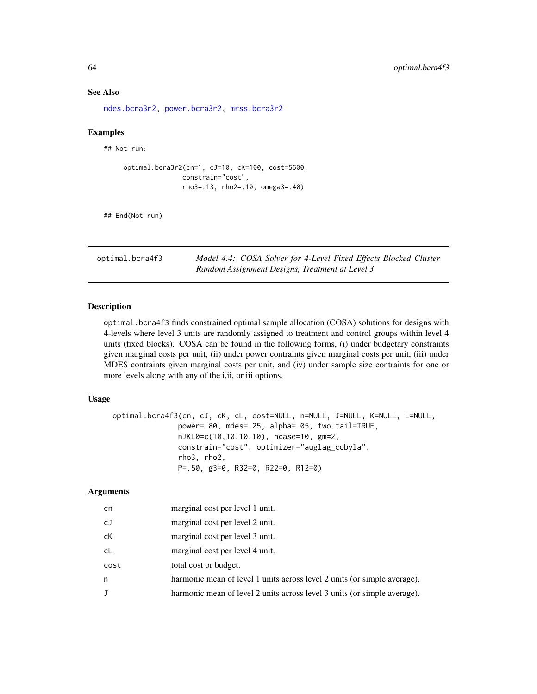#### See Also

[mdes.bcra3r2,](#page-6-0) [power.bcra3r2,](#page-104-0) [mrss.bcra3r2](#page-30-0)

### Examples

## Not run:

```
optimal.bcra3r2(cn=1, cJ=10, cK=100, cost=5600,
              constrain="cost",
               rho3=.13, rho2=.10, omega3=.40)
```
## End(Not run)

optimal.bcra4f3 *Model 4.4: COSA Solver for 4-Level Fixed Effects Blocked Cluster Random Assignment Designs, Treatment at Level 3*

### Description

optimal.bcra4f3 finds constrained optimal sample allocation (COSA) solutions for designs with 4-levels where level 3 units are randomly assigned to treatment and control groups within level 4 units (fixed blocks). COSA can be found in the following forms, (i) under budgetary constraints given marginal costs per unit, (ii) under power contraints given marginal costs per unit, (iii) under MDES contraints given marginal costs per unit, and (iv) under sample size contraints for one or more levels along with any of the i,ii, or iii options.

### Usage

```
optimal.bcra4f3(cn, cJ, cK, cL, cost=NULL, n=NULL, J=NULL, K=NULL, L=NULL,
              power=.80, mdes=.25, alpha=.05, two.tail=TRUE,
              nJKL0=c(10,10,10,10), ncase=10, gm=2,
              constrain="cost", optimizer="auglag_cobyla",
              rho3, rho2,
              P=.50, g3=0, R32=0, R22=0, R12=0)
```

| cn   | marginal cost per level 1 unit.                                          |
|------|--------------------------------------------------------------------------|
| cJ   | marginal cost per level 2 unit.                                          |
| сK   | marginal cost per level 3 unit.                                          |
| cL   | marginal cost per level 4 unit.                                          |
| cost | total cost or budget.                                                    |
| n    | harmonic mean of level 1 units across level 2 units (or simple average). |
| J    | harmonic mean of level 2 units across level 3 units (or simple average). |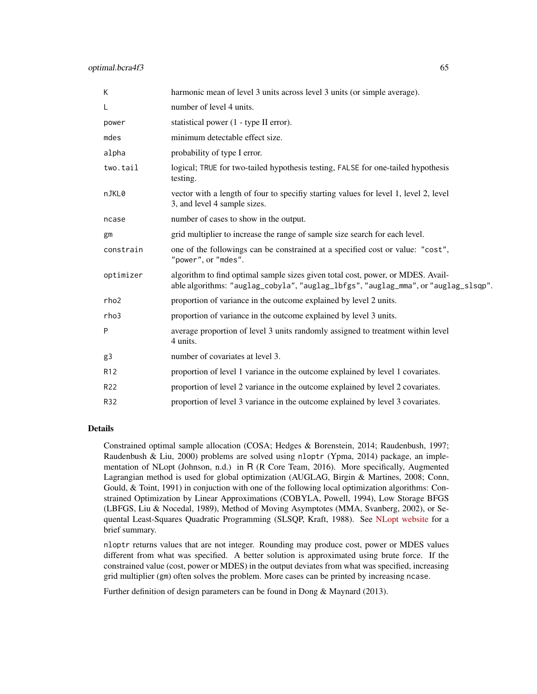| K               | harmonic mean of level 3 units across level 3 units (or simple average).                                                                                              |
|-----------------|-----------------------------------------------------------------------------------------------------------------------------------------------------------------------|
| L               | number of level 4 units.                                                                                                                                              |
| power           | statistical power (1 - type II error).                                                                                                                                |
| mdes            | minimum detectable effect size.                                                                                                                                       |
| alpha           | probability of type I error.                                                                                                                                          |
| two.tail        | logical; TRUE for two-tailed hypothesis testing, FALSE for one-tailed hypothesis<br>testing.                                                                          |
| nJKL0           | vector with a length of four to specifiy starting values for level 1, level 2, level<br>3, and level 4 sample sizes.                                                  |
| ncase           | number of cases to show in the output.                                                                                                                                |
| gm              | grid multiplier to increase the range of sample size search for each level.                                                                                           |
| constrain       | one of the followings can be constrained at a specified cost or value: "cost",<br>"power", or "mdes".                                                                 |
| optimizer       | algorithm to find optimal sample sizes given total cost, power, or MDES. Avail-<br>able algorithms: "auglag_cobyla", "auglag_lbfgs", "auglag_mma", or "auglag_slsqp". |
| rho2            | proportion of variance in the outcome explained by level 2 units.                                                                                                     |
| rho3            | proportion of variance in the outcome explained by level 3 units.                                                                                                     |
| P               | average proportion of level 3 units randomly assigned to treatment within level<br>4 units.                                                                           |
| g3              | number of covariates at level 3.                                                                                                                                      |
| R <sub>12</sub> | proportion of level 1 variance in the outcome explained by level 1 covariates.                                                                                        |
| R22             | proportion of level 2 variance in the outcome explained by level 2 covariates.                                                                                        |
| R32             | proportion of level 3 variance in the outcome explained by level 3 covariates.                                                                                        |

Constrained optimal sample allocation (COSA; Hedges & Borenstein, 2014; Raudenbush, 1997; Raudenbush & Liu, 2000) problems are solved using nloptr (Ypma, 2014) package, an implementation of NLopt (Johnson, n.d.) in R (R Core Team, 2016). More specifically, Augmented Lagrangian method is used for global optimization (AUGLAG, Birgin & Martines, 2008; Conn, Gould, & Toint, 1991) in conjuction with one of the following local optimization algorithms: Constrained Optimization by Linear Approximations (COBYLA, Powell, 1994), Low Storage BFGS (LBFGS, Liu & Nocedal, 1989), Method of Moving Asymptotes (MMA, Svanberg, 2002), or Sequental Least-Squares Quadratic Programming (SLSQP, Kraft, 1988). See [NLopt website](http://ab-initio.mit.edu/wiki/index.php/NLopt_Algorithms) for a brief summary.

nloptr returns values that are not integer. Rounding may produce cost, power or MDES values different from what was specified. A better solution is approximated using brute force. If the constrained value (cost, power or MDES) in the output deviates from what was specified, increasing grid multiplier (gm) often solves the problem. More cases can be printed by increasing ncase.

Further definition of design parameters can be found in Dong & Maynard (2013).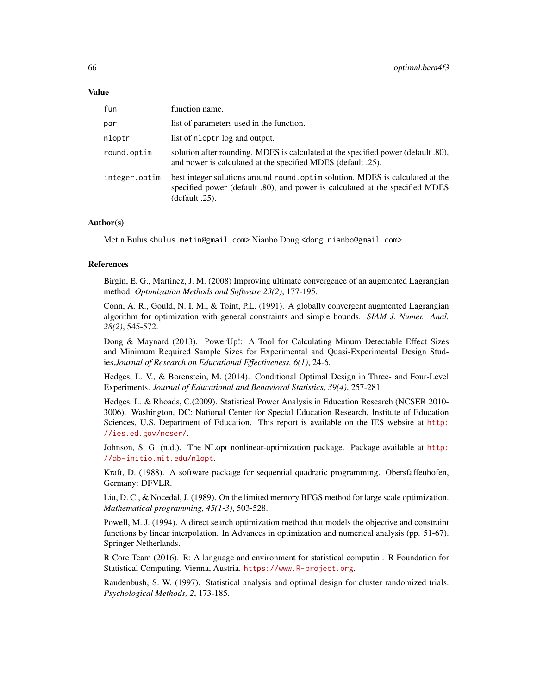#### Value

| fun           | function name.                                                                                                                                                                      |
|---------------|-------------------------------------------------------------------------------------------------------------------------------------------------------------------------------------|
| par           | list of parameters used in the function.                                                                                                                                            |
| nloptr        | list of nloptr log and output.                                                                                                                                                      |
| round.optim   | solution after rounding. MDES is calculated at the specified power (default .80),<br>and power is calculated at the specified MDES (default .25).                                   |
| integer.optim | best integer solutions around round, optim solution. MDES is calculated at the<br>specified power (default .80), and power is calculated at the specified MDES<br>$(default .25)$ . |

### Author(s)

Metin Bulus <bulus.metin@gmail.com> Nianbo Dong <dong.nianbo@gmail.com>

#### References

Birgin, E. G., Martinez, J. M. (2008) Improving ultimate convergence of an augmented Lagrangian method. *Optimization Methods and Software 23(2)*, 177-195.

Conn, A. R., Gould, N. I. M., & Toint, P.L. (1991). A globally convergent augmented Lagrangian algorithm for optimization with general constraints and simple bounds. *SIAM J. Numer. Anal. 28(2)*, 545-572.

Dong & Maynard (2013). PowerUp!: A Tool for Calculating Minum Detectable Effect Sizes and Minimum Required Sample Sizes for Experimental and Quasi-Experimental Design Studies,*Journal of Research on Educational Effectiveness, 6(1)*, 24-6.

Hedges, L. V., & Borenstein, M. (2014). Conditional Optimal Design in Three- and Four-Level Experiments. *Journal of Educational and Behavioral Statistics, 39(4)*, 257-281

Hedges, L. & Rhoads, C.(2009). Statistical Power Analysis in Education Research (NCSER 2010- 3006). Washington, DC: National Center for Special Education Research, Institute of Education Sciences, U.S. Department of Education. This report is available on the IES website at [http:](http://ies.ed.gov/ncser/) [//ies.ed.gov/ncser/](http://ies.ed.gov/ncser/).

Johnson, S. G. (n.d.). The NLopt nonlinear-optimization package. Package available at [http:](http://ab-initio.mit.edu/nlopt) [//ab-initio.mit.edu/nlopt](http://ab-initio.mit.edu/nlopt).

Kraft, D. (1988). A software package for sequential quadratic programming. Obersfaffeuhofen, Germany: DFVLR.

Liu, D. C., & Nocedal, J. (1989). On the limited memory BFGS method for large scale optimization. *Mathematical programming, 45(1-3)*, 503-528.

Powell, M. J. (1994). A direct search optimization method that models the objective and constraint functions by linear interpolation. In Advances in optimization and numerical analysis (pp. 51-67). Springer Netherlands.

R Core Team (2016). R: A language and environment for statistical computin . R Foundation for Statistical Computing, Vienna, Austria. <https://www.R-project.org>.

Raudenbush, S. W. (1997). Statistical analysis and optimal design for cluster randomized trials. *Psychological Methods, 2*, 173-185.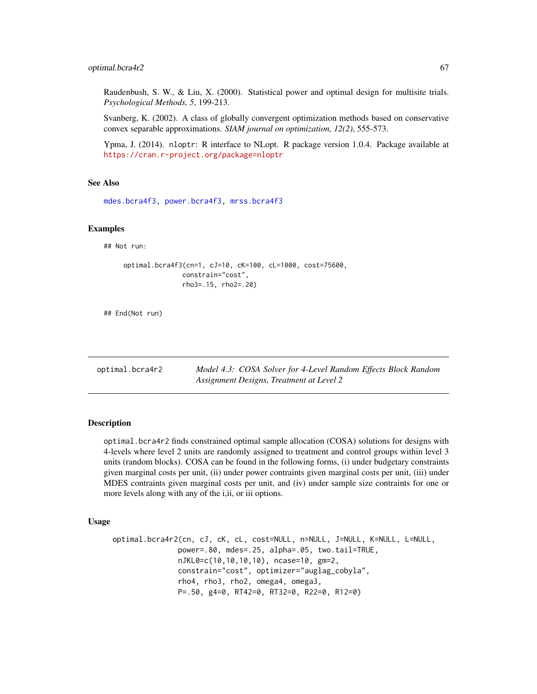Raudenbush, S. W., & Liu, X. (2000). Statistical power and optimal design for multisite trials. *Psychological Methods, 5*, 199-213.

Svanberg, K. (2002). A class of globally convergent optimization methods based on conservative convex separable approximations. *SIAM journal on optimization, 12(2)*, 555-573.

Ypma, J. (2014). nloptr: R interface to NLopt. R package version 1.0.4. Package available at <https://cran.r-project.org/package=nloptr>

#### See Also

[mdes.bcra4f3,](#page-8-0) [power.bcra4f3,](#page-106-0) [mrss.bcra4f3](#page-32-0)

### Examples

## Not run:

```
optimal.bcra4f3(cn=1, cJ=10, cK=100, cL=1000, cost=75600,
               constrain="cost",
               rho3=.15, rho2=.20)
```
## End(Not run)

optimal.bcra4r2 *Model 4.3: COSA Solver for 4-Level Random Effects Block Random Assignment Designs, Treatment at Level 2*

#### Description

optimal.bcra4r2 finds constrained optimal sample allocation (COSA) solutions for designs with 4-levels where level 2 units are randomly assigned to treatment and control groups within level 3 units (random blocks). COSA can be found in the following forms, (i) under budgetary constraints given marginal costs per unit, (ii) under power contraints given marginal costs per unit, (iii) under MDES contraints given marginal costs per unit, and (iv) under sample size contraints for one or more levels along with any of the i,ii, or iii options.

### Usage

```
optimal.bcra4r2(cn, cJ, cK, cL, cost=NULL, n=NULL, J=NULL, K=NULL, L=NULL,
               power=.80, mdes=.25, alpha=.05, two.tail=TRUE,
               nJKL0=c(10,10,10,10), ncase=10, gm=2,
               constrain="cost", optimizer="auglag_cobyla",
               rho4, rho3, rho2, omega4, omega3,
               P=.50, g4=0, RT42=0, RT32=0, R22=0, R12=0)
```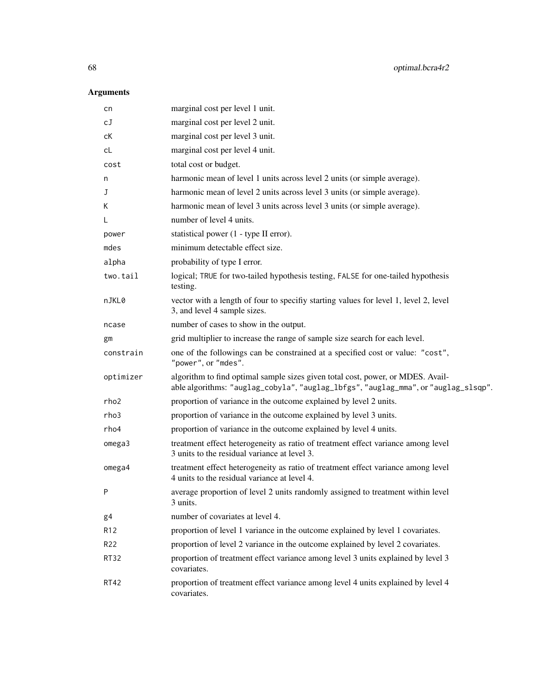| cn              | marginal cost per level 1 unit.                                                                                                                                       |
|-----------------|-----------------------------------------------------------------------------------------------------------------------------------------------------------------------|
| сJ              | marginal cost per level 2 unit.                                                                                                                                       |
| сK              | marginal cost per level 3 unit.                                                                                                                                       |
| cL              | marginal cost per level 4 unit.                                                                                                                                       |
| cost            | total cost or budget.                                                                                                                                                 |
| n               | harmonic mean of level 1 units across level 2 units (or simple average).                                                                                              |
| J               | harmonic mean of level 2 units across level 3 units (or simple average).                                                                                              |
| К               | harmonic mean of level 3 units across level 3 units (or simple average).                                                                                              |
| L               | number of level 4 units.                                                                                                                                              |
| power           | statistical power (1 - type II error).                                                                                                                                |
| mdes            | minimum detectable effect size.                                                                                                                                       |
| alpha           | probability of type I error.                                                                                                                                          |
| two.tail        | logical; TRUE for two-tailed hypothesis testing, FALSE for one-tailed hypothesis<br>testing.                                                                          |
| nJKL0           | vector with a length of four to specifiy starting values for level 1, level 2, level<br>3, and level 4 sample sizes.                                                  |
| ncase           | number of cases to show in the output.                                                                                                                                |
| gm              | grid multiplier to increase the range of sample size search for each level.                                                                                           |
| constrain       | one of the followings can be constrained at a specified cost or value: "cost",<br>"power", or "mdes".                                                                 |
| optimizer       | algorithm to find optimal sample sizes given total cost, power, or MDES. Avail-<br>able algorithms: "auglag_cobyla", "auglag_lbfgs", "auglag_mma", or "auglag_slsqp". |
| rho2            | proportion of variance in the outcome explained by level 2 units.                                                                                                     |
| rho3            | proportion of variance in the outcome explained by level 3 units.                                                                                                     |
| rho4            | proportion of variance in the outcome explained by level 4 units.                                                                                                     |
| omega3          | treatment effect heterogeneity as ratio of treatment effect variance among level<br>3 units to the residual variance at level 3.                                      |
| omega4          | treatment effect heterogeneity as ratio of treatment effect variance among level<br>4 units to the residual variance at level 4.                                      |
| P               | average proportion of level 2 units randomly assigned to treatment within level<br>3 units.                                                                           |
| g4              | number of covariates at level 4.                                                                                                                                      |
| R12             | proportion of level 1 variance in the outcome explained by level 1 covariates.                                                                                        |
| R <sub>22</sub> | proportion of level 2 variance in the outcome explained by level 2 covariates.                                                                                        |
| <b>RT32</b>     | proportion of treatment effect variance among level 3 units explained by level 3<br>covariates.                                                                       |
| RT42            | proportion of treatment effect variance among level 4 units explained by level 4<br>covariates.                                                                       |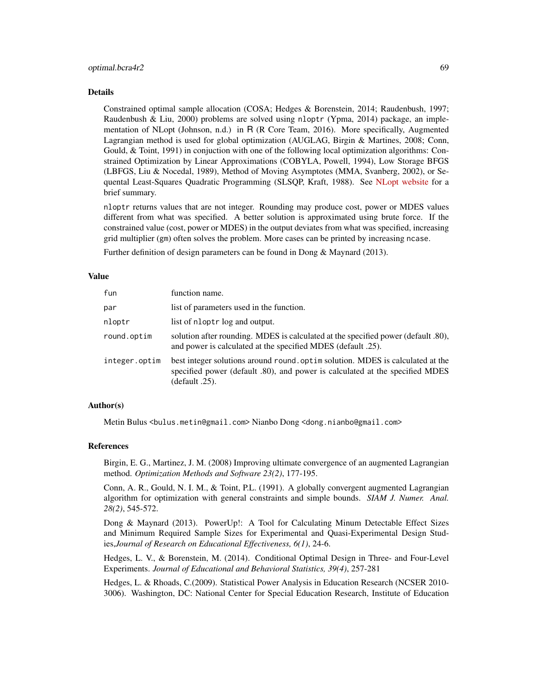Constrained optimal sample allocation (COSA; Hedges & Borenstein, 2014; Raudenbush, 1997; Raudenbush & Liu, 2000) problems are solved using nloptr (Ypma, 2014) package, an implementation of NLopt (Johnson, n.d.) in R (R Core Team, 2016). More specifically, Augmented Lagrangian method is used for global optimization (AUGLAG, Birgin & Martines, 2008; Conn, Gould, & Toint, 1991) in conjuction with one of the following local optimization algorithms: Constrained Optimization by Linear Approximations (COBYLA, Powell, 1994), Low Storage BFGS (LBFGS, Liu & Nocedal, 1989), Method of Moving Asymptotes (MMA, Svanberg, 2002), or Sequental Least-Squares Quadratic Programming (SLSQP, Kraft, 1988). See [NLopt website](http://ab-initio.mit.edu/wiki/index.php/NLopt_Algorithms) for a brief summary.

nloptr returns values that are not integer. Rounding may produce cost, power or MDES values different from what was specified. A better solution is approximated using brute force. If the constrained value (cost, power or MDES) in the output deviates from what was specified, increasing grid multiplier (gm) often solves the problem. More cases can be printed by increasing ncase.

Further definition of design parameters can be found in Dong & Maynard (2013).

#### Value

| fun           | function name.                                                                                                                                                                  |
|---------------|---------------------------------------------------------------------------------------------------------------------------------------------------------------------------------|
| par           | list of parameters used in the function.                                                                                                                                        |
| nloptr        | list of nloptr log and output.                                                                                                                                                  |
| round.optim   | solution after rounding. MDES is calculated at the specified power (default .80),<br>and power is calculated at the specified MDES (default .25).                               |
| integer.optim | best integer solutions around round optim solution. MDES is calculated at the<br>specified power (default .80), and power is calculated at the specified MDES<br>(default .25). |

### Author(s)

Metin Bulus <bulus.metin@gmail.com> Nianbo Dong <dong.nianbo@gmail.com>

#### **References**

Birgin, E. G., Martinez, J. M. (2008) Improving ultimate convergence of an augmented Lagrangian method. *Optimization Methods and Software 23(2)*, 177-195.

Conn, A. R., Gould, N. I. M., & Toint, P.L. (1991). A globally convergent augmented Lagrangian algorithm for optimization with general constraints and simple bounds. *SIAM J. Numer. Anal. 28(2)*, 545-572.

Dong & Maynard (2013). PowerUp!: A Tool for Calculating Minum Detectable Effect Sizes and Minimum Required Sample Sizes for Experimental and Quasi-Experimental Design Studies,*Journal of Research on Educational Effectiveness, 6(1)*, 24-6.

Hedges, L. V., & Borenstein, M. (2014). Conditional Optimal Design in Three- and Four-Level Experiments. *Journal of Educational and Behavioral Statistics, 39(4)*, 257-281

Hedges, L. & Rhoads, C.(2009). Statistical Power Analysis in Education Research (NCSER 2010- 3006). Washington, DC: National Center for Special Education Research, Institute of Education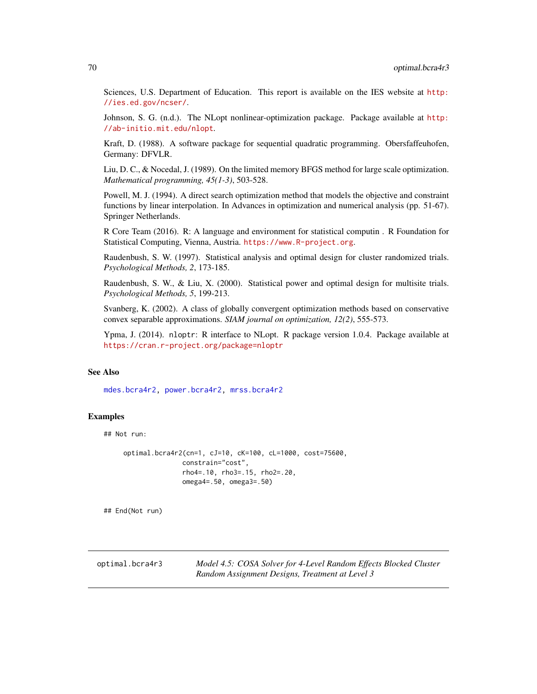Sciences, U.S. Department of Education. This report is available on the IES website at [http:](http://ies.ed.gov/ncser/) [//ies.ed.gov/ncser/](http://ies.ed.gov/ncser/).

Johnson, S. G. (n.d.). The NLopt nonlinear-optimization package. Package available at [http:](http://ab-initio.mit.edu/nlopt) [//ab-initio.mit.edu/nlopt](http://ab-initio.mit.edu/nlopt).

Kraft, D. (1988). A software package for sequential quadratic programming. Obersfaffeuhofen, Germany: DFVLR.

Liu, D. C., & Nocedal, J. (1989). On the limited memory BFGS method for large scale optimization. *Mathematical programming, 45(1-3)*, 503-528.

Powell, M. J. (1994). A direct search optimization method that models the objective and constraint functions by linear interpolation. In Advances in optimization and numerical analysis (pp. 51-67). Springer Netherlands.

R Core Team (2016). R: A language and environment for statistical computin . R Foundation for Statistical Computing, Vienna, Austria. <https://www.R-project.org>.

Raudenbush, S. W. (1997). Statistical analysis and optimal design for cluster randomized trials. *Psychological Methods, 2*, 173-185.

Raudenbush, S. W., & Liu, X. (2000). Statistical power and optimal design for multisite trials. *Psychological Methods, 5*, 199-213.

Svanberg, K. (2002). A class of globally convergent optimization methods based on conservative convex separable approximations. *SIAM journal on optimization, 12(2)*, 555-573.

Ypma, J. (2014). nloptr: R interface to NLopt. R package version 1.0.4. Package available at <https://cran.r-project.org/package=nloptr>

## See Also

[mdes.bcra4r2,](#page-9-0) [power.bcra4r2,](#page-107-0) [mrss.bcra4r2](#page-34-0)

### **Examples**

## Not run:

```
optimal.bcra4r2(cn=1, cJ=10, cK=100, cL=1000, cost=75600,
               constrain="cost",
               rho4=.10, rho3=.15, rho2=.20,
               omega4=.50, omega3=.50)
```
## End(Not run)

<span id="page-69-0"></span>optimal.bcra4r3 *Model 4.5: COSA Solver for 4-Level Random Effects Blocked Cluster Random Assignment Designs, Treatment at Level 3*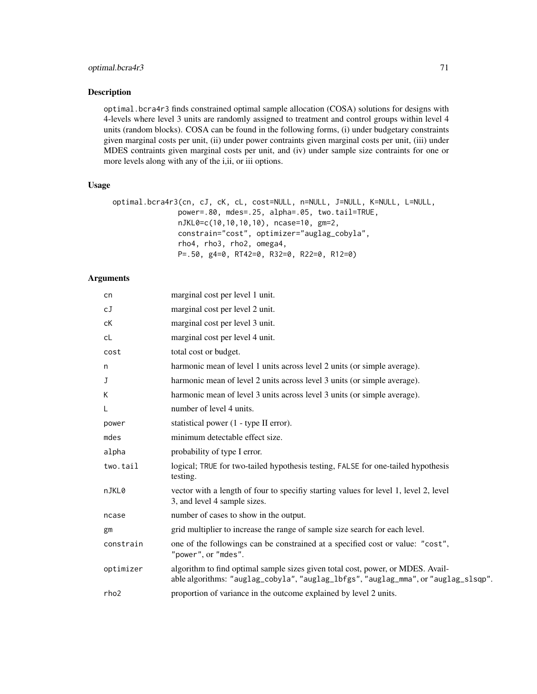## optimal.bcra4r3 71

#### Description

optimal.bcra4r3 finds constrained optimal sample allocation (COSA) solutions for designs with 4-levels where level 3 units are randomly assigned to treatment and control groups within level 4 units (random blocks). COSA can be found in the following forms, (i) under budgetary constraints given marginal costs per unit, (ii) under power contraints given marginal costs per unit, (iii) under MDES contraints given marginal costs per unit, and (iv) under sample size contraints for one or more levels along with any of the i,ii, or iii options.

#### Usage

```
optimal.bcra4r3(cn, cJ, cK, cL, cost=NULL, n=NULL, J=NULL, K=NULL, L=NULL,
               power=.80, mdes=.25, alpha=.05, two.tail=TRUE,
               nJKL0=c(10,10,10,10), ncase=10, gm=2,
               constrain="cost", optimizer="auglag_cobyla",
               rho4, rho3, rho2, omega4,
               P=.50, g4=0, RT42=0, R32=0, R22=0, R12=0)
```

| cn               | marginal cost per level 1 unit.                                                                                                                                       |
|------------------|-----------------------------------------------------------------------------------------------------------------------------------------------------------------------|
| сJ               | marginal cost per level 2 unit.                                                                                                                                       |
| сK               | marginal cost per level 3 unit.                                                                                                                                       |
| cL               | marginal cost per level 4 unit.                                                                                                                                       |
| cost             | total cost or budget.                                                                                                                                                 |
| n                | harmonic mean of level 1 units across level 2 units (or simple average).                                                                                              |
| J                | harmonic mean of level 2 units across level 3 units (or simple average).                                                                                              |
| K                | harmonic mean of level 3 units across level 3 units (or simple average).                                                                                              |
| L                | number of level 4 units.                                                                                                                                              |
| power            | statistical power (1 - type II error).                                                                                                                                |
| mdes             | minimum detectable effect size.                                                                                                                                       |
| alpha            | probability of type I error.                                                                                                                                          |
| two.tail         | logical; TRUE for two-tailed hypothesis testing, FALSE for one-tailed hypothesis<br>testing.                                                                          |
| nJKL0            | vector with a length of four to specifiv starting values for level 1, level 2, level<br>3, and level 4 sample sizes.                                                  |
| ncase            | number of cases to show in the output.                                                                                                                                |
| gm               | grid multiplier to increase the range of sample size search for each level.                                                                                           |
| constrain        | one of the followings can be constrained at a specified cost or value: "cost",<br>"power", or "mdes".                                                                 |
| optimizer        | algorithm to find optimal sample sizes given total cost, power, or MDES. Avail-<br>able algorithms: "auglag_cobyla", "auglag_lbfgs", "auglag_mma", or "auglag_slsqp". |
| rho <sub>2</sub> | proportion of variance in the outcome explained by level 2 units.                                                                                                     |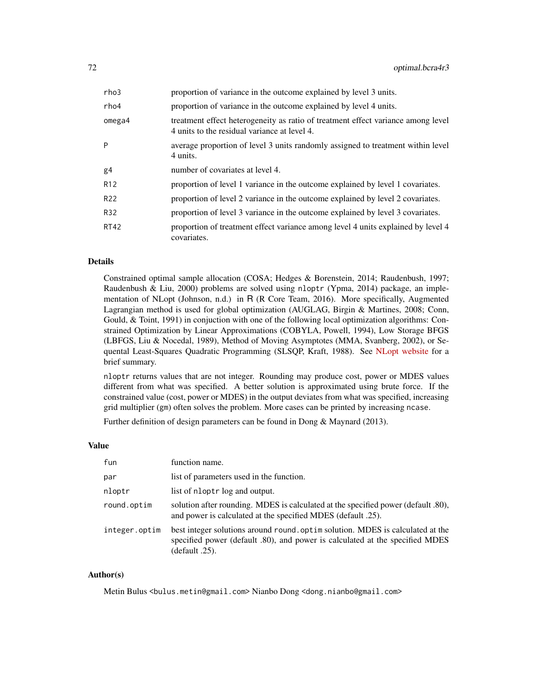| rho3            | proportion of variance in the outcome explained by level 3 units.                                                                |
|-----------------|----------------------------------------------------------------------------------------------------------------------------------|
| rho4            | proportion of variance in the outcome explained by level 4 units.                                                                |
| omega4          | treatment effect heterogeneity as ratio of treatment effect variance among level<br>4 units to the residual variance at level 4. |
| P               | average proportion of level 3 units randomly assigned to treatment within level<br>4 units.                                      |
| g4              | number of covariates at level 4.                                                                                                 |
| R <sub>12</sub> | proportion of level 1 variance in the outcome explained by level 1 covariates.                                                   |
| R22             | proportion of level 2 variance in the outcome explained by level 2 covariates.                                                   |
| R32             | proportion of level 3 variance in the outcome explained by level 3 covariates.                                                   |
| RT42            | proportion of treatment effect variance among level 4 units explained by level 4<br>covariates.                                  |

Constrained optimal sample allocation (COSA; Hedges & Borenstein, 2014; Raudenbush, 1997; Raudenbush & Liu, 2000) problems are solved using nloptr (Ypma, 2014) package, an implementation of NLopt (Johnson, n.d.) in R (R Core Team, 2016). More specifically, Augmented Lagrangian method is used for global optimization (AUGLAG, Birgin & Martines, 2008; Conn, Gould, & Toint, 1991) in conjuction with one of the following local optimization algorithms: Constrained Optimization by Linear Approximations (COBYLA, Powell, 1994), Low Storage BFGS (LBFGS, Liu & Nocedal, 1989), Method of Moving Asymptotes (MMA, Svanberg, 2002), or Sequental Least-Squares Quadratic Programming (SLSQP, Kraft, 1988). See [NLopt website](http://ab-initio.mit.edu/wiki/index.php/NLopt_Algorithms) for a brief summary.

nloptr returns values that are not integer. Rounding may produce cost, power or MDES values different from what was specified. A better solution is approximated using brute force. If the constrained value (cost, power or MDES) in the output deviates from what was specified, increasing grid multiplier (gm) often solves the problem. More cases can be printed by increasing ncase.

Further definition of design parameters can be found in Dong & Maynard (2013).

#### Value

| fun           | function name.                                                                                                                                                                  |
|---------------|---------------------------------------------------------------------------------------------------------------------------------------------------------------------------------|
| par           | list of parameters used in the function.                                                                                                                                        |
| nloptr        | list of nloptr log and output.                                                                                                                                                  |
| round.optim   | solution after rounding. MDES is calculated at the specified power (default .80),<br>and power is calculated at the specified MDES (default .25).                               |
| integer.optim | best integer solutions around round optim solution. MDES is calculated at the<br>specified power (default .80), and power is calculated at the specified MDES<br>(default .25). |

### Author(s)

Metin Bulus <bulus.metin@gmail.com> Nianbo Dong <dong.nianbo@gmail.com>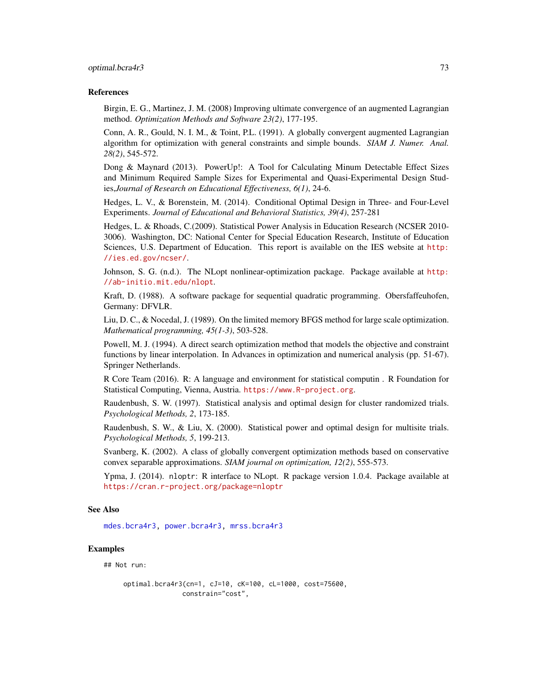#### optimal.bcra4r3 73

#### References

Birgin, E. G., Martinez, J. M. (2008) Improving ultimate convergence of an augmented Lagrangian method. *Optimization Methods and Software 23(2)*, 177-195.

Conn, A. R., Gould, N. I. M., & Toint, P.L. (1991). A globally convergent augmented Lagrangian algorithm for optimization with general constraints and simple bounds. *SIAM J. Numer. Anal. 28(2)*, 545-572.

Dong & Maynard (2013). PowerUp!: A Tool for Calculating Minum Detectable Effect Sizes and Minimum Required Sample Sizes for Experimental and Quasi-Experimental Design Studies,*Journal of Research on Educational Effectiveness, 6(1)*, 24-6.

Hedges, L. V., & Borenstein, M. (2014). Conditional Optimal Design in Three- and Four-Level Experiments. *Journal of Educational and Behavioral Statistics, 39(4)*, 257-281

Hedges, L. & Rhoads, C.(2009). Statistical Power Analysis in Education Research (NCSER 2010- 3006). Washington, DC: National Center for Special Education Research, Institute of Education Sciences, U.S. Department of Education. This report is available on the IES website at [http:](http://ies.ed.gov/ncser/) [//ies.ed.gov/ncser/](http://ies.ed.gov/ncser/).

Johnson, S. G. (n.d.). The NLopt nonlinear-optimization package. Package available at [http:](http://ab-initio.mit.edu/nlopt) [//ab-initio.mit.edu/nlopt](http://ab-initio.mit.edu/nlopt).

Kraft, D. (1988). A software package for sequential quadratic programming. Obersfaffeuhofen, Germany: DFVLR.

Liu, D. C., & Nocedal, J. (1989). On the limited memory BFGS method for large scale optimization. *Mathematical programming, 45(1-3)*, 503-528.

Powell, M. J. (1994). A direct search optimization method that models the objective and constraint functions by linear interpolation. In Advances in optimization and numerical analysis (pp. 51-67). Springer Netherlands.

R Core Team (2016). R: A language and environment for statistical computin . R Foundation for Statistical Computing, Vienna, Austria. <https://www.R-project.org>.

Raudenbush, S. W. (1997). Statistical analysis and optimal design for cluster randomized trials. *Psychological Methods, 2*, 173-185.

Raudenbush, S. W., & Liu, X. (2000). Statistical power and optimal design for multisite trials. *Psychological Methods, 5*, 199-213.

Svanberg, K. (2002). A class of globally convergent optimization methods based on conservative convex separable approximations. *SIAM journal on optimization, 12(2)*, 555-573.

Ypma, J. (2014). nloptr: R interface to NLopt. R package version 1.0.4. Package available at <https://cran.r-project.org/package=nloptr>

## See Also

[mdes.bcra4r3,](#page-11-0) [power.bcra4r3,](#page-109-0) [mrss.bcra4r3](#page-36-0)

## Examples

## Not run:

```
optimal.bcra4r3(cn=1, cJ=10, cK=100, cL=1000, cost=75600,
               constrain="cost",
```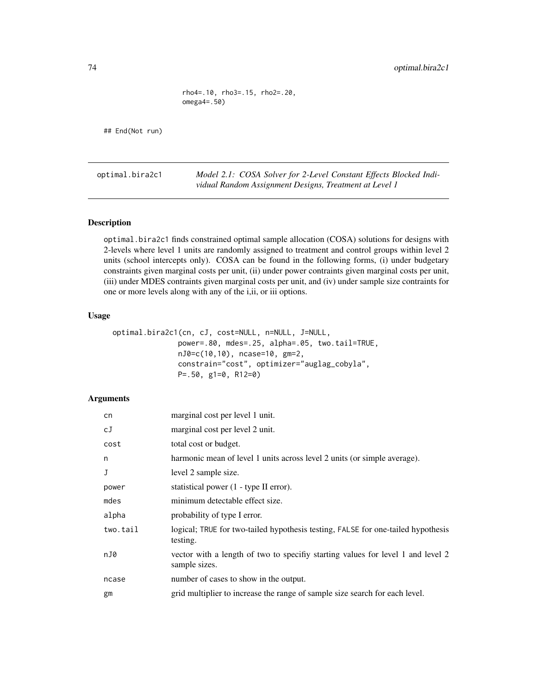rho4=.10, rho3=.15, rho2=.20, omega4=.50)

## End(Not run)

optimal.bira2c1 *Model 2.1: COSA Solver for 2-Level Constant Effects Blocked Individual Random Assignment Designs, Treatment at Level 1*

# Description

optimal.bira2c1 finds constrained optimal sample allocation (COSA) solutions for designs with 2-levels where level 1 units are randomly assigned to treatment and control groups within level 2 units (school intercepts only). COSA can be found in the following forms, (i) under budgetary constraints given marginal costs per unit, (ii) under power contraints given marginal costs per unit, (iii) under MDES contraints given marginal costs per unit, and (iv) under sample size contraints for one or more levels along with any of the i,ii, or iii options.

# Usage

| optimal.bira2c1(cn, cJ, cost=NULL, n=NULL, J=NULL, |
|----------------------------------------------------|
| power=.80, mdes=.25, alpha=.05, two.tail=TRUE,     |
| $nJ0=c(10,10)$ , $ncase=10$ , $gm=2$ ,             |
| constrain="cost", optimizer="auglag_cobyla",       |
| $P = .50$ , g1=0, R12=0)                           |

## Arguments

| cn       | marginal cost per level 1 unit.                                                                  |
|----------|--------------------------------------------------------------------------------------------------|
| cJ       | marginal cost per level 2 unit.                                                                  |
| cost     | total cost or budget.                                                                            |
| n        | harmonic mean of level 1 units across level 2 units (or simple average).                         |
| J        | level 2 sample size.                                                                             |
| power    | statistical power (1 - type II error).                                                           |
| mdes     | minimum detectable effect size.                                                                  |
| alpha    | probability of type I error.                                                                     |
| two.tail | logical; TRUE for two-tailed hypothesis testing, FALSE for one-tailed hypothesis<br>testing.     |
| nJ0      | vector with a length of two to specifiy starting values for level 1 and level 2<br>sample sizes. |
| ncase    | number of cases to show in the output.                                                           |
| gm       | grid multiplier to increase the range of sample size search for each level.                      |
|          |                                                                                                  |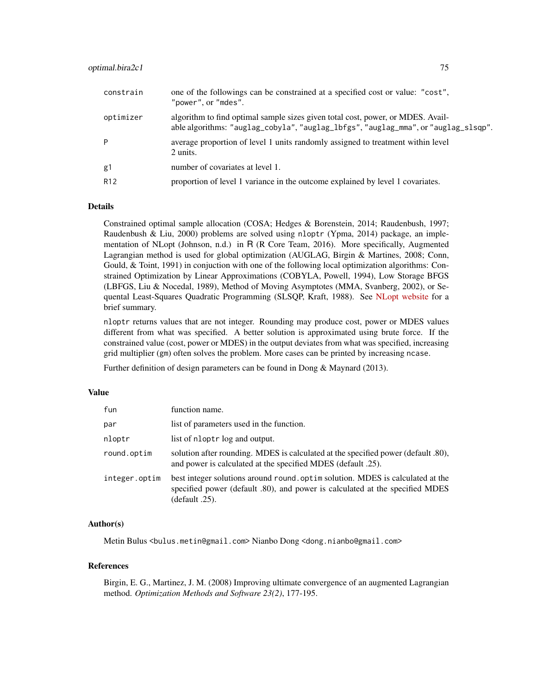| constrain       | one of the followings can be constrained at a specified cost or value: "cost",<br>"power", or "mdes".                                                                 |
|-----------------|-----------------------------------------------------------------------------------------------------------------------------------------------------------------------|
| optimizer       | algorithm to find optimal sample sizes given total cost, power, or MDES. Avail-<br>able algorithms: "auglag_cobyla", "auglag_lbfgs", "auglag_mma", or "auglag_slsqp". |
| P               | average proportion of level 1 units randomly assigned to treatment within level<br>2 units.                                                                           |
| g1              | number of covariates at level 1.                                                                                                                                      |
| R <sub>12</sub> | proportion of level 1 variance in the outcome explained by level 1 covariates.                                                                                        |

# Details

Constrained optimal sample allocation (COSA; Hedges & Borenstein, 2014; Raudenbush, 1997; Raudenbush & Liu, 2000) problems are solved using nloptr (Ypma, 2014) package, an implementation of NLopt (Johnson, n.d.) in R (R Core Team, 2016). More specifically, Augmented Lagrangian method is used for global optimization (AUGLAG, Birgin & Martines, 2008; Conn, Gould, & Toint, 1991) in conjuction with one of the following local optimization algorithms: Constrained Optimization by Linear Approximations (COBYLA, Powell, 1994), Low Storage BFGS (LBFGS, Liu & Nocedal, 1989), Method of Moving Asymptotes (MMA, Svanberg, 2002), or Sequental Least-Squares Quadratic Programming (SLSQP, Kraft, 1988). See [NLopt website](http://ab-initio.mit.edu/wiki/index.php/NLopt_Algorithms) for a brief summary.

nloptr returns values that are not integer. Rounding may produce cost, power or MDES values different from what was specified. A better solution is approximated using brute force. If the constrained value (cost, power or MDES) in the output deviates from what was specified, increasing grid multiplier (gm) often solves the problem. More cases can be printed by increasing ncase.

Further definition of design parameters can be found in Dong & Maynard (2013).

#### Value

| fun           | function name.                                                                                                                                                                     |
|---------------|------------------------------------------------------------------------------------------------------------------------------------------------------------------------------------|
| par           | list of parameters used in the function.                                                                                                                                           |
| nloptr        | list of nloptr log and output.                                                                                                                                                     |
| round.optim   | solution after rounding. MDES is calculated at the specified power (default .80),<br>and power is calculated at the specified MDES (default .25).                                  |
| integer.optim | best integer solutions around round optim solution. MDES is calculated at the<br>specified power (default .80), and power is calculated at the specified MDES<br>$(default .25)$ . |

#### Author(s)

Metin Bulus <bulus.metin@gmail.com> Nianbo Dong <dong.nianbo@gmail.com>

#### References

Birgin, E. G., Martinez, J. M. (2008) Improving ultimate convergence of an augmented Lagrangian method. *Optimization Methods and Software 23(2)*, 177-195.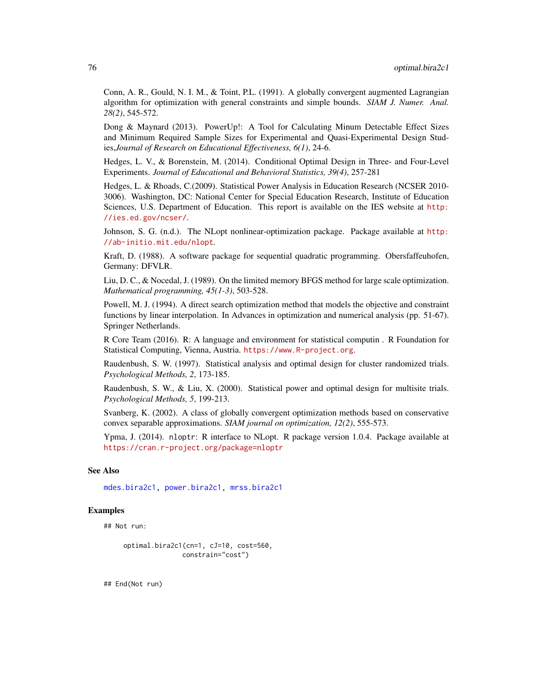Conn, A. R., Gould, N. I. M., & Toint, P.L. (1991). A globally convergent augmented Lagrangian algorithm for optimization with general constraints and simple bounds. *SIAM J. Numer. Anal. 28(2)*, 545-572.

Dong & Maynard (2013). PowerUp!: A Tool for Calculating Minum Detectable Effect Sizes and Minimum Required Sample Sizes for Experimental and Quasi-Experimental Design Studies,*Journal of Research on Educational Effectiveness, 6(1)*, 24-6.

Hedges, L. V., & Borenstein, M. (2014). Conditional Optimal Design in Three- and Four-Level Experiments. *Journal of Educational and Behavioral Statistics, 39(4)*, 257-281

Hedges, L. & Rhoads, C.(2009). Statistical Power Analysis in Education Research (NCSER 2010- 3006). Washington, DC: National Center for Special Education Research, Institute of Education Sciences, U.S. Department of Education. This report is available on the IES website at [http:](http://ies.ed.gov/ncser/) [//ies.ed.gov/ncser/](http://ies.ed.gov/ncser/).

Johnson, S. G. (n.d.). The NLopt nonlinear-optimization package. Package available at [http:](http://ab-initio.mit.edu/nlopt) [//ab-initio.mit.edu/nlopt](http://ab-initio.mit.edu/nlopt).

Kraft, D. (1988). A software package for sequential quadratic programming. Obersfaffeuhofen, Germany: DFVLR.

Liu, D. C., & Nocedal, J. (1989). On the limited memory BFGS method for large scale optimization. *Mathematical programming, 45(1-3)*, 503-528.

Powell, M. J. (1994). A direct search optimization method that models the objective and constraint functions by linear interpolation. In Advances in optimization and numerical analysis (pp. 51-67). Springer Netherlands.

R Core Team (2016). R: A language and environment for statistical computin . R Foundation for Statistical Computing, Vienna, Austria. <https://www.R-project.org>.

Raudenbush, S. W. (1997). Statistical analysis and optimal design for cluster randomized trials. *Psychological Methods, 2*, 173-185.

Raudenbush, S. W., & Liu, X. (2000). Statistical power and optimal design for multisite trials. *Psychological Methods, 5*, 199-213.

Svanberg, K. (2002). A class of globally convergent optimization methods based on conservative convex separable approximations. *SIAM journal on optimization, 12(2)*, 555-573.

Ypma, J. (2014). nloptr: R interface to NLopt. R package version 1.0.4. Package available at <https://cran.r-project.org/package=nloptr>

## See Also

[mdes.bira2c1,](#page-13-0) [power.bira2c1,](#page-111-0) [mrss.bira2c1](#page-38-0)

## Examples

## Not run:

```
optimal.bira2c1(cn=1, cJ=10, cost=560,
               constrain="cost")
```
## End(Not run)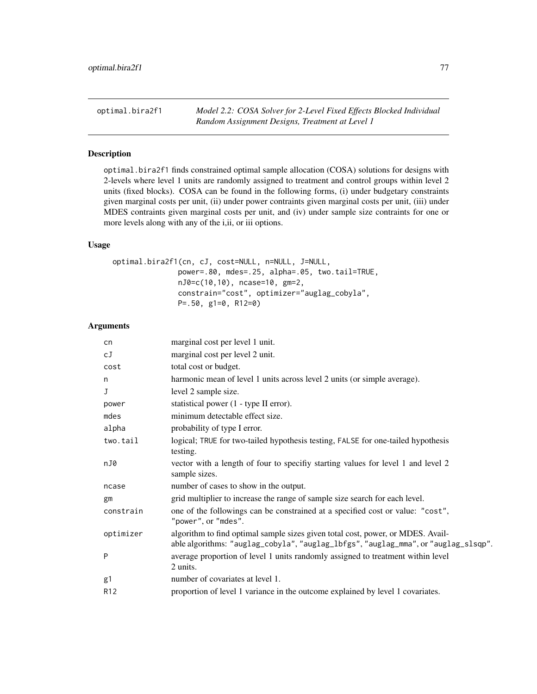# Description

optimal.bira2f1 finds constrained optimal sample allocation (COSA) solutions for designs with 2-levels where level 1 units are randomly assigned to treatment and control groups within level 2 units (fixed blocks). COSA can be found in the following forms, (i) under budgetary constraints given marginal costs per unit, (ii) under power contraints given marginal costs per unit, (iii) under MDES contraints given marginal costs per unit, and (iv) under sample size contraints for one or more levels along with any of the i,ii, or iii options.

# Usage

```
optimal.bira2f1(cn, cJ, cost=NULL, n=NULL, J=NULL,
               power=.80, mdes=.25, alpha=.05, two.tail=TRUE,
               nJ0=c(10,10), ncase=10, gm=2,
               constrain="cost", optimizer="auglag_cobyla",
               P=.50, g1=0, R12=0)
```
## Arguments

| cn              | marginal cost per level 1 unit.                                                                                                                                       |
|-----------------|-----------------------------------------------------------------------------------------------------------------------------------------------------------------------|
| сJ              | marginal cost per level 2 unit.                                                                                                                                       |
| cost            | total cost or budget.                                                                                                                                                 |
| n               | harmonic mean of level 1 units across level 2 units (or simple average).                                                                                              |
| J               | level 2 sample size.                                                                                                                                                  |
| power           | statistical power (1 - type II error).                                                                                                                                |
| mdes            | minimum detectable effect size.                                                                                                                                       |
| alpha           | probability of type I error.                                                                                                                                          |
| two.tail        | logical; TRUE for two-tailed hypothesis testing, FALSE for one-tailed hypothesis<br>testing.                                                                          |
| nJ0             | vector with a length of four to specifiy starting values for level 1 and level 2<br>sample sizes.                                                                     |
| ncase           | number of cases to show in the output.                                                                                                                                |
| gm              | grid multiplier to increase the range of sample size search for each level.                                                                                           |
| constrain       | one of the followings can be constrained at a specified cost or value: "cost",<br>"power", or "mdes".                                                                 |
| optimizer       | algorithm to find optimal sample sizes given total cost, power, or MDES. Avail-<br>able algorithms: "auglag_cobyla", "auglag_lbfgs", "auglag_mma", or "auglag_slsqp". |
| P               | average proportion of level 1 units randomly assigned to treatment within level<br>2 units.                                                                           |
| g1              | number of covariates at level 1.                                                                                                                                      |
| R <sub>12</sub> | proportion of level 1 variance in the outcome explained by level 1 covariates.                                                                                        |
|                 |                                                                                                                                                                       |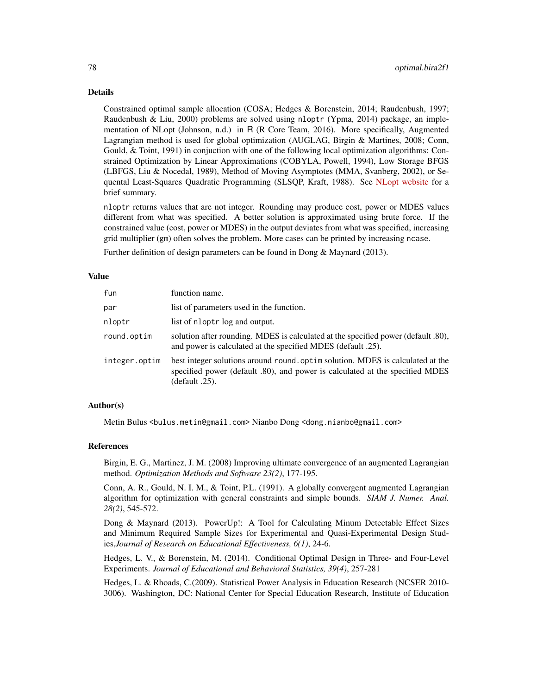#### Details

Constrained optimal sample allocation (COSA; Hedges & Borenstein, 2014; Raudenbush, 1997; Raudenbush & Liu, 2000) problems are solved using nloptr (Ypma, 2014) package, an implementation of NLopt (Johnson, n.d.) in R (R Core Team, 2016). More specifically, Augmented Lagrangian method is used for global optimization (AUGLAG, Birgin & Martines, 2008; Conn, Gould, & Toint, 1991) in conjuction with one of the following local optimization algorithms: Constrained Optimization by Linear Approximations (COBYLA, Powell, 1994), Low Storage BFGS (LBFGS, Liu & Nocedal, 1989), Method of Moving Asymptotes (MMA, Svanberg, 2002), or Sequental Least-Squares Quadratic Programming (SLSQP, Kraft, 1988). See [NLopt website](http://ab-initio.mit.edu/wiki/index.php/NLopt_Algorithms) for a brief summary.

nloptr returns values that are not integer. Rounding may produce cost, power or MDES values different from what was specified. A better solution is approximated using brute force. If the constrained value (cost, power or MDES) in the output deviates from what was specified, increasing grid multiplier (gm) often solves the problem. More cases can be printed by increasing ncase.

Further definition of design parameters can be found in Dong & Maynard (2013).

#### Value

| fun           | function name.                                                                                                                                                                  |
|---------------|---------------------------------------------------------------------------------------------------------------------------------------------------------------------------------|
| par           | list of parameters used in the function.                                                                                                                                        |
| nloptr        | list of nloptr log and output.                                                                                                                                                  |
| round.optim   | solution after rounding. MDES is calculated at the specified power (default .80),<br>and power is calculated at the specified MDES (default .25).                               |
| integer.optim | best integer solutions around round optim solution. MDES is calculated at the<br>specified power (default .80), and power is calculated at the specified MDES<br>(default .25). |

## Author(s)

Metin Bulus <bulus.metin@gmail.com> Nianbo Dong <dong.nianbo@gmail.com>

#### References

Birgin, E. G., Martinez, J. M. (2008) Improving ultimate convergence of an augmented Lagrangian method. *Optimization Methods and Software 23(2)*, 177-195.

Conn, A. R., Gould, N. I. M., & Toint, P.L. (1991). A globally convergent augmented Lagrangian algorithm for optimization with general constraints and simple bounds. *SIAM J. Numer. Anal. 28(2)*, 545-572.

Dong & Maynard (2013). PowerUp!: A Tool for Calculating Minum Detectable Effect Sizes and Minimum Required Sample Sizes for Experimental and Quasi-Experimental Design Studies,*Journal of Research on Educational Effectiveness, 6(1)*, 24-6.

Hedges, L. V., & Borenstein, M. (2014). Conditional Optimal Design in Three- and Four-Level Experiments. *Journal of Educational and Behavioral Statistics, 39(4)*, 257-281

Hedges, L. & Rhoads, C.(2009). Statistical Power Analysis in Education Research (NCSER 2010- 3006). Washington, DC: National Center for Special Education Research, Institute of Education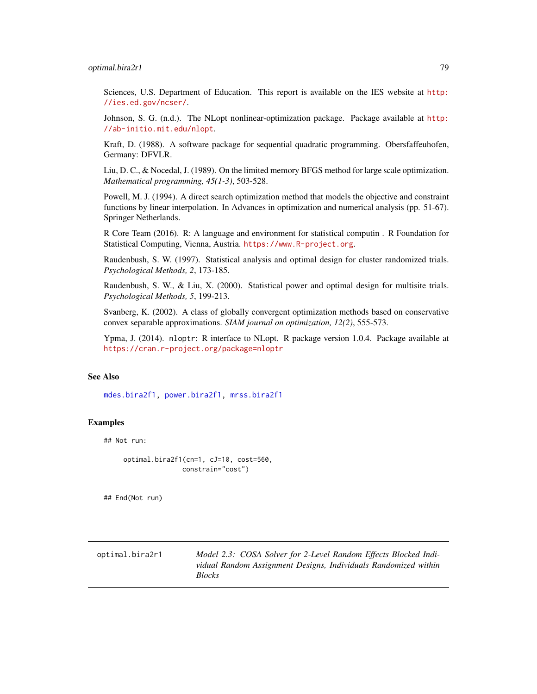## optimal.bira2r1 79

Sciences, U.S. Department of Education. This report is available on the IES website at [http:](http://ies.ed.gov/ncser/) [//ies.ed.gov/ncser/](http://ies.ed.gov/ncser/).

Johnson, S. G. (n.d.). The NLopt nonlinear-optimization package. Package available at [http:](http://ab-initio.mit.edu/nlopt) [//ab-initio.mit.edu/nlopt](http://ab-initio.mit.edu/nlopt).

Kraft, D. (1988). A software package for sequential quadratic programming. Obersfaffeuhofen, Germany: DFVLR.

Liu, D. C., & Nocedal, J. (1989). On the limited memory BFGS method for large scale optimization. *Mathematical programming, 45(1-3)*, 503-528.

Powell, M. J. (1994). A direct search optimization method that models the objective and constraint functions by linear interpolation. In Advances in optimization and numerical analysis (pp. 51-67). Springer Netherlands.

R Core Team (2016). R: A language and environment for statistical computin . R Foundation for Statistical Computing, Vienna, Austria. <https://www.R-project.org>.

Raudenbush, S. W. (1997). Statistical analysis and optimal design for cluster randomized trials. *Psychological Methods, 2*, 173-185.

Raudenbush, S. W., & Liu, X. (2000). Statistical power and optimal design for multisite trials. *Psychological Methods, 5*, 199-213.

Svanberg, K. (2002). A class of globally convergent optimization methods based on conservative convex separable approximations. *SIAM journal on optimization, 12(2)*, 555-573.

Ypma, J. (2014). nloptr: R interface to NLopt. R package version 1.0.4. Package available at <https://cran.r-project.org/package=nloptr>

#### See Also

[mdes.bira2f1,](#page-15-0) [power.bira2f1,](#page-113-0) [mrss.bira2f1](#page-40-0)

## Examples

## Not run:

optimal.bira2f1(cn=1, cJ=10, cost=560, constrain="cost")

## End(Not run)

optimal.bira2r1 *Model 2.3: COSA Solver for 2-Level Random Effects Blocked Individual Random Assignment Designs, Individuals Randomized within Blocks*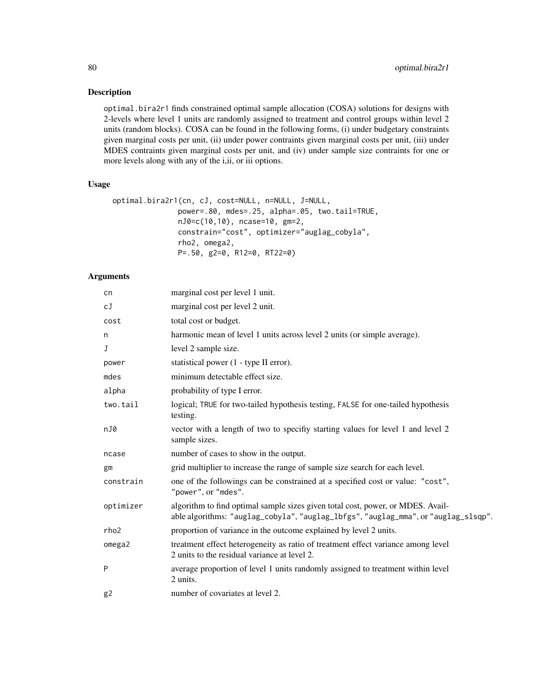# Description

optimal.bira2r1 finds constrained optimal sample allocation (COSA) solutions for designs with 2-levels where level 1 units are randomly assigned to treatment and control groups within level 2 units (random blocks). COSA can be found in the following forms, (i) under budgetary constraints given marginal costs per unit, (ii) under power contraints given marginal costs per unit, (iii) under MDES contraints given marginal costs per unit, and (iv) under sample size contraints for one or more levels along with any of the i,ii, or iii options.

## Usage

```
optimal.bira2r1(cn, cJ, cost=NULL, n=NULL, J=NULL,
              power=.80, mdes=.25, alpha=.05, two.tail=TRUE,
              nJ0=c(10,10), ncase=10, gm=2,
               constrain="cost", optimizer="auglag_cobyla",
               rho2, omega2,
               P=.50, g2=0, R12=0, RT22=0)
```
# Arguments

| cn        | marginal cost per level 1 unit.                                                                                                                                       |
|-----------|-----------------------------------------------------------------------------------------------------------------------------------------------------------------------|
| сJ        | marginal cost per level 2 unit.                                                                                                                                       |
| cost      | total cost or budget.                                                                                                                                                 |
| n         | harmonic mean of level 1 units across level 2 units (or simple average).                                                                                              |
| J         | level 2 sample size.                                                                                                                                                  |
| power     | statistical power (1 - type II error).                                                                                                                                |
| mdes      | minimum detectable effect size.                                                                                                                                       |
| alpha     | probability of type I error.                                                                                                                                          |
| two.tail  | logical; TRUE for two-tailed hypothesis testing, FALSE for one-tailed hypothesis<br>testing.                                                                          |
| nJ0       | vector with a length of two to specifiy starting values for level 1 and level 2<br>sample sizes.                                                                      |
| ncase     | number of cases to show in the output.                                                                                                                                |
| gm        | grid multiplier to increase the range of sample size search for each level.                                                                                           |
| constrain | one of the followings can be constrained at a specified cost or value: "cost",<br>"power", or "mdes".                                                                 |
| optimizer | algorithm to find optimal sample sizes given total cost, power, or MDES. Avail-<br>able algorithms: "auglag_cobyla", "auglag_lbfgs", "auglag_mma", or "auglag_slsqp". |
| rho2      | proportion of variance in the outcome explained by level 2 units.                                                                                                     |
| omega2    | treatment effect heterogeneity as ratio of treatment effect variance among level<br>2 units to the residual variance at level 2.                                      |
| P         | average proportion of level 1 units randomly assigned to treatment within level<br>2 units.                                                                           |
| g2        | number of covariates at level 2.                                                                                                                                      |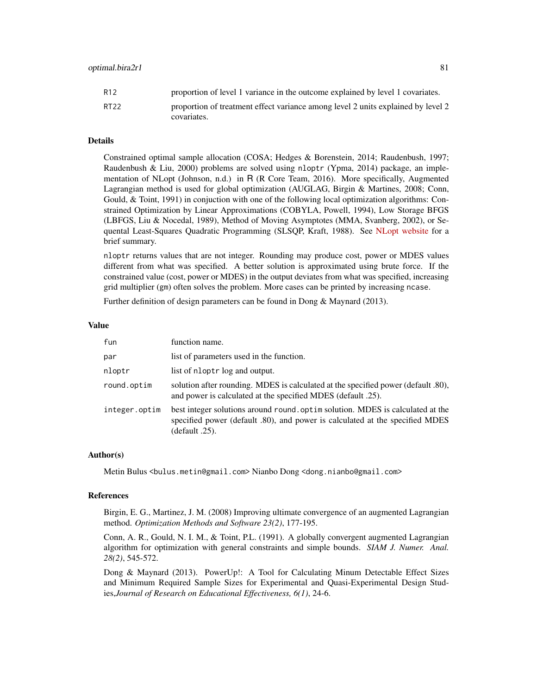| R12  | proportion of level 1 variance in the outcome explained by level 1 covariates.   |
|------|----------------------------------------------------------------------------------|
| RT22 | proportion of treatment effect variance among level 2 units explained by level 2 |
|      | covariates.                                                                      |

## Details

Constrained optimal sample allocation (COSA; Hedges & Borenstein, 2014; Raudenbush, 1997; Raudenbush & Liu, 2000) problems are solved using nloptr (Ypma, 2014) package, an implementation of NLopt (Johnson, n.d.) in R (R Core Team, 2016). More specifically, Augmented Lagrangian method is used for global optimization (AUGLAG, Birgin & Martines, 2008; Conn, Gould, & Toint, 1991) in conjuction with one of the following local optimization algorithms: Constrained Optimization by Linear Approximations (COBYLA, Powell, 1994), Low Storage BFGS (LBFGS, Liu & Nocedal, 1989), Method of Moving Asymptotes (MMA, Svanberg, 2002), or Sequental Least-Squares Quadratic Programming (SLSQP, Kraft, 1988). See [NLopt website](http://ab-initio.mit.edu/wiki/index.php/NLopt_Algorithms) for a brief summary.

nloptr returns values that are not integer. Rounding may produce cost, power or MDES values different from what was specified. A better solution is approximated using brute force. If the constrained value (cost, power or MDES) in the output deviates from what was specified, increasing grid multiplier (gm) often solves the problem. More cases can be printed by increasing ncase.

Further definition of design parameters can be found in Dong & Maynard (2013).

#### Value

| fun           | function name.                                                                                                                                                                   |
|---------------|----------------------------------------------------------------------------------------------------------------------------------------------------------------------------------|
| par           | list of parameters used in the function.                                                                                                                                         |
| nloptr        | list of nloptr log and output.                                                                                                                                                   |
| round.optim   | solution after rounding. MDES is calculated at the specified power (default .80),<br>and power is calculated at the specified MDES (default .25).                                |
| integer.optim | best integer solutions around round. optim solution. MDES is calculated at the<br>specified power (default .80), and power is calculated at the specified MDES<br>(default .25). |

### Author(s)

Metin Bulus <bulus.metin@gmail.com> Nianbo Dong <dong.nianbo@gmail.com>

#### References

Birgin, E. G., Martinez, J. M. (2008) Improving ultimate convergence of an augmented Lagrangian method. *Optimization Methods and Software 23(2)*, 177-195.

Conn, A. R., Gould, N. I. M., & Toint, P.L. (1991). A globally convergent augmented Lagrangian algorithm for optimization with general constraints and simple bounds. *SIAM J. Numer. Anal. 28(2)*, 545-572.

Dong & Maynard (2013). PowerUp!: A Tool for Calculating Minum Detectable Effect Sizes and Minimum Required Sample Sizes for Experimental and Quasi-Experimental Design Studies,*Journal of Research on Educational Effectiveness, 6(1)*, 24-6.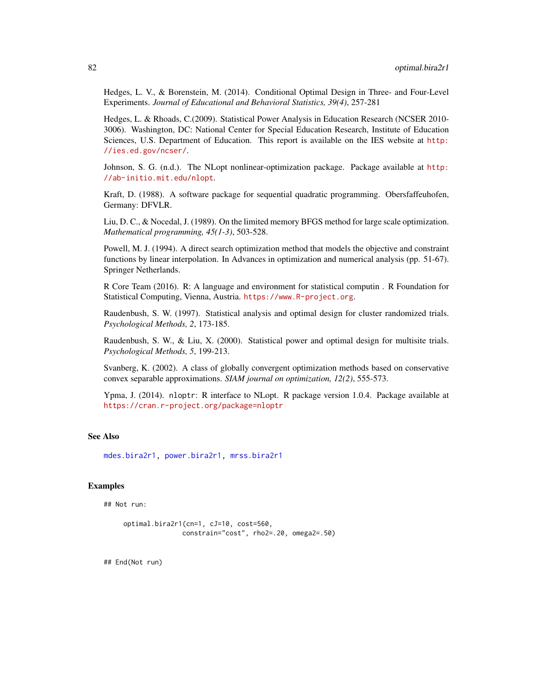Hedges, L. V., & Borenstein, M. (2014). Conditional Optimal Design in Three- and Four-Level Experiments. *Journal of Educational and Behavioral Statistics, 39(4)*, 257-281

Hedges, L. & Rhoads, C.(2009). Statistical Power Analysis in Education Research (NCSER 2010- 3006). Washington, DC: National Center for Special Education Research, Institute of Education Sciences, U.S. Department of Education. This report is available on the IES website at [http:](http://ies.ed.gov/ncser/) [//ies.ed.gov/ncser/](http://ies.ed.gov/ncser/).

Johnson, S. G. (n.d.). The NLopt nonlinear-optimization package. Package available at [http:](http://ab-initio.mit.edu/nlopt) [//ab-initio.mit.edu/nlopt](http://ab-initio.mit.edu/nlopt).

Kraft, D. (1988). A software package for sequential quadratic programming. Obersfaffeuhofen, Germany: DFVLR.

Liu, D. C., & Nocedal, J. (1989). On the limited memory BFGS method for large scale optimization. *Mathematical programming, 45(1-3)*, 503-528.

Powell, M. J. (1994). A direct search optimization method that models the objective and constraint functions by linear interpolation. In Advances in optimization and numerical analysis (pp. 51-67). Springer Netherlands.

R Core Team (2016). R: A language and environment for statistical computin . R Foundation for Statistical Computing, Vienna, Austria. <https://www.R-project.org>.

Raudenbush, S. W. (1997). Statistical analysis and optimal design for cluster randomized trials. *Psychological Methods, 2*, 173-185.

Raudenbush, S. W., & Liu, X. (2000). Statistical power and optimal design for multisite trials. *Psychological Methods, 5*, 199-213.

Svanberg, K. (2002). A class of globally convergent optimization methods based on conservative convex separable approximations. *SIAM journal on optimization, 12(2)*, 555-573.

Ypma, J. (2014). nloptr: R interface to NLopt. R package version 1.0.4. Package available at <https://cran.r-project.org/package=nloptr>

#### See Also

[mdes.bira2r1,](#page-16-0) [power.bira2r1,](#page-114-0) [mrss.bira2r1](#page-42-0)

## Examples

## Not run:

```
optimal.bira2r1(cn=1, cJ=10, cost=560,
               constrain="cost", rho2=.20, omega2=.50)
```
## End(Not run)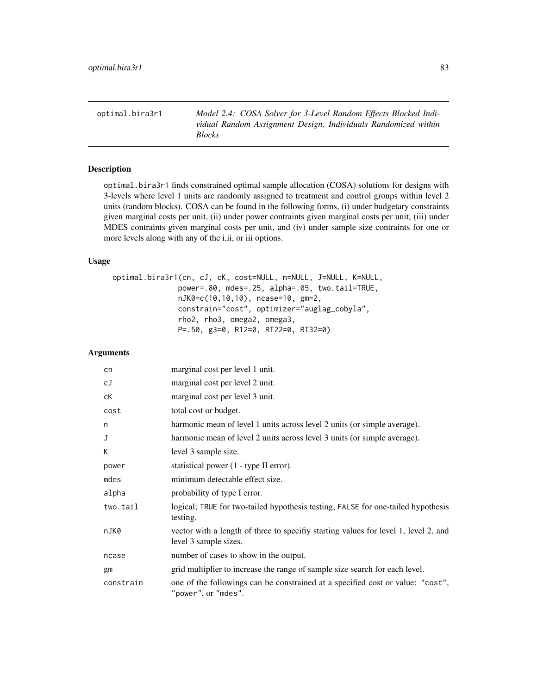optimal.bira3r1 *Model 2.4: COSA Solver for 3-Level Random Effects Blocked Individual Random Assignment Design, Individuals Randomized within Blocks*

# Description

optimal.bira3r1 finds constrained optimal sample allocation (COSA) solutions for designs with 3-levels where level 1 units are randomly assigned to treatment and control groups within level 2 units (random blocks). COSA can be found in the following forms, (i) under budgetary constraints given marginal costs per unit, (ii) under power contraints given marginal costs per unit, (iii) under MDES contraints given marginal costs per unit, and (iv) under sample size contraints for one or more levels along with any of the i,ii, or iii options.

## Usage

```
optimal.bira3r1(cn, cJ, cK, cost=NULL, n=NULL, J=NULL, K=NULL,
               power=.80, mdes=.25, alpha=.05, two.tail=TRUE,
               nJK0=c(10,10,10), ncase=10, gm=2,
               constrain="cost", optimizer="auglag_cobyla",
               rho2, rho3, omega2, omega3,
               P=.50, g3=0, R12=0, RT22=0, RT32=0)
```
# Arguments

| cn        | marginal cost per level 1 unit.                                                                             |
|-----------|-------------------------------------------------------------------------------------------------------------|
| сJ        | marginal cost per level 2 unit.                                                                             |
| сK        | marginal cost per level 3 unit.                                                                             |
| cost      | total cost or budget.                                                                                       |
| n         | harmonic mean of level 1 units across level 2 units (or simple average).                                    |
| J         | harmonic mean of level 2 units across level 3 units (or simple average).                                    |
| К         | level 3 sample size.                                                                                        |
| power     | statistical power (1 - type II error).                                                                      |
| mdes      | minimum detectable effect size.                                                                             |
| alpha     | probability of type I error.                                                                                |
| two.tail  | logical; TRUE for two-tailed hypothesis testing, FALSE for one-tailed hypothesis<br>testing.                |
| nJK0      | vector with a length of three to specify starting values for level 1, level 2, and<br>level 3 sample sizes. |
| ncase     | number of cases to show in the output.                                                                      |
| gm        | grid multiplier to increase the range of sample size search for each level.                                 |
| constrain | one of the followings can be constrained at a specified cost or value: "cost",<br>"power", or "mdes".       |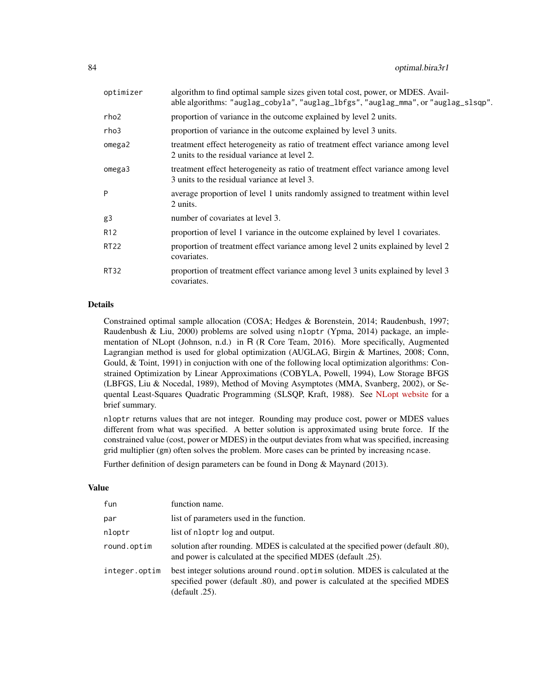| optimizer       | algorithm to find optimal sample sizes given total cost, power, or MDES. Avail-<br>able algorithms: "auglag_cobyla", "auglag_lbfgs", "auglag_mma", or "auglag_slsqp". |
|-----------------|-----------------------------------------------------------------------------------------------------------------------------------------------------------------------|
| rho2            | proportion of variance in the outcome explained by level 2 units.                                                                                                     |
| rho3            | proportion of variance in the outcome explained by level 3 units.                                                                                                     |
| omega2          | treatment effect heterogeneity as ratio of treatment effect variance among level<br>2 units to the residual variance at level 2.                                      |
| omega3          | treatment effect heterogeneity as ratio of treatment effect variance among level<br>3 units to the residual variance at level 3.                                      |
| P               | average proportion of level 1 units randomly assigned to treatment within level<br>2 units.                                                                           |
| g3              | number of covariates at level 3.                                                                                                                                      |
| R <sub>12</sub> | proportion of level 1 variance in the outcome explained by level 1 covariates.                                                                                        |
| <b>RT22</b>     | proportion of treatment effect variance among level 2 units explained by level 2<br>covariates.                                                                       |
| <b>RT32</b>     | proportion of treatment effect variance among level 3 units explained by level 3<br>covariates.                                                                       |

# Details

Constrained optimal sample allocation (COSA; Hedges & Borenstein, 2014; Raudenbush, 1997; Raudenbush & Liu, 2000) problems are solved using nloptr (Ypma, 2014) package, an implementation of NLopt (Johnson, n.d.) in R (R Core Team, 2016). More specifically, Augmented Lagrangian method is used for global optimization (AUGLAG, Birgin & Martines, 2008; Conn, Gould, & Toint, 1991) in conjuction with one of the following local optimization algorithms: Constrained Optimization by Linear Approximations (COBYLA, Powell, 1994), Low Storage BFGS (LBFGS, Liu & Nocedal, 1989), Method of Moving Asymptotes (MMA, Svanberg, 2002), or Sequental Least-Squares Quadratic Programming (SLSQP, Kraft, 1988). See [NLopt website](http://ab-initio.mit.edu/wiki/index.php/NLopt_Algorithms) for a brief summary.

nloptr returns values that are not integer. Rounding may produce cost, power or MDES values different from what was specified. A better solution is approximated using brute force. If the constrained value (cost, power or MDES) in the output deviates from what was specified, increasing grid multiplier (gm) often solves the problem. More cases can be printed by increasing ncase.

Further definition of design parameters can be found in Dong & Maynard (2013).

## Value

| fun           | function name.                                                                                                                                                                  |
|---------------|---------------------------------------------------------------------------------------------------------------------------------------------------------------------------------|
| par           | list of parameters used in the function.                                                                                                                                        |
| nloptr        | list of nloptr log and output.                                                                                                                                                  |
| round.optim   | solution after rounding. MDES is calculated at the specified power (default .80),<br>and power is calculated at the specified MDES (default .25).                               |
| integer.optim | best integer solutions around round optim solution. MDES is calculated at the<br>specified power (default .80), and power is calculated at the specified MDES<br>(default .25). |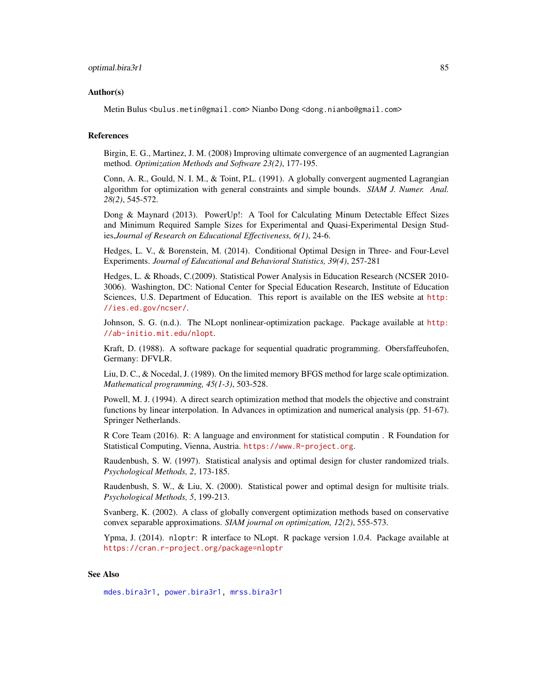#### Author(s)

Metin Bulus <bulus.metin@gmail.com> Nianbo Dong <dong.nianbo@gmail.com>

## References

Birgin, E. G., Martinez, J. M. (2008) Improving ultimate convergence of an augmented Lagrangian method. *Optimization Methods and Software 23(2)*, 177-195.

Conn, A. R., Gould, N. I. M., & Toint, P.L. (1991). A globally convergent augmented Lagrangian algorithm for optimization with general constraints and simple bounds. *SIAM J. Numer. Anal. 28(2)*, 545-572.

Dong & Maynard (2013). PowerUp!: A Tool for Calculating Minum Detectable Effect Sizes and Minimum Required Sample Sizes for Experimental and Quasi-Experimental Design Studies,*Journal of Research on Educational Effectiveness, 6(1)*, 24-6.

Hedges, L. V., & Borenstein, M. (2014). Conditional Optimal Design in Three- and Four-Level Experiments. *Journal of Educational and Behavioral Statistics, 39(4)*, 257-281

Hedges, L. & Rhoads, C.(2009). Statistical Power Analysis in Education Research (NCSER 2010- 3006). Washington, DC: National Center for Special Education Research, Institute of Education Sciences, U.S. Department of Education. This report is available on the IES website at [http:](http://ies.ed.gov/ncser/) [//ies.ed.gov/ncser/](http://ies.ed.gov/ncser/).

Johnson, S. G. (n.d.). The NLopt nonlinear-optimization package. Package available at [http:](http://ab-initio.mit.edu/nlopt) [//ab-initio.mit.edu/nlopt](http://ab-initio.mit.edu/nlopt).

Kraft, D. (1988). A software package for sequential quadratic programming. Obersfaffeuhofen, Germany: DFVLR.

Liu, D. C., & Nocedal, J. (1989). On the limited memory BFGS method for large scale optimization. *Mathematical programming, 45(1-3)*, 503-528.

Powell, M. J. (1994). A direct search optimization method that models the objective and constraint functions by linear interpolation. In Advances in optimization and numerical analysis (pp. 51-67). Springer Netherlands.

R Core Team (2016). R: A language and environment for statistical computin . R Foundation for Statistical Computing, Vienna, Austria. <https://www.R-project.org>.

Raudenbush, S. W. (1997). Statistical analysis and optimal design for cluster randomized trials. *Psychological Methods, 2*, 173-185.

Raudenbush, S. W., & Liu, X. (2000). Statistical power and optimal design for multisite trials. *Psychological Methods, 5*, 199-213.

Svanberg, K. (2002). A class of globally convergent optimization methods based on conservative convex separable approximations. *SIAM journal on optimization, 12(2)*, 555-573.

Ypma, J. (2014). nloptr: R interface to NLopt. R package version 1.0.4. Package available at <https://cran.r-project.org/package=nloptr>

## See Also

[mdes.bira3r1,](#page-18-0) [power.bira3r1,](#page-116-0) [mrss.bira3r1](#page-44-0)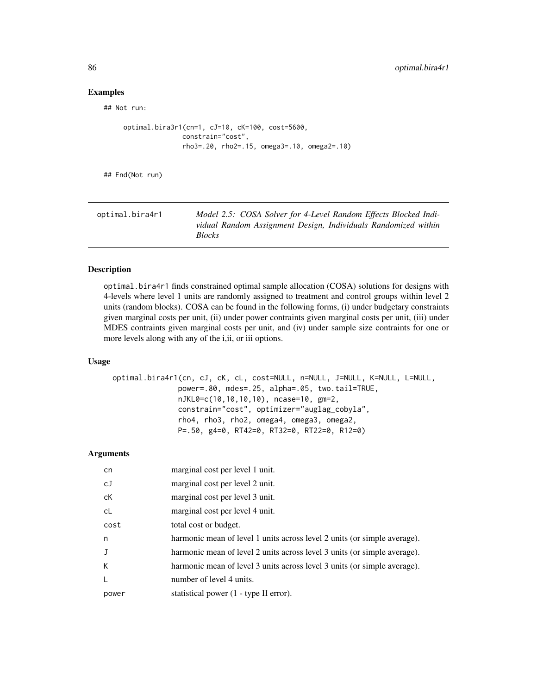## Examples

## Not run:

```
optimal.bira3r1(cn=1, cJ=10, cK=100, cost=5600,
              constrain="cost",
              rho3=.20, rho2=.15, omega3=.10, omega2=.10)
```
## End(Not run)

| Model 2.5: COSA Solver for 4-Level Random Effects Blocked Indi-                 |
|---------------------------------------------------------------------------------|
| vidual Random Assignment Design, Individuals Randomized within<br><b>Blocks</b> |
|                                                                                 |

# Description

optimal.bira4r1 finds constrained optimal sample allocation (COSA) solutions for designs with 4-levels where level 1 units are randomly assigned to treatment and control groups within level 2 units (random blocks). COSA can be found in the following forms, (i) under budgetary constraints given marginal costs per unit, (ii) under power contraints given marginal costs per unit, (iii) under MDES contraints given marginal costs per unit, and (iv) under sample size contraints for one or more levels along with any of the i,ii, or iii options.

# Usage

```
optimal.bira4r1(cn, cJ, cK, cL, cost=NULL, n=NULL, J=NULL, K=NULL, L=NULL,
               power=.80, mdes=.25, alpha=.05, two.tail=TRUE,
               nJKL0=c(10,10,10,10), ncase=10, gm=2,
               constrain="cost", optimizer="auglag_cobyla",
               rho4, rho3, rho2, omega4, omega3, omega2,
               P=.50, g4=0, RT42=0, RT32=0, RT22=0, R12=0)
```
#### Arguments

| cn           | marginal cost per level 1 unit.                                          |
|--------------|--------------------------------------------------------------------------|
| cJ           | marginal cost per level 2 unit.                                          |
| сK           | marginal cost per level 3 unit.                                          |
| cL           | marginal cost per level 4 unit.                                          |
| cost         | total cost or budget.                                                    |
| n.           | harmonic mean of level 1 units across level 2 units (or simple average). |
| $\mathbf{J}$ | harmonic mean of level 2 units across level 3 units (or simple average). |
| К            | harmonic mean of level 3 units across level 3 units (or simple average). |
| L            | number of level 4 units.                                                 |
| power        | statistical power (1 - type II error).                                   |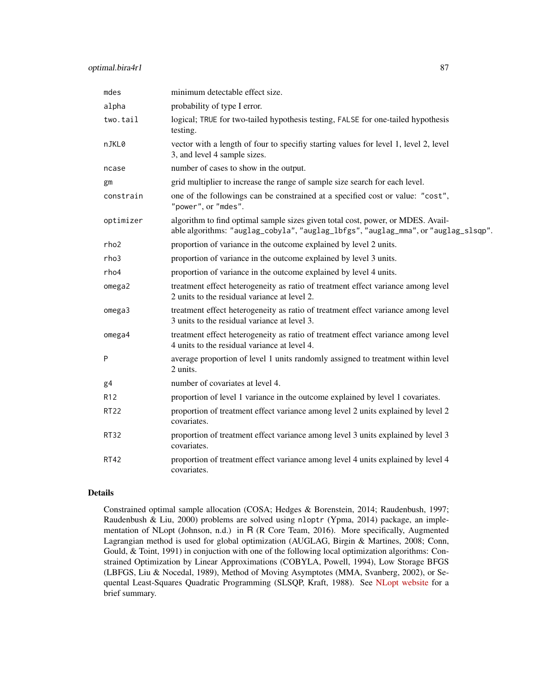| mdes             | minimum detectable effect size.                                                                                                                                       |
|------------------|-----------------------------------------------------------------------------------------------------------------------------------------------------------------------|
| alpha            | probability of type I error.                                                                                                                                          |
| two.tail         | logical; TRUE for two-tailed hypothesis testing, FALSE for one-tailed hypothesis<br>testing.                                                                          |
| nJKL0            | vector with a length of four to specifiy starting values for level 1, level 2, level<br>3, and level 4 sample sizes.                                                  |
| ncase            | number of cases to show in the output.                                                                                                                                |
| gm               | grid multiplier to increase the range of sample size search for each level.                                                                                           |
| constrain        | one of the followings can be constrained at a specified cost or value: "cost",<br>"power", or "mdes".                                                                 |
| optimizer        | algorithm to find optimal sample sizes given total cost, power, or MDES. Avail-<br>able algorithms: "auglag_cobyla", "auglag_lbfgs", "auglag_mma", or "auglag_slsqp". |
| rho <sub>2</sub> | proportion of variance in the outcome explained by level 2 units.                                                                                                     |
| rho3             | proportion of variance in the outcome explained by level 3 units.                                                                                                     |
| rho4             | proportion of variance in the outcome explained by level 4 units.                                                                                                     |
| omega2           | treatment effect heterogeneity as ratio of treatment effect variance among level<br>2 units to the residual variance at level 2.                                      |
| omega3           | treatment effect heterogeneity as ratio of treatment effect variance among level<br>3 units to the residual variance at level 3.                                      |
| omega4           | treatment effect heterogeneity as ratio of treatment effect variance among level<br>4 units to the residual variance at level 4.                                      |
| P                | average proportion of level 1 units randomly assigned to treatment within level<br>2 units.                                                                           |
| g <sub>4</sub>   | number of covariates at level 4.                                                                                                                                      |
| R <sub>12</sub>  | proportion of level 1 variance in the outcome explained by level 1 covariates.                                                                                        |
| <b>RT22</b>      | proportion of treatment effect variance among level 2 units explained by level 2<br>covariates.                                                                       |
| RT32             | proportion of treatment effect variance among level 3 units explained by level 3<br>covariates.                                                                       |
| <b>RT42</b>      | proportion of treatment effect variance among level 4 units explained by level 4<br>covariates.                                                                       |

## Details

Constrained optimal sample allocation (COSA; Hedges & Borenstein, 2014; Raudenbush, 1997; Raudenbush & Liu, 2000) problems are solved using nloptr (Ypma, 2014) package, an implementation of NLopt (Johnson, n.d.) in R (R Core Team, 2016). More specifically, Augmented Lagrangian method is used for global optimization (AUGLAG, Birgin & Martines, 2008; Conn, Gould, & Toint, 1991) in conjuction with one of the following local optimization algorithms: Constrained Optimization by Linear Approximations (COBYLA, Powell, 1994), Low Storage BFGS (LBFGS, Liu & Nocedal, 1989), Method of Moving Asymptotes (MMA, Svanberg, 2002), or Sequental Least-Squares Quadratic Programming (SLSQP, Kraft, 1988). See [NLopt website](http://ab-initio.mit.edu/wiki/index.php/NLopt_Algorithms) for a brief summary.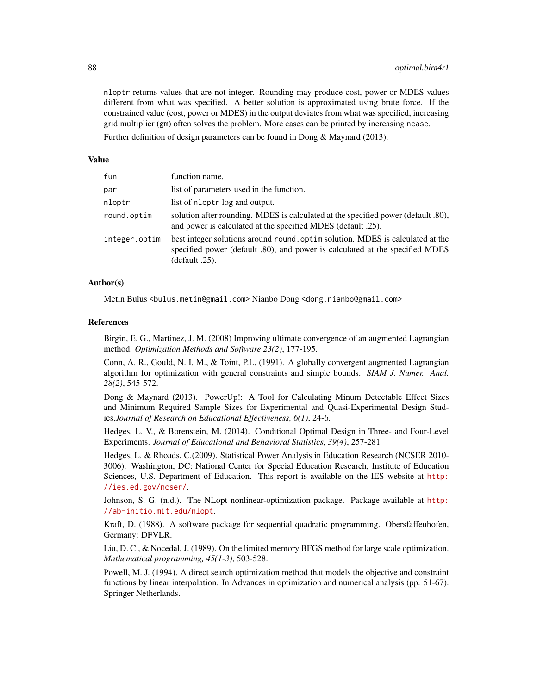nloptr returns values that are not integer. Rounding may produce cost, power or MDES values different from what was specified. A better solution is approximated using brute force. If the constrained value (cost, power or MDES) in the output deviates from what was specified, increasing grid multiplier (gm) often solves the problem. More cases can be printed by increasing ncase.

Further definition of design parameters can be found in Dong & Maynard (2013).

#### Value

| fun           | function name.                                                                                                                                                                  |
|---------------|---------------------------------------------------------------------------------------------------------------------------------------------------------------------------------|
| par           | list of parameters used in the function.                                                                                                                                        |
| nloptr        | list of nloptr log and output.                                                                                                                                                  |
| round.optim   | solution after rounding. MDES is calculated at the specified power (default .80),<br>and power is calculated at the specified MDES (default .25).                               |
| integer.optim | best integer solutions around round optim solution. MDES is calculated at the<br>specified power (default .80), and power is calculated at the specified MDES<br>(default .25). |

## Author(s)

Metin Bulus <bulus.metin@gmail.com> Nianbo Dong <dong.nianbo@gmail.com>

#### References

Birgin, E. G., Martinez, J. M. (2008) Improving ultimate convergence of an augmented Lagrangian method. *Optimization Methods and Software 23(2)*, 177-195.

Conn, A. R., Gould, N. I. M., & Toint, P.L. (1991). A globally convergent augmented Lagrangian algorithm for optimization with general constraints and simple bounds. *SIAM J. Numer. Anal. 28(2)*, 545-572.

Dong & Maynard (2013). PowerUp!: A Tool for Calculating Minum Detectable Effect Sizes and Minimum Required Sample Sizes for Experimental and Quasi-Experimental Design Studies,*Journal of Research on Educational Effectiveness, 6(1)*, 24-6.

Hedges, L. V., & Borenstein, M. (2014). Conditional Optimal Design in Three- and Four-Level Experiments. *Journal of Educational and Behavioral Statistics, 39(4)*, 257-281

Hedges, L. & Rhoads, C.(2009). Statistical Power Analysis in Education Research (NCSER 2010- 3006). Washington, DC: National Center for Special Education Research, Institute of Education Sciences, U.S. Department of Education. This report is available on the IES website at [http:](http://ies.ed.gov/ncser/) [//ies.ed.gov/ncser/](http://ies.ed.gov/ncser/).

Johnson, S. G. (n.d.). The NLopt nonlinear-optimization package. Package available at [http:](http://ab-initio.mit.edu/nlopt) [//ab-initio.mit.edu/nlopt](http://ab-initio.mit.edu/nlopt).

Kraft, D. (1988). A software package for sequential quadratic programming. Obersfaffeuhofen, Germany: DFVLR.

Liu, D. C., & Nocedal, J. (1989). On the limited memory BFGS method for large scale optimization. *Mathematical programming, 45(1-3)*, 503-528.

Powell, M. J. (1994). A direct search optimization method that models the objective and constraint functions by linear interpolation. In Advances in optimization and numerical analysis (pp. 51-67). Springer Netherlands.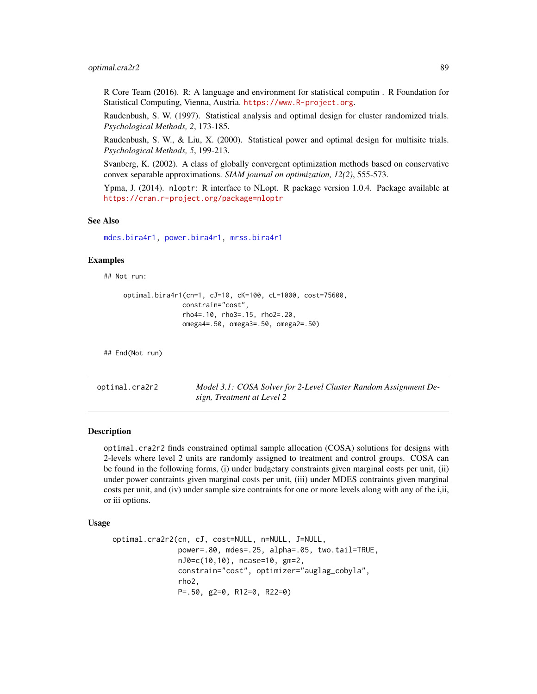## optimal.cra2r2 89

R Core Team (2016). R: A language and environment for statistical computin . R Foundation for Statistical Computing, Vienna, Austria. <https://www.R-project.org>.

Raudenbush, S. W. (1997). Statistical analysis and optimal design for cluster randomized trials. *Psychological Methods, 2*, 173-185.

Raudenbush, S. W., & Liu, X. (2000). Statistical power and optimal design for multisite trials. *Psychological Methods, 5*, 199-213.

Svanberg, K. (2002). A class of globally convergent optimization methods based on conservative convex separable approximations. *SIAM journal on optimization, 12(2)*, 555-573.

Ypma, J. (2014). nloptr: R interface to NLopt. R package version 1.0.4. Package available at <https://cran.r-project.org/package=nloptr>

### See Also

[mdes.bira4r1,](#page-20-0) [power.bira4r1,](#page-118-0) [mrss.bira4r1](#page-46-0)

#### Examples

## Not run:

```
optimal.bira4r1(cn=1, cJ=10, cK=100, cL=1000, cost=75600,
               constrain="cost",
               rho4=.10, rho3=.15, rho2=.20,
               omega4=.50, omega3=.50, omega2=.50)
```
## End(Not run)

optimal.cra2r2 *Model 3.1: COSA Solver for 2-Level Cluster Random Assignment Design, Treatment at Level 2*

## Description

optimal.cra2r2 finds constrained optimal sample allocation (COSA) solutions for designs with 2-levels where level 2 units are randomly assigned to treatment and control groups. COSA can be found in the following forms, (i) under budgetary constraints given marginal costs per unit, (ii) under power contraints given marginal costs per unit, (iii) under MDES contraints given marginal costs per unit, and (iv) under sample size contraints for one or more levels along with any of the i,ii, or iii options.

#### Usage

```
optimal.cra2r2(cn, cJ, cost=NULL, n=NULL, J=NULL,
               power=.80, mdes=.25, alpha=.05, two.tail=TRUE,
               nJ0=c(10,10), ncase=10, gm=2,
               constrain="cost", optimizer="auglag_cobyla",
               rho2,
               P=.50, g2=0, R12=0, R22=0)
```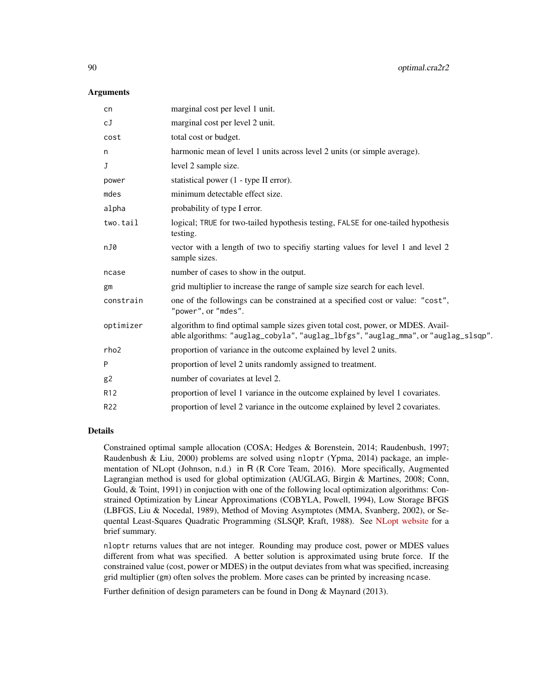#### **Arguments**

| cn              | marginal cost per level 1 unit.                                                                                                                                       |
|-----------------|-----------------------------------------------------------------------------------------------------------------------------------------------------------------------|
| сJ              | marginal cost per level 2 unit.                                                                                                                                       |
| cost            | total cost or budget.                                                                                                                                                 |
| n               | harmonic mean of level 1 units across level 2 units (or simple average).                                                                                              |
| J               | level 2 sample size.                                                                                                                                                  |
| power           | statistical power (1 - type II error).                                                                                                                                |
| mdes            | minimum detectable effect size.                                                                                                                                       |
| alpha           | probability of type I error.                                                                                                                                          |
| two.tail        | logical; TRUE for two-tailed hypothesis testing, FALSE for one-tailed hypothesis<br>testing.                                                                          |
| nJ0             | vector with a length of two to specifiy starting values for level 1 and level 2<br>sample sizes.                                                                      |
| ncase           | number of cases to show in the output.                                                                                                                                |
| gm              | grid multiplier to increase the range of sample size search for each level.                                                                                           |
| constrain       | one of the followings can be constrained at a specified cost or value: "cost",<br>"power", or "mdes".                                                                 |
| optimizer       | algorithm to find optimal sample sizes given total cost, power, or MDES. Avail-<br>able algorithms: "auglag_cobyla", "auglag_lbfgs", "auglag_mma", or "auglag_slsqp". |
| rho2            | proportion of variance in the outcome explained by level 2 units.                                                                                                     |
| P               | proportion of level 2 units randomly assigned to treatment.                                                                                                           |
| g2              | number of covariates at level 2.                                                                                                                                      |
| R <sub>12</sub> | proportion of level 1 variance in the outcome explained by level 1 covariates.                                                                                        |
| R <sub>22</sub> | proportion of level 2 variance in the outcome explained by level 2 covariates.                                                                                        |
|                 |                                                                                                                                                                       |

## Details

Constrained optimal sample allocation (COSA; Hedges & Borenstein, 2014; Raudenbush, 1997; Raudenbush & Liu, 2000) problems are solved using nloptr (Ypma, 2014) package, an implementation of NLopt (Johnson, n.d.) in R (R Core Team, 2016). More specifically, Augmented Lagrangian method is used for global optimization (AUGLAG, Birgin & Martines, 2008; Conn, Gould, & Toint, 1991) in conjuction with one of the following local optimization algorithms: Constrained Optimization by Linear Approximations (COBYLA, Powell, 1994), Low Storage BFGS (LBFGS, Liu & Nocedal, 1989), Method of Moving Asymptotes (MMA, Svanberg, 2002), or Sequental Least-Squares Quadratic Programming (SLSQP, Kraft, 1988). See [NLopt website](http://ab-initio.mit.edu/wiki/index.php/NLopt_Algorithms) for a brief summary.

nloptr returns values that are not integer. Rounding may produce cost, power or MDES values different from what was specified. A better solution is approximated using brute force. If the constrained value (cost, power or MDES) in the output deviates from what was specified, increasing grid multiplier (gm) often solves the problem. More cases can be printed by increasing ncase.

Further definition of design parameters can be found in Dong & Maynard (2013).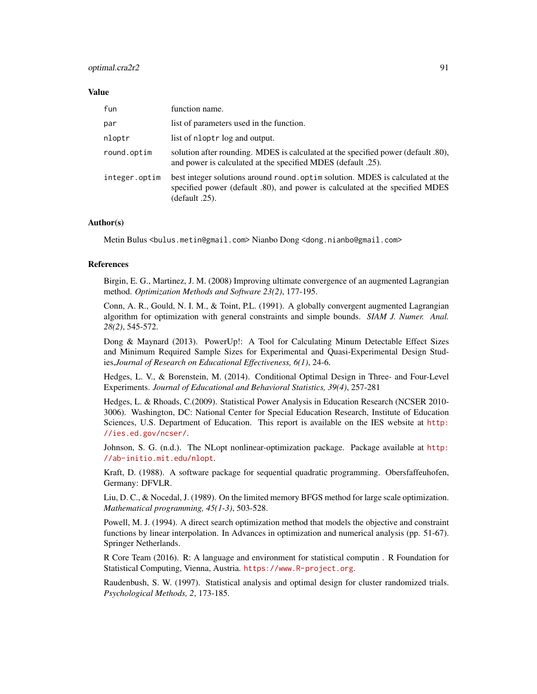## optimal.cra2r2 91

#### Value

| fun           | function name.                                                                                                                                                                  |
|---------------|---------------------------------------------------------------------------------------------------------------------------------------------------------------------------------|
| par           | list of parameters used in the function.                                                                                                                                        |
| nloptr        | list of nloptr log and output.                                                                                                                                                  |
| round.optim   | solution after rounding. MDES is calculated at the specified power (default .80),<br>and power is calculated at the specified MDES (default .25).                               |
| integer.optim | best integer solutions around round optim solution. MDES is calculated at the<br>specified power (default .80), and power is calculated at the specified MDES<br>(default .25). |

## Author(s)

Metin Bulus <bulus.metin@gmail.com> Nianbo Dong <dong.nianbo@gmail.com>

#### References

Birgin, E. G., Martinez, J. M. (2008) Improving ultimate convergence of an augmented Lagrangian method. *Optimization Methods and Software 23(2)*, 177-195.

Conn, A. R., Gould, N. I. M., & Toint, P.L. (1991). A globally convergent augmented Lagrangian algorithm for optimization with general constraints and simple bounds. *SIAM J. Numer. Anal. 28(2)*, 545-572.

Dong & Maynard (2013). PowerUp!: A Tool for Calculating Minum Detectable Effect Sizes and Minimum Required Sample Sizes for Experimental and Quasi-Experimental Design Studies,*Journal of Research on Educational Effectiveness, 6(1)*, 24-6.

Hedges, L. V., & Borenstein, M. (2014). Conditional Optimal Design in Three- and Four-Level Experiments. *Journal of Educational and Behavioral Statistics, 39(4)*, 257-281

Hedges, L. & Rhoads, C.(2009). Statistical Power Analysis in Education Research (NCSER 2010- 3006). Washington, DC: National Center for Special Education Research, Institute of Education Sciences, U.S. Department of Education. This report is available on the IES website at [http:](http://ies.ed.gov/ncser/) [//ies.ed.gov/ncser/](http://ies.ed.gov/ncser/).

Johnson, S. G. (n.d.). The NLopt nonlinear-optimization package. Package available at [http:](http://ab-initio.mit.edu/nlopt) [//ab-initio.mit.edu/nlopt](http://ab-initio.mit.edu/nlopt).

Kraft, D. (1988). A software package for sequential quadratic programming. Obersfaffeuhofen, Germany: DFVLR.

Liu, D. C., & Nocedal, J. (1989). On the limited memory BFGS method for large scale optimization. *Mathematical programming, 45(1-3)*, 503-528.

Powell, M. J. (1994). A direct search optimization method that models the objective and constraint functions by linear interpolation. In Advances in optimization and numerical analysis (pp. 51-67). Springer Netherlands.

R Core Team (2016). R: A language and environment for statistical computin . R Foundation for Statistical Computing, Vienna, Austria. <https://www.R-project.org>.

Raudenbush, S. W. (1997). Statistical analysis and optimal design for cluster randomized trials. *Psychological Methods, 2*, 173-185.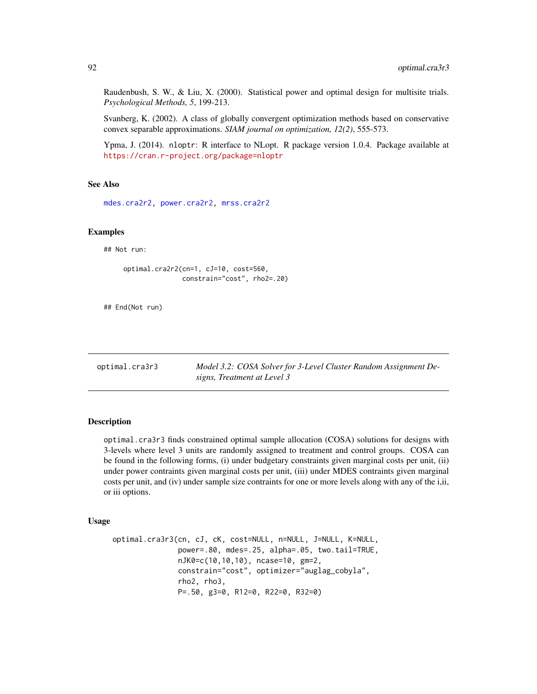Raudenbush, S. W., & Liu, X. (2000). Statistical power and optimal design for multisite trials. *Psychological Methods, 5*, 199-213.

Svanberg, K. (2002). A class of globally convergent optimization methods based on conservative convex separable approximations. *SIAM journal on optimization, 12(2)*, 555-573.

Ypma, J. (2014). nloptr: R interface to NLopt. R package version 1.0.4. Package available at <https://cran.r-project.org/package=nloptr>

#### See Also

[mdes.cra2r2,](#page-22-0) [power.cra2r2,](#page-120-0) [mrss.cra2r2](#page-48-0)

# Examples

## Not run:

```
optimal.cra2r2(cn=1, cJ=10, cost=560,
               constrain="cost", rho2=.20)
```
## End(Not run)

optimal.cra3r3 *Model 3.2: COSA Solver for 3-Level Cluster Random Assignment Designs, Treatment at Level 3*

### Description

optimal.cra3r3 finds constrained optimal sample allocation (COSA) solutions for designs with 3-levels where level 3 units are randomly assigned to treatment and control groups. COSA can be found in the following forms, (i) under budgetary constraints given marginal costs per unit, (ii) under power contraints given marginal costs per unit, (iii) under MDES contraints given marginal costs per unit, and (iv) under sample size contraints for one or more levels along with any of the i,ii, or iii options.

# Usage

```
optimal.cra3r3(cn, cJ, cK, cost=NULL, n=NULL, J=NULL, K=NULL,
               power=.80, mdes=.25, alpha=.05, two.tail=TRUE,
               nJK0=c(10,10,10), ncase=10, gm=2,
               constrain="cost", optimizer="auglag_cobyla",
               rho2, rho3,
               P=.50, g3=0, R12=0, R22=0, R32=0)
```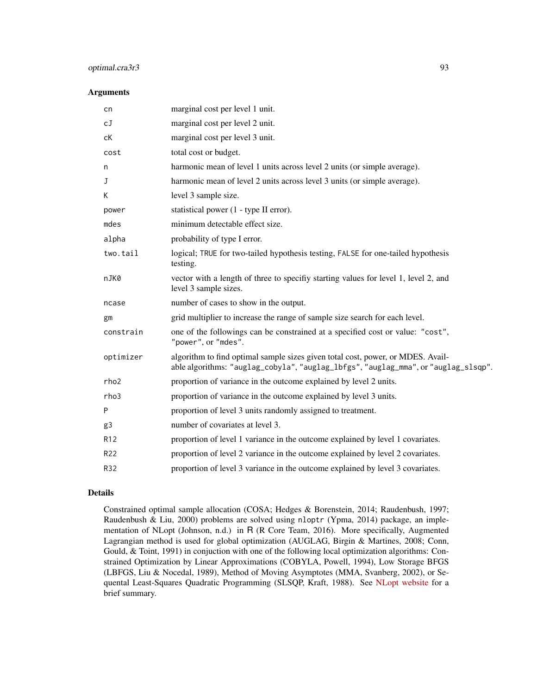# optimal.cra3r3 93

#### Arguments

| cn               | marginal cost per level 1 unit.                                                                                                                                       |
|------------------|-----------------------------------------------------------------------------------------------------------------------------------------------------------------------|
| cJ               | marginal cost per level 2 unit.                                                                                                                                       |
| сK               | marginal cost per level 3 unit.                                                                                                                                       |
| cost             | total cost or budget.                                                                                                                                                 |
| n                | harmonic mean of level 1 units across level 2 units (or simple average).                                                                                              |
| J                | harmonic mean of level 2 units across level 3 units (or simple average).                                                                                              |
| К                | level 3 sample size.                                                                                                                                                  |
| power            | statistical power (1 - type II error).                                                                                                                                |
| mdes             | minimum detectable effect size.                                                                                                                                       |
| alpha            | probability of type I error.                                                                                                                                          |
| two.tail         | logical; TRUE for two-tailed hypothesis testing, FALSE for one-tailed hypothesis<br>testing.                                                                          |
| nJK0             | vector with a length of three to specifiy starting values for level 1, level 2, and<br>level 3 sample sizes.                                                          |
| ncase            | number of cases to show in the output.                                                                                                                                |
| gm               | grid multiplier to increase the range of sample size search for each level.                                                                                           |
| constrain        | one of the followings can be constrained at a specified cost or value: "cost",<br>"power", or "mdes".                                                                 |
| optimizer        | algorithm to find optimal sample sizes given total cost, power, or MDES. Avail-<br>able algorithms: "auglag_cobyla", "auglag_lbfgs", "auglag_mma", or "auglag_slsqp". |
| rho <sub>2</sub> | proportion of variance in the outcome explained by level 2 units.                                                                                                     |
| rho3             | proportion of variance in the outcome explained by level 3 units.                                                                                                     |
| P                | proportion of level 3 units randomly assigned to treatment.                                                                                                           |
| g3               | number of covariates at level 3.                                                                                                                                      |
| R <sub>12</sub>  | proportion of level 1 variance in the outcome explained by level 1 covariates.                                                                                        |
| R22              | proportion of level 2 variance in the outcome explained by level 2 covariates.                                                                                        |
| R32              | proportion of level 3 variance in the outcome explained by level 3 covariates.                                                                                        |
|                  |                                                                                                                                                                       |

# Details

Constrained optimal sample allocation (COSA; Hedges & Borenstein, 2014; Raudenbush, 1997; Raudenbush & Liu, 2000) problems are solved using nloptr (Ypma, 2014) package, an implementation of NLopt (Johnson, n.d.) in R (R Core Team, 2016). More specifically, Augmented Lagrangian method is used for global optimization (AUGLAG, Birgin & Martines, 2008; Conn, Gould, & Toint, 1991) in conjuction with one of the following local optimization algorithms: Constrained Optimization by Linear Approximations (COBYLA, Powell, 1994), Low Storage BFGS (LBFGS, Liu & Nocedal, 1989), Method of Moving Asymptotes (MMA, Svanberg, 2002), or Sequental Least-Squares Quadratic Programming (SLSQP, Kraft, 1988). See [NLopt website](http://ab-initio.mit.edu/wiki/index.php/NLopt_Algorithms) for a brief summary.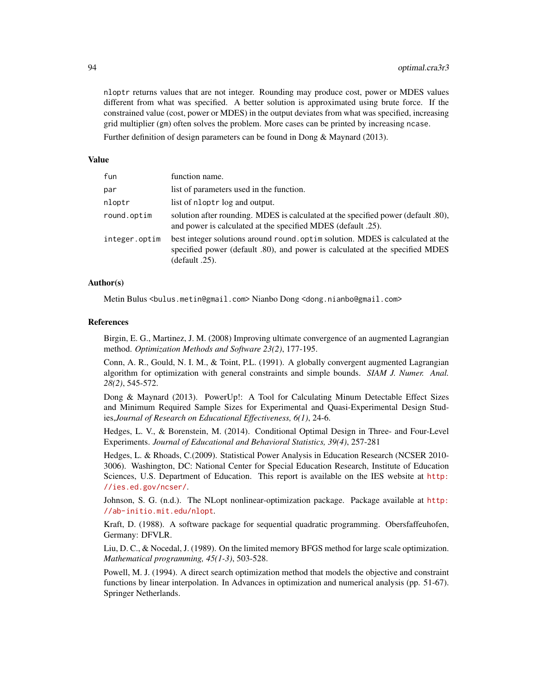nloptr returns values that are not integer. Rounding may produce cost, power or MDES values different from what was specified. A better solution is approximated using brute force. If the constrained value (cost, power or MDES) in the output deviates from what was specified, increasing grid multiplier (gm) often solves the problem. More cases can be printed by increasing ncase.

Further definition of design parameters can be found in Dong & Maynard (2013).

#### Value

| fun           | function name.                                                                                                                                                                  |
|---------------|---------------------------------------------------------------------------------------------------------------------------------------------------------------------------------|
| par           | list of parameters used in the function.                                                                                                                                        |
| nloptr        | list of nloptr log and output.                                                                                                                                                  |
| round.optim   | solution after rounding. MDES is calculated at the specified power (default .80),<br>and power is calculated at the specified MDES (default .25).                               |
| integer.optim | best integer solutions around round optim solution. MDES is calculated at the<br>specified power (default .80), and power is calculated at the specified MDES<br>(default .25). |

## Author(s)

Metin Bulus <bulus.metin@gmail.com> Nianbo Dong <dong.nianbo@gmail.com>

#### References

Birgin, E. G., Martinez, J. M. (2008) Improving ultimate convergence of an augmented Lagrangian method. *Optimization Methods and Software 23(2)*, 177-195.

Conn, A. R., Gould, N. I. M., & Toint, P.L. (1991). A globally convergent augmented Lagrangian algorithm for optimization with general constraints and simple bounds. *SIAM J. Numer. Anal. 28(2)*, 545-572.

Dong & Maynard (2013). PowerUp!: A Tool for Calculating Minum Detectable Effect Sizes and Minimum Required Sample Sizes for Experimental and Quasi-Experimental Design Studies,*Journal of Research on Educational Effectiveness, 6(1)*, 24-6.

Hedges, L. V., & Borenstein, M. (2014). Conditional Optimal Design in Three- and Four-Level Experiments. *Journal of Educational and Behavioral Statistics, 39(4)*, 257-281

Hedges, L. & Rhoads, C.(2009). Statistical Power Analysis in Education Research (NCSER 2010- 3006). Washington, DC: National Center for Special Education Research, Institute of Education Sciences, U.S. Department of Education. This report is available on the IES website at [http:](http://ies.ed.gov/ncser/) [//ies.ed.gov/ncser/](http://ies.ed.gov/ncser/).

Johnson, S. G. (n.d.). The NLopt nonlinear-optimization package. Package available at [http:](http://ab-initio.mit.edu/nlopt) [//ab-initio.mit.edu/nlopt](http://ab-initio.mit.edu/nlopt).

Kraft, D. (1988). A software package for sequential quadratic programming. Obersfaffeuhofen, Germany: DFVLR.

Liu, D. C., & Nocedal, J. (1989). On the limited memory BFGS method for large scale optimization. *Mathematical programming, 45(1-3)*, 503-528.

Powell, M. J. (1994). A direct search optimization method that models the objective and constraint functions by linear interpolation. In Advances in optimization and numerical analysis (pp. 51-67). Springer Netherlands.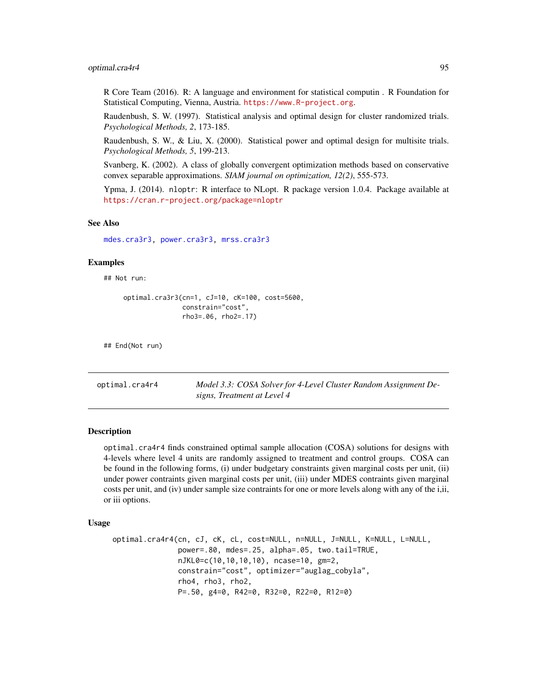## optimal.cra4r4 95

R Core Team (2016). R: A language and environment for statistical computin . R Foundation for Statistical Computing, Vienna, Austria. <https://www.R-project.org>.

Raudenbush, S. W. (1997). Statistical analysis and optimal design for cluster randomized trials. *Psychological Methods, 2*, 173-185.

Raudenbush, S. W., & Liu, X. (2000). Statistical power and optimal design for multisite trials. *Psychological Methods, 5*, 199-213.

Svanberg, K. (2002). A class of globally convergent optimization methods based on conservative convex separable approximations. *SIAM journal on optimization, 12(2)*, 555-573.

Ypma, J. (2014). nloptr: R interface to NLopt. R package version 1.0.4. Package available at <https://cran.r-project.org/package=nloptr>

# See Also

[mdes.cra3r3,](#page-23-0) [power.cra3r3,](#page-122-0) [mrss.cra3r3](#page-50-0)

#### Examples

## Not run:

```
optimal.cra3r3(cn=1, cJ=10, cK=100, cost=5600,
               constrain="cost",
               rho3=.06, rho2=.17)
```
## End(Not run)

optimal.cra4r4 *Model 3.3: COSA Solver for 4-Level Cluster Random Assignment Designs, Treatment at Level 4*

#### **Description**

optimal.cra4r4 finds constrained optimal sample allocation (COSA) solutions for designs with 4-levels where level 4 units are randomly assigned to treatment and control groups. COSA can be found in the following forms, (i) under budgetary constraints given marginal costs per unit, (ii) under power contraints given marginal costs per unit, (iii) under MDES contraints given marginal costs per unit, and (iv) under sample size contraints for one or more levels along with any of the i,ii, or iii options.

## Usage

```
optimal.cra4r4(cn, cJ, cK, cL, cost=NULL, n=NULL, J=NULL, K=NULL, L=NULL,
               power=.80, mdes=.25, alpha=.05, two.tail=TRUE,
               nJKL0=c(10,10,10,10), ncase=10, gm=2,
               constrain="cost", optimizer="auglag_cobyla",
               rho4, rho3, rho2,
               P=.50, g4=0, R42=0, R32=0, R22=0, R12=0)
```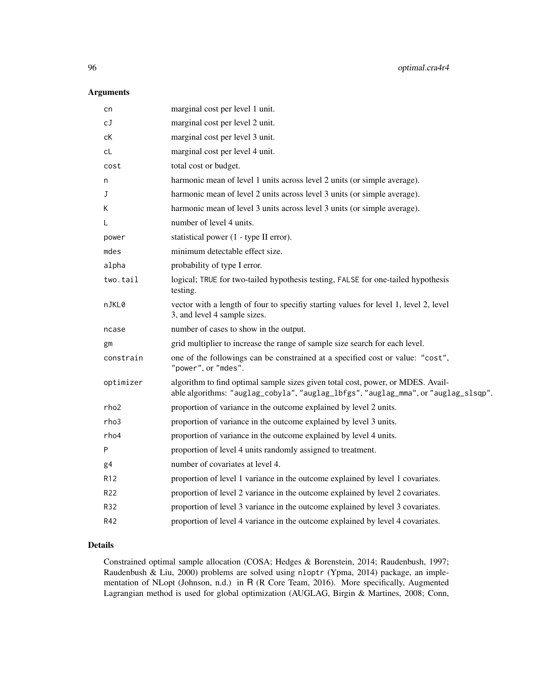# Arguments

| cn              | marginal cost per level 1 unit.                                                                                                                                       |
|-----------------|-----------------------------------------------------------------------------------------------------------------------------------------------------------------------|
| сJ              | marginal cost per level 2 unit.                                                                                                                                       |
| сK              | marginal cost per level 3 unit.                                                                                                                                       |
| cL              | marginal cost per level 4 unit.                                                                                                                                       |
| cost            | total cost or budget.                                                                                                                                                 |
| n               | harmonic mean of level 1 units across level 2 units (or simple average).                                                                                              |
| J               | harmonic mean of level 2 units across level 3 units (or simple average).                                                                                              |
| Κ               | harmonic mean of level 3 units across level 3 units (or simple average).                                                                                              |
| L               | number of level 4 units.                                                                                                                                              |
| power           | statistical power (1 - type II error).                                                                                                                                |
| mdes            | minimum detectable effect size.                                                                                                                                       |
| alpha           | probability of type I error.                                                                                                                                          |
| two.tail        | logical; TRUE for two-tailed hypothesis testing, FALSE for one-tailed hypothesis<br>testing.                                                                          |
| nJKL0           | vector with a length of four to specifiy starting values for level 1, level 2, level<br>3, and level 4 sample sizes.                                                  |
| ncase           | number of cases to show in the output.                                                                                                                                |
| gm              | grid multiplier to increase the range of sample size search for each level.                                                                                           |
| constrain       | one of the followings can be constrained at a specified cost or value: "cost",<br>"power", or "mdes".                                                                 |
| optimizer       | algorithm to find optimal sample sizes given total cost, power, or MDES. Avail-<br>able algorithms: "auglag_cobyla", "auglag_lbfgs", "auglag_mma", or "auglag_slsqp". |
| rho2            | proportion of variance in the outcome explained by level 2 units.                                                                                                     |
| rho3            | proportion of variance in the outcome explained by level 3 units.                                                                                                     |
| rho4            | proportion of variance in the outcome explained by level 4 units.                                                                                                     |
| Ρ               | proportion of level 4 units randomly assigned to treatment.                                                                                                           |
| g4              | number of covariates at level 4.                                                                                                                                      |
| R <sub>12</sub> | proportion of level 1 variance in the outcome explained by level 1 covariates.                                                                                        |
| R22             | proportion of level 2 variance in the outcome explained by level 2 covariates.                                                                                        |
| R32             | proportion of level 3 variance in the outcome explained by level 3 covariates.                                                                                        |
| R42             | proportion of level 4 variance in the outcome explained by level 4 covariates.                                                                                        |
|                 |                                                                                                                                                                       |

# Details

Constrained optimal sample allocation (COSA; Hedges & Borenstein, 2014; Raudenbush, 1997; Raudenbush & Liu, 2000) problems are solved using nloptr (Ypma, 2014) package, an implementation of NLopt (Johnson, n.d.) in R (R Core Team, 2016). More specifically, Augmented Lagrangian method is used for global optimization (AUGLAG, Birgin & Martines, 2008; Conn,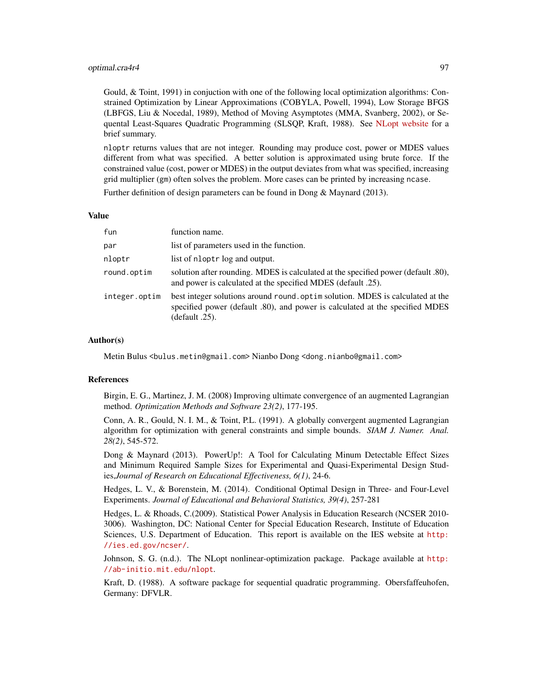## optimal.cra4r4 97

Gould, & Toint, 1991) in conjuction with one of the following local optimization algorithms: Constrained Optimization by Linear Approximations (COBYLA, Powell, 1994), Low Storage BFGS (LBFGS, Liu & Nocedal, 1989), Method of Moving Asymptotes (MMA, Svanberg, 2002), or Sequental Least-Squares Quadratic Programming (SLSQP, Kraft, 1988). See [NLopt website](http://ab-initio.mit.edu/wiki/index.php/NLopt_Algorithms) for a brief summary.

nloptr returns values that are not integer. Rounding may produce cost, power or MDES values different from what was specified. A better solution is approximated using brute force. If the constrained value (cost, power or MDES) in the output deviates from what was specified, increasing grid multiplier (gm) often solves the problem. More cases can be printed by increasing ncase.

Further definition of design parameters can be found in Dong & Maynard (2013).

## Value

| fun           | function name.                                                                                                                                                                   |
|---------------|----------------------------------------------------------------------------------------------------------------------------------------------------------------------------------|
| par           | list of parameters used in the function.                                                                                                                                         |
| nloptr        | list of nloptr log and output.                                                                                                                                                   |
| round.optim   | solution after rounding. MDES is calculated at the specified power (default .80),<br>and power is calculated at the specified MDES (default .25).                                |
| integer.optim | best integer solutions around round. optim solution. MDES is calculated at the<br>specified power (default .80), and power is calculated at the specified MDES<br>(default .25). |

#### Author(s)

Metin Bulus <bulus.metin@gmail.com> Nianbo Dong <dong.nianbo@gmail.com>

## References

Birgin, E. G., Martinez, J. M. (2008) Improving ultimate convergence of an augmented Lagrangian method. *Optimization Methods and Software 23(2)*, 177-195.

Conn, A. R., Gould, N. I. M., & Toint, P.L. (1991). A globally convergent augmented Lagrangian algorithm for optimization with general constraints and simple bounds. *SIAM J. Numer. Anal. 28(2)*, 545-572.

Dong & Maynard (2013). PowerUp!: A Tool for Calculating Minum Detectable Effect Sizes and Minimum Required Sample Sizes for Experimental and Quasi-Experimental Design Studies,*Journal of Research on Educational Effectiveness, 6(1)*, 24-6.

Hedges, L. V., & Borenstein, M. (2014). Conditional Optimal Design in Three- and Four-Level Experiments. *Journal of Educational and Behavioral Statistics, 39(4)*, 257-281

Hedges, L. & Rhoads, C.(2009). Statistical Power Analysis in Education Research (NCSER 2010- 3006). Washington, DC: National Center for Special Education Research, Institute of Education Sciences, U.S. Department of Education. This report is available on the IES website at [http:](http://ies.ed.gov/ncser/) [//ies.ed.gov/ncser/](http://ies.ed.gov/ncser/).

Johnson, S. G. (n.d.). The NLopt nonlinear-optimization package. Package available at [http:](http://ab-initio.mit.edu/nlopt) [//ab-initio.mit.edu/nlopt](http://ab-initio.mit.edu/nlopt).

Kraft, D. (1988). A software package for sequential quadratic programming. Obersfaffeuhofen, Germany: DFVLR.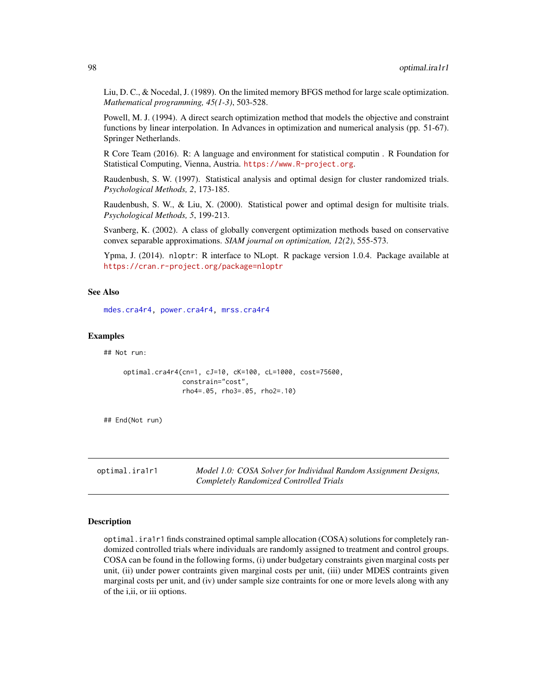Liu, D. C., & Nocedal, J. (1989). On the limited memory BFGS method for large scale optimization. *Mathematical programming, 45(1-3)*, 503-528.

Powell, M. J. (1994). A direct search optimization method that models the objective and constraint functions by linear interpolation. In Advances in optimization and numerical analysis (pp. 51-67). Springer Netherlands.

R Core Team (2016). R: A language and environment for statistical computin . R Foundation for Statistical Computing, Vienna, Austria. <https://www.R-project.org>.

Raudenbush, S. W. (1997). Statistical analysis and optimal design for cluster randomized trials. *Psychological Methods, 2*, 173-185.

Raudenbush, S. W., & Liu, X. (2000). Statistical power and optimal design for multisite trials. *Psychological Methods, 5*, 199-213.

Svanberg, K. (2002). A class of globally convergent optimization methods based on conservative convex separable approximations. *SIAM journal on optimization, 12(2)*, 555-573.

Ypma, J. (2014). nloptr: R interface to NLopt. R package version 1.0.4. Package available at <https://cran.r-project.org/package=nloptr>

## See Also

[mdes.cra4r4,](#page-25-0) [power.cra4r4,](#page-124-0) [mrss.cra4r4](#page-52-0)

## Examples

## Not run:

```
optimal.cra4r4(cn=1, cJ=10, cK=100, cL=1000, cost=75600,
               constrain="cost",
               rho4=.05, rho3=.05, rho2=.10)
```
## End(Not run)

optimal.ira1r1 *Model 1.0: COSA Solver for Individual Random Assignment Designs, Completely Randomized Controlled Trials*

## **Description**

optimal.ira1r1 finds constrained optimal sample allocation (COSA) solutions for completely randomized controlled trials where individuals are randomly assigned to treatment and control groups. COSA can be found in the following forms, (i) under budgetary constraints given marginal costs per unit, (ii) under power contraints given marginal costs per unit, (iii) under MDES contraints given marginal costs per unit, and (iv) under sample size contraints for one or more levels along with any of the i,ii, or iii options.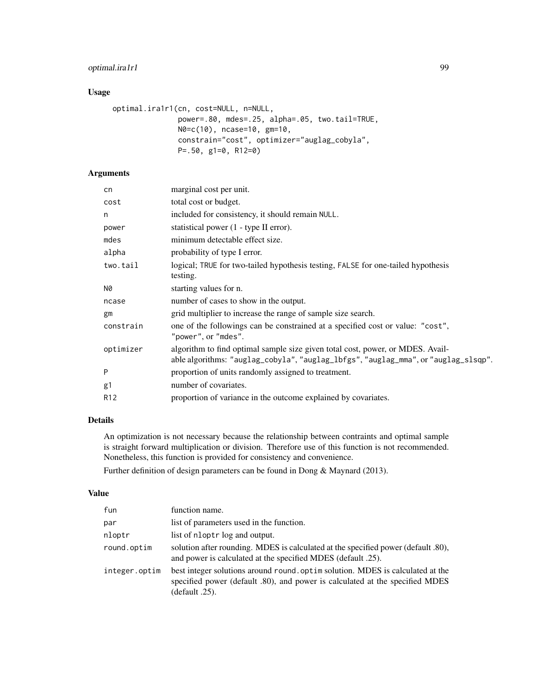# optimal.ira1r1 99

# Usage

```
optimal.ira1r1(cn, cost=NULL, n=NULL,
              power=.80, mdes=.25, alpha=.05, two.tail=TRUE,
              N0=c(10), ncase=10, gm=10,
              constrain="cost", optimizer="auglag_cobyla",
              P=.50, g1=0, R12=0)
```
# Arguments

| cn              | marginal cost per unit.                                                                                                                                              |
|-----------------|----------------------------------------------------------------------------------------------------------------------------------------------------------------------|
| cost            | total cost or budget.                                                                                                                                                |
| n               | included for consistency, it should remain NULL.                                                                                                                     |
| power           | statistical power (1 - type II error).                                                                                                                               |
| mdes            | minimum detectable effect size.                                                                                                                                      |
| alpha           | probability of type I error.                                                                                                                                         |
| two.tail        | logical; TRUE for two-tailed hypothesis testing, FALSE for one-tailed hypothesis<br>testing.                                                                         |
| N0              | starting values for n.                                                                                                                                               |
| ncase           | number of cases to show in the output.                                                                                                                               |
| gm              | grid multiplier to increase the range of sample size search.                                                                                                         |
| constrain       | one of the followings can be constrained at a specified cost or value: "cost",<br>"power", or "mdes".                                                                |
| optimizer       | algorithm to find optimal sample size given total cost, power, or MDES. Avail-<br>able algorithms: "auglag_cobyla", "auglag_lbfgs", "auglag_mma", or "auglag_slsqp". |
| P               | proportion of units randomly assigned to treatment.                                                                                                                  |
| g1              | number of covariates.                                                                                                                                                |
| R <sub>12</sub> | proportion of variance in the outcome explained by covariates.                                                                                                       |
|                 |                                                                                                                                                                      |

# Details

An optimization is not necessary because the relationship between contraints and optimal sample is straight forward multiplication or division. Therefore use of this function is not recommended. Nonetheless, this function is provided for consistency and convenience.

Further definition of design parameters can be found in Dong & Maynard (2013).

## Value

| fun           | function name.                                                                                                                                                                     |
|---------------|------------------------------------------------------------------------------------------------------------------------------------------------------------------------------------|
| par           | list of parameters used in the function.                                                                                                                                           |
| nloptr        | list of nloptr log and output.                                                                                                                                                     |
| round.optim   | solution after rounding. MDES is calculated at the specified power (default .80),<br>and power is calculated at the specified MDES (default .25).                                  |
| integer.optim | best integer solutions around round optim solution. MDES is calculated at the<br>specified power (default .80), and power is calculated at the specified MDES<br>$(default .25)$ . |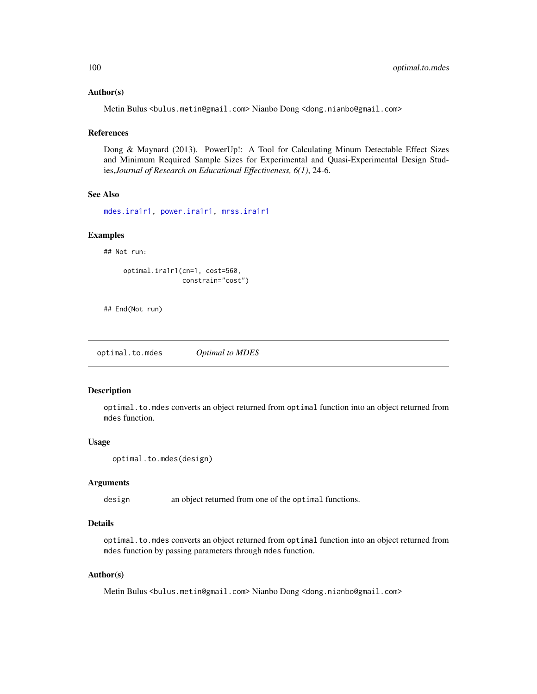## Author(s)

Metin Bulus <bulus.metin@gmail.com> Nianbo Dong <dong.nianbo@gmail.com>

## **References**

Dong & Maynard (2013). PowerUp!: A Tool for Calculating Minum Detectable Effect Sizes and Minimum Required Sample Sizes for Experimental and Quasi-Experimental Design Studies,*Journal of Research on Educational Effectiveness, 6(1)*, 24-6.

### See Also

[mdes.ira1r1,](#page-26-0) [power.ira1r1,](#page-125-0) [mrss.ira1r1](#page-54-0)

#### Examples

## Not run:

```
optimal.ira1r1(cn=1, cost=560,
               constrain="cost")
```
## End(Not run)

<span id="page-99-0"></span>optimal.to.mdes *Optimal to MDES*

## Description

optimal.to.mdes converts an object returned from optimal function into an object returned from mdes function.

#### Usage

```
optimal.to.mdes(design)
```
#### Arguments

design an object returned from one of the optimal functions.

# Details

optimal.to.mdes converts an object returned from optimal function into an object returned from mdes function by passing parameters through mdes function.

## Author(s)

Metin Bulus <bulus.metin@gmail.com> Nianbo Dong <dong.nianbo@gmail.com>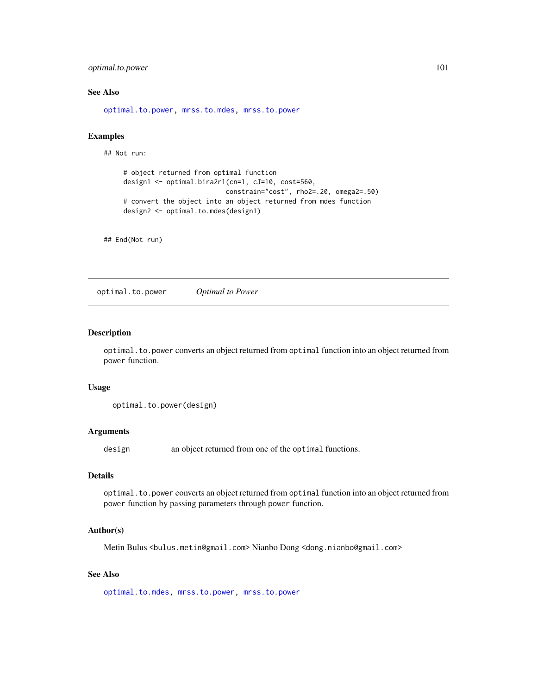# optimal.to.power 101

# See Also

[optimal.to.power,](#page-100-0) [mrss.to.mdes,](#page-55-0) [mrss.to.power](#page-56-0)

## Examples

## Not run:

```
# object returned from optimal function
design1 <- optimal.bira2r1(cn=1, cJ=10, cost=560,
                          constrain="cost", rho2=.20, omega2=.50)
# convert the object into an object returned from mdes function
design2 <- optimal.to.mdes(design1)
```
## End(Not run)

<span id="page-100-0"></span>optimal.to.power *Optimal to Power*

## Description

optimal.to.power converts an object returned from optimal function into an object returned from power function.

## Usage

```
optimal.to.power(design)
```
#### Arguments

design an object returned from one of the optimal functions.

#### Details

optimal.to.power converts an object returned from optimal function into an object returned from power function by passing parameters through power function.

# Author(s)

Metin Bulus <bulus.metin@gmail.com> Nianbo Dong <dong.nianbo@gmail.com>

# See Also

[optimal.to.mdes,](#page-99-0) [mrss.to.power,](#page-56-0) [mrss.to.power](#page-56-0)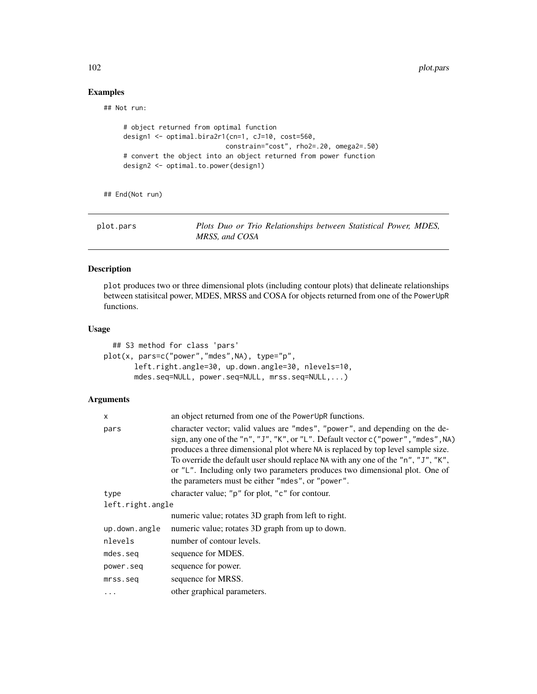102 plot.pars

# Examples

## Not run:

```
# object returned from optimal function
design1 <- optimal.bira2r1(cn=1, cJ=10, cost=560,
                         constrain="cost", rho2=.20, omega2=.50)
# convert the object into an object returned from power function
design2 <- optimal.to.power(design1)
```
## End(Not run)

| plot.pars | Plots Duo or Trio Relationships between Statistical Power, MDES, |
|-----------|------------------------------------------------------------------|
|           | MRSS, and COSA                                                   |

# Description

plot produces two or three dimensional plots (including contour plots) that delineate relationships between statisitcal power, MDES, MRSS and COSA for objects returned from one of the PowerUpR functions.

## Usage

```
## S3 method for class 'pars'
plot(x, pars=c("power","mdes",NA), type="p",
       left.right.angle=30, up.down.angle=30, nlevels=10,
      mdes.seq=NULL, power.seq=NULL, mrss.seq=NULL,...)
```
## Arguments

| X                | an object returned from one of the PowerUpR functions.                                                                                                                                                                                                                                                                                                                                                                                                                          |
|------------------|---------------------------------------------------------------------------------------------------------------------------------------------------------------------------------------------------------------------------------------------------------------------------------------------------------------------------------------------------------------------------------------------------------------------------------------------------------------------------------|
| pars             | character vector; valid values are "mdes", "power", and depending on the de-<br>sign, any one of the "n", "J", "K", or "L". Default vector c ("power", "mdes", NA)<br>produces a three dimensional plot where NA is replaced by top level sample size.<br>To override the default user should replace NA with any one of the "n", "J", "K",<br>or "L". Including only two parameters produces two dimensional plot. One of<br>the parameters must be either "mdes", or "power". |
| type             | character value; "p" for plot, "c" for contour.                                                                                                                                                                                                                                                                                                                                                                                                                                 |
| left.right.angle |                                                                                                                                                                                                                                                                                                                                                                                                                                                                                 |
|                  | numeric value; rotates 3D graph from left to right.                                                                                                                                                                                                                                                                                                                                                                                                                             |
| up.down.angle    | numeric value; rotates 3D graph from up to down.                                                                                                                                                                                                                                                                                                                                                                                                                                |
| nlevels          | number of contour levels.                                                                                                                                                                                                                                                                                                                                                                                                                                                       |
| mdes.seq         | sequence for MDES.                                                                                                                                                                                                                                                                                                                                                                                                                                                              |
| power.seq        | sequence for power.                                                                                                                                                                                                                                                                                                                                                                                                                                                             |
| mrss.seq         | sequence for MRSS.                                                                                                                                                                                                                                                                                                                                                                                                                                                              |
| $\cdots$         | other graphical parameters.                                                                                                                                                                                                                                                                                                                                                                                                                                                     |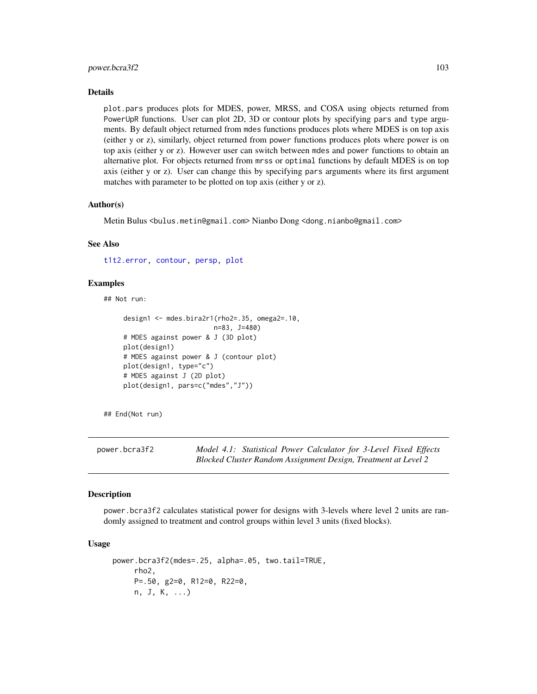## power.bcra3f2 103

#### Details

plot.pars produces plots for MDES, power, MRSS, and COSA using objects returned from PowerUpR functions. User can plot 2D, 3D or contour plots by specifying pars and type arguments. By default object returned from mdes functions produces plots where MDES is on top axis (either y or z), similarly, object returned from power functions produces plots where power is on top axis (either y or z). However user can switch between mdes and power functions to obtain an alternative plot. For objects returned from mrss or optimal functions by default MDES is on top axis (either y or z). User can change this by specifying pars arguments where its first argument matches with parameter to be plotted on top axis (either y or z).

#### Author(s)

Metin Bulus <bulus.metin@gmail.com> Nianbo Dong <dong.nianbo@gmail.com>

## See Also

[t1t2.error,](#page-127-0) [contour,](#page-0-0) [persp,](#page-0-0) [plot](#page-0-0)

## Examples

## Not run:

```
design1 <- mdes.bira2r1(rho2=.35, omega2=.10,
                       n=83, J=480)
# MDES against power & J (3D plot)
plot(design1)
# MDES against power & J (contour plot)
plot(design1, type="c")
# MDES against J (2D plot)
plot(design1, pars=c("mdes","J"))
```
## End(Not run)

power.bcra3f2 *Model 4.1: Statistical Power Calculator for 3-Level Fixed Effects Blocked Cluster Random Assignment Design, Treatment at Level 2*

#### Description

power.bcra3f2 calculates statistical power for designs with 3-levels where level 2 units are randomly assigned to treatment and control groups within level 3 units (fixed blocks).

## Usage

```
power.bcra3f2(mdes=.25, alpha=.05, two.tail=TRUE,
     rho2,
    P=.50, g2=0, R12=0, R22=0,
     n, J, K, ...)
```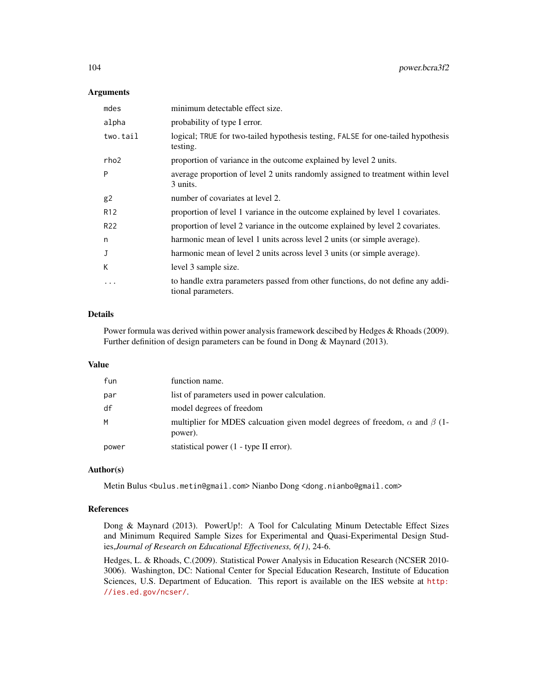## **Arguments**

| mdes             | minimum detectable effect size.                                                                       |
|------------------|-------------------------------------------------------------------------------------------------------|
| alpha            | probability of type I error.                                                                          |
| two.tail         | logical; TRUE for two-tailed hypothesis testing, FALSE for one-tailed hypothesis<br>testing.          |
| rho <sub>2</sub> | proportion of variance in the outcome explained by level 2 units.                                     |
| P                | average proportion of level 2 units randomly assigned to treatment within level<br>3 units.           |
| g2               | number of covariates at level 2.                                                                      |
| R <sub>12</sub>  | proportion of level 1 variance in the outcome explained by level 1 covariates.                        |
| R <sub>22</sub>  | proportion of level 2 variance in the outcome explained by level 2 covariates.                        |
| n                | harmonic mean of level 1 units across level 2 units (or simple average).                              |
| J                | harmonic mean of level 2 units across level 3 units (or simple average).                              |
| К                | level 3 sample size.                                                                                  |
| .                | to handle extra parameters passed from other functions, do not define any addi-<br>tional parameters. |

# Details

Power formula was derived within power analysis framework descibed by Hedges & Rhoads (2009). Further definition of design parameters can be found in Dong & Maynard (2013).

## Value

| fun   | function name.                                                                                     |
|-------|----------------------------------------------------------------------------------------------------|
| par   | list of parameters used in power calculation.                                                      |
| df    | model degrees of freedom                                                                           |
| M     | multiplier for MDES calcuation given model degrees of freedom, $\alpha$ and $\beta$ (1-<br>power). |
| power | statistical power (1 - type II error).                                                             |

## Author(s)

Metin Bulus <bulus.metin@gmail.com> Nianbo Dong <dong.nianbo@gmail.com>

#### References

Dong & Maynard (2013). PowerUp!: A Tool for Calculating Minum Detectable Effect Sizes and Minimum Required Sample Sizes for Experimental and Quasi-Experimental Design Studies,*Journal of Research on Educational Effectiveness, 6(1)*, 24-6.

Hedges, L. & Rhoads, C.(2009). Statistical Power Analysis in Education Research (NCSER 2010- 3006). Washington, DC: National Center for Special Education Research, Institute of Education Sciences, U.S. Department of Education. This report is available on the IES website at [http:](http://ies.ed.gov/ncser/) [//ies.ed.gov/ncser/](http://ies.ed.gov/ncser/).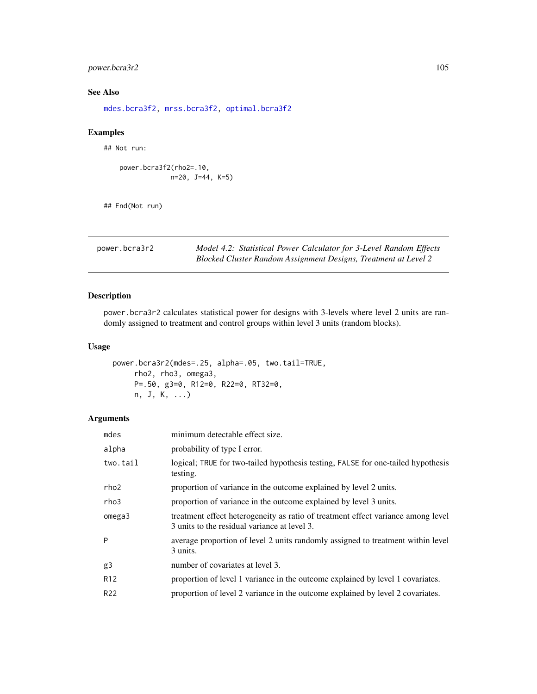# power.bcra3r2 105

# See Also

[mdes.bcra3f2,](#page-4-0) [mrss.bcra3f2,](#page-28-0) [optimal.bcra3f2](#page-57-0)

# Examples

## Not run:

power.bcra3f2(rho2=.10, n=20, J=44, K=5)

## End(Not run)

power.bcra3r2 *Model 4.2: Statistical Power Calculator for 3-Level Random Effects Blocked Cluster Random Assignment Designs, Treatment at Level 2*

# Description

power.bcra3r2 calculates statistical power for designs with 3-levels where level 2 units are randomly assigned to treatment and control groups within level 3 units (random blocks).

# Usage

```
power.bcra3r2(mdes=.25, alpha=.05, two.tail=TRUE,
     rho2, rho3, omega3,
     P=.50, g3=0, R12=0, R22=0, RT32=0,
     n, J, K, ...)
```
# Arguments

| mdes            | minimum detectable effect size.                                                                                                  |
|-----------------|----------------------------------------------------------------------------------------------------------------------------------|
| alpha           | probability of type I error.                                                                                                     |
| two.tail        | logical; TRUE for two-tailed hypothesis testing, FALSE for one-tailed hypothesis<br>testing.                                     |
| rho2            | proportion of variance in the outcome explained by level 2 units.                                                                |
| rho3            | proportion of variance in the outcome explained by level 3 units.                                                                |
| omega3          | treatment effect heterogeneity as ratio of treatment effect variance among level<br>3 units to the residual variance at level 3. |
| P               | average proportion of level 2 units randomly assigned to treatment within level<br>3 units.                                      |
| g3              | number of covariates at level 3.                                                                                                 |
| R <sub>12</sub> | proportion of level 1 variance in the outcome explained by level 1 covariates.                                                   |
| R <sub>22</sub> | proportion of level 2 variance in the outcome explained by level 2 covariates.                                                   |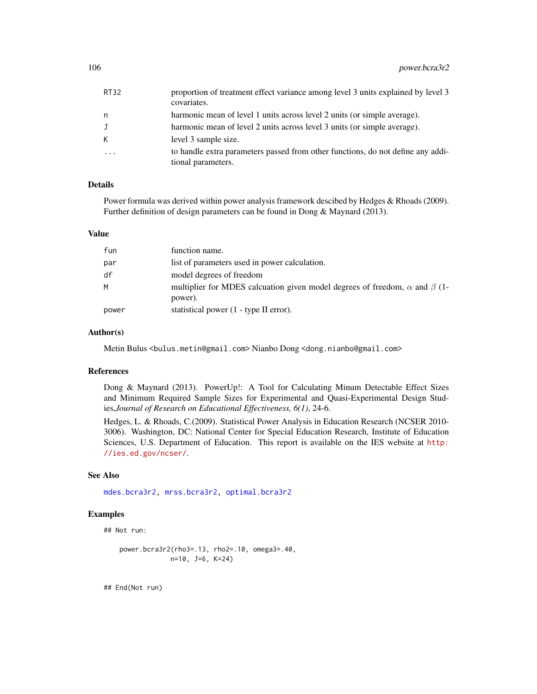| RT32     | proportion of treatment effect variance among level 3 units explained by level 3<br>covariates.       |
|----------|-------------------------------------------------------------------------------------------------------|
| n        | harmonic mean of level 1 units across level 2 units (or simple average).                              |
| J        | harmonic mean of level 2 units across level 3 units (or simple average).                              |
| K.       | level 3 sample size.                                                                                  |
| $\ddots$ | to handle extra parameters passed from other functions, do not define any addi-<br>tional parameters. |

## Details

Power formula was derived within power analysis framework descibed by Hedges & Rhoads (2009). Further definition of design parameters can be found in Dong & Maynard (2013).

#### Value

| fun   | function name.                                                                                     |
|-------|----------------------------------------------------------------------------------------------------|
| par   | list of parameters used in power calculation.                                                      |
| df    | model degrees of freedom                                                                           |
| M     | multiplier for MDES calcuation given model degrees of freedom, $\alpha$ and $\beta$ (1-<br>power). |
| power | statistical power (1 - type II error).                                                             |

#### Author(s)

Metin Bulus <bulus.metin@gmail.com> Nianbo Dong <dong.nianbo@gmail.com>

# References

Dong & Maynard (2013). PowerUp!: A Tool for Calculating Minum Detectable Effect Sizes and Minimum Required Sample Sizes for Experimental and Quasi-Experimental Design Studies,*Journal of Research on Educational Effectiveness, 6(1)*, 24-6.

Hedges, L. & Rhoads, C.(2009). Statistical Power Analysis in Education Research (NCSER 2010- 3006). Washington, DC: National Center for Special Education Research, Institute of Education Sciences, U.S. Department of Education. This report is available on the IES website at [http:](http://ies.ed.gov/ncser/) [//ies.ed.gov/ncser/](http://ies.ed.gov/ncser/).

# See Also

[mdes.bcra3r2,](#page-6-0) [mrss.bcra3r2,](#page-30-0) [optimal.bcra3r2](#page-60-0)

## Examples

```
## Not run:
```
power.bcra3r2(rho3=.13, rho2=.10, omega3=.40, n=10, J=6, K=24)

## End(Not run)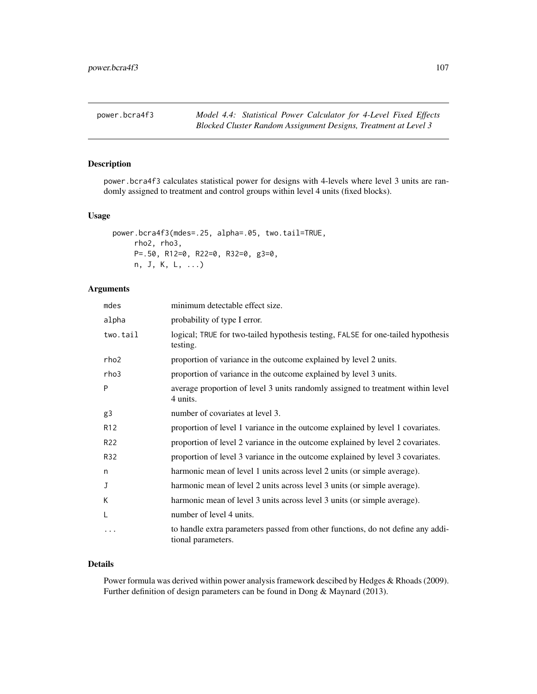# Description

power.bcra4f3 calculates statistical power for designs with 4-levels where level 3 units are randomly assigned to treatment and control groups within level 4 units (fixed blocks).

## Usage

```
power.bcra4f3(mdes=.25, alpha=.05, two.tail=TRUE,
     rho2, rho3,
    P=.50, R12=0, R22=0, R32=0, g3=0,
    n, J, K, L, ...)
```
# Arguments

| mdes             | minimum detectable effect size.                                                                       |
|------------------|-------------------------------------------------------------------------------------------------------|
| alpha            | probability of type I error.                                                                          |
| two.tail         | logical; TRUE for two-tailed hypothesis testing, FALSE for one-tailed hypothesis<br>testing.          |
| rho <sub>2</sub> | proportion of variance in the outcome explained by level 2 units.                                     |
| rho3             | proportion of variance in the outcome explained by level 3 units.                                     |
| P                | average proportion of level 3 units randomly assigned to treatment within level<br>4 units.           |
| g3               | number of covariates at level 3.                                                                      |
| R <sub>12</sub>  | proportion of level 1 variance in the outcome explained by level 1 covariates.                        |
| R <sub>22</sub>  | proportion of level 2 variance in the outcome explained by level 2 covariates.                        |
| R32              | proportion of level 3 variance in the outcome explained by level 3 covariates.                        |
| n                | harmonic mean of level 1 units across level 2 units (or simple average).                              |
| J                | harmonic mean of level 2 units across level 3 units (or simple average).                              |
| K                | harmonic mean of level 3 units across level 3 units (or simple average).                              |
| L                | number of level 4 units.                                                                              |
| .                | to handle extra parameters passed from other functions, do not define any addi-<br>tional parameters. |

## Details

Power formula was derived within power analysis framework descibed by Hedges & Rhoads (2009). Further definition of design parameters can be found in Dong & Maynard (2013).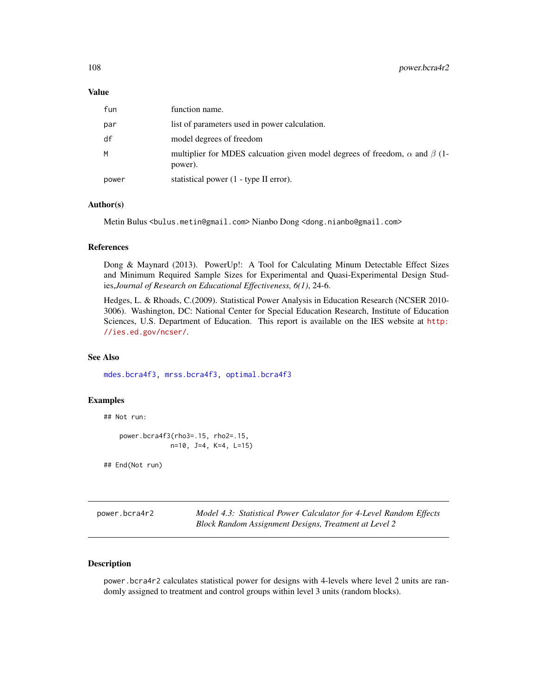#### Value

| fun   | function name.                                                                                     |
|-------|----------------------------------------------------------------------------------------------------|
| par   | list of parameters used in power calculation.                                                      |
| df    | model degrees of freedom                                                                           |
| M     | multiplier for MDES calcuation given model degrees of freedom, $\alpha$ and $\beta$ (1-<br>power). |
| power | statistical power (1 - type II error).                                                             |

## Author(s)

Metin Bulus <bulus.metin@gmail.com> Nianbo Dong <dong.nianbo@gmail.com>

#### References

Dong & Maynard (2013). PowerUp!: A Tool for Calculating Minum Detectable Effect Sizes and Minimum Required Sample Sizes for Experimental and Quasi-Experimental Design Studies,*Journal of Research on Educational Effectiveness, 6(1)*, 24-6.

Hedges, L. & Rhoads, C.(2009). Statistical Power Analysis in Education Research (NCSER 2010- 3006). Washington, DC: National Center for Special Education Research, Institute of Education Sciences, U.S. Department of Education. This report is available on the IES website at [http:](http://ies.ed.gov/ncser/) [//ies.ed.gov/ncser/](http://ies.ed.gov/ncser/).

# See Also

[mdes.bcra4f3,](#page-8-0) [mrss.bcra4f3,](#page-32-0) [optimal.bcra4f3](#page-63-0)

### Examples

## Not run:

power.bcra4f3(rho3=.15, rho2=.15, n=10, J=4, K=4, L=15)

## End(Not run)

power.bcra4r2 *Model 4.3: Statistical Power Calculator for 4-Level Random Effects Block Random Assignment Designs, Treatment at Level 2*

# Description

power.bcra4r2 calculates statistical power for designs with 4-levels where level 2 units are randomly assigned to treatment and control groups within level 3 units (random blocks).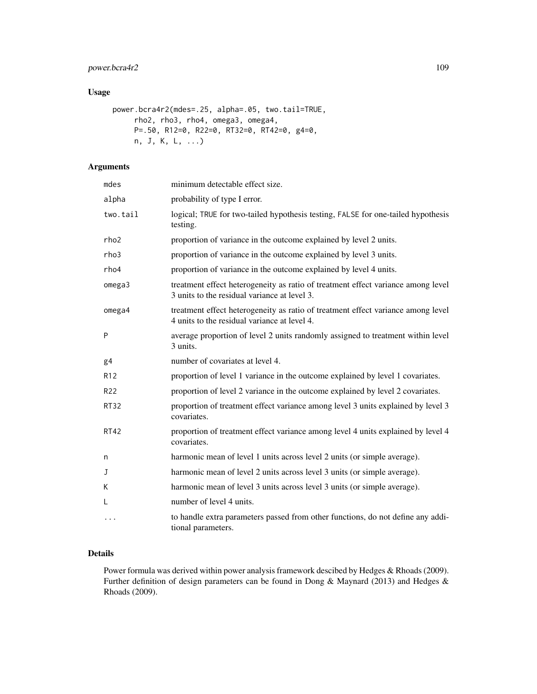# power.bcra4r2 109

# Usage

```
power.bcra4r2(mdes=.25, alpha=.05, two.tail=TRUE,
     rho2, rho3, rho4, omega3, omega4,
     P=.50, R12=0, R22=0, RT32=0, RT42=0, g4=0,
     n, J, K, L, ...)
```
# Arguments

| mdes             | minimum detectable effect size.                                                                                                  |
|------------------|----------------------------------------------------------------------------------------------------------------------------------|
| alpha            | probability of type I error.                                                                                                     |
| two.tail         | logical; TRUE for two-tailed hypothesis testing, FALSE for one-tailed hypothesis<br>testing.                                     |
| rho <sub>2</sub> | proportion of variance in the outcome explained by level 2 units.                                                                |
| rho3             | proportion of variance in the outcome explained by level 3 units.                                                                |
| rho4             | proportion of variance in the outcome explained by level 4 units.                                                                |
| omega3           | treatment effect heterogeneity as ratio of treatment effect variance among level<br>3 units to the residual variance at level 3. |
| omega4           | treatment effect heterogeneity as ratio of treatment effect variance among level<br>4 units to the residual variance at level 4. |
| P                | average proportion of level 2 units randomly assigned to treatment within level<br>3 units.                                      |
| g <sub>4</sub>   | number of covariates at level 4.                                                                                                 |
| R <sub>12</sub>  | proportion of level 1 variance in the outcome explained by level 1 covariates.                                                   |
| R <sub>22</sub>  | proportion of level 2 variance in the outcome explained by level 2 covariates.                                                   |
| <b>RT32</b>      | proportion of treatment effect variance among level 3 units explained by level 3<br>covariates.                                  |
| <b>RT42</b>      | proportion of treatment effect variance among level 4 units explained by level 4<br>covariates.                                  |
| n                | harmonic mean of level 1 units across level 2 units (or simple average).                                                         |
| J                | harmonic mean of level 2 units across level 3 units (or simple average).                                                         |
| K                | harmonic mean of level 3 units across level 3 units (or simple average).                                                         |
| L                | number of level 4 units.                                                                                                         |
| $\ddotsc$        | to handle extra parameters passed from other functions, do not define any addi-<br>tional parameters.                            |

# Details

Power formula was derived within power analysis framework descibed by Hedges & Rhoads (2009). Further definition of design parameters can be found in Dong & Maynard (2013) and Hedges & Rhoads (2009).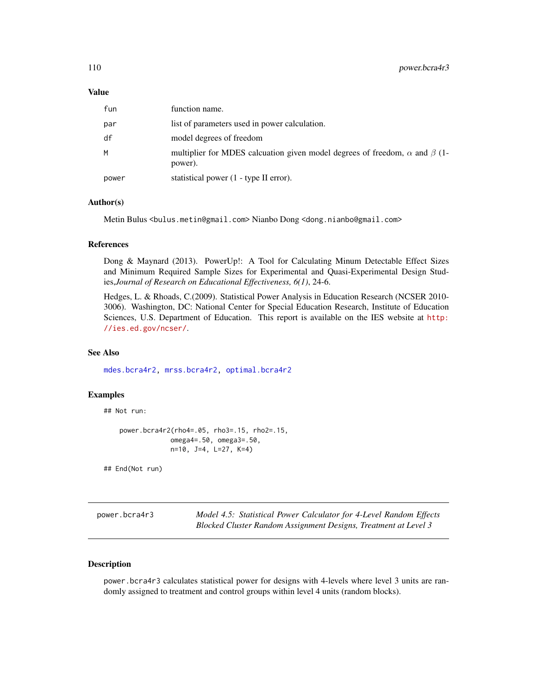#### <span id="page-109-0"></span>Value

| fun   | function name.                                                                                     |
|-------|----------------------------------------------------------------------------------------------------|
| par   | list of parameters used in power calculation.                                                      |
| df    | model degrees of freedom                                                                           |
| M     | multiplier for MDES calcuation given model degrees of freedom, $\alpha$ and $\beta$ (1-<br>power). |
| power | statistical power (1 - type II error).                                                             |

# Author(s)

Metin Bulus <bulus.metin@gmail.com> Nianbo Dong <dong.nianbo@gmail.com>

#### References

Dong & Maynard (2013). PowerUp!: A Tool for Calculating Minum Detectable Effect Sizes and Minimum Required Sample Sizes for Experimental and Quasi-Experimental Design Studies,*Journal of Research on Educational Effectiveness, 6(1)*, 24-6.

Hedges, L. & Rhoads, C.(2009). Statistical Power Analysis in Education Research (NCSER 2010- 3006). Washington, DC: National Center for Special Education Research, Institute of Education Sciences, U.S. Department of Education. This report is available on the IES website at [http:](http://ies.ed.gov/ncser/) [//ies.ed.gov/ncser/](http://ies.ed.gov/ncser/).

# See Also

[mdes.bcra4r2,](#page-9-0) [mrss.bcra4r2,](#page-34-0) [optimal.bcra4r2](#page-66-0)

# Examples

## Not run:

```
power.bcra4r2(rho4=.05, rho3=.15, rho2=.15,
             omega4=.50, omega3=.50,
             n=10, J=4, L=27, K=4)
```
## End(Not run)

power.bcra4r3 *Model 4.5: Statistical Power Calculator for 4-Level Random Effects Blocked Cluster Random Assignment Designs, Treatment at Level 3*

# Description

power.bcra4r3 calculates statistical power for designs with 4-levels where level 3 units are randomly assigned to treatment and control groups within level 4 units (random blocks).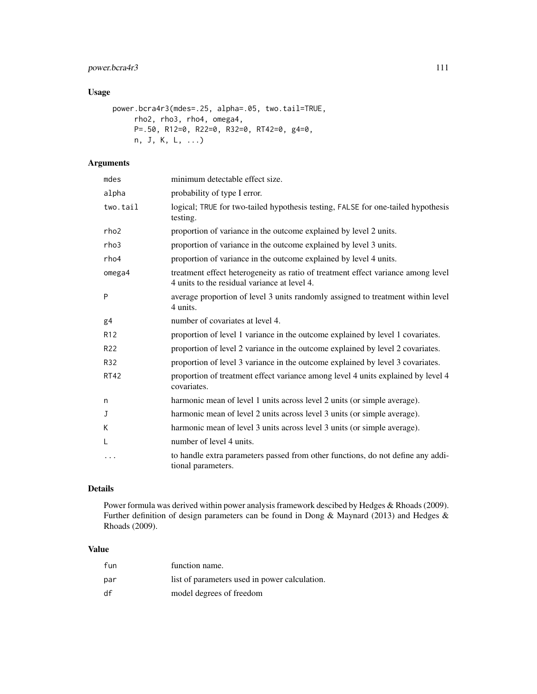# power.bcra4r3 111

# Usage

```
power.bcra4r3(mdes=.25, alpha=.05, two.tail=TRUE,
     rho2, rho3, rho4, omega4,
     P=.50, R12=0, R22=0, R32=0, RT42=0, g4=0,
    n, J, K, L, ...)
```
# Arguments

| mdes            | minimum detectable effect size.                                                                                                  |
|-----------------|----------------------------------------------------------------------------------------------------------------------------------|
| alpha           | probability of type I error.                                                                                                     |
| two.tail        | logical; TRUE for two-tailed hypothesis testing, FALSE for one-tailed hypothesis<br>testing.                                     |
| rho2            | proportion of variance in the outcome explained by level 2 units.                                                                |
| rho3            | proportion of variance in the outcome explained by level 3 units.                                                                |
| rho4            | proportion of variance in the outcome explained by level 4 units.                                                                |
| omega4          | treatment effect heterogeneity as ratio of treatment effect variance among level<br>4 units to the residual variance at level 4. |
| P               | average proportion of level 3 units randomly assigned to treatment within level<br>4 units.                                      |
| g <sub>4</sub>  | number of covariates at level 4.                                                                                                 |
| R <sub>12</sub> | proportion of level 1 variance in the outcome explained by level 1 covariates.                                                   |
| R <sub>22</sub> | proportion of level 2 variance in the outcome explained by level 2 covariates.                                                   |
| R32             | proportion of level 3 variance in the outcome explained by level 3 covariates.                                                   |
| <b>RT42</b>     | proportion of treatment effect variance among level 4 units explained by level 4<br>covariates.                                  |
| n               | harmonic mean of level 1 units across level 2 units (or simple average).                                                         |
| J               | harmonic mean of level 2 units across level 3 units (or simple average).                                                         |
| K               | harmonic mean of level 3 units across level 3 units (or simple average).                                                         |
| L               | number of level 4 units.                                                                                                         |
| $\cdots$        | to handle extra parameters passed from other functions, do not define any addi-<br>tional parameters.                            |

# Details

Power formula was derived within power analysis framework descibed by Hedges & Rhoads (2009). Further definition of design parameters can be found in Dong & Maynard (2013) and Hedges & Rhoads (2009).

# Value

| fun | function name.                                |
|-----|-----------------------------------------------|
| par | list of parameters used in power calculation. |
| df  | model degrees of freedom                      |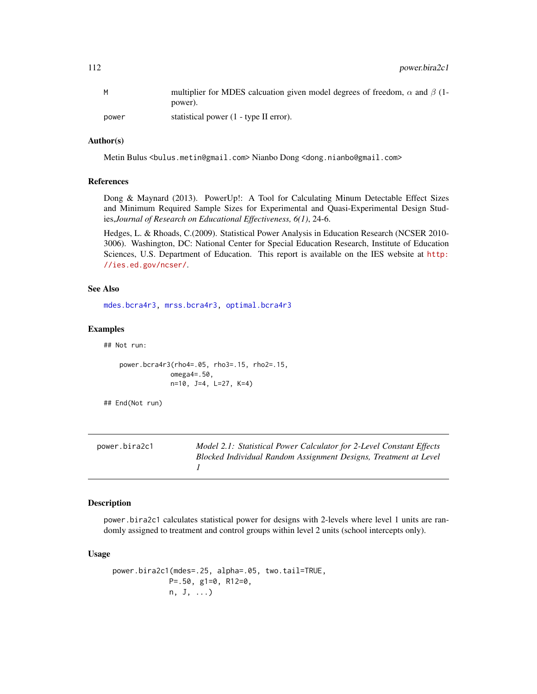<span id="page-111-0"></span>112 power.bira2c1

|       | multiplier for MDES calcuation given model degrees of freedom, $\alpha$ and $\beta$ (1- |
|-------|-----------------------------------------------------------------------------------------|
|       | power).                                                                                 |
| power | statistical power (1 - type II error).                                                  |

#### Author(s)

Metin Bulus <bulus.metin@gmail.com> Nianbo Dong <dong.nianbo@gmail.com>

#### References

Dong & Maynard (2013). PowerUp!: A Tool for Calculating Minum Detectable Effect Sizes and Minimum Required Sample Sizes for Experimental and Quasi-Experimental Design Studies,*Journal of Research on Educational Effectiveness, 6(1)*, 24-6.

Hedges, L. & Rhoads, C.(2009). Statistical Power Analysis in Education Research (NCSER 2010- 3006). Washington, DC: National Center for Special Education Research, Institute of Education Sciences, U.S. Department of Education. This report is available on the IES website at [http:](http://ies.ed.gov/ncser/) [//ies.ed.gov/ncser/](http://ies.ed.gov/ncser/).

#### See Also

[mdes.bcra4r3,](#page-11-0) [mrss.bcra4r3,](#page-36-0) [optimal.bcra4r3](#page-69-0)

#### Examples

## Not run:

```
power.bcra4r3(rho4=.05, rho3=.15, rho2=.15,
             omega4=.50,
             n=10, J=4, L=27, K=4)
```
## End(Not run)

| power.bira2c1 | Model 2.1: Statistical Power Calculator for 2-Level Constant Effects |
|---------------|----------------------------------------------------------------------|
|               | Blocked Individual Random Assignment Designs, Treatment at Level     |
|               |                                                                      |

#### Description

power.bira2c1 calculates statistical power for designs with 2-levels where level 1 units are randomly assigned to treatment and control groups within level 2 units (school intercepts only).

#### Usage

```
power.bira2c1(mdes=.25, alpha=.05, two.tail=TRUE,
            P=.50, g1=0, R12=0,
            n, J, ...)
```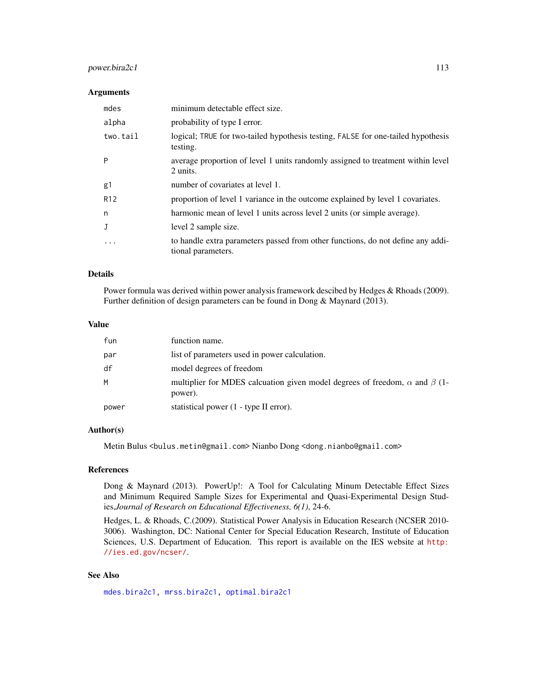# <span id="page-112-0"></span>power.bira2c1 113

# Arguments

| mdes            | minimum detectable effect size.                                                                       |
|-----------------|-------------------------------------------------------------------------------------------------------|
| alpha           | probability of type I error.                                                                          |
| two.tail        | logical; TRUE for two-tailed hypothesis testing, FALSE for one-tailed hypothesis<br>testing.          |
| P               | average proportion of level 1 units randomly assigned to treatment within level<br>2 units.           |
| g1              | number of covariates at level 1.                                                                      |
| R <sub>12</sub> | proportion of level 1 variance in the outcome explained by level 1 covariates.                        |
| n               | harmonic mean of level 1 units across level 2 units (or simple average).                              |
|                 | level 2 sample size.                                                                                  |
| $\cdots$        | to handle extra parameters passed from other functions, do not define any addi-<br>tional parameters. |

# Details

Power formula was derived within power analysis framework descibed by Hedges & Rhoads (2009). Further definition of design parameters can be found in Dong & Maynard (2013).

#### Value

| fun   | function name.                                                                                     |
|-------|----------------------------------------------------------------------------------------------------|
| par   | list of parameters used in power calculation.                                                      |
| df    | model degrees of freedom                                                                           |
| M     | multiplier for MDES calcuation given model degrees of freedom, $\alpha$ and $\beta$ (1-<br>power). |
| power | statistical power (1 - type II error).                                                             |

### Author(s)

Metin Bulus <bulus.metin@gmail.com> Nianbo Dong <dong.nianbo@gmail.com>

#### References

Dong & Maynard (2013). PowerUp!: A Tool for Calculating Minum Detectable Effect Sizes and Minimum Required Sample Sizes for Experimental and Quasi-Experimental Design Studies,*Journal of Research on Educational Effectiveness, 6(1)*, 24-6.

Hedges, L. & Rhoads, C.(2009). Statistical Power Analysis in Education Research (NCSER 2010- 3006). Washington, DC: National Center for Special Education Research, Institute of Education Sciences, U.S. Department of Education. This report is available on the IES website at [http:](http://ies.ed.gov/ncser/) [//ies.ed.gov/ncser/](http://ies.ed.gov/ncser/).

# See Also

[mdes.bira2c1,](#page-13-0) [mrss.bira2c1,](#page-38-0) [optimal.bira2c1](#page-73-0)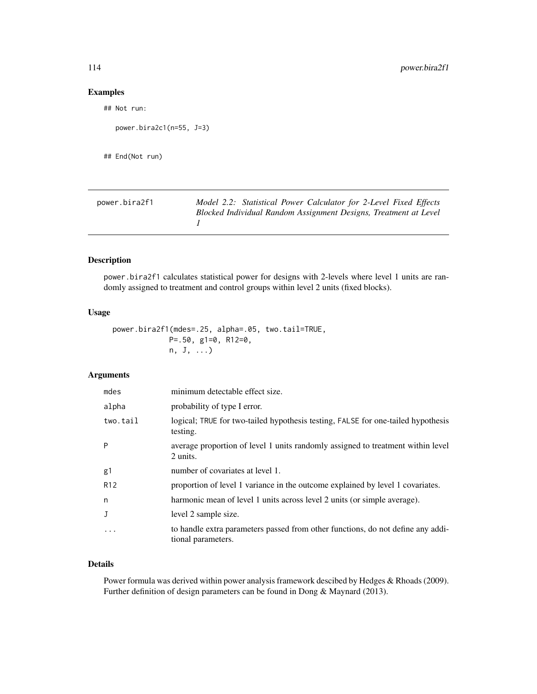# <span id="page-113-0"></span>Examples

```
## Not run:
```

```
power.bira2c1(n=55, J=3)
```

```
## End(Not run)
```

| power.bira2f1 | Model 2.2: Statistical Power Calculator for 2-Level Fixed Effects |
|---------------|-------------------------------------------------------------------|
|               | Blocked Individual Random Assignment Designs, Treatment at Level  |
|               |                                                                   |

# Description

power.bira2f1 calculates statistical power for designs with 2-levels where level 1 units are randomly assigned to treatment and control groups within level 2 units (fixed blocks).

#### Usage

```
power.bira2f1(mdes=.25, alpha=.05, two.tail=TRUE,
             P=.50, g1=0, R12=0,
             n, J, ...)
```
# Arguments

| mdes            | minimum detectable effect size.                                                                       |
|-----------------|-------------------------------------------------------------------------------------------------------|
| alpha           | probability of type I error.                                                                          |
| two.tail        | logical; TRUE for two-tailed hypothesis testing, FALSE for one-tailed hypothesis<br>testing.          |
| P               | average proportion of level 1 units randomly assigned to treatment within level<br>2 units.           |
| g1              | number of covariates at level 1.                                                                      |
| R <sub>12</sub> | proportion of level 1 variance in the outcome explained by level 1 covariates.                        |
| n               | harmonic mean of level 1 units across level 2 units (or simple average).                              |
| J               | level 2 sample size.                                                                                  |
| $\ddotsc$       | to handle extra parameters passed from other functions, do not define any addi-<br>tional parameters. |

# Details

Power formula was derived within power analysis framework descibed by Hedges & Rhoads (2009). Further definition of design parameters can be found in Dong & Maynard (2013).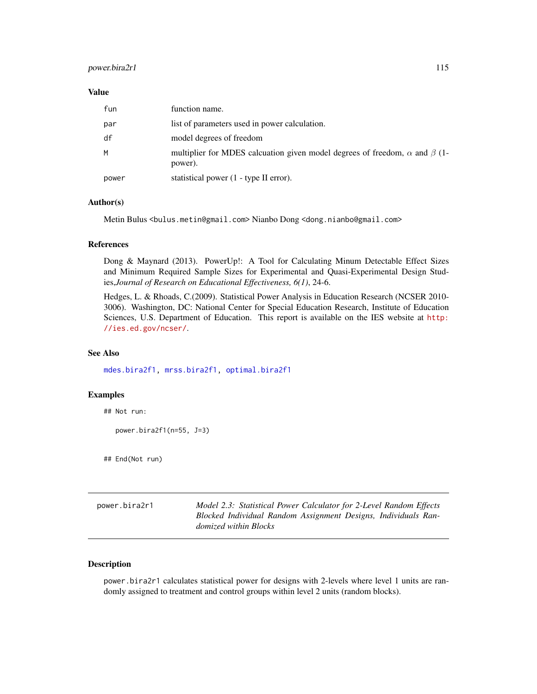# <span id="page-114-0"></span>power.bira2r1 115

#### Value

| fun   | function name.                                                                                     |
|-------|----------------------------------------------------------------------------------------------------|
| par   | list of parameters used in power calculation.                                                      |
| df    | model degrees of freedom                                                                           |
| M     | multiplier for MDES calcuation given model degrees of freedom, $\alpha$ and $\beta$ (1-<br>power). |
| power | statistical power (1 - type II error).                                                             |

# Author(s)

Metin Bulus <bulus.metin@gmail.com> Nianbo Dong <dong.nianbo@gmail.com>

#### References

Dong & Maynard (2013). PowerUp!: A Tool for Calculating Minum Detectable Effect Sizes and Minimum Required Sample Sizes for Experimental and Quasi-Experimental Design Studies,*Journal of Research on Educational Effectiveness, 6(1)*, 24-6.

Hedges, L. & Rhoads, C.(2009). Statistical Power Analysis in Education Research (NCSER 2010- 3006). Washington, DC: National Center for Special Education Research, Institute of Education Sciences, U.S. Department of Education. This report is available on the IES website at [http:](http://ies.ed.gov/ncser/) [//ies.ed.gov/ncser/](http://ies.ed.gov/ncser/).

# See Also

[mdes.bira2f1,](#page-15-0) [mrss.bira2f1,](#page-40-0) [optimal.bira2f1](#page-76-0)

# Examples

## Not run:

power.bira2f1(n=55, J=3)

## End(Not run)

power.bira2r1 *Model 2.3: Statistical Power Calculator for 2-Level Random Effects Blocked Individual Random Assignment Designs, Individuals Randomized within Blocks*

# Description

power.bira2r1 calculates statistical power for designs with 2-levels where level 1 units are randomly assigned to treatment and control groups within level 2 units (random blocks).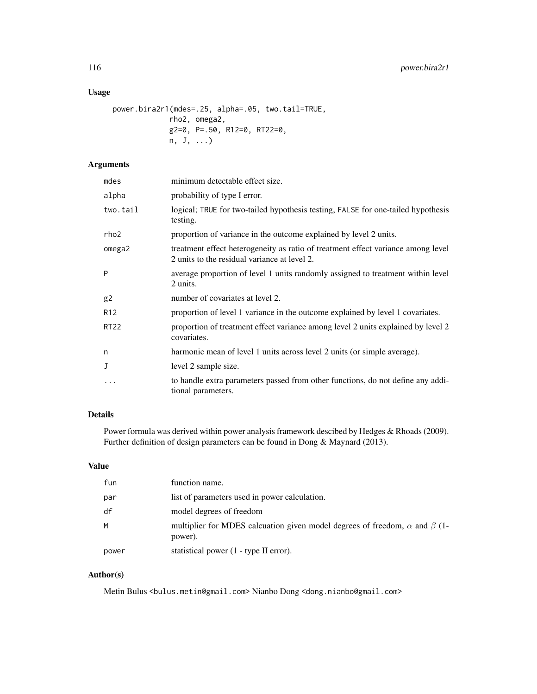# Usage

```
power.bira2r1(mdes=.25, alpha=.05, two.tail=TRUE,
             rho2, omega2,
             g2=0, P=.50, R12=0, RT22=0,
             n, J, ...)
```
# Arguments

| mdes            | minimum detectable effect size.                                                                                                  |
|-----------------|----------------------------------------------------------------------------------------------------------------------------------|
| alpha           | probability of type I error.                                                                                                     |
| two.tail        | logical; TRUE for two-tailed hypothesis testing, FALSE for one-tailed hypothesis<br>testing.                                     |
| rho2            | proportion of variance in the outcome explained by level 2 units.                                                                |
| omega2          | treatment effect heterogeneity as ratio of treatment effect variance among level<br>2 units to the residual variance at level 2. |
| P               | average proportion of level 1 units randomly assigned to treatment within level<br>2 units.                                      |
| g <sub>2</sub>  | number of covariates at level 2.                                                                                                 |
| R <sub>12</sub> | proportion of level 1 variance in the outcome explained by level 1 covariates.                                                   |
| <b>RT22</b>     | proportion of treatment effect variance among level 2 units explained by level 2<br>covariates.                                  |
| n               | harmonic mean of level 1 units across level 2 units (or simple average).                                                         |
| J               | level 2 sample size.                                                                                                             |
| $\ddotsc$       | to handle extra parameters passed from other functions, do not define any addi-<br>tional parameters.                            |

# Details

Power formula was derived within power analysis framework descibed by Hedges & Rhoads (2009). Further definition of design parameters can be found in Dong & Maynard (2013).

# Value

| fun   | function name.                                                                                     |
|-------|----------------------------------------------------------------------------------------------------|
| par   | list of parameters used in power calculation.                                                      |
| df    | model degrees of freedom                                                                           |
| M     | multiplier for MDES calcuation given model degrees of freedom, $\alpha$ and $\beta$ (1-<br>power). |
| power | statistical power (1 - type II error).                                                             |

# Author(s)

Metin Bulus <br/> <br/> <br/> <br/> <br/> <br/>netin@gmail.com> Nianbo Dong <dong.nianbo@gmail.com>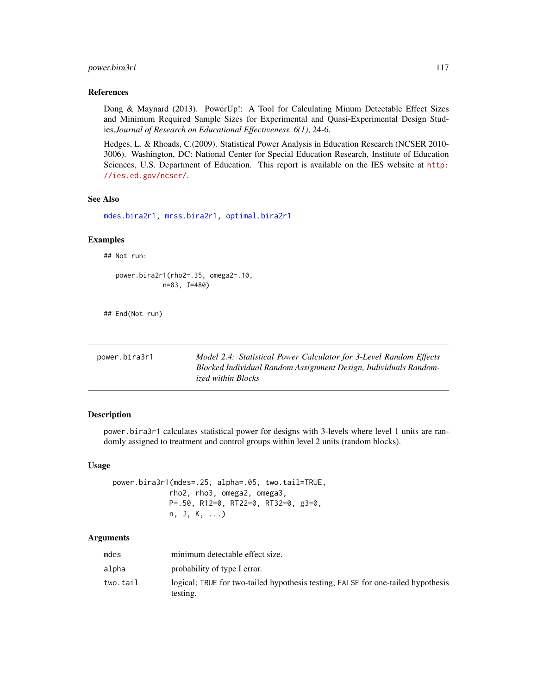# <span id="page-116-0"></span>power.bira3r1 117

#### References

Dong & Maynard (2013). PowerUp!: A Tool for Calculating Minum Detectable Effect Sizes and Minimum Required Sample Sizes for Experimental and Quasi-Experimental Design Studies,*Journal of Research on Educational Effectiveness, 6(1)*, 24-6.

Hedges, L. & Rhoads, C.(2009). Statistical Power Analysis in Education Research (NCSER 2010- 3006). Washington, DC: National Center for Special Education Research, Institute of Education Sciences, U.S. Department of Education. This report is available on the IES website at [http:](http://ies.ed.gov/ncser/) [//ies.ed.gov/ncser/](http://ies.ed.gov/ncser/).

# See Also

[mdes.bira2r1,](#page-16-0) [mrss.bira2r1,](#page-42-0) [optimal.bira2r1](#page-78-0)

#### Examples

## Not run:

power.bira2r1(rho2=.35, omega2=.10, n=83, J=480)

## End(Not run)

| power.bira3r1 | Model 2.4: Statistical Power Calculator for 3-Level Random Effects |
|---------------|--------------------------------------------------------------------|
|               | Blocked Individual Random Assignment Design, Individuals Random-   |
|               | ized within Blocks                                                 |

# Description

power.bira3r1 calculates statistical power for designs with 3-levels where level 1 units are randomly assigned to treatment and control groups within level 2 units (random blocks).

#### Usage

```
power.bira3r1(mdes=.25, alpha=.05, two.tail=TRUE,
             rho2, rho3, omega2, omega3,
             P=.50, R12=0, RT22=0, RT32=0, g3=0,
             n, J, K, ...)
```
#### Arguments

| mdes     | minimum detectable effect size.                                                              |
|----------|----------------------------------------------------------------------------------------------|
| alpha    | probability of type I error.                                                                 |
| two.tail | logical; TRUE for two-tailed hypothesis testing, FALSE for one-tailed hypothesis<br>testing. |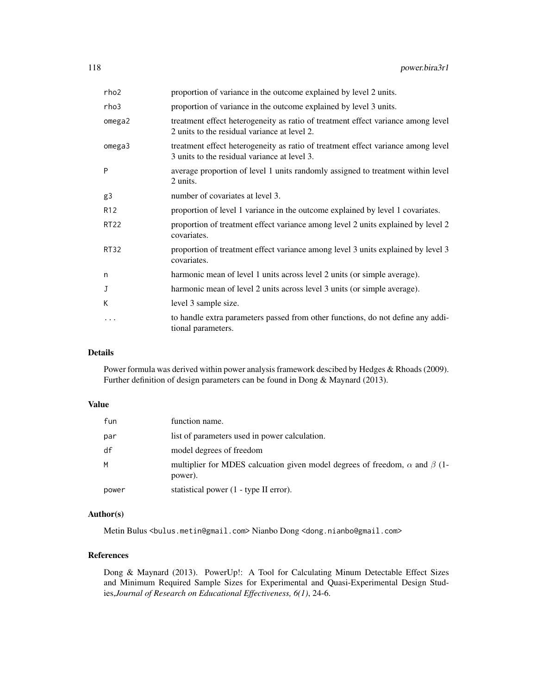| rho2            | proportion of variance in the outcome explained by level 2 units.                                                                |
|-----------------|----------------------------------------------------------------------------------------------------------------------------------|
| rho3            | proportion of variance in the outcome explained by level 3 units.                                                                |
| omega2          | treatment effect heterogeneity as ratio of treatment effect variance among level<br>2 units to the residual variance at level 2. |
| omega3          | treatment effect heterogeneity as ratio of treatment effect variance among level<br>3 units to the residual variance at level 3. |
| P               | average proportion of level 1 units randomly assigned to treatment within level<br>2 units.                                      |
| g3              | number of covariates at level 3.                                                                                                 |
| R <sub>12</sub> | proportion of level 1 variance in the outcome explained by level 1 covariates.                                                   |
| RT22            | proportion of treatment effect variance among level 2 units explained by level 2<br>covariates.                                  |
| <b>RT32</b>     | proportion of treatment effect variance among level 3 units explained by level 3<br>covariates.                                  |
| n               | harmonic mean of level 1 units across level 2 units (or simple average).                                                         |
| J               | harmonic mean of level 2 units across level 3 units (or simple average).                                                         |
| K               | level 3 sample size.                                                                                                             |
| .               | to handle extra parameters passed from other functions, do not define any addi-<br>tional parameters.                            |

# Details

Power formula was derived within power analysis framework descibed by Hedges & Rhoads (2009). Further definition of design parameters can be found in Dong & Maynard (2013).

# Value

| fun   | function name.                                                                                     |
|-------|----------------------------------------------------------------------------------------------------|
| par   | list of parameters used in power calculation.                                                      |
| df    | model degrees of freedom                                                                           |
| M     | multiplier for MDES calcuation given model degrees of freedom, $\alpha$ and $\beta$ (1-<br>power). |
| power | statistical power (1 - type II error).                                                             |

#### Author(s)

Metin Bulus <bulus.metin@gmail.com> Nianbo Dong <dong.nianbo@gmail.com>

# References

Dong & Maynard (2013). PowerUp!: A Tool for Calculating Minum Detectable Effect Sizes and Minimum Required Sample Sizes for Experimental and Quasi-Experimental Design Studies,*Journal of Research on Educational Effectiveness, 6(1)*, 24-6.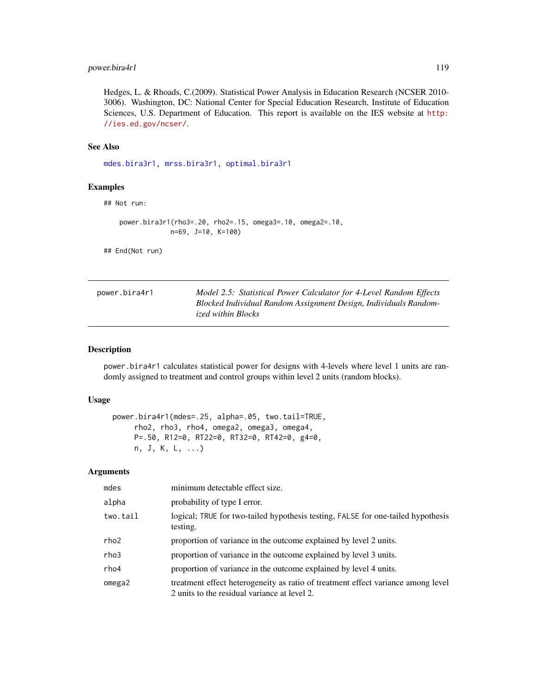# <span id="page-118-0"></span>power.bira4r1 119

Hedges, L. & Rhoads, C.(2009). Statistical Power Analysis in Education Research (NCSER 2010- 3006). Washington, DC: National Center for Special Education Research, Institute of Education Sciences, U.S. Department of Education. This report is available on the IES website at [http:](http://ies.ed.gov/ncser/) [//ies.ed.gov/ncser/](http://ies.ed.gov/ncser/).

# See Also

[mdes.bira3r1,](#page-18-0) [mrss.bira3r1,](#page-44-0) [optimal.bira3r1](#page-82-0)

#### Examples

```
## Not run:
```

```
power.bira3r1(rho3=.20, rho2=.15, omega3=.10, omega2=.10,
             n=69, J=10, K=100)
```
## End(Not run)

| power.bira4r1 | Model 2.5: Statistical Power Calculator for 4-Level Random Effects |
|---------------|--------------------------------------------------------------------|
|               | Blocked Individual Random Assignment Design, Individuals Random-   |
|               | <i>ized within Blocks</i>                                          |

#### Description

power.bira4r1 calculates statistical power for designs with 4-levels where level 1 units are randomly assigned to treatment and control groups within level 2 units (random blocks).

# Usage

```
power.bira4r1(mdes=.25, alpha=.05, two.tail=TRUE,
     rho2, rho3, rho4, omega2, omega3, omega4,
     P=.50, R12=0, RT22=0, RT32=0, RT42=0, g4=0,
     n, J, K, L, ...)
```
# Arguments

| mdes     | minimum detectable effect size.                                                                                                  |
|----------|----------------------------------------------------------------------------------------------------------------------------------|
| alpha    | probability of type I error.                                                                                                     |
| two.tail | logical; TRUE for two-tailed hypothesis testing, FALSE for one-tailed hypothesis<br>testing.                                     |
| rho2     | proportion of variance in the outcome explained by level 2 units.                                                                |
| rho3     | proportion of variance in the outcome explained by level 3 units.                                                                |
| rho4     | proportion of variance in the outcome explained by level 4 units.                                                                |
| omega2   | treatment effect heterogeneity as ratio of treatment effect variance among level<br>2 units to the residual variance at level 2. |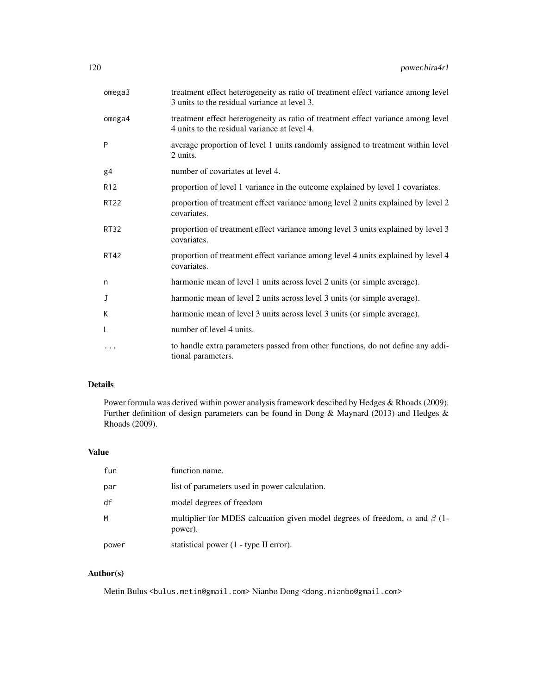| omega3          | treatment effect heterogeneity as ratio of treatment effect variance among level<br>3 units to the residual variance at level 3. |
|-----------------|----------------------------------------------------------------------------------------------------------------------------------|
| omega4          | treatment effect heterogeneity as ratio of treatment effect variance among level<br>4 units to the residual variance at level 4. |
| P               | average proportion of level 1 units randomly assigned to treatment within level<br>2 units.                                      |
| g4              | number of covariates at level 4.                                                                                                 |
| R <sub>12</sub> | proportion of level 1 variance in the outcome explained by level 1 covariates.                                                   |
| <b>RT22</b>     | proportion of treatment effect variance among level 2 units explained by level 2<br>covariates.                                  |
| RT32            | proportion of treatment effect variance among level 3 units explained by level 3<br>covariates.                                  |
| <b>RT42</b>     | proportion of treatment effect variance among level 4 units explained by level 4<br>covariates.                                  |
| n               | harmonic mean of level 1 units across level 2 units (or simple average).                                                         |
| J               | harmonic mean of level 2 units across level 3 units (or simple average).                                                         |
| K               | harmonic mean of level 3 units across level 3 units (or simple average).                                                         |
| L               | number of level 4 units.                                                                                                         |
| $\cdots$        | to handle extra parameters passed from other functions, do not define any addi-<br>tional parameters.                            |

# Details

Power formula was derived within power analysis framework descibed by Hedges & Rhoads (2009). Further definition of design parameters can be found in Dong & Maynard (2013) and Hedges & Rhoads (2009).

### Value

| fun   | function name.                                                                                     |
|-------|----------------------------------------------------------------------------------------------------|
| par   | list of parameters used in power calculation.                                                      |
| df    | model degrees of freedom                                                                           |
| M     | multiplier for MDES calcuation given model degrees of freedom, $\alpha$ and $\beta$ (1-<br>power). |
| power | statistical power (1 - type II error).                                                             |

# Author(s)

Metin Bulus <br/> <br/> <br/> <br/> <br/> <br/>netin@gmail.com> Nianbo Dong <dong.nianbo@gmail.com>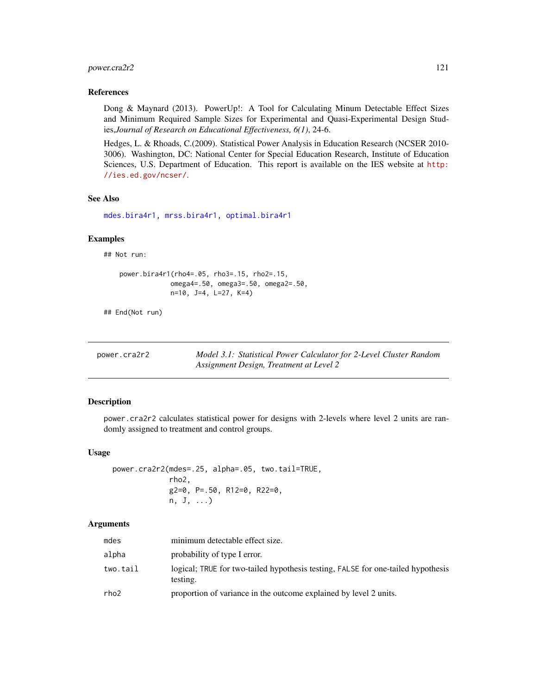# <span id="page-120-0"></span>power.cra2r2 121

#### References

Dong & Maynard (2013). PowerUp!: A Tool for Calculating Minum Detectable Effect Sizes and Minimum Required Sample Sizes for Experimental and Quasi-Experimental Design Studies,*Journal of Research on Educational Effectiveness, 6(1)*, 24-6.

Hedges, L. & Rhoads, C.(2009). Statistical Power Analysis in Education Research (NCSER 2010- 3006). Washington, DC: National Center for Special Education Research, Institute of Education Sciences, U.S. Department of Education. This report is available on the IES website at [http:](http://ies.ed.gov/ncser/) [//ies.ed.gov/ncser/](http://ies.ed.gov/ncser/).

#### See Also

[mdes.bira4r1,](#page-20-0) [mrss.bira4r1,](#page-46-0) [optimal.bira4r1](#page-85-0)

#### Examples

## Not run:

```
power.bira4r1(rho4=.05, rho3=.15, rho2=.15,
             omega4=.50, omega3=.50, omega2=.50,
             n=10, J=4, L=27, K=4)
```
## End(Not run)

| power.cra2r2 | Model 3.1: Statistical Power Calculator for 2-Level Cluster Random |
|--------------|--------------------------------------------------------------------|
|              | Assignment Design, Treatment at Level 2                            |

#### Description

power.cra2r2 calculates statistical power for designs with 2-levels where level 2 units are randomly assigned to treatment and control groups.

# Usage

power.cra2r2(mdes=.25, alpha=.05, two.tail=TRUE, rho2, g2=0, P=.50, R12=0, R22=0, n, J, ...)

#### Arguments

| mdes     | minimum detectable effect size.                                                              |
|----------|----------------------------------------------------------------------------------------------|
| alpha    | probability of type I error.                                                                 |
| two.tail | logical; TRUE for two-tailed hypothesis testing, FALSE for one-tailed hypothesis<br>testing. |
| rho2     | proportion of variance in the outcome explained by level 2 units.                            |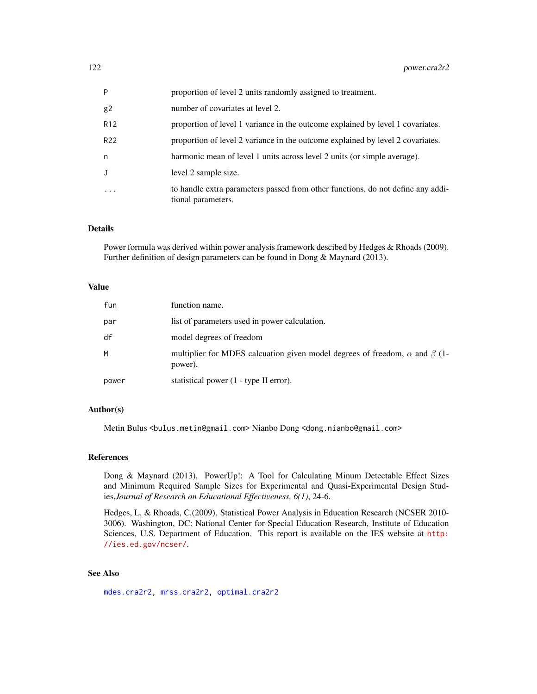<span id="page-121-0"></span>

| P               | proportion of level 2 units randomly assigned to treatment.                                           |
|-----------------|-------------------------------------------------------------------------------------------------------|
| g2              | number of covariates at level 2.                                                                      |
| R <sub>12</sub> | proportion of level 1 variance in the outcome explained by level 1 covariates.                        |
| R22             | proportion of level 2 variance in the outcome explained by level 2 covariates.                        |
| n               | harmonic mean of level 1 units across level 2 units (or simple average).                              |
| J               | level 2 sample size.                                                                                  |
| .               | to handle extra parameters passed from other functions, do not define any addi-<br>tional parameters. |

# Details

Power formula was derived within power analysis framework descibed by Hedges & Rhoads (2009). Further definition of design parameters can be found in Dong & Maynard (2013).

#### Value

| fun   | function name.                                                                                     |
|-------|----------------------------------------------------------------------------------------------------|
| par   | list of parameters used in power calculation.                                                      |
| df    | model degrees of freedom                                                                           |
| M     | multiplier for MDES calcuation given model degrees of freedom, $\alpha$ and $\beta$ (1-<br>power). |
| power | statistical power (1 - type II error).                                                             |

# Author(s)

Metin Bulus <bulus.metin@gmail.com> Nianbo Dong <dong.nianbo@gmail.com>

# References

Dong & Maynard (2013). PowerUp!: A Tool for Calculating Minum Detectable Effect Sizes and Minimum Required Sample Sizes for Experimental and Quasi-Experimental Design Studies,*Journal of Research on Educational Effectiveness, 6(1)*, 24-6.

Hedges, L. & Rhoads, C.(2009). Statistical Power Analysis in Education Research (NCSER 2010- 3006). Washington, DC: National Center for Special Education Research, Institute of Education Sciences, U.S. Department of Education. This report is available on the IES website at [http:](http://ies.ed.gov/ncser/) [//ies.ed.gov/ncser/](http://ies.ed.gov/ncser/).

# See Also

[mdes.cra2r2,](#page-22-0) [mrss.cra2r2,](#page-48-0) [optimal.cra2r2](#page-88-0)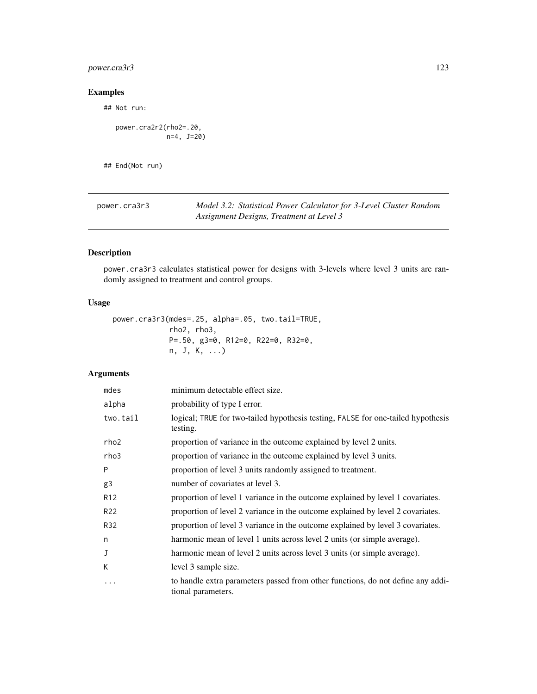# <span id="page-122-0"></span>power.cra3r3 123

# Examples

## Not run:

power.cra2r2(rho2=.20, n=4, J=20)

## End(Not run)

| power.cra3r3 | Model 3.2: Statistical Power Calculator for 3-Level Cluster Random |
|--------------|--------------------------------------------------------------------|
|              | Assignment Designs, Treatment at Level 3                           |

# Description

power.cra3r3 calculates statistical power for designs with 3-levels where level 3 units are randomly assigned to treatment and control groups.

# Usage

```
power.cra3r3(mdes=.25, alpha=.05, two.tail=TRUE,
             rho2, rho3,
             P=.50, g3=0, R12=0, R22=0, R32=0,
             n, J, K, ...)
```
# Arguments

| mdes             | minimum detectable effect size.                                                                       |
|------------------|-------------------------------------------------------------------------------------------------------|
| alpha            | probability of type I error.                                                                          |
| two.tail         | logical; TRUE for two-tailed hypothesis testing, FALSE for one-tailed hypothesis<br>testing.          |
| rho <sub>2</sub> | proportion of variance in the outcome explained by level 2 units.                                     |
| rho3             | proportion of variance in the outcome explained by level 3 units.                                     |
| P                | proportion of level 3 units randomly assigned to treatment.                                           |
| g3               | number of covariates at level 3.                                                                      |
| R <sub>12</sub>  | proportion of level 1 variance in the outcome explained by level 1 covariates.                        |
| R <sub>22</sub>  | proportion of level 2 variance in the outcome explained by level 2 covariates.                        |
| R32              | proportion of level 3 variance in the outcome explained by level 3 covariates.                        |
| n                | harmonic mean of level 1 units across level 2 units (or simple average).                              |
| J                | harmonic mean of level 2 units across level 3 units (or simple average).                              |
| К                | level 3 sample size.                                                                                  |
| $\ddotsc$        | to handle extra parameters passed from other functions, do not define any addi-<br>tional parameters. |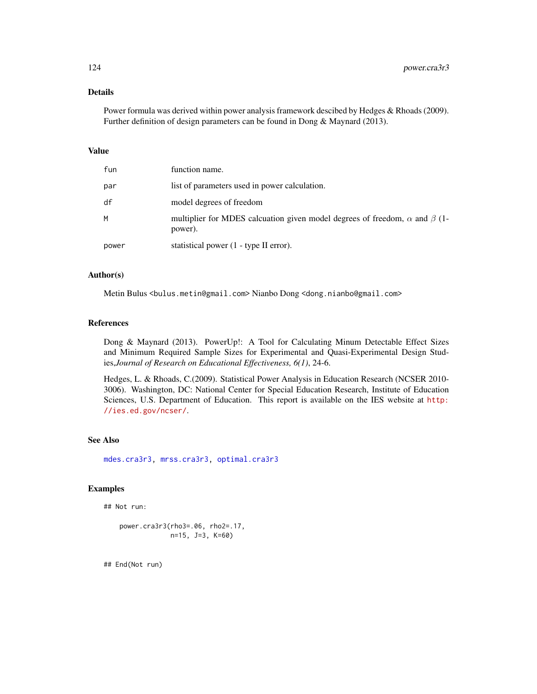# <span id="page-123-0"></span>Details

Power formula was derived within power analysis framework descibed by Hedges & Rhoads (2009). Further definition of design parameters can be found in Dong & Maynard (2013).

# Value

| fun   | function name.                                                                                     |
|-------|----------------------------------------------------------------------------------------------------|
| par   | list of parameters used in power calculation.                                                      |
| df    | model degrees of freedom                                                                           |
| М     | multiplier for MDES calcuation given model degrees of freedom, $\alpha$ and $\beta$ (1-<br>power). |
| power | statistical power (1 - type II error).                                                             |

#### Author(s)

Metin Bulus <bulus.metin@gmail.com> Nianbo Dong <dong.nianbo@gmail.com>

# References

Dong & Maynard (2013). PowerUp!: A Tool for Calculating Minum Detectable Effect Sizes and Minimum Required Sample Sizes for Experimental and Quasi-Experimental Design Studies,*Journal of Research on Educational Effectiveness, 6(1)*, 24-6.

Hedges, L. & Rhoads, C.(2009). Statistical Power Analysis in Education Research (NCSER 2010- 3006). Washington, DC: National Center for Special Education Research, Institute of Education Sciences, U.S. Department of Education. This report is available on the IES website at [http:](http://ies.ed.gov/ncser/) [//ies.ed.gov/ncser/](http://ies.ed.gov/ncser/).

# See Also

[mdes.cra3r3,](#page-23-0) [mrss.cra3r3,](#page-50-0) [optimal.cra3r3](#page-91-0)

# Examples

```
## Not run:
```

```
power.cra3r3(rho3=.06, rho2=.17,
             n=15, J=3, K=60)
```
## End(Not run)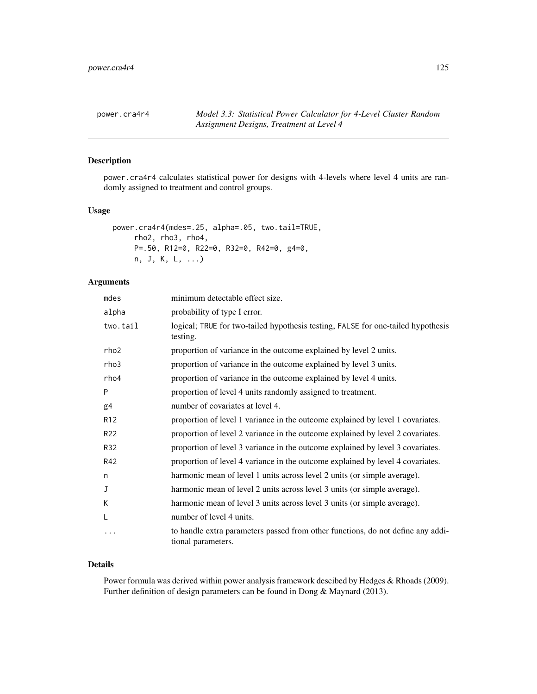<span id="page-124-0"></span>power.cra4r4 *Model 3.3: Statistical Power Calculator for 4-Level Cluster Random Assignment Designs, Treatment at Level 4*

# Description

power.cra4r4 calculates statistical power for designs with 4-levels where level 4 units are randomly assigned to treatment and control groups.

#### Usage

```
power.cra4r4(mdes=.25, alpha=.05, two.tail=TRUE,
     rho2, rho3, rho4,
     P=.50, R12=0, R22=0, R32=0, R42=0, g4=0,
    n, J, K, L, ...)
```
#### Arguments

| mdes            | minimum detectable effect size.                                                                       |
|-----------------|-------------------------------------------------------------------------------------------------------|
| alpha           | probability of type I error.                                                                          |
| two.tail        | logical; TRUE for two-tailed hypothesis testing, FALSE for one-tailed hypothesis<br>testing.          |
| rho2            | proportion of variance in the outcome explained by level 2 units.                                     |
| rho3            | proportion of variance in the outcome explained by level 3 units.                                     |
| rho4            | proportion of variance in the outcome explained by level 4 units.                                     |
| P               | proportion of level 4 units randomly assigned to treatment.                                           |
| g4              | number of covariates at level 4.                                                                      |
| R <sub>12</sub> | proportion of level 1 variance in the outcome explained by level 1 covariates.                        |
| R <sub>22</sub> | proportion of level 2 variance in the outcome explained by level 2 covariates.                        |
| R32             | proportion of level 3 variance in the outcome explained by level 3 covariates.                        |
| R42             | proportion of level 4 variance in the outcome explained by level 4 covariates.                        |
| n               | harmonic mean of level 1 units across level 2 units (or simple average).                              |
| J               | harmonic mean of level 2 units across level 3 units (or simple average).                              |
| K               | harmonic mean of level 3 units across level 3 units (or simple average).                              |
| L               | number of level 4 units.                                                                              |
| .               | to handle extra parameters passed from other functions, do not define any addi-<br>tional parameters. |

# Details

Power formula was derived within power analysis framework descibed by Hedges & Rhoads (2009). Further definition of design parameters can be found in Dong & Maynard (2013).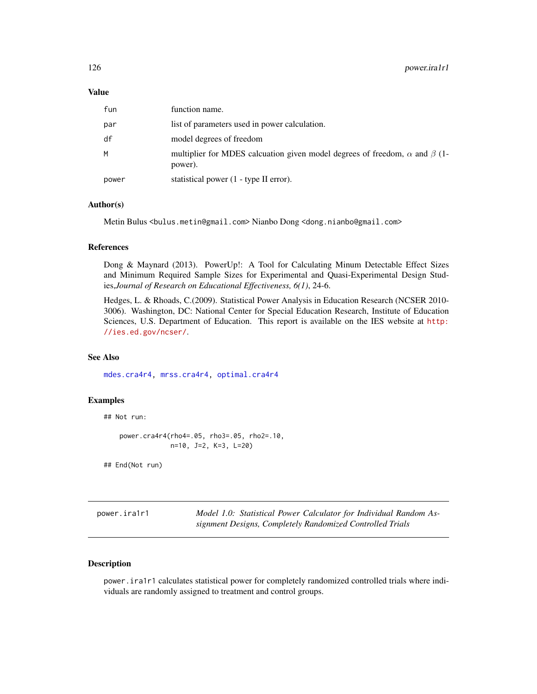#### <span id="page-125-0"></span>Value

| fun   | function name.                                                                                     |
|-------|----------------------------------------------------------------------------------------------------|
| par   | list of parameters used in power calculation.                                                      |
| df    | model degrees of freedom                                                                           |
| M     | multiplier for MDES calcuation given model degrees of freedom, $\alpha$ and $\beta$ (1-<br>power). |
| power | statistical power (1 - type II error).                                                             |

# Author(s)

Metin Bulus <bulus.metin@gmail.com> Nianbo Dong <dong.nianbo@gmail.com>

#### References

Dong & Maynard (2013). PowerUp!: A Tool for Calculating Minum Detectable Effect Sizes and Minimum Required Sample Sizes for Experimental and Quasi-Experimental Design Studies,*Journal of Research on Educational Effectiveness, 6(1)*, 24-6.

Hedges, L. & Rhoads, C.(2009). Statistical Power Analysis in Education Research (NCSER 2010- 3006). Washington, DC: National Center for Special Education Research, Institute of Education Sciences, U.S. Department of Education. This report is available on the IES website at [http:](http://ies.ed.gov/ncser/) [//ies.ed.gov/ncser/](http://ies.ed.gov/ncser/).

# See Also

[mdes.cra4r4,](#page-25-0) [mrss.cra4r4,](#page-52-0) [optimal.cra4r4](#page-94-0)

#### Examples

## Not run:

power.cra4r4(rho4=.05, rho3=.05, rho2=.10, n=10, J=2, K=3, L=20)

## End(Not run)

power.ira1r1 *Model 1.0: Statistical Power Calculator for Individual Random Assignment Designs, Completely Randomized Controlled Trials*

# Description

power.ira1r1 calculates statistical power for completely randomized controlled trials where individuals are randomly assigned to treatment and control groups.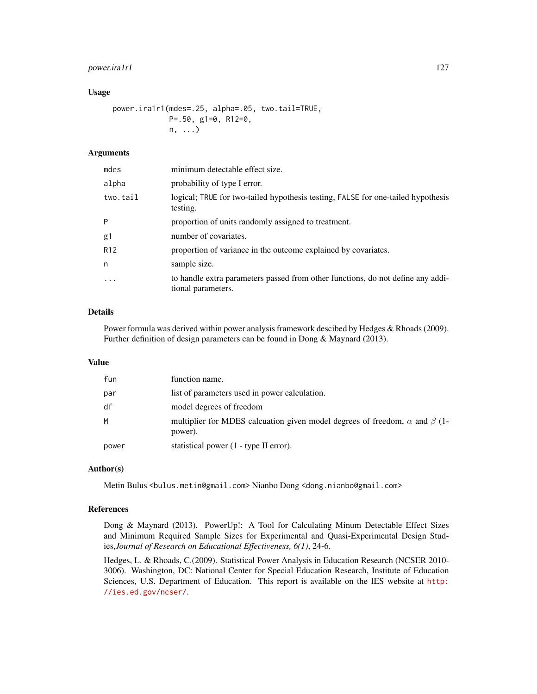# power.ira1r1 127

#### Usage

power.ira1r1(mdes=.25, alpha=.05, two.tail=TRUE, P=.50, g1=0, R12=0, n, ...)

# Arguments

| mdes            | minimum detectable effect size.                                                                       |
|-----------------|-------------------------------------------------------------------------------------------------------|
| alpha           | probability of type I error.                                                                          |
| two.tail        | logical; TRUE for two-tailed hypothesis testing, FALSE for one-tailed hypothesis<br>testing.          |
| P               | proportion of units randomly assigned to treatment.                                                   |
| g1              | number of covariates.                                                                                 |
| R <sub>12</sub> | proportion of variance in the outcome explained by covariates.                                        |
| n               | sample size.                                                                                          |
| $\ddotsc$       | to handle extra parameters passed from other functions, do not define any addi-<br>tional parameters. |

#### Details

Power formula was derived within power analysis framework descibed by Hedges & Rhoads (2009). Further definition of design parameters can be found in Dong & Maynard (2013).

# Value

| fun   | function name.                                                                                     |
|-------|----------------------------------------------------------------------------------------------------|
| par   | list of parameters used in power calculation.                                                      |
| df    | model degrees of freedom                                                                           |
| M     | multiplier for MDES calcuation given model degrees of freedom, $\alpha$ and $\beta$ (1-<br>power). |
| power | statistical power (1 - type II error).                                                             |

#### Author(s)

Metin Bulus <bulus.metin@gmail.com> Nianbo Dong <dong.nianbo@gmail.com>

#### References

Dong & Maynard (2013). PowerUp!: A Tool for Calculating Minum Detectable Effect Sizes and Minimum Required Sample Sizes for Experimental and Quasi-Experimental Design Studies,*Journal of Research on Educational Effectiveness, 6(1)*, 24-6.

Hedges, L. & Rhoads, C.(2009). Statistical Power Analysis in Education Research (NCSER 2010- 3006). Washington, DC: National Center for Special Education Research, Institute of Education Sciences, U.S. Department of Education. This report is available on the IES website at [http:](http://ies.ed.gov/ncser/) [//ies.ed.gov/ncser/](http://ies.ed.gov/ncser/).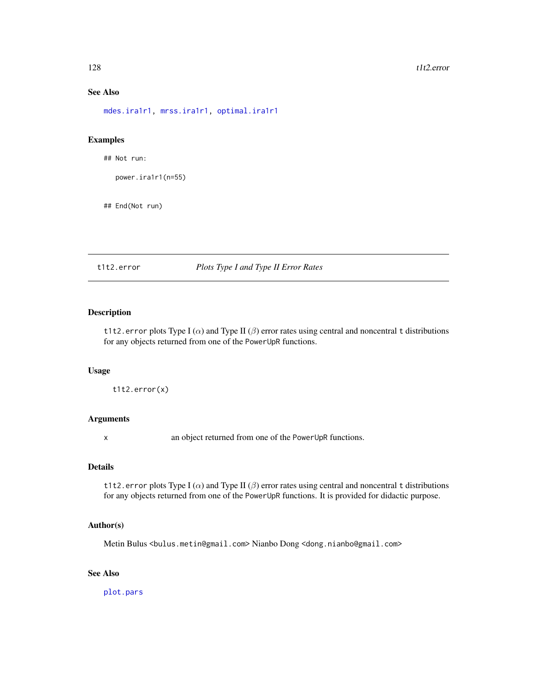# See Also

[mdes.ira1r1,](#page-26-0) [mrss.ira1r1,](#page-54-0) [optimal.ira1r1](#page-97-0)

# Examples

## Not run:

power.ira1r1(n=55)

## End(Not run)

# t1t2.error *Plots Type I and Type II Error Rates*

# Description

t1t2.error plots Type I ( $\alpha$ ) and Type II ( $\beta$ ) error rates using central and noncentral t distributions for any objects returned from one of the PowerUpR functions.

# Usage

t1t2.error(x)

# Arguments

x an object returned from one of the PowerUpR functions.

# Details

t1t2.error plots Type I ( $\alpha$ ) and Type II ( $\beta$ ) error rates using central and noncentral t distributions for any objects returned from one of the PowerUpR functions. It is provided for didactic purpose.

# Author(s)

Metin Bulus <bulus.metin@gmail.com> Nianbo Dong <dong.nianbo@gmail.com>

# See Also

[plot.pars](#page-101-0)

<span id="page-127-0"></span>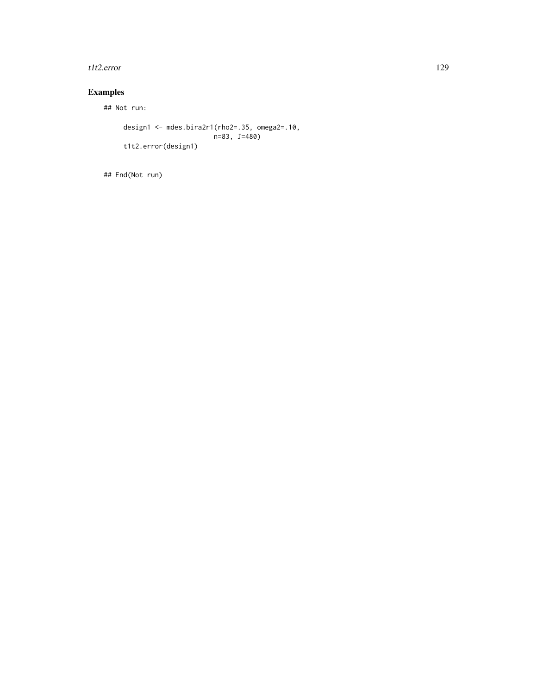#### t1t2.error 129

# Examples

## Not run:

```
design1 <- mdes.bira2r1(rho2=.35, omega2=.10,
                        n=83, J=480)
t1t2.error(design1)
```
## End(Not run)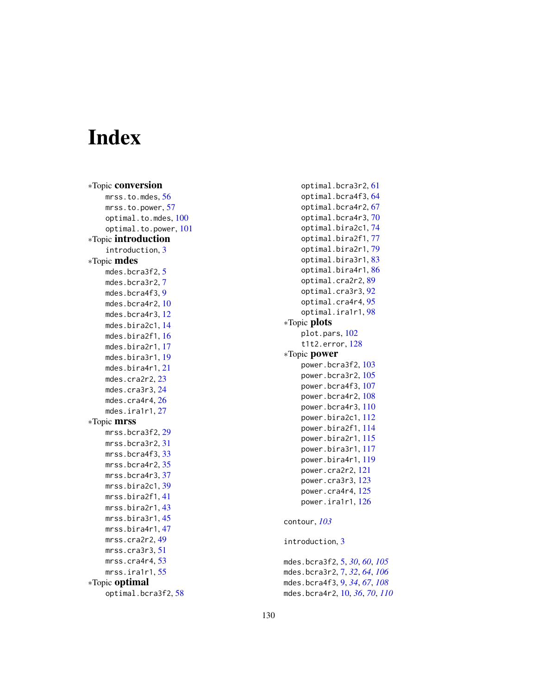# **Index**

∗Topic conversion mrss.to.mdes, <mark>[56](#page-55-0)</mark> mrss.to.power, [57](#page-56-0) optimal.to.mdes , [100](#page-99-0) optimal.to.power , [101](#page-100-0) ∗Topic introduction introduction, [3](#page-2-0) ∗Topic mdes mdes.bcra3f2,<mark>[5](#page-4-0)</mark> mdes.bcra3r2 , [7](#page-6-0) mdes.bcra4f3,<mark>[9](#page-8-0)</mark> mdes.bcra4r2 , [10](#page-9-1) mdes.bcra4r3,[12](#page-11-1) mdes.bira2c1 , [14](#page-13-1) mdes.bira2f1 , [16](#page-15-1) mdes.bira2r1,[17](#page-16-1) mdes.bira3r1 , [19](#page-18-1) mdes.bira4r1 , [21](#page-20-1) mdes.cra2r2,[23](#page-22-1) mdes.cra3r3 , [24](#page-23-1) mdes.cra4r4,[26](#page-25-1) mdes.ira1r1,[27](#page-26-1) ∗Topic mrss mrss.bcra3f2,2<mark>9</mark> mrss.bcra3r2,[31](#page-30-0) mrss.bcra4f3,[33](#page-32-0) mrss.bcra4r2,[35](#page-34-1) mrss.bcra4r3,[37](#page-36-1) mrss.bira2c1,3<mark>9</mark> mrss.bira2f1 , [41](#page-40-1) mrss.bira2r1 , [43](#page-42-1) mrss.bira3r1,[45](#page-44-1) mrss.bira4r1 , [47](#page-46-1) mrss.cra2r2,4<mark>9</mark> mrss.cra3r3 , [51](#page-50-1) mrss.cra4r4 , [53](#page-52-1) mrss.ira1r1 , [55](#page-54-1) ∗Topic optimal optimal.bcra3f2 , [58](#page-57-0)

```
optimal.bcra3r2
, 61
    optimal.bcra4f3
, 64
    optimal.bcra4r2
, 67
    optimal.bcra4r3
, 70
    optimal.bira2c1
, 74
    optimal.bira2f1
, 77
    optimal.bira2r1
, 79
    optimal.bira3r1
, 83
    optimal.bira4r1
, 86
    optimal.cra2r2
, 89
    optimal.cra3r3
, 92
    optimal.cra4r4
, 95
    optimal.ira1r1
, 98
∗Topic plots
    plot.pars
, 102
    t1t2.error
, 128
∗Topic power
    103
    105
    power.bcra4f3
, 107
    108
    power.bcra4r3
, 110
    power.bira2c1
, 112
    power.bira2f1
, 114
    power.bira2r1
, 115
    power.bira3r1
, 117
    power.bira4r1
, 119
    power.cra2r2
, 121
    power.cra3r3
, 123
    power.cra4r4
, 125
    power.ira1r1
, 126
contour
, 103
introduction
,
3
mdes.bcra3f2
,
5
, 30
, 60
, 105
mdes.bcra3r2
,
7
, 32
, 64
, 106
mdes.bcra4f3
,
9
, 34
, 67
, 108
```
mdes.bcra4r2 , [10](#page-9-1) , *[36](#page-35-0)* , *[70](#page-69-1)* , *[110](#page-109-0)*